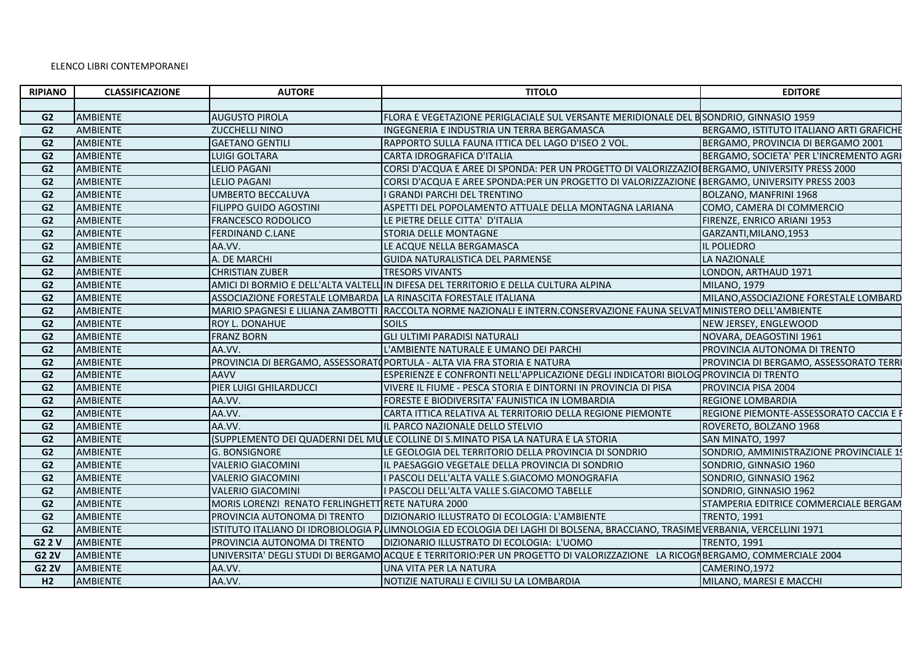## ELENCO LIBRI CONTEMPORANEI

| <b>RIPIANO</b> | <b>CLASSIFICAZIONE</b> | <b>AUTORE</b>                                                   | <b>TITOLO</b>                                                                                                                | <b>EDITORE</b>                           |
|----------------|------------------------|-----------------------------------------------------------------|------------------------------------------------------------------------------------------------------------------------------|------------------------------------------|
|                |                        |                                                                 |                                                                                                                              |                                          |
| G <sub>2</sub> | AMBIENTE               | <b>AUGUSTO PIROLA</b>                                           | FLORA E VEGETAZIONE PERIGLACIALE SUL VERSANTE MERIDIONALE DEL BSONDRIO, GINNASIO 1959                                        |                                          |
| G <sub>2</sub> | <b>AMBIENTE</b>        | <b>ZUCCHELLI NINO</b>                                           | INGEGNERIA E INDUSTRIA UN TERRA BERGAMASCA                                                                                   | BERGAMO, ISTITUTO ITALIANO ARTI GRAFICHE |
| G <sub>2</sub> | AMBIENTE               | <b>GAETANO GENTILI</b>                                          | RAPPORTO SULLA FAUNA ITTICA DEL LAGO D'ISEO 2 VOL.                                                                           | BERGAMO, PROVINCIA DI BERGAMO 2001       |
| G <sub>2</sub> | <b>AMBIENTE</b>        | LUIGI GOLTARA                                                   | CARTA IDROGRAFICA D'ITALIA                                                                                                   | BERGAMO, SOCIETA' PER L'INCREMENTO AGRI  |
| G <sub>2</sub> | AMBIENTE               | <b>LELIO PAGANI</b>                                             | CORSI D'ACQUA E AREE DI SPONDA: PER UN PROGETTO DI VALORIZZAZIO BERGAMO, UNIVERSITY PRESS 2000                               |                                          |
| G <sub>2</sub> | <b>AMBIENTE</b>        | <b>LELIO PAGANI</b>                                             | CORSI D'ACQUA E AREE SPONDA:PER UN PROGETTO DI VALORIZZAZIONE (BERGAMO, UNIVERSITY PRESS 2003                                |                                          |
| G <sub>2</sub> | AMBIENTE               | <b>UMBERTO BECCALUVA</b>                                        | <b>GRANDI PARCHI DEL TRENTINO</b>                                                                                            | BOLZANO, MANFRINI 1968                   |
| G <sub>2</sub> | AMBIENTE               | <b>FILIPPO GUIDO AGOSTINI</b>                                   | ASPETTI DEL POPOLAMENTO ATTUALE DELLA MONTAGNA LARIANA                                                                       | COMO, CAMERA DI COMMERCIO                |
| G <sub>2</sub> | AMBIENTE               | <b>FRANCESCO RODOLICO</b>                                       | LE PIETRE DELLE CITTA' D'ITALIA                                                                                              | FIRENZE, ENRICO ARIANI 1953              |
| G <sub>2</sub> | <b>AMBIENTE</b>        | <b>FERDINAND C.LANE</b>                                         | <b>STORIA DELLE MONTAGNE</b>                                                                                                 | GARZANTI, MILANO, 1953                   |
| G <sub>2</sub> | <b>AMBIENTE</b>        | AA.VV.                                                          | LE ACQUE NELLA BERGAMASCA                                                                                                    | IL POLIEDRO                              |
| G <sub>2</sub> | AMBIENTE               | A. DE MARCHI                                                    | GUIDA NATURALISTICA DEL PARMENSE                                                                                             | LA NAZIONALE                             |
| G <sub>2</sub> | <b>AMBIENTE</b>        | <b>CHRISTIAN ZUBER</b>                                          | <b>TRESORS VIVANTS</b>                                                                                                       | LONDON, ARTHAUD 1971                     |
| G <sub>2</sub> | AMBIENTE               |                                                                 | AMICI DI BORMIO E DELL'ALTA VALTELL IN DIFESA DEL TERRITORIO E DELLA CULTURA ALPINA                                          | <b>MILANO, 1979</b>                      |
| G <sub>2</sub> | AMBIENTE               | ASSOCIAZIONE FORESTALE LOMBARDA LA RINASCITA FORESTALE ITALIANA |                                                                                                                              | MILANO, ASSOCIAZIONE FORESTALE LOMBARD   |
| G <sub>2</sub> | <b>AMBIENTE</b>        |                                                                 | MARIO SPAGNESI E LILIANA ZAMBOTTI RACCOLTA NORME NAZIONALI E INTERN.CONSERVAZIONE FAUNA SELVATIMINISTERO DELL'AMBIENTE       |                                          |
| G <sub>2</sub> | AMBIENTE               | <b>ROY L. DONAHUE</b>                                           | SOILS                                                                                                                        | NEW JERSEY, ENGLEWOOD                    |
| G <sub>2</sub> | AMBIENTE               | <b>FRANZ BORN</b>                                               | <b>GLI ULTIMI PARADISI NATURALI</b>                                                                                          | NOVARA, DEAGOSTINI 1961                  |
| G <sub>2</sub> | AMBIENTE               | AA.VV.                                                          | L'AMBIENTE NATURALE E UMANO DEI PARCHI                                                                                       | PROVINCIA AUTONOMA DI TRENTO             |
| G <sub>2</sub> | AMBIENTE               |                                                                 | PROVINCIA DI BERGAMO, ASSESSORATO PORTULA - ALTA VIA FRA STORIA E NATURA                                                     | PROVINCIA DI BERGAMO, ASSESSORATO TERRI  |
| G <sub>2</sub> | AMBIENTE               | <b>AAVV</b>                                                     | ESPERIENZE E CONFRONTI NELL'APPLICAZIONE DEGLI INDICATORI BIOLOG PROVINCIA DI TRENTO                                         |                                          |
| G <sub>2</sub> | AMBIENTE               | PIER LUIGI GHILARDUCCI                                          | VIVERE IL FIUME - PESCA STORIA E DINTORNI IN PROVINCIA DI PISA                                                               | PROVINCIA PISA 2004                      |
| G <sub>2</sub> | <b>AMBIENTE</b>        | AA.VV.                                                          | FORESTE E BIODIVERSITA' FAUNISTICA IN LOMBARDIA                                                                              | <b>REGIONE LOMBARDIA</b>                 |
| G <sub>2</sub> | AMBIENTE               | AA.VV.                                                          | CARTA ITTICA RELATIVA AL TERRITORIO DELLA REGIONE PIEMONTE                                                                   | REGIONE PIEMONTE-ASSESSORATO CACCIA E I  |
| G <sub>2</sub> | AMBIENTE               | AA.VV.                                                          | L PARCO NAZIONALE DELLO STELVIO                                                                                              | ROVERETO, BOLZANO 1968                   |
| G <sub>2</sub> | AMBIENTE               |                                                                 | (SUPPLEMENTO DEI QUADERNI DEL MULE COLLINE DI S.MINATO PISA LA NATURA E LA STORIA                                            | SAN MINATO, 1997                         |
| G <sub>2</sub> | AMBIENTE               | <b>G. BONSIGNORE</b>                                            | LE GEOLOGIA DEL TERRITORIO DELLA PROVINCIA DI SONDRIO                                                                        | SONDRIO, AMMINISTRAZIONE PROVINCIALE 19  |
| G <sub>2</sub> | AMBIENTE               | <b>VALERIO GIACOMINI</b>                                        | L PAESAGGIO VEGETALE DELLA PROVINCIA DI SONDRIO                                                                              | SONDRIO, GINNASIO 1960                   |
| G <sub>2</sub> | <b>AMBIENTE</b>        | <b>VALERIO GIACOMINI</b>                                        | PASCOLI DELL'ALTA VALLE S.GIACOMO MONOGRAFIA                                                                                 | SONDRIO, GINNASIO 1962                   |
| G <sub>2</sub> | <b>AMBIENTE</b>        | <b>VALERIO GIACOMINI</b>                                        | I PASCOLI DELL'ALTA VALLE S.GIACOMO TABELLE                                                                                  | SONDRIO, GINNASIO 1962                   |
| G <sub>2</sub> | <b>AMBIENTE</b>        | MORIS LORENZI RENATO FERLINGHETT RETE NATURA 2000               |                                                                                                                              | STAMPERIA EDITRICE COMMERCIALE BERGAM    |
| G <sub>2</sub> | <b>AMBIENTE</b>        | PROVINCIA AUTONOMA DI TRENTO                                    | DIZIONARIO ILLUSTRATO DI ECOLOGIA: L'AMBIENTE                                                                                | <b>TRENTO, 1991</b>                      |
| G <sub>2</sub> | AMBIENTE               |                                                                 | ISTITUTO ITALIANO DI IDROBIOLOGIA PLUMNOLOGIA ED ECOLOGIA DEI LAGHI DI BOLSENA, BRACCIANO, TRASIME VERBANIA, VERCELLINI 1971 |                                          |
| G2 2 V         | AMBIENTE               | PROVINCIA AUTONOMA DI TRENTO                                    | DIZIONARIO ILLUSTRATO DI ECOLOGIA: L'UOMO                                                                                    | <b>TRENTO, 1991</b>                      |
| <b>G2 2V</b>   | AMBIENTE               |                                                                 | UNIVERSITA' DEGLI STUDI DI BERGAMO ACQUE E TERRITORIO:PER UN PROGETTO DI VALORIZZAZIONE LA RICOGNBERGAMO, COMMERCIALE 2004   |                                          |
| G2 2V          | <b>AMBIENTE</b>        | AA.VV.                                                          | UNA VITA PER LA NATURA                                                                                                       | CAMERINO, 1972                           |
| H <sub>2</sub> | <b>AMBIENTE</b>        | AA.VV.                                                          | NOTIZIE NATURALI E CIVILI SU LA LOMBARDIA                                                                                    | MILANO. MARESI E MACCHI                  |
|                |                        |                                                                 |                                                                                                                              |                                          |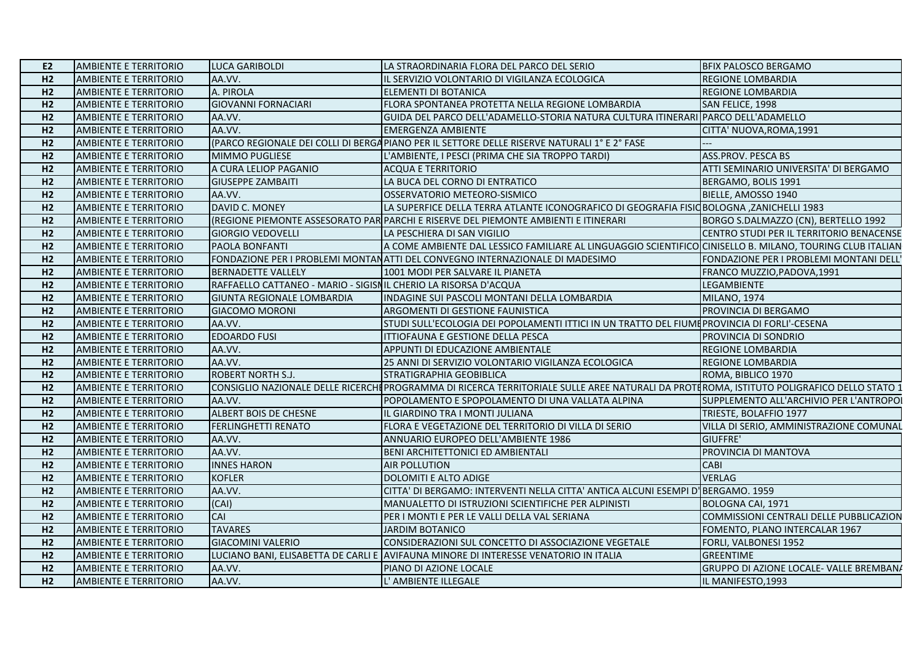| E2             | <b>AMBIENTE E TERRITORIO</b> | <b>LUCA GARIBOLDI</b>                                           | LA STRAORDINARIA FLORA DEL PARCO DEL SERIO                                                                                                 | <b>BFIX PALOSCO BERGAMO</b>              |
|----------------|------------------------------|-----------------------------------------------------------------|--------------------------------------------------------------------------------------------------------------------------------------------|------------------------------------------|
| H2             | <b>AMBIENTE E TERRITORIO</b> | AA.VV.                                                          | IL SERVIZIO VOLONTARIO DI VIGILANZA ECOLOGICA                                                                                              | <b>REGIONE LOMBARDIA</b>                 |
| H2             | <b>AMBIENTE E TERRITORIO</b> | A. PIROLA                                                       | ELEMENTI DI BOTANICA                                                                                                                       | <b>REGIONE LOMBARDIA</b>                 |
| H2             | <b>AMBIENTE E TERRITORIO</b> | <b>GIOVANNI FORNACIARI</b>                                      | FLORA SPONTANEA PROTETTA NELLA REGIONE LOMBARDIA                                                                                           | SAN FELICE, 1998                         |
| H2             | <b>AMBIENTE E TERRITORIO</b> | AA.VV.                                                          | GUIDA DEL PARCO DELL'ADAMELLO-STORIA NATURA CULTURA ITINERARI PARCO DELL'ADAMELLO                                                          |                                          |
| H2             | <b>AMBIENTE E TERRITORIO</b> | AA.VV.                                                          | <b>EMERGENZA AMBIENTE</b>                                                                                                                  | CITTA' NUOVA, ROMA, 1991                 |
| H2             | <b>AMBIENTE E TERRITORIO</b> |                                                                 | (PARCO REGIONALE DEI COLLI DI BERGA PIANO PER IL SETTORE DELLE RISERVE NATURALI 1° E 2° FASE                                               |                                          |
| H2             | <b>AMBIENTE E TERRITORIO</b> | <b>MIMMO PUGLIESE</b>                                           | L'AMBIENTE, I PESCI (PRIMA CHE SIA TROPPO TARDI)                                                                                           | <b>ASS.PROV. PESCA BS</b>                |
| H2             | <b>AMBIENTE E TERRITORIO</b> | A CURA LELIOP PAGANIO                                           | <b>ACQUA E TERRITORIO</b>                                                                                                                  | ATTI SEMINARIO UNIVERSITA' DI BERGAMO    |
| H2             | <b>AMBIENTE E TERRITORIO</b> | <b>GIUSEPPE ZAMBAITI</b>                                        | LA BUCA DEL CORNO DI ENTRATICO                                                                                                             | BERGAMO, BOLIS 1991                      |
| H2             | <b>AMBIENTE E TERRITORIO</b> | AA.VV.                                                          | OSSERVATORIO METEORO-SISMICO                                                                                                               | BIELLE, AMOSSO 1940                      |
| H2             | <b>AMBIENTE E TERRITORIO</b> | DAVID C. MONEY                                                  | LA SUPERFICE DELLA TERRA ATLANTE ICONOGRAFICO DI GEOGRAFIA FISIC BOLOGNA , ZANICHELLI 1983                                                 |                                          |
| H2             | <b>AMBIENTE E TERRITORIO</b> |                                                                 | (REGIONE PIEMONTE ASSESORATO PAR PARCHI E RISERVE DEL PIEMONTE AMBIENTI E ITINERARI                                                        | BORGO S.DALMAZZO (CN), BERTELLO 1992     |
| H2             | <b>AMBIENTE E TERRITORIO</b> | <b>GIORGIO VEDOVELLI</b>                                        | LA PESCHIERA DI SAN VIGILIO                                                                                                                | CENTRO STUDI PER IL TERRITORIO BENACENSE |
| H2             | <b>AMBIENTE E TERRITORIO</b> | PAOLA BONFANTI                                                  | A COME AMBIENTE DAL LESSICO FAMILIARE AL LINGUAGGIO SCIENTIFICO CINISELLO B. MILANO, TOURING CLUB ITALIAN                                  |                                          |
| H2             | <b>AMBIENTE E TERRITORIO</b> |                                                                 | FONDAZIONE PER I PROBLEMI MONTANATTI DEL CONVEGNO INTERNAZIONALE DI MADESIMO                                                               | FONDAZIONE PER I PROBLEMI MONTANI DELL'  |
| H2             | <b>AMBIENTE E TERRITORIO</b> | <b>BERNADETTE VALLELY</b>                                       | 1001 MODI PER SALVARE IL PIANETA                                                                                                           | FRANCO MUZZIO, PADOVA, 1991              |
| H2             | <b>AMBIENTE E TERRITORIO</b> | RAFFAELLO CATTANEO - MARIO - SIGISNIL CHERIO LA RISORSA D'ACQUA |                                                                                                                                            | LEGAMBIENTE                              |
| H2             | <b>AMBIENTE E TERRITORIO</b> | GIUNTA REGIONALE LOMBARDIA                                      | INDAGINE SUI PASCOLI MONTANI DELLA LOMBARDIA                                                                                               | <b>MILANO, 1974</b>                      |
| H2             | <b>AMBIENTE E TERRITORIO</b> | <b>GIACOMO MORONI</b>                                           | ARGOMENTI DI GESTIONE FAUNISTICA                                                                                                           | PROVINCIA DI BERGAMO                     |
| H2             | <b>AMBIENTE E TERRITORIO</b> | AA.VV.                                                          | STUDI SULL'ECOLOGIA DEI POPOLAMENTI ITTICI IN UN TRATTO DEL FIUME PROVINCIA DI FORLI'-CESENA                                               |                                          |
| H2             | <b>AMBIENTE E TERRITORIO</b> | <b>EDOARDO FUSI</b>                                             | ITTIOFAUNA E GESTIONE DELLA PESCA                                                                                                          | PROVINCIA DI SONDRIO                     |
| H2             | <b>AMBIENTE E TERRITORIO</b> | AA.VV.                                                          | APPUNTI DI EDUCAZIONE AMBIENTALE                                                                                                           | REGIONE LOMBARDIA                        |
| H2             | <b>AMBIENTE E TERRITORIO</b> | AA.VV.                                                          | 25 ANNI DI SERVIZIO VOLONTARIO VIGILANZA ECOLOGICA                                                                                         | REGIONE LOMBARDIA                        |
| H2             | <b>AMBIENTE E TERRITORIO</b> | <b>ROBERT NORTH S.J.</b>                                        | STRATIGRAPHIA GEOBIBLICA                                                                                                                   | ROMA, BIBLICO 1970                       |
| H2             | <b>AMBIENTE E TERRITORIO</b> |                                                                 | CONSIGLIO NAZIONALE DELLE RICERCHI PROGRAMMA DI RICERCA TERRITORIALE SULLE AREE NATURALI DA PROTI ROMA, ISTITUTO POLIGRAFICO DELLO STATO 1 |                                          |
| H2             | <b>AMBIENTE E TERRITORIO</b> | AA.VV.                                                          | POPOLAMENTO E SPOPOLAMENTO DI UNA VALLATA ALPINA                                                                                           | SUPPLEMENTO ALL'ARCHIVIO PER L'ANTROPOI  |
| H2             | <b>AMBIENTE E TERRITORIO</b> | <b>ALBERT BOIS DE CHESNE</b>                                    | IL GIARDINO TRA I MONTI JULIANA                                                                                                            | TRIESTE, BOLAFFIO 1977                   |
| H2             | <b>AMBIENTE E TERRITORIO</b> | <b>FERLINGHETTI RENATO</b>                                      | FLORA E VEGETAZIONE DEL TERRITORIO DI VILLA DI SERIO                                                                                       | VILLA DI SERIO, AMMINISTRAZIONE COMUNAL  |
| H2             | <b>AMBIENTE E TERRITORIO</b> | AA.VV.                                                          | ANNUARIO EUROPEO DELL'AMBIENTE 1986                                                                                                        | GIUFFRE'                                 |
| H <sub>2</sub> | <b>AMBIENTE E TERRITORIO</b> | AA.VV.                                                          | BENI ARCHITETTONICI ED AMBIENTALI                                                                                                          | PROVINCIA DI MANTOVA                     |
| H2             | <b>AMBIENTE E TERRITORIO</b> | <b>INNES HARON</b>                                              | <b>AIR POLLUTION</b>                                                                                                                       | <b>CABI</b>                              |
| H2             | <b>AMBIENTE E TERRITORIO</b> | <b>KOFLER</b>                                                   | <b>DOLOMITI E ALTO ADIGE</b>                                                                                                               | <b>VERLAG</b>                            |
| H2             | <b>AMBIENTE E TERRITORIO</b> | AA.VV.                                                          | CITTA' DI BERGAMO: INTERVENTI NELLA CITTA' ANTICA ALCUNI ESEMPI D'BERGAMO. 1959                                                            |                                          |
| H2             | <b>AMBIENTE E TERRITORIO</b> | (CAI)                                                           | MANUALETTO DI ISTRUZIONI SCIENTIFICHE PER ALPINISTI                                                                                        | BOLOGNA CAI, 1971                        |
| H2             | <b>AMBIENTE E TERRITORIO</b> | CAI                                                             | PER I MONTI E PER LE VALLI DELLA VAL SERIANA                                                                                               | COMMISSIONI CENTRALI DELLE PUBBLICAZION  |
| H2             | <b>AMBIENTE E TERRITORIO</b> | <b>TAVARES</b>                                                  | <b>JARDIM BOTANICO</b>                                                                                                                     | FOMENTO, PLANO INTERCALAR 1967           |
| H2             | <b>AMBIENTE E TERRITORIO</b> | <b>GIACOMINI VALERIO</b>                                        | CONSIDERAZIONI SUL CONCETTO DI ASSOCIAZIONE VEGETALE                                                                                       | FORLI, VALBONESI 1952                    |
| H2             | <b>AMBIENTE E TERRITORIO</b> |                                                                 | LUCIANO BANI, ELISABETTA DE CARLI E AVIFAUNA MINORE DI INTERESSE VENATORIO IN ITALIA                                                       | <b>GREENTIME</b>                         |
| H <sub>2</sub> | <b>AMBIENTE E TERRITORIO</b> | AA.VV.                                                          | PIANO DI AZIONE LOCALE                                                                                                                     | GRUPPO DI AZIONE LOCALE- VALLE BREMBAN/  |
| H <sub>2</sub> | <b>AMBIENTE E TERRITORIO</b> | AA.VV.                                                          | L' AMBIENTE ILLEGALE                                                                                                                       | IL MANIFESTO, 1993                       |
|                |                              |                                                                 |                                                                                                                                            |                                          |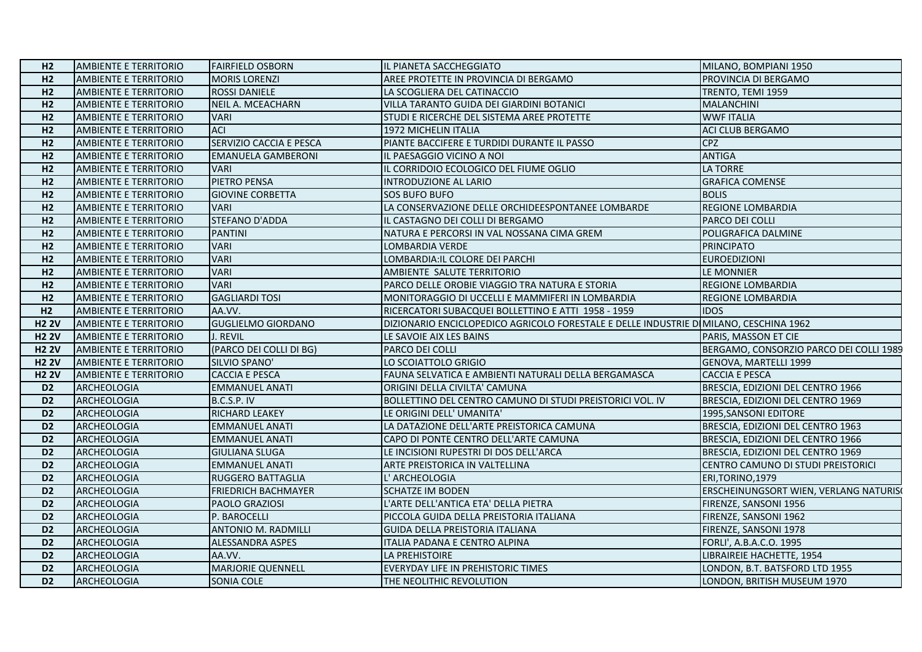| H <sub>2</sub> | <b>AMBIENTE E TERRITORIO</b> | <b>FAIRFIELD OSBORN</b>    | IL PIANETA SACCHEGGIATO                                                               | MILANO, BOMPIANI 1950                   |
|----------------|------------------------------|----------------------------|---------------------------------------------------------------------------------------|-----------------------------------------|
| H2             | <b>AMBIENTE E TERRITORIO</b> | <b>MORIS LORENZI</b>       | AREE PROTETTE IN PROVINCIA DI BERGAMO                                                 | PROVINCIA DI BERGAMO                    |
| H2             | <b>AMBIENTE E TERRITORIO</b> | <b>ROSSI DANIELE</b>       | LA SCOGLIERA DEL CATINACCIO                                                           | TRENTO, TEMI 1959                       |
| H2             | <b>AMBIENTE E TERRITORIO</b> | NEIL A. MCEACHARN          | VILLA TARANTO GUIDA DEI GIARDINI BOTANICI                                             | <b>MALANCHINI</b>                       |
| H2             | <b>AMBIENTE E TERRITORIO</b> | <b>VARI</b>                | STUDI E RICERCHE DEL SISTEMA AREE PROTETTE                                            | <b>WWF ITALIA</b>                       |
| H2             | <b>AMBIENTE E TERRITORIO</b> | <b>ACI</b>                 | 1972 MICHELIN ITALIA                                                                  | <b>ACI CLUB BERGAMO</b>                 |
| H <sub>2</sub> | <b>AMBIENTE E TERRITORIO</b> | SERVIZIO CACCIA E PESCA    | PIANTE BACCIFERE E TURDIDI DURANTE IL PASSO                                           | <b>CPZ</b>                              |
| H2             | <b>AMBIENTE E TERRITORIO</b> | <b>EMANUELA GAMBERONI</b>  | IL PAESAGGIO VICINO A NOI                                                             | <b>ANTIGA</b>                           |
| H2             | <b>AMBIENTE E TERRITORIO</b> | <b>VARI</b>                | IL CORRIDOIO ECOLOGICO DEL FIUME OGLIO                                                | LA TORRE                                |
| H2             | <b>AMBIENTE E TERRITORIO</b> | PIETRO PENSA               | INTRODUZIONE AL LARIO                                                                 | <b>GRAFICA COMENSE</b>                  |
| H <sub>2</sub> | <b>AMBIENTE E TERRITORIO</b> | <b>GIOVINE CORBETTA</b>    | <b>SOS BUFO BUFO</b>                                                                  | <b>BOLIS</b>                            |
| H2             | <b>AMBIENTE E TERRITORIO</b> | <b>VARI</b>                | LA CONSERVAZIONE DELLE ORCHIDEESPONTANEE LOMBARDE                                     | <b>REGIONE LOMBARDIA</b>                |
| H2             | <b>AMBIENTE E TERRITORIO</b> | STEFANO D'ADDA             | IL CASTAGNO DEI COLLI DI BERGAMO                                                      | PARCO DEI COLLI                         |
| H2             | <b>AMBIENTE E TERRITORIO</b> | <b>PANTINI</b>             | NATURA E PERCORSI IN VAL NOSSANA CIMA GREM                                            | POLIGRAFICA DALMINE                     |
| H2             | <b>AMBIENTE E TERRITORIO</b> | <b>VARI</b>                | LOMBARDIA VERDE                                                                       | <b>PRINCIPATO</b>                       |
| H2             | <b>AMBIENTE E TERRITORIO</b> | <b>VARI</b>                | LOMBARDIA: IL COLORE DEI PARCHI                                                       | <b>EUROEDIZIONI</b>                     |
| H2             | <b>AMBIENTE E TERRITORIO</b> | <b>VARI</b>                | AMBIENTE SALUTE TERRITORIO                                                            | LE MONNIER                              |
| H2             | <b>AMBIENTE E TERRITORIO</b> | <b>VARI</b>                | PARCO DELLE OROBIE VIAGGIO TRA NATURA E STORIA                                        | <b>REGIONE LOMBARDIA</b>                |
| H2             | <b>AMBIENTE E TERRITORIO</b> | <b>GAGLIARDI TOSI</b>      | MONITORAGGIO DI UCCELLI E MAMMIFERI IN LOMBARDIA                                      | <b>REGIONE LOMBARDIA</b>                |
| H2             | <b>AMBIENTE E TERRITORIO</b> | AA.VV.                     | RICERCATORI SUBACQUEI BOLLETTINO E ATTI 1958 - 1959                                   | <b>IDOS</b>                             |
| <b>H2 2V</b>   | <b>AMBIENTE E TERRITORIO</b> | <b>GUGLIELMO GIORDANO</b>  | DIZIONARIO ENCICLOPEDICO AGRICOLO FORESTALE E DELLE INDUSTRIE DIMILANO, CESCHINA 1962 |                                         |
| <b>H2 2V</b>   | <b>AMBIENTE E TERRITORIO</b> | J. REVIL                   | LE SAVOIE AIX LES BAINS                                                               | PARIS, MASSON ET CIE                    |
| <b>H2 2V</b>   | <b>AMBIENTE E TERRITORIO</b> | (PARCO DEI COLLI DI BG)    | PARCO DEI COLLI                                                                       | BERGAMO, CONSORZIO PARCO DEI COLLI 1989 |
| <b>H2 2V</b>   | <b>AMBIENTE E TERRITORIO</b> | SILVIO SPANO'              | LO SCOIATTOLO GRIGIO                                                                  | <b>GENOVA, MARTELLI 1999</b>            |
| <b>H2 2V</b>   | <b>AMBIENTE E TERRITORIO</b> | <b>CACCIA E PESCA</b>      | FAUNA SELVATICA E AMBIENTI NATURALI DELLA BERGAMASCA                                  | <b>CACCIA E PESCA</b>                   |
| D <sub>2</sub> | ARCHEOLOGIA                  | <b>EMMANUEL ANATI</b>      | ORIGINI DELLA CIVILTA' CAMUNA                                                         | BRESCIA, EDIZIONI DEL CENTRO 1966       |
| D <sub>2</sub> | ARCHEOLOGIA                  | B.C.S.P. IV                | BOLLETTINO DEL CENTRO CAMUNO DI STUDI PREISTORICI VOL. IV                             | BRESCIA, EDIZIONI DEL CENTRO 1969       |
| D <sub>2</sub> | ARCHEOLOGIA                  | RICHARD LEAKEY             | LE ORIGINI DELL' UMANITA'                                                             | 1995, SANSONI EDITORE                   |
| D <sub>2</sub> | ARCHEOLOGIA                  | <b>EMMANUEL ANATI</b>      | LA DATAZIONE DELL'ARTE PREISTORICA CAMUNA                                             | BRESCIA, EDIZIONI DEL CENTRO 1963       |
| D <sub>2</sub> | ARCHEOLOGIA                  | <b>EMMANUEL ANATI</b>      | CAPO DI PONTE CENTRO DELL'ARTE CAMUNA                                                 | BRESCIA, EDIZIONI DEL CENTRO 1966       |
| D <sub>2</sub> | ARCHEOLOGIA                  | <b>GIULIANA SLUGA</b>      | LE INCISIONI RUPESTRI DI DOS DELL'ARCA                                                | BRESCIA, EDIZIONI DEL CENTRO 1969       |
| D <sub>2</sub> | ARCHEOLOGIA                  | <b>EMMANUEL ANATI</b>      | ARTE PREISTORICA IN VALTELLINA                                                        | CENTRO CAMUNO DI STUDI PREISTORICI      |
| D <sub>2</sub> | <b>ARCHEOLOGIA</b>           | RUGGERO BATTAGLIA          | L' ARCHEOLOGIA                                                                        | ERI, TORINO, 1979                       |
| D <sub>2</sub> | ARCHEOLOGIA                  | <b>FRIEDRICH BACHMAYER</b> | <b>SCHATZE IM BODEN</b>                                                               | ERSCHEINUNGSORT WIEN, VERLANG NATURIS(  |
| D <sub>2</sub> | ARCHEOLOGIA                  | PAOLO GRAZIOSI             | L'ARTE DELL'ANTICA ETA' DELLA PIETRA                                                  | FIRENZE, SANSONI 1956                   |
| D <sub>2</sub> | ARCHEOLOGIA                  | P. BAROCELLI               | PICCOLA GUIDA DELLA PREISTORIA ITALIANA                                               | FIRENZE, SANSONI 1962                   |
| D <sub>2</sub> | ARCHEOLOGIA                  | <b>ANTONIO M. RADMILLI</b> | GUIDA DELLA PREISTORIA ITALIANA                                                       | FIRENZE, SANSONI 1978                   |
| D <sub>2</sub> | ARCHEOLOGIA                  | ALESSANDRA ASPES           | ITALIA PADANA E CENTRO ALPINA                                                         | FORLI', A.B.A.C.O. 1995                 |
| D <sub>2</sub> | ARCHEOLOGIA                  | AA.VV.                     | LA PREHISTOIRE                                                                        | LIBRAIREIE HACHETTE, 1954               |
| D <sub>2</sub> | ARCHEOLOGIA                  | <b>MARJORIE QUENNELL</b>   | EVERYDAY LIFE IN PREHISTORIC TIMES                                                    | LONDON, B.T. BATSFORD LTD 1955          |
| D <sub>2</sub> | ARCHEOLOGIA                  | SONIA COLE                 | THE NEOLITHIC REVOLUTION                                                              | LONDON, BRITISH MUSEUM 1970             |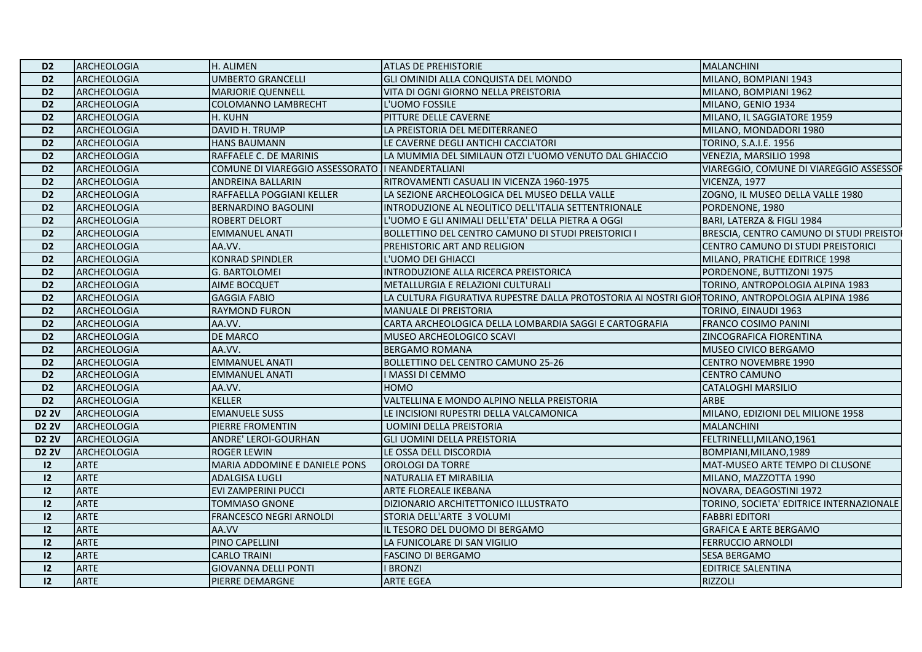| D <sub>2</sub> | ARCHEOLOGIA        | H. ALIMEN                                         | <b>ATLAS DE PREHISTORIE</b>                                                                     | <b>MALANCHINI</b>                        |
|----------------|--------------------|---------------------------------------------------|-------------------------------------------------------------------------------------------------|------------------------------------------|
| D <sub>2</sub> | ARCHEOLOGIA        | <b>UMBERTO GRANCELLI</b>                          | GLI OMINIDI ALLA CONQUISTA DEL MONDO                                                            | MILANO, BOMPIANI 1943                    |
| D <sub>2</sub> | <b>ARCHEOLOGIA</b> | <b>MARJORIE QUENNELL</b>                          | VITA DI OGNI GIORNO NELLA PREISTORIA                                                            | MILANO, BOMPIANI 1962                    |
| D <sub>2</sub> | <b>ARCHEOLOGIA</b> | COLOMANNO LAMBRECHT                               | L'UOMO FOSSILE                                                                                  | MILANO, GENIO 1934                       |
| D <sub>2</sub> | ARCHEOLOGIA        | H. KUHN                                           | PITTURE DELLE CAVERNE                                                                           | MILANO, IL SAGGIATORE 1959               |
| D <sub>2</sub> | ARCHEOLOGIA        | DAVID H. TRUMP                                    | LA PREISTORIA DEL MEDITERRANEO                                                                  | MILANO, MONDADORI 1980                   |
| D <sub>2</sub> | ARCHEOLOGIA        | <b>HANS BAUMANN</b>                               | LE CAVERNE DEGLI ANTICHI CACCIATORI                                                             | TORINO, S.A.I.E. 1956                    |
| D <sub>2</sub> | <b>ARCHEOLOGIA</b> | RAFFAELE C. DE MARINIS                            | LA MUMMIA DEL SIMILAUN OTZI L'UOMO VENUTO DAL GHIACCIO                                          | VENEZIA, MARSILIO 1998                   |
| D <sub>2</sub> | <b>ARCHEOLOGIA</b> | COMUNE DI VIAREGGIO ASSESSORATO II NEANDERTALIANI |                                                                                                 | VIAREGGIO, COMUNE DI VIAREGGIO ASSESSOR  |
| D <sub>2</sub> | <b>ARCHEOLOGIA</b> | ANDREINA BALLARIN                                 | RITROVAMENTI CASUALI IN VICENZA 1960-1975                                                       | VICENZA, 1977                            |
| D <sub>2</sub> | ARCHEOLOGIA        | RAFFAELLA POGGIANI KELLER                         | LA SEZIONE ARCHEOLOGICA DEL MUSEO DELLA VALLE                                                   | ZOGNO, IL MUSEO DELLA VALLE 1980         |
| D <sub>2</sub> | <b>ARCHEOLOGIA</b> | <b>BERNARDINO BAGOLINI</b>                        | INTRODUZIONE AL NEOLITICO DELL'ITALIA SETTENTRIONALE                                            | PORDENONE, 1980                          |
| D <sub>2</sub> | ARCHEOLOGIA        | <b>ROBERT DELORT</b>                              | L'UOMO E GLI ANIMALI DELL'ETA' DELLA PIETRA A OGGI                                              | BARI, LATERZA & FIGLI 1984               |
| D <sub>2</sub> | <b>ARCHEOLOGIA</b> | <b>EMMANUEL ANATI</b>                             | BOLLETTINO DEL CENTRO CAMUNO DI STUDI PREISTORICI I                                             | BRESCIA, CENTRO CAMUNO DI STUDI PREISTOI |
| D <sub>2</sub> | <b>ARCHEOLOGIA</b> | AA.VV.                                            | PREHISTORIC ART AND RELIGION                                                                    | CENTRO CAMUNO DI STUDI PREISTORICI       |
| D <sub>2</sub> | ARCHEOLOGIA        | <b>KONRAD SPINDLER</b>                            | L'UOMO DEI GHIACCI                                                                              | MILANO, PRATICHE EDITRICE 1998           |
| D <sub>2</sub> | ARCHEOLOGIA        | G. BARTOLOMEI                                     | IINTRODUZIONE ALLA RICERCA PREISTORICA                                                          | PORDENONE, BUTTIZONI 1975                |
| D <sub>2</sub> | <b>ARCHEOLOGIA</b> | AIME BOCQUET                                      | METALLURGIA E RELAZIONI CULTURALI                                                               | TORINO, ANTROPOLOGIA ALPINA 1983         |
| D <sub>2</sub> | <b>ARCHEOLOGIA</b> | <b>GAGGIA FABIO</b>                               | LA CULTURA FIGURATIVA RUPESTRE DALLA PROTOSTORIA AI NOSTRI GIOHTORINO, ANTROPOLOGIA ALPINA 1986 |                                          |
| D <sub>2</sub> | <b>ARCHEOLOGIA</b> | <b>RAYMOND FURON</b>                              | MANUALE DI PREISTORIA                                                                           | TORINO, EINAUDI 1963                     |
| D <sub>2</sub> | ARCHEOLOGIA        | AA.VV.                                            | CARTA ARCHEOLOGICA DELLA LOMBARDIA SAGGI E CARTOGRAFIA                                          | FRANCO COSIMO PANINI                     |
| D <sub>2</sub> | <b>ARCHEOLOGIA</b> | DE MARCO                                          | MUSEO ARCHEOLOGICO SCAVI                                                                        | ZINCOGRAFICA FIORENTINA                  |
| D <sub>2</sub> | <b>ARCHEOLOGIA</b> | AA.VV.                                            | <b>BERGAMO ROMANA</b>                                                                           | MUSEO CIVICO BERGAMO                     |
| D <sub>2</sub> | <b>ARCHEOLOGIA</b> | <b>EMMANUEL ANATI</b>                             | <b>BOLLETTINO DEL CENTRO CAMUNO 25-26</b>                                                       | <b>CENTRO NOVEMBRE 1990</b>              |
| D <sub>2</sub> | <b>ARCHEOLOGIA</b> | <b>EMMANUEL ANATI</b>                             | I MASSI DI CEMMO                                                                                | <b>CENTRO CAMUNO</b>                     |
| D <sub>2</sub> | <b>ARCHEOLOGIA</b> | AA.VV.                                            | <b>HOMO</b>                                                                                     | CATALOGHI MARSILIO                       |
| D <sub>2</sub> | ARCHEOLOGIA        | KELLER                                            | VALTELLINA E MONDO ALPINO NELLA PREISTORIA                                                      | ARBE                                     |
| <b>D2 2V</b>   | ARCHEOLOGIA        | <b>EMANUELE SUSS</b>                              | LE INCISIONI RUPESTRI DELLA VALCAMONICA                                                         | MILANO, EDIZIONI DEL MILIONE 1958        |
| <b>D2 2V</b>   | ARCHEOLOGIA        | PIERRE FROMENTIN                                  | <b>UOMINI DELLA PREISTORIA</b>                                                                  | <b>MALANCHINI</b>                        |
| <b>D2 2V</b>   | ARCHEOLOGIA        | ANDRE' LEROI-GOURHAN                              | <b>GLI UOMINI DELLA PREISTORIA</b>                                                              | FELTRINELLI, MILANO, 1961                |
| <b>D2 2V</b>   | <b>ARCHEOLOGIA</b> | ROGER LEWIN                                       | LE OSSA DELL DISCORDIA                                                                          | BOMPIANI, MILANO, 1989                   |
| 12             | ARTE               | MARIA ADDOMINE E DANIELE PONS                     | <b>OROLOGI DA TORRE</b>                                                                         | MAT-MUSEO ARTE TEMPO DI CLUSONE          |
| 12             | ARTE               | ADALGISA LUGLI                                    | NATURALIA ET MIRABILIA                                                                          | MILANO, MAZZOTTA 1990                    |
| 12             | <b>ARTE</b>        | EVI ZAMPERINI PUCCI                               | ARTE FLOREALE IKEBANA                                                                           | NOVARA, DEAGOSTINI 1972                  |
| 12             | <b>ARTE</b>        | TOMMASO GNONE                                     | DIZIONARIO ARCHITETTONICO ILLUSTRATO                                                            | TORINO, SOCIETA' EDITRICE INTERNAZIONALE |
| 12             | ARTE               | FRANCESCO NEGRI ARNOLDI                           | STORIA DELL'ARTE 3 VOLUMI                                                                       | <b>FABBRI EDITORI</b>                    |
| 12             | ARTE               | AA.VV                                             | IL TESORO DEL DUOMO DI BERGAMO                                                                  | <b>GRAFICA E ARTE BERGAMO</b>            |
| 12             | ARTE               | PINO CAPELLINI                                    | LA FUNICOLARE DI SAN VIGILIO                                                                    | FERRUCCIO ARNOLDI                        |
| 12             | <b>ARTE</b>        | <b>CARLO TRAINI</b>                               | <b>FASCINO DI BERGAMO</b>                                                                       | SESA BERGAMO                             |
| 12             | <b>ARTE</b>        | <b>GIOVANNA DELLI PONTI</b>                       | <b>I BRONZI</b>                                                                                 | EDITRICE SALENTINA                       |
| 12             | ARTE               | PIERRE DEMARGNE                                   | <b>ARTE EGEA</b>                                                                                | <b>RIZZOLI</b>                           |
|                |                    |                                                   |                                                                                                 |                                          |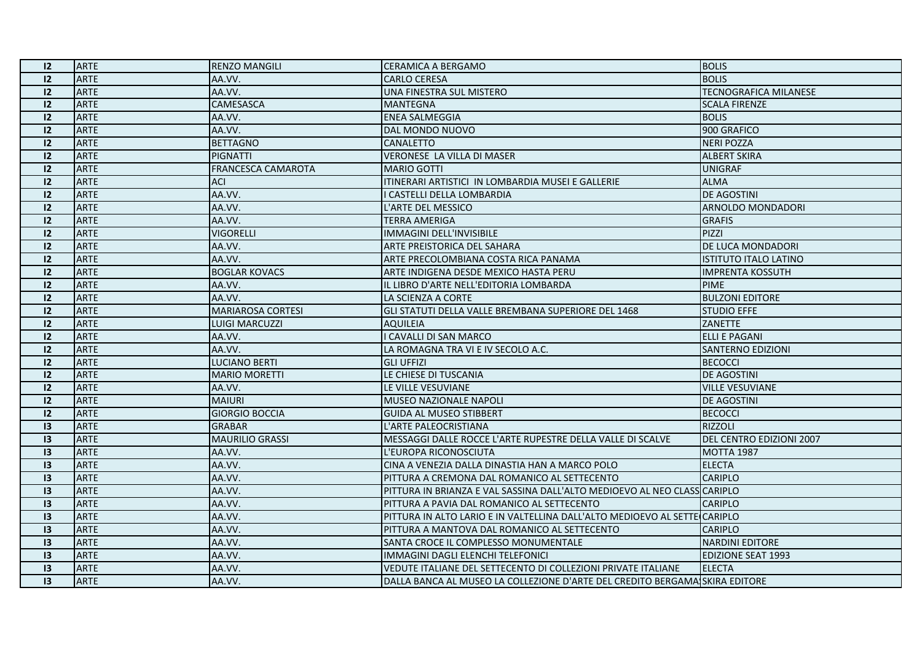| 12              | <b>ARTE</b> | <b>RENZO MANGILI</b>      | <b>CERAMICA A BERGAMO</b>                                                   | <b>BOLIS</b>                 |
|-----------------|-------------|---------------------------|-----------------------------------------------------------------------------|------------------------------|
| 12              | <b>ARTE</b> | AA.VV.                    | <b>CARLO CERESA</b>                                                         | <b>BOLIS</b>                 |
| 12              | <b>ARTE</b> | AA.VV.                    | UNA FINESTRA SUL MISTERO                                                    | <b>TECNOGRAFICA MILANESE</b> |
| 12              | <b>ARTE</b> | <b>CAMESASCA</b>          | <b>MANTEGNA</b>                                                             | <b>SCALA FIRENZE</b>         |
| 12              | <b>ARTE</b> | AA.VV.                    | <b>ENEA SALMEGGIA</b>                                                       | <b>BOLIS</b>                 |
| 12              | <b>ARTE</b> | AA.VV.                    | DAL MONDO NUOVO                                                             | 900 GRAFICO                  |
| 12              | <b>ARTE</b> | <b>BETTAGNO</b>           | <b>CANALETTO</b>                                                            | <b>NERI POZZA</b>            |
| 12              | <b>ARTE</b> | PIGNATTI                  | VERONESE LA VILLA DI MASER                                                  | <b>ALBERT SKIRA</b>          |
| 12              | <b>ARTE</b> | <b>FRANCESCA CAMAROTA</b> | <b>MARIO GOTTI</b>                                                          | <b>UNIGRAF</b>               |
| 12              | <b>ARTE</b> | <b>ACI</b>                | ITINERARI ARTISTICI IN LOMBARDIA MUSEI E GALLERIE                           | <b>ALMA</b>                  |
| 12              | <b>ARTE</b> | AA.VV.                    | CASTELLI DELLA LOMBARDIA                                                    | <b>DE AGOSTINI</b>           |
| 12              | <b>ARTE</b> | AA.VV.                    | L'ARTE DEL MESSICO                                                          | ARNOLDO MONDADORI            |
| 12              | <b>ARTE</b> | AA.VV.                    | <b>TERRA AMERIGA</b>                                                        | <b>GRAFIS</b>                |
| 12              | <b>ARTE</b> | <b>VIGORELLI</b>          | IMMAGINI DELL'INVISIBILE                                                    | PIZZI                        |
| 12              | <b>ARTE</b> | AA.VV.                    | ARTE PREISTORICA DEL SAHARA                                                 | DE LUCA MONDADORI            |
| 12              | <b>ARTE</b> | AA.VV.                    | ARTE PRECOLOMBIANA COSTA RICA PANAMA                                        | <b>ISTITUTO ITALO LATINO</b> |
| 12              | <b>ARTE</b> | <b>BOGLAR KOVACS</b>      | ARTE INDIGENA DESDE MEXICO HASTA PERU                                       | <b>IMPRENTA KOSSUTH</b>      |
| 12              | <b>ARTE</b> | AA.VV.                    | IL LIBRO D'ARTE NELL'EDITORIA LOMBARDA                                      | <b>PIME</b>                  |
| 12              | <b>ARTE</b> | AA.VV.                    | LA SCIENZA A CORTE                                                          | <b>BULZONI EDITORE</b>       |
| 12              | <b>ARTE</b> | <b>MARIAROSA CORTESI</b>  | GLI STATUTI DELLA VALLE BREMBANA SUPERIORE DEL 1468                         | <b>STUDIO EFFE</b>           |
| 12              | <b>ARTE</b> | <b>LUIGI MARCUZZI</b>     | <b>AQUILEIA</b>                                                             | ZANETTE                      |
| 12              | <b>ARTE</b> | AA.VV.                    | <b>CAVALLI DI SAN MARCO</b>                                                 | <b>ELLI E PAGANI</b>         |
| 12              | <b>ARTE</b> | AA.VV.                    | LA ROMAGNA TRA VI E IV SECOLO A.C.                                          | <b>SANTERNO EDIZIONI</b>     |
| 12              | <b>ARTE</b> | <b>LUCIANO BERTI</b>      | <b>GLI UFFIZI</b>                                                           | <b>BECOCCI</b>               |
| 12              | <b>ARTE</b> | <b>MARIO MORETTI</b>      | LE CHIESE DI TUSCANIA                                                       | <b>DE AGOSTINI</b>           |
| 12              | <b>ARTE</b> | AA.VV.                    | LE VILLE VESUVIANE                                                          | <b>VILLE VESUVIANE</b>       |
| 12              | <b>ARTE</b> | <b>MAIURI</b>             | <b>MUSEO NAZIONALE NAPOLI</b>                                               | <b>DE AGOSTINI</b>           |
| 12              | <b>ARTE</b> | <b>GIORGIO BOCCIA</b>     | <b>GUIDA AL MUSEO STIBBERT</b>                                              | <b>BECOCCI</b>               |
| 3               | <b>ARTE</b> | <b>GRABAR</b>             | L'ARTE PALEOCRISTIANA                                                       | <b>RIZZOLI</b>               |
| 3               | <b>ARTE</b> | <b>MAURILIO GRASSI</b>    | MESSAGGI DALLE ROCCE L'ARTE RUPESTRE DELLA VALLE DI SCALVE                  | DEL CENTRO EDIZIONI 2007     |
| 13              | <b>ARTE</b> | AA.VV.                    | L'EUROPA RICONOSCIUTA                                                       | <b>MOTTA 1987</b>            |
| $\overline{13}$ | <b>ARTE</b> | AA.VV.                    | CINA A VENEZIA DALLA DINASTIA HAN A MARCO POLO                              | <b>ELECTA</b>                |
| $\overline{13}$ | <b>ARTE</b> | AA.VV.                    | PITTURA A CREMONA DAL ROMANICO AL SETTECENTO                                | <b>CARIPLO</b>               |
| 3               | <b>ARTE</b> | AA.VV.                    | PITTURA IN BRIANZA E VAL SASSINA DALL'ALTO MEDIOEVO AL NEO CLASS CARIPLO    |                              |
| 13              | <b>ARTE</b> | AA.VV.                    | PITTURA A PAVIA DAL ROMANICO AL SETTECENTO                                  | <b>CARIPLO</b>               |
| 13              | <b>ARTE</b> | AA.VV.                    | PITTURA IN ALTO LARIO E IN VALTELLINA DALL'ALTO MEDIOEVO AL SETTE CARIPLO   |                              |
| 13              | <b>ARTE</b> | AA.VV.                    | PITTURA A MANTOVA DAL ROMANICO AL SETTECENTO                                | <b>CARIPLO</b>               |
| 13              | <b>ARTE</b> | AA.VV.                    | SANTA CROCE IL COMPLESSO MONUMENTALE                                        | <b>NARDINI EDITORE</b>       |
| 13              | <b>ARTE</b> | AA.VV.                    | IMMAGINI DAGLI ELENCHI TELEFONICI                                           | <b>EDIZIONE SEAT 1993</b>    |
| 13              | <b>ARTE</b> | AA.VV.                    | VEDUTE ITALIANE DEL SETTECENTO DI COLLEZIONI PRIVATE ITALIANE               | <b>ELECTA</b>                |
| 3               | <b>ARTE</b> | AA.VV.                    | DALLA BANCA AL MUSEO LA COLLEZIONE D'ARTE DEL CREDITO BERGAMA SKIRA EDITORE |                              |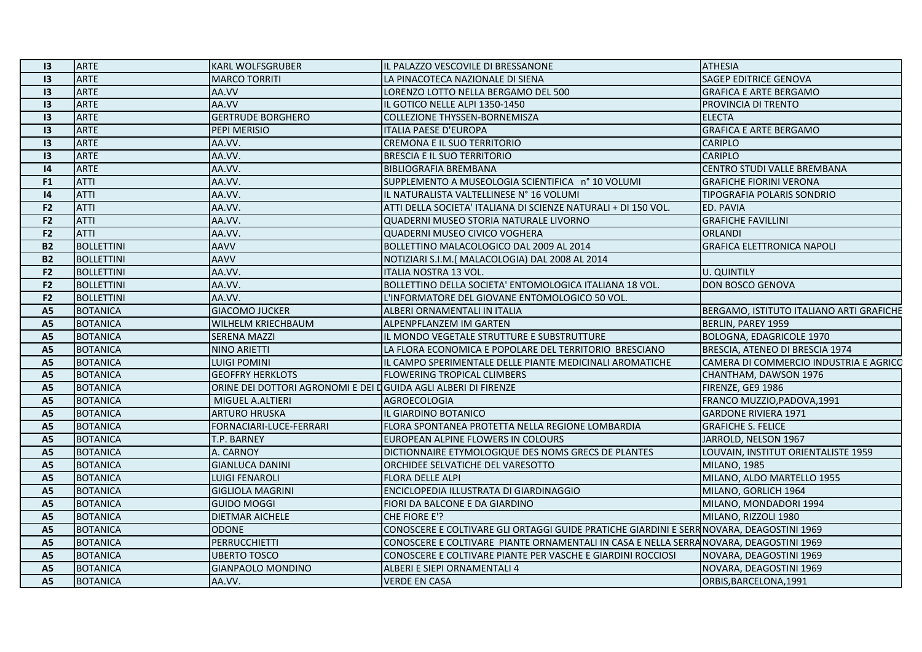| 13              | <b>ARTE</b>       | <b>KARL WOLFSGRUBER</b>                                        | IL PALAZZO VESCOVILE DI BRESSANONE                                                       | <b>ATHESIA</b>                           |
|-----------------|-------------------|----------------------------------------------------------------|------------------------------------------------------------------------------------------|------------------------------------------|
| 3               | <b>ARTE</b>       | <b>MARCO TORRITI</b>                                           | LA PINACOTECA NAZIONALE DI SIENA                                                         | <b>SAGEP EDITRICE GENOVA</b>             |
| $\overline{13}$ | <b>ARTE</b>       | AA.VV                                                          | LORENZO LOTTO NELLA BERGAMO DEL 500                                                      | <b>GRAFICA E ARTE BERGAMO</b>            |
| $\overline{13}$ | ARTE              | AA.VV                                                          | IL GOTICO NELLE ALPI 1350-1450                                                           | PROVINCIA DI TRENTO                      |
| $\overline{13}$ | ARTE              | <b>GERTRUDE BORGHERO</b>                                       | COLLEZIONE THYSSEN-BORNEMISZA                                                            | <b>ELECTA</b>                            |
| $\overline{13}$ | <b>ARTE</b>       | PEPI MERISIO                                                   | <b>ITALIA PAESE D'EUROPA</b>                                                             | <b>GRAFICA E ARTE BERGAMO</b>            |
| 13              | ARTE              | AA.VV.                                                         | <b>CREMONA E IL SUO TERRITORIO</b>                                                       | <b>CARIPLO</b>                           |
| 13              | <b>ARTE</b>       | AA.VV.                                                         | <b>BRESCIA E IL SUO TERRITORIO</b>                                                       | <b>CARIPLO</b>                           |
| $\mathsf{I}4$   | <b>ARTE</b>       | AA.VV.                                                         | <b>BIBLIOGRAFIA BREMBANA</b>                                                             | <b>CENTRO STUDI VALLE BREMBANA</b>       |
| F <sub>1</sub>  | <b>ATTI</b>       | AA.VV.                                                         | SUPPLEMENTO A MUSEOLOGIA SCIENTIFICA n° 10 VOLUMI                                        | <b>GRAFICHE FIORINI VERONA</b>           |
| 4               | <b>ATTI</b>       | AA.VV.                                                         | IL NATURALISTA VALTELLINESE N° 16 VOLUMI                                                 | TIPOGRAFIA POLARIS SONDRIO               |
| F <sub>2</sub>  | <b>ATTI</b>       | AA.VV.                                                         | ATTI DELLA SOCIETA' ITALIANA DI SCIENZE NATURALI + DI 150 VOL.                           | <b>ED. PAVIA</b>                         |
| F <sub>2</sub>  | <b>ATTI</b>       | AA.VV.                                                         | QUADERNI MUSEO STORIA NATURALE LIVORNO                                                   | <b>GRAFICHE FAVILLINI</b>                |
| F <sub>2</sub>  | <b>ATTI</b>       | AA.VV.                                                         | <b>QUADERNI MUSEO CIVICO VOGHERA</b>                                                     | <b>ORLANDI</b>                           |
| <b>B2</b>       | <b>BOLLETTINI</b> | AAVV                                                           | BOLLETTINO MALACOLOGICO DAL 2009 AL 2014                                                 | <b>GRAFICA ELETTRONICA NAPOLI</b>        |
| <b>B2</b>       | <b>BOLLETTINI</b> | AAVV                                                           | NOTIZIARI S.I.M. (MALACOLOGIA) DAL 2008 AL 2014                                          |                                          |
| F <sub>2</sub>  | <b>BOLLETTINI</b> | AA.VV.                                                         | ITALIA NOSTRA 13 VOL.                                                                    | U. QUINTILY                              |
| F <sub>2</sub>  | <b>BOLLETTINI</b> | AA.VV.                                                         | BOLLETTINO DELLA SOCIETA' ENTOMOLOGICA ITALIANA 18 VOL.                                  | <b>DON BOSCO GENOVA</b>                  |
| F <sub>2</sub>  | <b>BOLLETTINI</b> | AA.VV.                                                         | L'INFORMATORE DEL GIOVANE ENTOMOLOGICO 50 VOL.                                           |                                          |
| <b>A5</b>       | <b>BOTANICA</b>   | <b>GIACOMO JUCKER</b>                                          | ALBERI ORNAMENTALI IN ITALIA                                                             | BERGAMO, ISTITUTO ITALIANO ARTI GRAFICHE |
| <b>A5</b>       | <b>BOTANICA</b>   | <b>WILHELM KRIECHBAUM</b>                                      | ALPENPFLANZEM IM GARTEN                                                                  | BERLIN, PAREY 1959                       |
| A <sub>5</sub>  | <b>BOTANICA</b>   | <b>SERENA MAZZI</b>                                            | IL MONDO VEGETALE STRUTTURE E SUBSTRUTTURE                                               | BOLOGNA, EDAGRICOLE 1970                 |
| <b>A5</b>       | <b>BOTANICA</b>   | NINO ARIETTI                                                   | LA FLORA ECONOMICA E POPOLARE DEL TERRITORIO BRESCIANO                                   | BRESCIA, ATENEO DI BRESCIA 1974          |
| A5              | <b>BOTANICA</b>   | <b>LUIGI POMINI</b>                                            | IL CAMPO SPERIMENTALE DELLE PIANTE MEDICINALI AROMATICHE                                 | ICAMERA DI COMMERCIO INDUSTRIA E AGRICO  |
| <b>A5</b>       | <b>BOTANICA</b>   | <b>GEOFFRY HERKLOTS</b>                                        | <b>FLOWERING TROPICAL CLIMBERS</b>                                                       | CHANTHAM, DAWSON 1976                    |
| A <sub>5</sub>  | <b>BOTANICA</b>   | ORINE DEI DOTTORI AGRONOMI E DEI DGUIDA AGLI ALBERI DI FIRENZE |                                                                                          | FIRENZE, GE9 1986                        |
| A <sub>5</sub>  | <b>BOTANICA</b>   | MIGUEL A.ALTIERI                                               | AGROECOLOGIA                                                                             | FRANCO MUZZIO, PADOVA, 1991              |
| <b>A5</b>       | <b>BOTANICA</b>   | <b>ARTURO HRUSKA</b>                                           | IL GIARDINO BOTANICO                                                                     | <b>GARDONE RIVIERA 1971</b>              |
| <b>A5</b>       | <b>BOTANICA</b>   | FORNACIARI-LUCE-FERRARI                                        | FLORA SPONTANEA PROTETTA NELLA REGIONE LOMBARDIA                                         | <b>GRAFICHE S. FELICE</b>                |
| <b>A5</b>       | <b>BOTANICA</b>   | T.P. BARNEY                                                    | EUROPEAN ALPINE FLOWERS IN COLOURS                                                       | JARROLD, NELSON 1967                     |
| <b>A5</b>       | <b>BOTANICA</b>   | A. CARNOY                                                      | DICTIONNAIRE ETYMOLOGIQUE DES NOMS GRECS DE PLANTES                                      | LOUVAIN, INSTITUT ORIENTALISTE 1959      |
| <b>A5</b>       | <b>BOTANICA</b>   | <b>GIANLUCA DANINI</b>                                         | ORCHIDEE SELVATICHE DEL VARESOTTO                                                        | <b>MILANO, 1985</b>                      |
| <b>A5</b>       | <b>BOTANICA</b>   | <b>LUIGI FENAROLI</b>                                          | <b>FLORA DELLE ALPI</b>                                                                  | MILANO, ALDO MARTELLO 1955               |
| <b>A5</b>       | <b>BOTANICA</b>   | <b>GIGLIOLA MAGRINI</b>                                        | ENCICLOPEDIA ILLUSTRATA DI GIARDINAGGIO                                                  | MILANO, GORLICH 1964                     |
| A5              | <b>BOTANICA</b>   | <b>GUIDO MOGGI</b>                                             | FIORI DA BALCONE E DA GIARDINO                                                           | MILANO, MONDADORI 1994                   |
| <b>A5</b>       | <b>BOTANICA</b>   | <b>DIETMAR AICHELE</b>                                         | CHE FIORE E'?                                                                            | MILANO, RIZZOLI 1980                     |
| A <sub>5</sub>  | <b>BOTANICA</b>   | <b>ODONE</b>                                                   | CONOSCERE E COLTIVARE GLI ORTAGGI GUIDE PRATICHE GIARDINI E SERR NOVARA, DEAGOSTINI 1969 |                                          |
| A <sub>5</sub>  | <b>BOTANICA</b>   | <b>PERRUCCHIETTI</b>                                           | CONOSCERE E COLTIVARE PIANTE ORNAMENTALI IN CASA E NELLA SERRANOVARA, DEAGOSTINI 1969    |                                          |
| <b>A5</b>       | <b>BOTANICA</b>   | <b>UBERTO TOSCO</b>                                            | CONOSCERE E COLTIVARE PIANTE PER VASCHE E GIARDINI ROCCIOSI                              | NOVARA, DEAGOSTINI 1969                  |
| A5              | <b>BOTANICA</b>   | <b>GIANPAOLO MONDINO</b>                                       | ALBERI E SIEPI ORNAMENTALI 4                                                             | NOVARA, DEAGOSTINI 1969                  |
| <b>A5</b>       | <b>BOTANICA</b>   | AA.VV.                                                         | <b>VERDE EN CASA</b>                                                                     | ORBIS, BARCELONA, 1991                   |
|                 |                   |                                                                |                                                                                          |                                          |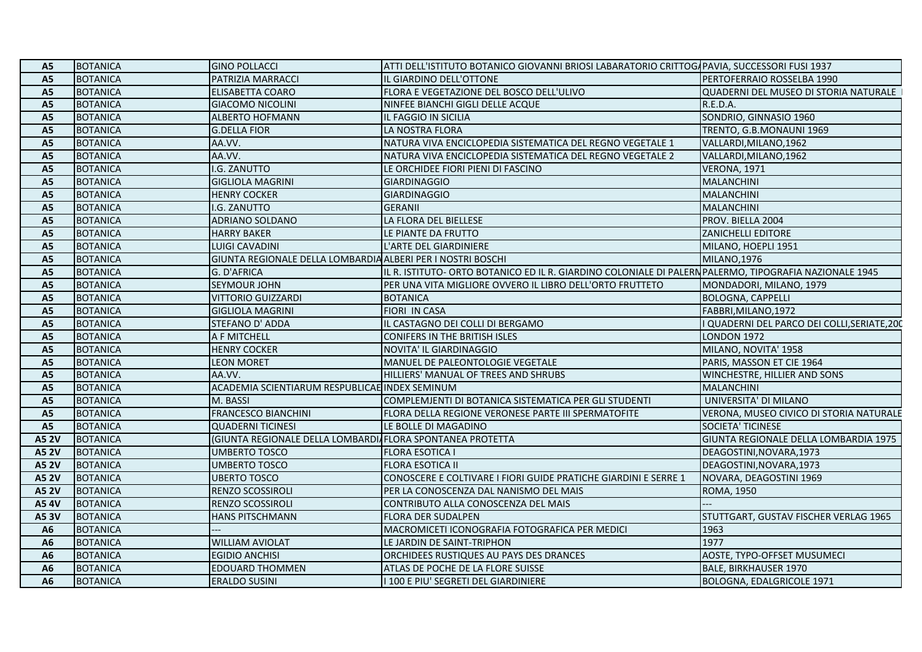| A5             | <b>BOTANICA</b> | <b>GINO POLLACCI</b>                                        | ATTI DELL'ISTITUTO BOTANICO GIOVANNI BRIOSI LABARATORIO CRITTOGAPAVIA, SUCCESSORI FUSI 1937           |                                            |
|----------------|-----------------|-------------------------------------------------------------|-------------------------------------------------------------------------------------------------------|--------------------------------------------|
| <b>A5</b>      | <b>BOTANICA</b> | PATRIZIA MARRACCI                                           | IL GIARDINO DELL'OTTONE                                                                               | PERTOFERRAIO ROSSELBA 1990                 |
| <b>A5</b>      | <b>BOTANICA</b> | ELISABETTA COARO                                            | FLORA E VEGETAZIONE DEL BOSCO DELL'ULIVO                                                              | QUADERNI DEL MUSEO DI STORIA NATURALE      |
| A <sub>5</sub> | <b>BOTANICA</b> | <b>GIACOMO NICOLINI</b>                                     | NINFEE BIANCHI GIGLI DELLE ACQUE                                                                      | R.E.D.A.                                   |
| A <sub>5</sub> | <b>BOTANICA</b> | <b>ALBERTO HOFMANN</b>                                      | IL FAGGIO IN SICILIA                                                                                  | SONDRIO, GINNASIO 1960                     |
| <b>A5</b>      | <b>BOTANICA</b> | <b>G.DELLA FIOR</b>                                         | LA NOSTRA FLORA                                                                                       | TRENTO, G.B.MONAUNI 1969                   |
| A <sub>5</sub> | <b>BOTANICA</b> | AA.VV.                                                      | NATURA VIVA ENCICLOPEDIA SISTEMATICA DEL REGNO VEGETALE 1                                             | VALLARDI, MILANO, 1962                     |
| A5             | <b>BOTANICA</b> | AA.VV.                                                      | NATURA VIVA ENCICLOPEDIA SISTEMATICA DEL REGNO VEGETALE 2                                             | VALLARDI, MILANO, 1962                     |
| <b>A5</b>      | <b>BOTANICA</b> | I.G. ZANUTTO                                                | LE ORCHIDEE FIORI PIENI DI FASCINO                                                                    | <b>VERONA, 1971</b>                        |
| <b>A5</b>      | <b>BOTANICA</b> | <b>GIGLIOLA MAGRINI</b>                                     | <b>GIARDINAGGIO</b>                                                                                   | <b>MALANCHINI</b>                          |
| A <sub>5</sub> | <b>BOTANICA</b> | <b>HENRY COCKER</b>                                         | <b>GIARDINAGGIO</b>                                                                                   | <b>MALANCHINI</b>                          |
| A <sub>5</sub> | <b>BOTANICA</b> | I.G. ZANUTTO                                                | <b>GERANII</b>                                                                                        | <b>MALANCHINI</b>                          |
| A <sub>5</sub> | <b>BOTANICA</b> | <b>ADRIANO SOLDANO</b>                                      | LA FLORA DEL BIELLESE                                                                                 | PROV. BIELLA 2004                          |
| A <sub>5</sub> | <b>BOTANICA</b> | <b>HARRY BAKER</b>                                          | LE PIANTE DA FRUTTO                                                                                   | <b>ZANICHELLI EDITORE</b>                  |
| A <sub>5</sub> | <b>BOTANICA</b> | LUIGI CAVADINI                                              | L'ARTE DEL GIARDINIERE                                                                                | MILANO, HOEPLI 1951                        |
| <b>A5</b>      | <b>BOTANICA</b> | GIUNTA REGIONALE DELLA LOMBARDIA ALBERI PER I NOSTRI BOSCHI |                                                                                                       | MILANO, 1976                               |
| A <sub>5</sub> | <b>BOTANICA</b> | G. D'AFRICA                                                 | IL R. ISTITUTO- ORTO BOTANICO ED IL R. GIARDINO COLONIALE DI PALERNPALERMO, TIPOGRAFIA NAZIONALE 1945 |                                            |
| <b>A5</b>      | <b>BOTANICA</b> | <b>SEYMOUR JOHN</b>                                         | PER UNA VITA MIGLIORE OVVERO IL LIBRO DELL'ORTO FRUTTETO                                              | MONDADORI, MILANO, 1979                    |
| A <sub>5</sub> | <b>BOTANICA</b> | <b>VITTORIO GUIZZARDI</b>                                   | <b>BOTANICA</b>                                                                                       | <b>BOLOGNA, CAPPELLI</b>                   |
| A <sub>5</sub> | <b>BOTANICA</b> | <b>GIGLIOLA MAGRINI</b>                                     | <b>FIORI IN CASA</b>                                                                                  | FABBRI, MILANO, 1972                       |
| A <sub>5</sub> | <b>BOTANICA</b> | STEFANO D'ADDA                                              | IL CASTAGNO DEI COLLI DI BERGAMO                                                                      | QUADERNI DEL PARCO DEI COLLI, SERIATE, 200 |
| A <sub>5</sub> | <b>BOTANICA</b> | A F MITCHELL                                                | <b>CONIFERS IN THE BRITISH ISLES</b>                                                                  | <b>LONDON 1972</b>                         |
| A <sub>5</sub> | <b>BOTANICA</b> | <b>HENRY COCKER</b>                                         | NOVITA' IL GIARDINAGGIO                                                                               | MILANO, NOVITA' 1958                       |
| A <sub>5</sub> | <b>BOTANICA</b> | <b>LEON MORET</b>                                           | MANUEL DE PALEONTOLOGIE VEGETALE                                                                      | PARIS, MASSON ET CIE 1964                  |
| <b>A5</b>      | <b>BOTANICA</b> | AA.VV.                                                      | HILLIERS' MANUAL OF TREES AND SHRUBS                                                                  | WINCHESTRE, HILLIER AND SONS               |
| A <sub>5</sub> | <b>BOTANICA</b> | ACADEMIA SCIENTIARUM RESPUBLICAE INDEX SEMINUM              |                                                                                                       | <b>MALANCHINI</b>                          |
| <b>A5</b>      | <b>BOTANICA</b> | M. BASSI                                                    | COMPLEMJENTI DI BOTANICA SISTEMATICA PER GLI STUDENTI                                                 | UNIVERSITA' DI MILANO                      |
| <b>A5</b>      | <b>BOTANICA</b> | <b>FRANCESCO BIANCHINI</b>                                  | FLORA DELLA REGIONE VERONESE PARTE III SPERMATOFITE                                                   | VERONA, MUSEO CIVICO DI STORIA NATURALE    |
| A <sub>5</sub> | <b>BOTANICA</b> | <b>QUADERNI TICINESI</b>                                    | LE BOLLE DI MAGADINO                                                                                  | SOCIETA' TICINESE                          |
| <b>A5 2V</b>   | <b>BOTANICA</b> | (GIUNTA REGIONALE DELLA LOMBARDI FLORA SPONTANEA PROTETTA   |                                                                                                       | GIUNTA REGIONALE DELLA LOMBARDIA 1975      |
| <b>A5 2V</b>   | <b>BOTANICA</b> | <b>UMBERTO TOSCO</b>                                        | <b>FLORA ESOTICA I</b>                                                                                | DEAGOSTINI, NOVARA, 1973                   |
| <b>A5 2V</b>   | <b>BOTANICA</b> | <b>UMBERTO TOSCO</b>                                        | <b>FLORA ESOTICA II</b>                                                                               | DEAGOSTINI, NOVARA, 1973                   |
| <b>A5 2V</b>   | <b>BOTANICA</b> | <b>UBERTO TOSCO</b>                                         | CONOSCERE E COLTIVARE I FIORI GUIDE PRATICHE GIARDINI E SERRE 1                                       | NOVARA, DEAGOSTINI 1969                    |
| <b>A5 2V</b>   | <b>BOTANICA</b> | <b>RENZO SCOSSIROLI</b>                                     | PER LA CONOSCENZA DAL NANISMO DEL MAIS                                                                | <b>ROMA, 1950</b>                          |
| A54V           | <b>BOTANICA</b> | <b>RENZO SCOSSIROLI</b>                                     | CONTRIBUTO ALLA CONOSCENZA DEL MAIS                                                                   |                                            |
| A53V           | <b>BOTANICA</b> | <b>HANS PITSCHMANN</b>                                      | <b>FLORA DER SUDALPEN</b>                                                                             | STUTTGART, GUSTAV FISCHER VERLAG 1965      |
| A <sub>6</sub> | <b>BOTANICA</b> |                                                             | MACROMICETI ICONOGRAFIA FOTOGRAFICA PER MEDICI                                                        | 1963                                       |
| A <sub>6</sub> | <b>BOTANICA</b> | <b>WILLIAM AVIOLAT</b>                                      | LE JARDIN DE SAINT-TRIPHON                                                                            | 1977                                       |
| A <sub>6</sub> | <b>BOTANICA</b> | <b>EGIDIO ANCHISI</b>                                       | ORCHIDEES RUSTIQUES AU PAYS DES DRANCES                                                               | AOSTE, TYPO-OFFSET MUSUMECI                |
| A <sub>6</sub> | <b>BOTANICA</b> | EDOUARD THOMMEN                                             | ATLAS DE POCHE DE LA FLORE SUISSE                                                                     | <b>BALE, BIRKHAUSER 1970</b>               |
| A <sub>6</sub> | <b>BOTANICA</b> | <b>ERALDO SUSINI</b>                                        | I 100 E PIU' SEGRETI DEL GIARDINIERE                                                                  | BOLOGNA, EDALGRICOLE 1971                  |
|                |                 |                                                             |                                                                                                       |                                            |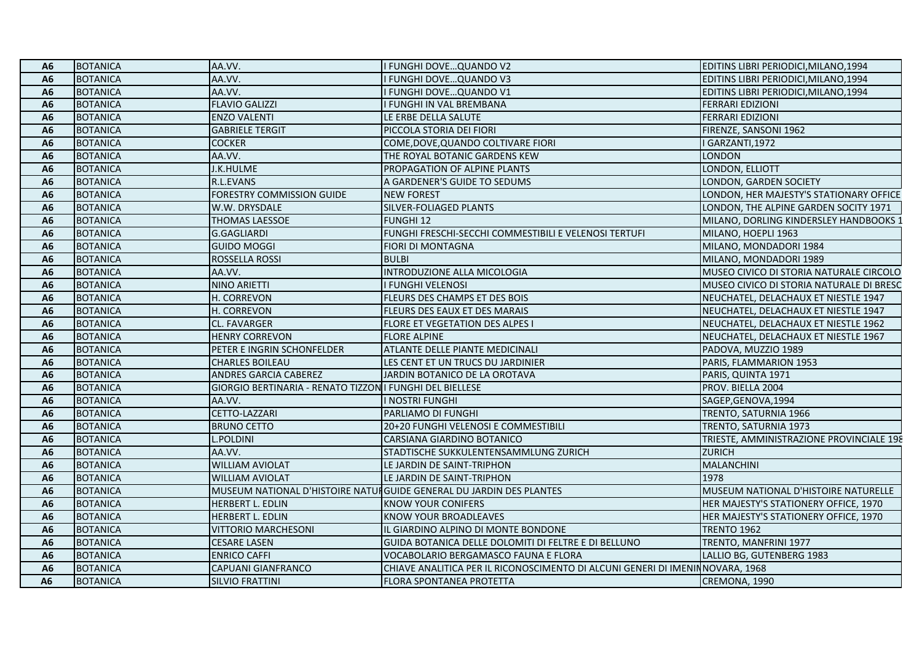| A6             | <b>BOTANICA</b> | AA.VV.                                                   | I FUNGHI DOVE QUANDO V2                                                       | EDITINS LIBRI PERIODICI, MILANO, 1994    |
|----------------|-----------------|----------------------------------------------------------|-------------------------------------------------------------------------------|------------------------------------------|
| A6             | <b>BOTANICA</b> | AA.VV.                                                   | FUNGHI DOVEQUANDO V3                                                          | EDITINS LIBRI PERIODICI, MILANO, 1994    |
| A6             | <b>BOTANICA</b> | AA.VV.                                                   | <b>FUNGHI DOVEQUANDO V1</b>                                                   | EDITINS LIBRI PERIODICI, MILANO, 1994    |
| A6             | <b>BOTANICA</b> | <b>FLAVIO GALIZZI</b>                                    | I FUNGHI IN VAL BREMBANA                                                      | <b>FERRARI EDIZIONI</b>                  |
| A6             | <b>BOTANICA</b> | <b>ENZO VALENTI</b>                                      | LE ERBE DELLA SALUTE                                                          | <b>FERRARI EDIZIONI</b>                  |
| A <sub>6</sub> | <b>BOTANICA</b> | <b>GABRIELE TERGIT</b>                                   | PICCOLA STORIA DEI FIORI                                                      | FIRENZE, SANSONI 1962                    |
| A6             | <b>BOTANICA</b> | <b>COCKER</b>                                            | COME, DOVE, QUANDO COLTIVARE FIORI                                            | I GARZANTI, 1972                         |
| A6             | <b>BOTANICA</b> | AA.VV.                                                   | THE ROYAL BOTANIC GARDENS KEW                                                 | <b>LONDON</b>                            |
| A6             | <b>BOTANICA</b> | J.K.HULME                                                | PROPAGATION OF ALPINE PLANTS                                                  | LONDON, ELLIOTT                          |
| A <sub>6</sub> | <b>BOTANICA</b> | R.L.EVANS                                                | A GARDENER'S GUIDE TO SEDUMS                                                  | LONDON, GARDEN SOCIETY                   |
| A <sub>6</sub> | <b>BOTANICA</b> | FORESTRY COMMISSION GUIDE                                | <b>NEW FOREST</b>                                                             | LONDON, HER MAJESTY'S STATIONARY OFFICE  |
| A <sub>6</sub> | <b>BOTANICA</b> | W.W. DRYSDALE                                            | SILVER-FOLIAGED PLANTS                                                        | LONDON, THE ALPINE GARDEN SOCITY 1971    |
| A <sub>6</sub> | <b>BOTANICA</b> | <b>THOMAS LAESSOE</b>                                    | <b>FUNGHI 12</b>                                                              | MILANO, DORLING KINDERSLEY HANDBOOKS 1   |
| A <sub>6</sub> | <b>BOTANICA</b> | G.GAGLIARDI                                              | FUNGHI FRESCHI-SECCHI COMMESTIBILI E VELENOSI TERTUFI                         | MILANO, HOEPLI 1963                      |
| A6             | <b>BOTANICA</b> | <b>GUIDO MOGGI</b>                                       | FIORI DI MONTAGNA                                                             | MILANO, MONDADORI 1984                   |
| A6             | <b>BOTANICA</b> | ROSSELLA ROSSI                                           | <b>BULBI</b>                                                                  | MILANO, MONDADORI 1989                   |
| A <sub>6</sub> | <b>BOTANICA</b> | AA.VV.                                                   | INTRODUZIONE ALLA MICOLOGIA                                                   | MUSEO CIVICO DI STORIA NATURALE CIRCOLO  |
| A <sub>6</sub> | <b>BOTANICA</b> | NINO ARIETTI                                             | I FUNGHI VELENOSI                                                             | MUSEO CIVICO DI STORIA NATURALE DI BRESC |
| A <sub>6</sub> | <b>BOTANICA</b> | H. CORREVON                                              | FLEURS DES CHAMPS ET DES BOIS                                                 | NEUCHATEL, DELACHAUX ET NIESTLE 1947     |
| A6             | <b>BOTANICA</b> | H. CORREVON                                              | FLEURS DES EAUX ET DES MARAIS                                                 | NEUCHATEL, DELACHAUX ET NIESTLE 1947     |
| A6             | <b>BOTANICA</b> | CL. FAVARGER                                             | <b>FLORE ET VEGETATION DES ALPES I</b>                                        | NEUCHATEL, DELACHAUX ET NIESTLE 1962     |
| A6             | <b>BOTANICA</b> | <b>HENRY CORREVON</b>                                    | <b>FLORE ALPINE</b>                                                           | NEUCHATEL, DELACHAUX ET NIESTLE 1967     |
| A <sub>6</sub> | <b>BOTANICA</b> | PETER E INGRIN SCHONFELDER                               | ATLANTE DELLE PIANTE MEDICINALI                                               | PADOVA, MUZZIO 1989                      |
| A <sub>6</sub> | <b>BOTANICA</b> | <b>CHARLES BOILEAU</b>                                   | LES CENT ET UN TRUCS DU JARDINIER                                             | PARIS, FLAMMARION 1953                   |
| A <sub>6</sub> | <b>BOTANICA</b> | ANDRES GARCIA CABEREZ                                    | JARDIN BOTANICO DE LA OROTAVA                                                 | PARIS, QUINTA 1971                       |
| A6             | <b>BOTANICA</b> | GIORGIO BERTINARIA - RENATO TIZZON I FUNGHI DEL BIELLESE |                                                                               | PROV. BIELLA 2004                        |
| A6             | <b>BOTANICA</b> | AA.VV.                                                   | <b>NOSTRI FUNGHI</b>                                                          | SAGEP, GENOVA, 1994                      |
| A <sub>6</sub> | <b>BOTANICA</b> | CETTO-LAZZARI                                            | PARLIAMO DI FUNGHI                                                            | TRENTO, SATURNIA 1966                    |
| A6             | <b>BOTANICA</b> | <b>BRUNO CETTO</b>                                       | 20+20 FUNGHI VELENOSI E COMMESTIBILI                                          | TRENTO, SATURNIA 1973                    |
| A6             | <b>BOTANICA</b> | .POLDINI                                                 | CARSIANA GIARDINO BOTANICO                                                    | TRIESTE, AMMINISTRAZIONE PROVINCIALE 198 |
| A6             | <b>BOTANICA</b> | AA.VV.                                                   | STADTISCHE SUKKULENTENSAMMLUNG ZURICH                                         | <b>ZURICH</b>                            |
| A <sub>6</sub> | <b>BOTANICA</b> | WILLIAM AVIOLAT                                          | LE JARDIN DE SAINT-TRIPHON                                                    | <b>MALANCHINI</b>                        |
| A6             | <b>BOTANICA</b> | WILLIAM AVIOLAT                                          | LE JARDIN DE SAINT-TRIPHON                                                    | 1978                                     |
| A <sub>6</sub> | <b>BOTANICA</b> |                                                          | MUSEUM NATIONAL D'HISTOIRE NATUIGUIDE GENERAL DU JARDIN DES PLANTES           | MUSEUM NATIONAL D'HISTOIRE NATURELLE     |
| A <sub>6</sub> | <b>BOTANICA</b> | HERBERT L. EDLIN                                         | <b>KNOW YOUR CONIFERS</b>                                                     | HER MAJESTY'S STATIONERY OFFICE, 1970    |
| A6             | <b>BOTANICA</b> | HERBERT L. EDLIN                                         | <b>KNOW YOUR BROADLEAVES</b>                                                  | HER MAJESTY'S STATIONERY OFFICE, 1970    |
| A <sub>6</sub> | <b>BOTANICA</b> | <b>VITTORIO MARCHESONI</b>                               | IL GIARDINO ALPINO DI MONTE BONDONE                                           | TRENTO 1962                              |
| A6             | <b>BOTANICA</b> | CESARE LASEN                                             | GUIDA BOTANICA DELLE DOLOMITI DI FELTRE E DI BELLUNO                          | TRENTO, MANFRINI 1977                    |
| A <sub>6</sub> | <b>BOTANICA</b> | <b>ENRICO CAFFI</b>                                      | VOCABOLARIO BERGAMASCO FAUNA E FLORA                                          | LALLIO BG, GUTENBERG 1983                |
| A6             | <b>BOTANICA</b> | CAPUANI GIANFRANCO                                       | CHIAVE ANALITICA PER IL RICONOSCIMENTO DI ALCUNI GENERI DI IMENINNOVARA, 1968 |                                          |
| <b>A6</b>      | <b>BOTANICA</b> | <b>SILVIO FRATTINI</b>                                   | <b>FLORA SPONTANEA PROTETTA</b>                                               | CREMONA, 1990                            |
|                |                 |                                                          |                                                                               |                                          |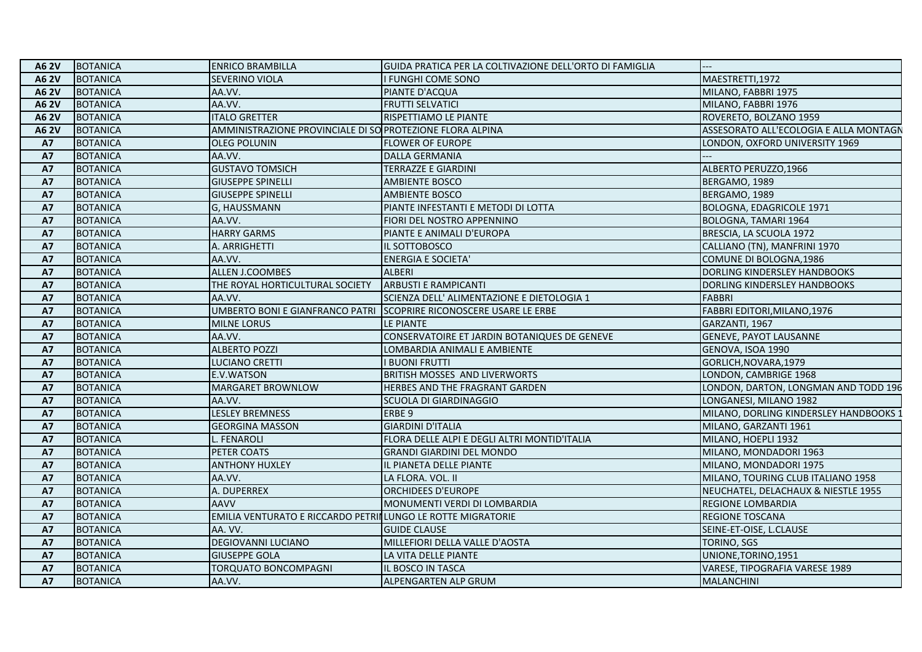| A6 2V           | <b>BOTANICA</b> | <b>ENRICO BRAMBILLA</b>                                      | GUIDA PRATICA PER LA COLTIVAZIONE DELL'ORTO DI FAMIGLIA            |                                        |
|-----------------|-----------------|--------------------------------------------------------------|--------------------------------------------------------------------|----------------------------------------|
| <b>A62V</b>     | <b>BOTANICA</b> | <b>SEVERINO VIOLA</b>                                        | I FUNGHI COME SONO                                                 | MAESTRETTI, 1972                       |
| <b>A6 2V</b>    | <b>BOTANICA</b> | AA.VV.                                                       | PIANTE D'ACQUA                                                     | MILANO, FABBRI 1975                    |
| A6 2V           | <b>BOTANICA</b> | AA.VV.                                                       | <b>FRUTTI SELVATICI</b>                                            | MILANO, FABBRI 1976                    |
| <b>A6 2V</b>    | <b>BOTANICA</b> | <b>ITALO GRETTER</b>                                         | RISPETTIAMO LE PIANTE                                              | ROVERETO, BOLZANO 1959                 |
| A6 2V           | <b>BOTANICA</b> | AMMINISTRAZIONE PROVINCIALE DI SO PROTEZIONE FLORA ALPINA    |                                                                    | ASSESORATO ALL'ECOLOGIA E ALLA MONTAGN |
| <b>A7</b>       | <b>BOTANICA</b> | <b>OLEG POLUNIN</b>                                          | <b>FLOWER OF EUROPE</b>                                            | LONDON, OXFORD UNIVERSITY 1969         |
| <b>A7</b>       | <b>BOTANICA</b> | AA.VV.                                                       | <b>DALLA GERMANIA</b>                                              |                                        |
| <b>A7</b>       | <b>BOTANICA</b> | <b>GUSTAVO TOMSICH</b>                                       | <b>TERRAZZE E GIARDINI</b>                                         | ALBERTO PERUZZO,1966                   |
| <b>A7</b>       | <b>BOTANICA</b> | <b>GIUSEPPE SPINELLI</b>                                     | <b>AMBIENTE BOSCO</b>                                              | BERGAMO, 1989                          |
| <b>A7</b>       | <b>BOTANICA</b> | <b>GIUSEPPE SPINELLI</b>                                     | <b>AMBIENTE BOSCO</b>                                              | BERGAMO, 1989                          |
| <b>A7</b>       | <b>BOTANICA</b> | G, HAUSSMANN                                                 | PIANTE INFESTANTI E METODI DI LOTTA                                | BOLOGNA, EDAGRICOLE 1971               |
| <b>A7</b>       | <b>BOTANICA</b> | AA.VV.                                                       | FIORI DEL NOSTRO APPENNINO                                         | BOLOGNA, TAMARI 1964                   |
| <b>A7</b>       | <b>BOTANICA</b> | <b>HARRY GARMS</b>                                           | PIANTE E ANIMALI D'EUROPA                                          | BRESCIA, LA SCUOLA 1972                |
| <b>A7</b>       | <b>BOTANICA</b> | A. ARRIGHETTI                                                | IL SOTTOBOSCO                                                      | CALLIANO (TN), MANFRINI 1970           |
| <b>A7</b>       | <b>BOTANICA</b> | AA.VV.                                                       | <b>ENERGIA E SOCIETA'</b>                                          | COMUNE DI BOLOGNA, 1986                |
| <b>A7</b>       | <b>BOTANICA</b> | ALLEN J.COOMBES                                              | <b>ALBERI</b>                                                      | DORLING KINDERSLEY HANDBOOKS           |
| <b>A7</b>       | <b>BOTANICA</b> | THE ROYAL HORTICULTURAL SOCIETY                              | <b>ARBUSTI E RAMPICANTI</b>                                        | DORLING KINDERSLEY HANDBOOKS           |
| <b>A7</b>       | <b>BOTANICA</b> | AA.VV.                                                       | SCIENZA DELL' ALIMENTAZIONE E DIETOLOGIA 1                         | <b>FABBRI</b>                          |
| <b>A7</b>       | <b>BOTANICA</b> |                                                              | UMBERTO BONI E GIANFRANCO PATRI SCOPRIRE RICONOSCERE USARE LE ERBE | FABBRI EDITORI, MILANO, 1976           |
| <b>A7</b>       | <b>BOTANICA</b> | <b>MILNE LORUS</b>                                           | LE PIANTE                                                          | GARZANTI, 1967                         |
| <b>A7</b>       | <b>BOTANICA</b> | AA.VV.                                                       | CONSERVATOIRE ET JARDIN BOTANIQUES DE GENEVE                       | <b>GENEVE, PAYOT LAUSANNE</b>          |
| <b>A7</b>       | <b>BOTANICA</b> | <b>ALBERTO POZZI</b>                                         | LOMBARDIA ANIMALI E AMBIENTE                                       | GENOVA, ISOA 1990                      |
| <b>A7</b>       | <b>BOTANICA</b> | <b>LUCIANO CRETTI</b>                                        | <b>I BUONI FRUTTI</b>                                              | GORLICH, NOVARA, 1979                  |
| <b>A7</b>       | <b>BOTANICA</b> | E.V.WATSON                                                   | BRITISH MOSSES AND LIVERWORTS                                      | LONDON, CAMBRIGE 1968                  |
| <b>A7</b>       | <b>BOTANICA</b> | MARGARET BROWNLOW                                            | HERBES AND THE FRAGRANT GARDEN                                     | LONDON, DARTON, LONGMAN AND TODD 196   |
| <b>A7</b>       | <b>BOTANICA</b> | AA.VV.                                                       | SCUOLA DI GIARDINAGGIO                                             | LONGANESI, MILANO 1982                 |
| <b>A7</b>       | <b>BOTANICA</b> | <b>LESLEY BREMNESS</b>                                       | ERBE 9                                                             | MILANO, DORLING KINDERSLEY HANDBOOKS 1 |
| <b>A7</b>       | <b>BOTANICA</b> | <b>GEORGINA MASSON</b>                                       | <b>GIARDINI D'ITALIA</b>                                           | MILANO, GARZANTI 1961                  |
| <b>A7</b>       | <b>BOTANICA</b> | L. FENAROLI                                                  | FLORA DELLE ALPI E DEGLI ALTRI MONTID'ITALIA                       | MILANO, HOEPLI 1932                    |
| <b>A7</b>       | <b>BOTANICA</b> | PETER COATS                                                  | <b>GRANDI GIARDINI DEL MONDO</b>                                   | MILANO, MONDADORI 1963                 |
| <b>A7</b>       | <b>BOTANICA</b> | <b>ANTHONY HUXLEY</b>                                        | IL PIANETA DELLE PIANTE                                            | MILANO, MONDADORI 1975                 |
| <b>A7</b>       | <b>BOTANICA</b> | AA.VV.                                                       | LA FLORA. VOL. II                                                  | MILANO, TOURING CLUB ITALIANO 1958     |
| <b>A7</b>       | <b>BOTANICA</b> | A. DUPERREX                                                  | <b>ORCHIDEES D'EUROPE</b>                                          | NEUCHATEL, DELACHAUX & NIESTLE 1955    |
| <b>A7</b>       | <b>BOTANICA</b> | <b>AAVV</b>                                                  | MONUMENTI VERDI DI LOMBARDIA                                       | <b>REGIONE LOMBARDIA</b>               |
| <b>A7</b>       | <b>BOTANICA</b> | EMILIA VENTURATO E RICCARDO PETRII LUNGO LE ROTTE MIGRATORIE |                                                                    | <b>REGIONE TOSCANA</b>                 |
| <b>A7</b>       | <b>BOTANICA</b> | AA. VV.                                                      | <b>GUIDE CLAUSE</b>                                                | SEINE-ET-OISE, L.CLAUSE                |
| A7              | <b>BOTANICA</b> | DEGIOVANNI LUCIANO                                           | MILLEFIORI DELLA VALLE D'AOSTA                                     | <b>TORINO, SGS</b>                     |
| <b>A7</b>       | <b>BOTANICA</b> | <b>GIUSEPPE GOLA</b>                                         | LA VITA DELLE PIANTE                                               | UNIONE, TORINO, 1951                   |
| <b>A7</b>       | <b>BOTANICA</b> | <b>TORQUATO BONCOMPAGNI</b>                                  | IL BOSCO IN TASCA                                                  | VARESE, TIPOGRAFIA VARESE 1989         |
| $\overline{A7}$ | <b>BOTANICA</b> | AA.VV.                                                       | ALPENGARTEN ALP GRUM                                               | <b>MALANCHINI</b>                      |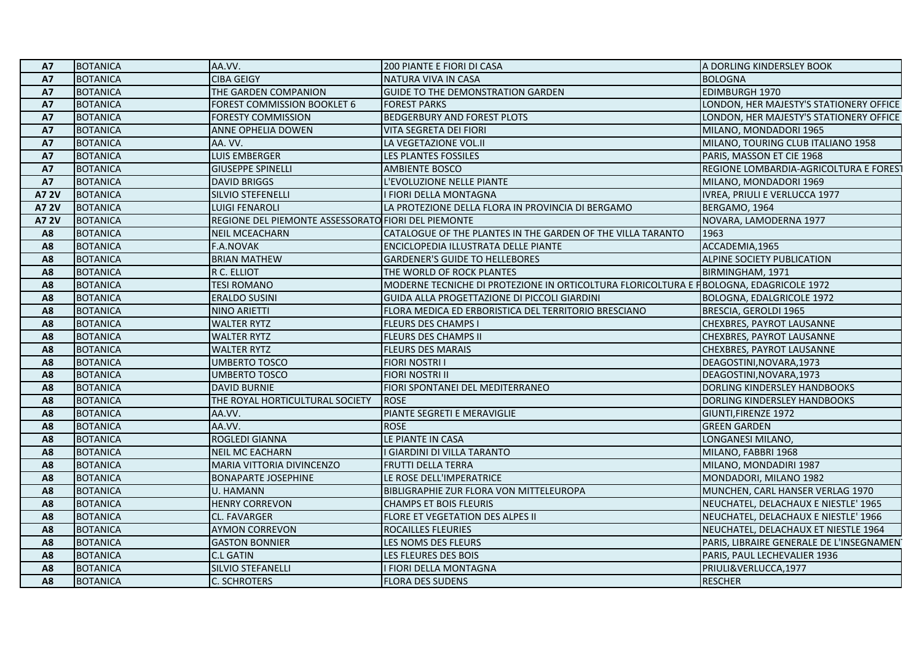| <b>A7</b>      | <b>BOTANICA</b> | AA.VV.                                              | 200 PIANTE E FIORI DI CASA                                                              | A DORLING KINDERSLEY BOOK                 |
|----------------|-----------------|-----------------------------------------------------|-----------------------------------------------------------------------------------------|-------------------------------------------|
| A7             | <b>BOTANICA</b> | <b>CIBA GEIGY</b>                                   | NATURA VIVA IN CASA                                                                     | <b>BOLOGNA</b>                            |
| <b>A7</b>      | <b>BOTANICA</b> | THE GARDEN COMPANION                                | <b>GUIDE TO THE DEMONSTRATION GARDEN</b>                                                | <b>EDIMBURGH 1970</b>                     |
| <b>A7</b>      | <b>BOTANICA</b> | FOREST COMMISSION BOOKLET 6                         | <b>FOREST PARKS</b>                                                                     | LONDON, HER MAJESTY'S STATIONERY OFFICE   |
| <b>A7</b>      | <b>BOTANICA</b> | <b>FORESTY COMMISSION</b>                           | <b>BEDGERBURY AND FOREST PLOTS</b>                                                      | LONDON, HER MAJESTY'S STATIONERY OFFICE   |
| <b>A7</b>      | <b>BOTANICA</b> | <b>ANNE OPHELIA DOWEN</b>                           | <b>VITA SEGRETA DEI FIORI</b>                                                           | MILANO, MONDADORI 1965                    |
| <b>A7</b>      | <b>BOTANICA</b> | AA. VV.                                             | LA VEGETAZIONE VOL.II                                                                   | MILANO, TOURING CLUB ITALIANO 1958        |
| <b>A7</b>      | <b>BOTANICA</b> | <b>LUIS EMBERGER</b>                                | LES PLANTES FOSSILES                                                                    | PARIS, MASSON ET CIE 1968                 |
| <b>A7</b>      | <b>BOTANICA</b> | <b>GIUSEPPE SPINELLI</b>                            | <b>AMBIENTE BOSCO</b>                                                                   | REGIONE LOMBARDIA-AGRICOLTURA E FOREST    |
| <b>A7</b>      | <b>BOTANICA</b> | <b>DAVID BRIGGS</b>                                 | L'EVOLUZIONE NELLE PIANTE                                                               | MILANO, MONDADORI 1969                    |
| A7 2V          | <b>BOTANICA</b> | SILVIO STEFENELLI                                   | I FIORI DELLA MONTAGNA                                                                  | IVREA, PRIULI E VERLUCCA 1977             |
| <b>A7 2V</b>   | <b>BOTANICA</b> | <b>LUIGI FENAROLI</b>                               | LA PROTEZIONE DELLA FLORA IN PROVINCIA DI BERGAMO                                       | BERGAMO, 1964                             |
| <b>A7 2V</b>   | <b>BOTANICA</b> | REGIONE DEL PIEMONTE ASSESSORATO FIORI DEL PIEMONTE |                                                                                         | NOVARA, LAMODERNA 1977                    |
| A8             | <b>BOTANICA</b> | <b>NEIL MCEACHARN</b>                               | CATALOGUE OF THE PLANTES IN THE GARDEN OF THE VILLA TARANTO                             | 1963                                      |
| A8             | <b>BOTANICA</b> | <b>F.A.NOVAK</b>                                    | ENCICLOPEDIA ILLUSTRATA DELLE PIANTE                                                    | ACCADEMIA, 1965                           |
| A8             | <b>BOTANICA</b> | <b>BRIAN MATHEW</b>                                 | <b>GARDENER'S GUIDE TO HELLEBORES</b>                                                   | ALPINE SOCIETY PUBLICATION                |
| A <sub>8</sub> | <b>BOTANICA</b> | R C. ELLIOT                                         | THE WORLD OF ROCK PLANTES                                                               | BIRMINGHAM, 1971                          |
| A8             | <b>BOTANICA</b> | <b>TESI ROMANO</b>                                  | MODERNE TECNICHE DI PROTEZIONE IN ORTICOLTURA FLORICOLTURA E FIBOLOGNA, EDAGRICOLE 1972 |                                           |
| A8             | <b>BOTANICA</b> | <b>ERALDO SUSINI</b>                                | GUIDA ALLA PROGETTAZIONE DI PICCOLI GIARDINI                                            | BOLOGNA, EDALGRICOLE 1972                 |
| A <sub>8</sub> | <b>BOTANICA</b> | NINO ARIETTI                                        | FLORA MEDICA ED ERBORISTICA DEL TERRITORIO BRESCIANO                                    | BRESCIA, GEROLDI 1965                     |
| A8             | <b>BOTANICA</b> | <b>WALTER RYTZ</b>                                  | <b>FLEURS DES CHAMPS I</b>                                                              | CHEXBRES, PAYROT LAUSANNE                 |
| A8             | <b>BOTANICA</b> | <b>WALTER RYTZ</b>                                  | FLEURS DES CHAMPS II                                                                    | CHEXBRES, PAYROT LAUSANNE                 |
| A8             | <b>BOTANICA</b> | <b>WALTER RYTZ</b>                                  | <b>FLEURS DES MARAIS</b>                                                                | CHEXBRES, PAYROT LAUSANNE                 |
| A <sub>8</sub> | <b>BOTANICA</b> | <b>UMBERTO TOSCO</b>                                | <b>FIORI NOSTRI I</b>                                                                   | DEAGOSTINI, NOVARA, 1973                  |
| A8             | <b>BOTANICA</b> | <b>UMBERTO TOSCO</b>                                | <b>FIORI NOSTRI II</b>                                                                  | DEAGOSTINI, NOVARA, 1973                  |
| A8             | <b>BOTANICA</b> | <b>DAVID BURNIE</b>                                 | FIORI SPONTANEI DEL MEDITERRANEO                                                        | DORLING KINDERSLEY HANDBOOKS              |
| A8             | <b>BOTANICA</b> | THE ROYAL HORTICULTURAL SOCIETY                     | <b>ROSE</b>                                                                             | DORLING KINDERSLEY HANDBOOKS              |
| A <sub>8</sub> | <b>BOTANICA</b> | AA.VV.                                              | PIANTE SEGRETI E MERAVIGLIE                                                             | GIUNTI, FIRENZE 1972                      |
| A8             | <b>BOTANICA</b> | AA.VV.                                              | <b>ROSE</b>                                                                             | <b>GREEN GARDEN</b>                       |
| A8             | <b>BOTANICA</b> | ROGLEDI GIANNA                                      | LE PIANTE IN CASA                                                                       | LONGANESI MILANO,                         |
| A8             | <b>BOTANICA</b> | <b>NEIL MC EACHARN</b>                              | I GIARDINI DI VILLA TARANTO                                                             | MILANO, FABBRI 1968                       |
| A <sub>8</sub> | <b>BOTANICA</b> | <b>MARIA VITTORIA DIVINCENZO</b>                    | <b>FRUTTI DELLA TERRA</b>                                                               | MILANO, MONDADIRI 1987                    |
| A8             | <b>BOTANICA</b> | <b>BONAPARTE JOSEPHINE</b>                          | LE ROSE DELL'IMPERATRICE                                                                | MONDADORI, MILANO 1982                    |
| A8             | <b>BOTANICA</b> | <b>U. HAMANN</b>                                    | BIBLIGRAPHIE ZUR FLORA VON MITTELEUROPA                                                 | MUNCHEN, CARL HANSER VERLAG 1970          |
| A <sub>8</sub> | <b>BOTANICA</b> | <b>HENRY CORREVON</b>                               | <b>CHAMPS ET BOIS FLEURIS</b>                                                           | NEUCHATEL, DELACHAUX E NIESTLE' 1965      |
| A8             | <b>BOTANICA</b> | <b>CL. FAVARGER</b>                                 | FLORE ET VEGETATION DES ALPES II                                                        | NEUCHATEL, DELACHAUX E NIESTLE' 1966      |
| A8             | <b>BOTANICA</b> | <b>AYMON CORREVON</b>                               | ROCAILLES FLEURIES                                                                      | NEUCHATEL, DELACHAUX ET NIESTLE 1964      |
| A8             | <b>BOTANICA</b> | <b>GASTON BONNIER</b>                               | LES NOMS DES FLEURS                                                                     | PARIS, LIBRAIRE GENERALE DE L'INSEGNAMENT |
| A <sub>8</sub> | <b>BOTANICA</b> | <b>C.L GATIN</b>                                    | LES FLEURES DES BOIS                                                                    | PARIS, PAUL LECHEVALIER 1936              |
| A8             | <b>BOTANICA</b> | <b>SILVIO STEFANELLI</b>                            | I FIORI DELLA MONTAGNA                                                                  | PRIULI&VERLUCCA,1977                      |
| A8             | <b>BOTANICA</b> | <b>C. SCHROTERS</b>                                 | <b>FLORA DES SUDENS</b>                                                                 | <b>RESCHER</b>                            |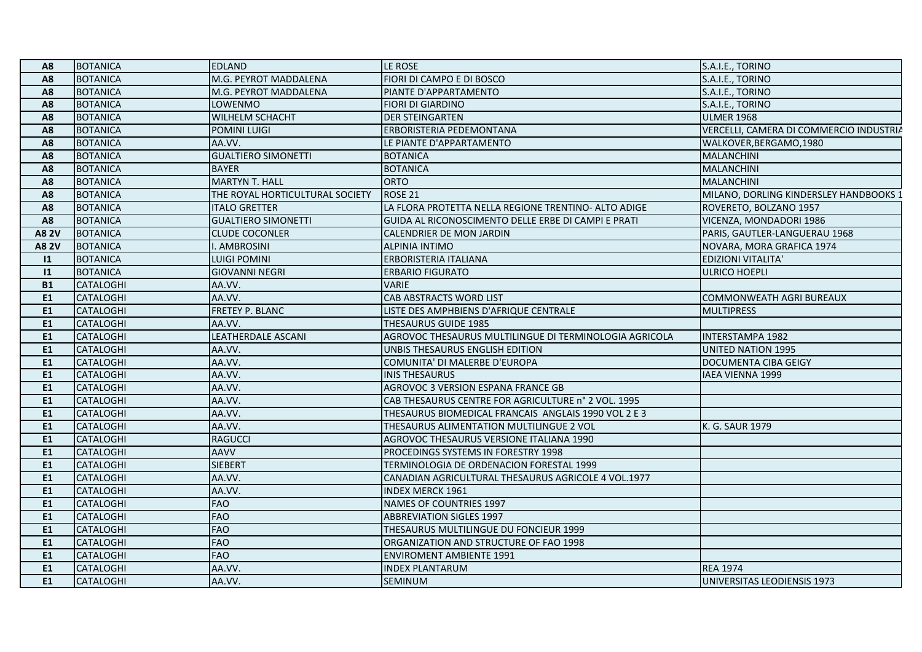| A8             | BOTANICA         | <b>EDLAND</b>                   | LE ROSE                                                | S.A.I.E., TORINO                        |
|----------------|------------------|---------------------------------|--------------------------------------------------------|-----------------------------------------|
| A <sub>8</sub> | <b>BOTANICA</b>  | M.G. PEYROT MADDALENA           | FIORI DI CAMPO E DI BOSCO                              | S.A.I.E., TORINO                        |
| A8             | <b>BOTANICA</b>  | M.G. PEYROT MADDALENA           | PIANTE D'APPARTAMENTO                                  | S.A.I.E., TORINO                        |
| A8             | <b>BOTANICA</b>  | <b>LOWENMO</b>                  | FIORI DI GIARDINO                                      | S.A.I.E., TORINO                        |
| A8             | <b>BOTANICA</b>  | <b>WILHELM SCHACHT</b>          | <b>DER STEINGARTEN</b>                                 | <b>ULMER 1968</b>                       |
| A <sub>8</sub> | <b>BOTANICA</b>  | POMINI LUIGI                    | ERBORISTERIA PEDEMONTANA                               | VERCELLI, CAMERA DI COMMERCIO INDUSTRIA |
| A8             | <b>BOTANICA</b>  | AA.VV.                          | LE PIANTE D'APPARTAMENTO                               | WALKOVER, BERGAMO, 1980                 |
| A8             | <b>BOTANICA</b>  | <b>GUALTIERO SIMONETTI</b>      | <b>BOTANICA</b>                                        | <b>MALANCHINI</b>                       |
| A <sub>8</sub> | <b>BOTANICA</b>  | <b>BAYER</b>                    | <b>BOTANICA</b>                                        | <b>MALANCHINI</b>                       |
| A <sub>8</sub> | <b>BOTANICA</b>  | <b>MARTYN T. HALL</b>           | <b>ORTO</b>                                            | <b>MALANCHINI</b>                       |
| A8             | <b>BOTANICA</b>  | THE ROYAL HORTICULTURAL SOCIETY | <b>ROSE 21</b>                                         | MILANO, DORLING KINDERSLEY HANDBOOKS 1  |
| A8             | <b>BOTANICA</b>  | <b>ITALO GRETTER</b>            | LA FLORA PROTETTA NELLA REGIONE TRENTINO- ALTO ADIGE   | ROVERETO, BOLZANO 1957                  |
| A <sub>8</sub> | <b>BOTANICA</b>  | <b>GUALTIERO SIMONETTI</b>      | GUIDA AL RICONOSCIMENTO DELLE ERBE DI CAMPI E PRATI    | VICENZA, MONDADORI 1986                 |
| <b>A8 2V</b>   | BOTANICA         | <b>CLUDE COCONLER</b>           | CALENDRIER DE MON JARDIN                               | PARIS, GAUTLER-LANGUERAU 1968           |
| <b>A82V</b>    | <b>BOTANICA</b>  | I. AMBROSINI                    | <b>ALPINIA INTIMO</b>                                  | NOVARA, MORA GRAFICA 1974               |
| 1              | <b>BOTANICA</b>  | <b>LUIGI POMINI</b>             | ERBORISTERIA ITALIANA                                  | <b>EDIZIONI VITALITA'</b>               |
| 1              | <b>BOTANICA</b>  | <b>GIOVANNI NEGRI</b>           | <b>ERBARIO FIGURATO</b>                                | <b>ULRICO HOEPLI</b>                    |
| <b>B1</b>      | <b>CATALOGHI</b> | AA.VV.                          | <b>VARIE</b>                                           |                                         |
| E1             | <b>CATALOGHI</b> | AA.VV.                          | CAB ABSTRACTS WORD LIST                                | COMMONWEATH AGRI BUREAUX                |
| E1             | <b>CATALOGHI</b> | <b>FRETEY P. BLANC</b>          | LISTE DES AMPHBIENS D'AFRIQUE CENTRALE                 | <b>MULTIPRESS</b>                       |
| E1             | <b>CATALOGHI</b> | AA.VV.                          | THESAURUS GUIDE 1985                                   |                                         |
| E1             | <b>CATALOGHI</b> | <b>LEATHERDALE ASCANI</b>       | AGROVOC THESAURUS MULTILINGUE DI TERMINOLOGIA AGRICOLA | <b>INTERSTAMPA 1982</b>                 |
| E1             | <b>CATALOGHI</b> | AA.VV.                          | UNBIS THESAURUS ENGLISH EDITION                        | <b>UNITED NATION 1995</b>               |
| E1             | <b>CATALOGHI</b> | AA.VV.                          | COMUNITA' DI MALERBE D'EUROPA                          | <b>DOCUMENTA CIBA GEIGY</b>             |
| E1             | <b>CATALOGHI</b> | AA.VV.                          | <b>INIS THESAURUS</b>                                  | <b>IAEA VIENNA 1999</b>                 |
| E1             | <b>CATALOGHI</b> | AA.VV.                          | AGROVOC 3 VERSION ESPANA FRANCE GB                     |                                         |
| E1             | <b>CATALOGHI</b> | AA.VV.                          | CAB THESAURUS CENTRE FOR AGRICULTURE n° 2 VOL. 1995    |                                         |
| E1             | <b>CATALOGHI</b> | AA.VV.                          | THESAURUS BIOMEDICAL FRANCAIS ANGLAIS 1990 VOL 2 E 3   |                                         |
| <b>E1</b>      | <b>CATALOGHI</b> | AA.VV.                          | THESAURUS ALIMENTATION MULTILINGUE 2 VOL               | K. G. SAUR 1979                         |
| E1             | <b>CATALOGHI</b> | <b>RAGUCCI</b>                  | AGROVOC THESAURUS VERSIONE ITALIANA 1990               |                                         |
| E1             | <b>CATALOGHI</b> | <b>AAVV</b>                     | PROCEDINGS SYSTEMS IN FORESTRY 1998                    |                                         |
| E1             | <b>CATALOGHI</b> | <b>SIEBERT</b>                  | TERMINOLOGIA DE ORDENACION FORESTAL 1999               |                                         |
| E1             | <b>CATALOGHI</b> | AA.VV.                          | CANADIAN AGRICULTURAL THESAURUS AGRICOLE 4 VOL.1977    |                                         |
| E1             | <b>CATALOGHI</b> | AA.VV.                          | <b>INDEX MERCK 1961</b>                                |                                         |
| E1             | <b>CATALOGHI</b> | <b>FAO</b>                      | NAMES OF COUNTRIES 1997                                |                                         |
| E1             | <b>CATALOGHI</b> | FAO                             | <b>ABBREVIATION SIGLES 1997</b>                        |                                         |
| E1             | <b>CATALOGHI</b> | <b>FAO</b>                      | THESAURUS MULTILINGUE DU FONCIEUR 1999                 |                                         |
| E1             | <b>CATALOGHI</b> | <b>FAO</b>                      | ORGANIZATION AND STRUCTURE OF FAO 1998                 |                                         |
| <b>E1</b>      | <b>CATALOGHI</b> | <b>FAO</b>                      | <b>ENVIROMENT AMBIENTE 1991</b>                        |                                         |
| E1             | <b>CATALOGHI</b> | AA.VV.                          | INDEX PLANTARUM                                        | <b>REA 1974</b>                         |
| E1             | <b>CATALOGHI</b> | AA.VV.                          | <b>SEMINUM</b>                                         | UNIVERSITAS LEODIENSIS 1973             |
|                |                  |                                 |                                                        |                                         |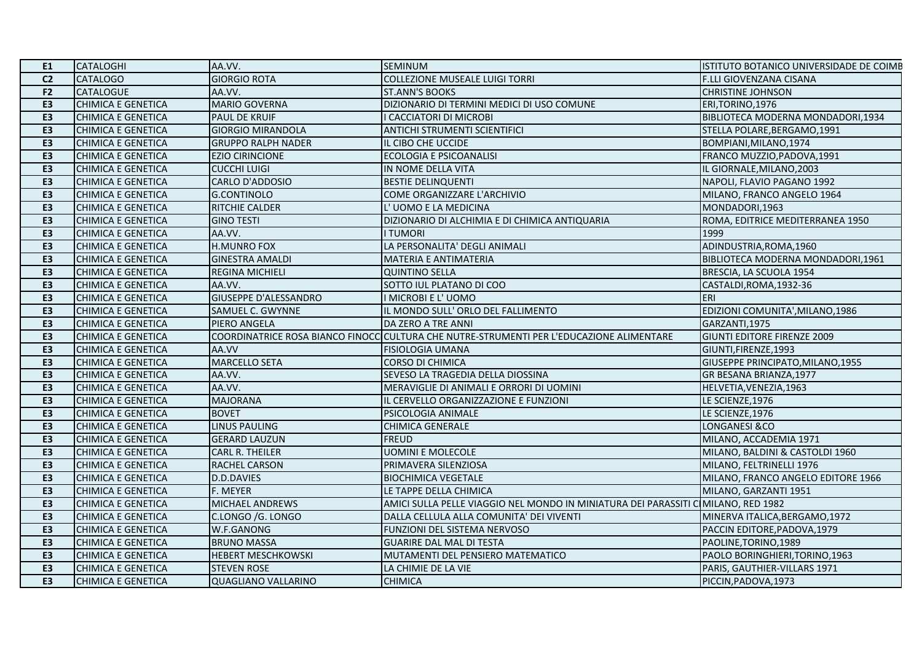| E1             | <b>CATALOGHI</b>          | AA.VV.                       | <b>SEMINUM</b>                                                                           | ISTITUTO BOTANICO UNIVERSIDADE DE COIMB |
|----------------|---------------------------|------------------------------|------------------------------------------------------------------------------------------|-----------------------------------------|
| C <sub>2</sub> | <b>CATALOGO</b>           | <b>GIORGIO ROTA</b>          | <b>COLLEZIONE MUSEALE LUIGI TORRI</b>                                                    | <b>F.LLI GIOVENZANA CISANA</b>          |
| F2             | <b>CATALOGUE</b>          | AA.VV.                       | <b>ST.ANN'S BOOKS</b>                                                                    | <b>CHRISTINE JOHNSON</b>                |
| E <sub>3</sub> | <b>CHIMICA E GENETICA</b> | <b>MARIO GOVERNA</b>         | DIZIONARIO DI TERMINI MEDICI DI USO COMUNE                                               | ERI, TORINO, 1976                       |
| E3             | <b>CHIMICA E GENETICA</b> | PAUL DE KRUIF                | I CACCIATORI DI MICROBI                                                                  | BIBLIOTECA MODERNA MONDADORI, 1934      |
| E3             | <b>CHIMICA E GENETICA</b> | <b>GIORGIO MIRANDOLA</b>     | <b>ANTICHI STRUMENTI SCIENTIFICI</b>                                                     | STELLA POLARE, BERGAMO, 1991            |
| E <sub>3</sub> | <b>CHIMICA E GENETICA</b> | <b>GRUPPO RALPH NADER</b>    | IL CIBO CHE UCCIDE                                                                       | BOMPIANI, MILANO, 1974                  |
| E3             | <b>CHIMICA E GENETICA</b> | <b>EZIO CIRINCIONE</b>       | ECOLOGIA E PSICOANALISI                                                                  | FRANCO MUZZIO, PADOVA, 1991             |
| E3             | <b>CHIMICA E GENETICA</b> | <b>CUCCHI LUIGI</b>          | IN NOME DELLA VITA                                                                       | IL GIORNALE, MILANO, 2003               |
| E3             | <b>CHIMICA E GENETICA</b> | <b>CARLO D'ADDOSIO</b>       | <b>BESTIE DELINQUENTI</b>                                                                | NAPOLI, FLAVIO PAGANO 1992              |
| E3             | <b>CHIMICA E GENETICA</b> | G.CONTINOLO                  | COME ORGANIZZARE L'ARCHIVIO                                                              | MILANO, FRANCO ANGELO 1964              |
| E3             | <b>CHIMICA E GENETICA</b> | RITCHIE CALDER               | L'UOMO E LA MEDICINA                                                                     | MONDADORI,1963                          |
| E3             | <b>CHIMICA E GENETICA</b> | <b>GINO TESTI</b>            | DIZIONARIO DI ALCHIMIA E DI CHIMICA ANTIQUARIA                                           | ROMA, EDITRICE MEDITERRANEA 1950        |
| E3             | <b>CHIMICA E GENETICA</b> | AA.VV.                       | <b>I TUMORI</b>                                                                          | 1999                                    |
| E3             | <b>CHIMICA E GENETICA</b> | <b>H.MUNRO FOX</b>           | LA PERSONALITA' DEGLI ANIMALI                                                            | ADINDUSTRIA, ROMA, 1960                 |
| E3             | <b>CHIMICA E GENETICA</b> | <b>GINESTRA AMALDI</b>       | <b>MATERIA E ANTIMATERIA</b>                                                             | BIBLIOTECA MODERNA MONDADORI,1961       |
| E3             | <b>CHIMICA E GENETICA</b> | <b>REGINA MICHIELI</b>       | <b>QUINTINO SELLA</b>                                                                    | BRESCIA, LA SCUOLA 1954                 |
| E <sub>3</sub> | <b>CHIMICA E GENETICA</b> | AA.VV.                       | SOTTO IUL PLATANO DI COO                                                                 | CASTALDI, ROMA, 1932-36                 |
| E3             | <b>CHIMICA E GENETICA</b> | <b>GIUSEPPE D'ALESSANDRO</b> | I MICROBI E L'UOMO                                                                       | <b>ERI</b>                              |
| E3             | <b>CHIMICA E GENETICA</b> | SAMUEL C. GWYNNE             | IL MONDO SULL'ORLO DEL FALLIMENTO                                                        | EDIZIONI COMUNITA', MILANO, 1986        |
| E3             | <b>CHIMICA E GENETICA</b> | PIERO ANGELA                 | DA ZERO A TRE ANNI                                                                       | GARZANTI.1975                           |
| E3             | <b>CHIMICA E GENETICA</b> |                              | COORDINATRICE ROSA BIANCO FINOCC CULTURA CHE NUTRE-STRUMENTI PER L'EDUCAZIONE ALIMENTARE | GIUNTI EDITORE FIRENZE 2009             |
| E3             | <b>CHIMICA E GENETICA</b> | AA.VV                        | <b>FISIOLOGIA UMANA</b>                                                                  | GIUNTI, FIRENZE, 1993                   |
| E3             | <b>CHIMICA E GENETICA</b> | <b>MARCELLO SETA</b>         | <b>CORSO DI CHIMICA</b>                                                                  | GIUSEPPE PRINCIPATO, MILANO, 1955       |
| E3             | <b>CHIMICA E GENETICA</b> | AA.VV.                       | SEVESO LA TRAGEDIA DELLA DIOSSINA                                                        | GR BESANA BRIANZA, 1977                 |
| E <sub>3</sub> | <b>CHIMICA E GENETICA</b> | AA.VV.                       | MERAVIGLIE DI ANIMALI E ORRORI DI UOMINI                                                 | HELVETIA, VENEZIA, 1963                 |
| E3             | <b>CHIMICA E GENETICA</b> | <b>MAJORANA</b>              | IL CERVELLO ORGANIZZAZIONE E FUNZIONI                                                    | LE SCIENZE,1976                         |
| E3             | <b>CHIMICA E GENETICA</b> | <b>BOVET</b>                 | PSICOLOGIA ANIMALE                                                                       | LE SCIENZE, 1976                        |
| E3             | <b>CHIMICA E GENETICA</b> | <b>LINUS PAULING</b>         | <b>CHIMICA GENERALE</b>                                                                  | <b>LONGANESI &amp;CO</b>                |
| E <sub>3</sub> | <b>CHIMICA E GENETICA</b> | <b>GERARD LAUZUN</b>         | <b>FREUD</b>                                                                             | MILANO, ACCADEMIA 1971                  |
| E3             | <b>CHIMICA E GENETICA</b> | <b>CARL R. THEILER</b>       | <b>UOMINI E MOLECOLE</b>                                                                 | MILANO, BALDINI & CASTOLDI 1960         |
| E3             | <b>CHIMICA E GENETICA</b> | RACHEL CARSON                | PRIMAVERA SILENZIOSA                                                                     | MILANO, FELTRINELLI 1976                |
| E3             | <b>CHIMICA E GENETICA</b> | D.D.DAVIES                   | <b>BIOCHIMICA VEGETALE</b>                                                               | MILANO, FRANCO ANGELO EDITORE 1966      |
| E <sub>3</sub> | <b>CHIMICA E GENETICA</b> | F. MEYER                     | LE TAPPE DELLA CHIMICA                                                                   | MILANO, GARZANTI 1951                   |
| E3             | <b>CHIMICA E GENETICA</b> | MICHAEL ANDREWS              | AMICI SULLA PELLE VIAGGIO NEL MONDO IN MINIATURA DEI PARASSITI C MILANO, RED 1982        |                                         |
| E3             | <b>CHIMICA E GENETICA</b> | C.LONGO /G. LONGO            | DALLA CELLULA ALLA COMUNITA' DEI VIVENTI                                                 | MINERVA ITALICA, BERGAMO, 1972          |
| E <sub>3</sub> | <b>CHIMICA E GENETICA</b> | W.F.GANONG                   | FUNZIONI DEL SISTEMA NERVOSO                                                             | PACCIN EDITORE, PADOVA, 1979            |
| E3             | <b>CHIMICA E GENETICA</b> | <b>BRUNO MASSA</b>           | <b>GUARIRE DAL MAL DI TESTA</b>                                                          | PAOLINE, TORINO, 1989                   |
| E3             | <b>CHIMICA E GENETICA</b> | <b>HEBERT MESCHKOWSKI</b>    | MUTAMENTI DEL PENSIERO MATEMATICO                                                        | PAOLO BORINGHIERI, TORINO, 1963         |
| E3             | <b>CHIMICA E GENETICA</b> | <b>STEVEN ROSE</b>           | LA CHIMIE DE LA VIE                                                                      | PARIS, GAUTHIER-VILLARS 1971            |
| E <sub>3</sub> | <b>CHIMICA E GENETICA</b> | <b>QUAGLIANO VALLARINO</b>   | <b>CHIMICA</b>                                                                           | PICCIN, PADOVA, 1973                    |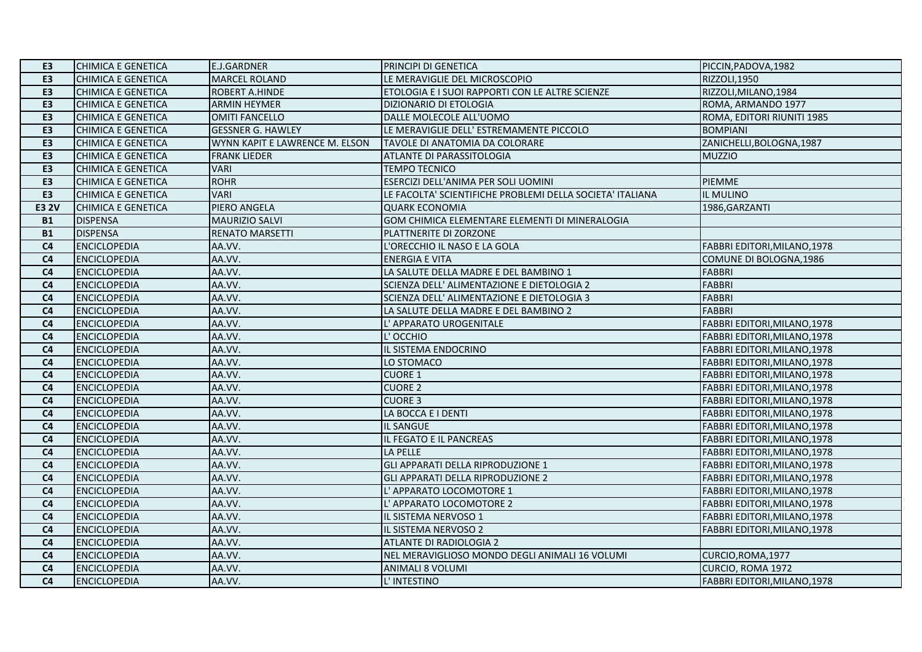| E <sub>3</sub> | <b>CHIMICA E GENETICA</b> | <b>E.J.GARDNER</b>             | PRINCIPI DI GENETICA                                      | PICCIN, PADOVA, 1982         |
|----------------|---------------------------|--------------------------------|-----------------------------------------------------------|------------------------------|
| E3             | <b>CHIMICA E GENETICA</b> | <b>MARCEL ROLAND</b>           | LE MERAVIGLIE DEL MICROSCOPIO                             | RIZZOLI, 1950                |
| E3             | <b>CHIMICA E GENETICA</b> | ROBERT A.HINDE                 | ETOLOGIA E I SUOI RAPPORTI CON LE ALTRE SCIENZE           | RIZZOLI, MILANO, 1984        |
| E <sub>3</sub> | <b>CHIMICA E GENETICA</b> | <b>ARMIN HEYMER</b>            | DIZIONARIO DI ETOLOGIA                                    | ROMA, ARMANDO 1977           |
| E <sub>3</sub> | <b>CHIMICA E GENETICA</b> | <b>OMITI FANCELLO</b>          | DALLE MOLECOLE ALL'UOMO                                   | ROMA, EDITORI RIUNITI 1985   |
| E3             | <b>CHIMICA E GENETICA</b> | <b>GESSNER G. HAWLEY</b>       | LE MERAVIGLIE DELL' ESTREMAMENTE PICCOLO                  | <b>BOMPIANI</b>              |
| E <sub>3</sub> | <b>CHIMICA E GENETICA</b> | WYNN KAPIT E LAWRENCE M. ELSON | TAVOLE DI ANATOMIA DA COLORARE                            | ZANICHELLI, BOLOGNA, 1987    |
| E3             | <b>CHIMICA E GENETICA</b> | <b>FRANK LIEDER</b>            | ATLANTE DI PARASSITOLOGIA                                 | <b>MUZZIO</b>                |
| E <sub>3</sub> | <b>CHIMICA E GENETICA</b> | <b>VARI</b>                    | <b>TEMPO TECNICO</b>                                      |                              |
| E <sub>3</sub> | <b>CHIMICA E GENETICA</b> | <b>ROHR</b>                    | ESERCIZI DELL'ANIMA PER SOLI UOMINI                       | PIEMME                       |
| E <sub>3</sub> | <b>CHIMICA E GENETICA</b> | <b>VARI</b>                    | LE FACOLTA' SCIENTIFICHE PROBLEMI DELLA SOCIETA' ITALIANA | IL MULINO                    |
| <b>E3 2V</b>   | <b>CHIMICA E GENETICA</b> | PIERO ANGELA                   | <b>QUARK ECONOMIA</b>                                     | 1986, GARZANTI               |
| <b>B1</b>      | <b>DISPENSA</b>           | <b>MAURIZIO SALVI</b>          | GOM CHIMICA ELEMENTARE ELEMENTI DI MINERALOGIA            |                              |
| <b>B1</b>      | <b>DISPENSA</b>           | <b>RENATO MARSETTI</b>         | PLATTNERITE DI ZORZONE                                    |                              |
| C <sub>4</sub> | <b>ENCICLOPEDIA</b>       | AA.VV.                         | L'ORECCHIO IL NASO E LA GOLA                              | FABBRI EDITORI, MILANO, 1978 |
| C <sub>4</sub> | <b>ENCICLOPEDIA</b>       | AA.VV.                         | <b>ENERGIA E VITA</b>                                     | COMUNE DI BOLOGNA,1986       |
| C <sub>4</sub> | <b>ENCICLOPEDIA</b>       | AA.VV.                         | LA SALUTE DELLA MADRE E DEL BAMBINO 1                     | <b>FABBRI</b>                |
| C <sub>4</sub> | <b>ENCICLOPEDIA</b>       | AA.VV.                         | SCIENZA DELL' ALIMENTAZIONE E DIETOLOGIA 2                | <b>FABBRI</b>                |
| C <sub>4</sub> | <b>ENCICLOPEDIA</b>       | AA.VV.                         | SCIENZA DELL' ALIMENTAZIONE E DIETOLOGIA 3                | <b>FABBRI</b>                |
| C <sub>4</sub> | <b>ENCICLOPEDIA</b>       | AA.VV.                         | LA SALUTE DELLA MADRE E DEL BAMBINO 2                     | <b>FABBRI</b>                |
| C <sub>4</sub> | <b>ENCICLOPEDIA</b>       | AA.VV.                         | L' APPARATO UROGENITALE                                   | FABBRI EDITORI, MILANO, 1978 |
| C4             | <b>ENCICLOPEDIA</b>       | AA.VV.                         | L'OCCHIO                                                  | FABBRI EDITORI, MILANO, 1978 |
| C <sub>4</sub> | <b>ENCICLOPEDIA</b>       | AA.VV.                         | IL SISTEMA ENDOCRINO                                      | FABBRI EDITORI, MILANO, 1978 |
| C <sub>4</sub> | <b>ENCICLOPEDIA</b>       | AA.VV.                         | LO STOMACO                                                | FABBRI EDITORI, MILANO, 1978 |
| C <sub>4</sub> | <b>ENCICLOPEDIA</b>       | AA.VV.                         | <b>CUORE 1</b>                                            | FABBRI EDITORI, MILANO, 1978 |
| C <sub>4</sub> | <b>ENCICLOPEDIA</b>       | AA.VV.                         | <b>CUORE 2</b>                                            | FABBRI EDITORI, MILANO, 1978 |
| C <sub>4</sub> | <b>ENCICLOPEDIA</b>       | AA.VV.                         | <b>CUORE 3</b>                                            | FABBRI EDITORI, MILANO, 1978 |
| C <sub>4</sub> | <b>ENCICLOPEDIA</b>       | AA.VV.                         | LA BOCCA E I DENTI                                        | FABBRI EDITORI, MILANO, 1978 |
| C <sub>4</sub> | <b>ENCICLOPEDIA</b>       | AA.VV.                         | <b>IL SANGUE</b>                                          | FABBRI EDITORI, MILANO, 1978 |
| C <sub>4</sub> | <b>ENCICLOPEDIA</b>       | AA.VV.                         | IL FEGATO E IL PANCREAS                                   | FABBRI EDITORI, MILANO, 1978 |
| C <sub>4</sub> | <b>ENCICLOPEDIA</b>       | AA.VV.                         | LA PELLE                                                  | FABBRI EDITORI, MILANO, 1978 |
| C <sub>4</sub> | <b>ENCICLOPEDIA</b>       | AA.VV.                         | GLI APPARATI DELLA RIPRODUZIONE 1                         | FABBRI EDITORI, MILANO, 1978 |
| C <sub>4</sub> | <b>ENCICLOPEDIA</b>       | AA.VV.                         | GLI APPARATI DELLA RIPRODUZIONE 2                         | FABBRI EDITORI, MILANO, 1978 |
| C <sub>4</sub> | <b>ENCICLOPEDIA</b>       | AA.VV.                         | L' APPARATO LOCOMOTORE 1                                  | FABBRI EDITORI, MILANO, 1978 |
| C <sub>4</sub> | <b>ENCICLOPEDIA</b>       | AA.VV.                         | L' APPARATO LOCOMOTORE 2                                  | FABBRI EDITORI, MILANO, 1978 |
| C4             | <b>ENCICLOPEDIA</b>       | AA.VV.                         | IL SISTEMA NERVOSO 1                                      | FABBRI EDITORI, MILANO, 1978 |
| C <sub>4</sub> | <b>ENCICLOPEDIA</b>       | AA.VV.                         | IL SISTEMA NERVOSO 2                                      | FABBRI EDITORI, MILANO, 1978 |
| C <sub>4</sub> | <b>ENCICLOPEDIA</b>       | AA.VV.                         | ATLANTE DI RADIOLOGIA 2                                   |                              |
| C <sub>4</sub> | <b>ENCICLOPEDIA</b>       | AA.VV.                         | NEL MERAVIGLIOSO MONDO DEGLI ANIMALI 16 VOLUMI            | CURCIO, ROMA, 1977           |
| C <sub>4</sub> | <b>ENCICLOPEDIA</b>       | AA.VV.                         | <b>ANIMALI 8 VOLUMI</b>                                   | CURCIO, ROMA 1972            |
| C <sub>4</sub> | <b>ENCICLOPEDIA</b>       | AA.VV.                         | L' INTESTINO                                              | FABBRI EDITORI, MILANO, 1978 |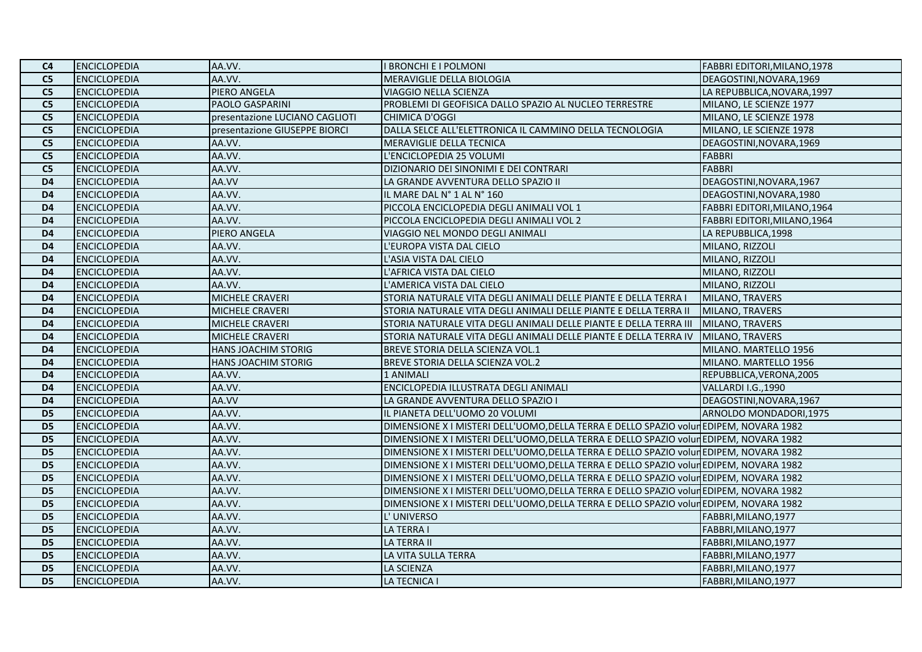| C <sub>4</sub>  | <b>ENCICLOPEDIA</b> | AA.VV.                         | I BRONCHI E I POLMONI                                                                 | FABBRI EDITORI, MILANO, 1978 |
|-----------------|---------------------|--------------------------------|---------------------------------------------------------------------------------------|------------------------------|
| C <sub>5</sub>  | <b>ENCICLOPEDIA</b> | AA.VV.                         | MERAVIGLIE DELLA BIOLOGIA                                                             | DEAGOSTINI, NOVARA, 1969     |
| C <sub>5</sub>  | <b>ENCICLOPEDIA</b> | PIERO ANGELA                   | VIAGGIO NELLA SCIENZA                                                                 | LA REPUBBLICA, NOVARA, 1997  |
| C <sub>5</sub>  | <b>ENCICLOPEDIA</b> | PAOLO GASPARINI                | PROBLEMI DI GEOFISICA DALLO SPAZIO AL NUCLEO TERRESTRE                                | MILANO, LE SCIENZE 1977      |
| C <sub>5</sub>  | <b>ENCICLOPEDIA</b> | presentazione LUCIANO CAGLIOTI | <b>CHIMICA D'OGGI</b>                                                                 | MILANO, LE SCIENZE 1978      |
| C <sub>5</sub>  | <b>ENCICLOPEDIA</b> | presentazione GIUSEPPE BIORCI  | DALLA SELCE ALL'ELETTRONICA IL CAMMINO DELLA TECNOLOGIA                               | MILANO, LE SCIENZE 1978      |
| C <sub>5</sub>  | <b>ENCICLOPEDIA</b> | AA.VV.                         | MERAVIGLIE DELLA TECNICA                                                              | DEAGOSTINI, NOVARA, 1969     |
| C <sub>5</sub>  | <b>ENCICLOPEDIA</b> | AA.VV.                         | L'ENCICLOPEDIA 25 VOLUMI                                                              | <b>FABBRI</b>                |
| C <sub>5</sub>  | <b>ENCICLOPEDIA</b> | AA.VV.                         | DIZIONARIO DEI SINONIMI E DEI CONTRARI                                                | <b>FABBRI</b>                |
| D <sub>4</sub>  | <b>ENCICLOPEDIA</b> | AA.VV                          | LA GRANDE AVVENTURA DELLO SPAZIO II                                                   | DEAGOSTINI, NOVARA, 1967     |
| D <sub>4</sub>  | <b>ENCICLOPEDIA</b> | AA.VV.                         | IL MARE DAL N° 1 AL N° 160                                                            | DEAGOSTINI, NOVARA, 1980     |
| D <sub>4</sub>  | <b>ENCICLOPEDIA</b> | AA.VV.                         | PICCOLA ENCICLOPEDIA DEGLI ANIMALI VOL 1                                              | FABBRI EDITORI, MILANO, 1964 |
| D <sub>4</sub>  | <b>ENCICLOPEDIA</b> | AA.VV.                         | PICCOLA ENCICLOPEDIA DEGLI ANIMALI VOL 2                                              | FABBRI EDITORI, MILANO, 1964 |
| D <sub>4</sub>  | <b>ENCICLOPEDIA</b> | PIERO ANGELA                   | VIAGGIO NEL MONDO DEGLI ANIMALI                                                       | LA REPUBBLICA, 1998          |
| D <sub>4</sub>  | <b>ENCICLOPEDIA</b> | AA.VV.                         | L'EUROPA VISTA DAL CIELO                                                              | MILANO, RIZZOLI              |
| D <sub>4</sub>  | <b>ENCICLOPEDIA</b> | AA.VV.                         | L'ASIA VISTA DAL CIELO                                                                | MILANO, RIZZOLI              |
| D <sub>4</sub>  | <b>ENCICLOPEDIA</b> | AA.VV.                         | L'AFRICA VISTA DAL CIELO                                                              | MILANO, RIZZOLI              |
| D <sub>4</sub>  | <b>ENCICLOPEDIA</b> | AA.VV.                         | L'AMERICA VISTA DAL CIELO                                                             | MILANO, RIZZOLI              |
| D <sub>4</sub>  | <b>ENCICLOPEDIA</b> | MICHELE CRAVERI                | STORIA NATURALE VITA DEGLI ANIMALI DELLE PIANTE E DELLA TERRA I                       | MILANO, TRAVERS              |
| D <sub>4</sub>  | <b>ENCICLOPEDIA</b> | MICHELE CRAVERI                | STORIA NATURALE VITA DEGLI ANIMALI DELLE PIANTE E DELLA TERRA II                      | MILANO, TRAVERS              |
| D <sub>4</sub>  | <b>ENCICLOPEDIA</b> | <b>MICHELE CRAVERI</b>         | STORIA NATURALE VITA DEGLI ANIMALI DELLE PIANTE E DELLA TERRA III                     | MILANO, TRAVERS              |
| D <sub>4</sub>  | <b>ENCICLOPEDIA</b> | MICHELE CRAVERI                | STORIA NATURALE VITA DEGLI ANIMALI DELLE PIANTE E DELLA TERRA IV                      | MILANO, TRAVERS              |
| D <sub>4</sub>  | <b>ENCICLOPEDIA</b> | HANS JOACHIM STORIG            | BREVE STORIA DELLA SCIENZA VOL.1                                                      | MILANO. MARTELLO 1956        |
| D <sub>4</sub>  | <b>ENCICLOPEDIA</b> | <b>HANS JOACHIM STORIG</b>     | BREVE STORIA DELLA SCIENZA VOL.2                                                      | MILANO. MARTELLO 1956        |
| D <sub>4</sub>  | <b>ENCICLOPEDIA</b> | AA.VV.                         | 1 ANIMALI                                                                             | REPUBBLICA, VERONA, 2005     |
| D <sub>4</sub>  | <b>ENCICLOPEDIA</b> | AA.VV.                         | ENCICLOPEDIA ILLUSTRATA DEGLI ANIMALI                                                 | VALLARDI I.G., 1990          |
| D <sub>4</sub>  | <b>ENCICLOPEDIA</b> | AA.VV                          | LA GRANDE AVVENTURA DELLO SPAZIO I                                                    | DEAGOSTINI, NOVARA, 1967     |
| D <sub>5</sub>  | <b>ENCICLOPEDIA</b> | AA.VV.                         | IL PIANETA DELL'UOMO 20 VOLUMI                                                        | ARNOLDO MONDADORI, 1975      |
| D <sub>5</sub>  | <b>ENCICLOPEDIA</b> | AA.VV.                         | DIMENSIONE X I MISTERI DELL'UOMO,DELLA TERRA E DELLO SPAZIO volureDIPEM, NOVARA 1982  |                              |
| D <sub>5</sub>  | <b>ENCICLOPEDIA</b> | AA.VV.                         | DIMENSIONE X I MISTERI DELL'UOMO, DELLA TERRA E DELLO SPAZIO volunEDIPEM, NOVARA 1982 |                              |
| D <sub>5</sub>  | <b>ENCICLOPEDIA</b> | AA.VV.                         | DIMENSIONE X I MISTERI DELL'UOMO, DELLA TERRA E DELLO SPAZIO voluneDIPEM, NOVARA 1982 |                              |
| D <sub>5</sub>  | <b>ENCICLOPEDIA</b> | AA.VV.                         | DIMENSIONE X I MISTERI DELL'UOMO, DELLA TERRA E DELLO SPAZIO volunEDIPEM, NOVARA 1982 |                              |
| $\overline{D5}$ | <b>ENCICLOPEDIA</b> | AA.VV.                         | DIMENSIONE X I MISTERI DELL'UOMO, DELLA TERRA E DELLO SPAZIO volunEDIPEM, NOVARA 1982 |                              |
| D <sub>5</sub>  | <b>ENCICLOPEDIA</b> | AA.VV.                         | DIMENSIONE X I MISTERI DELL'UOMO, DELLA TERRA E DELLO SPAZIO volunEDIPEM, NOVARA 1982 |                              |
| D <sub>5</sub>  | <b>ENCICLOPEDIA</b> | AA.VV.                         | DIMENSIONE X I MISTERI DELL'UOMO,DELLA TERRA E DELLO SPAZIO volunEDIPEM, NOVARA 1982  |                              |
| D <sub>5</sub>  | <b>ENCICLOPEDIA</b> | AA.VV.                         | L'UNIVERSO                                                                            | FABBRI, MILANO, 1977         |
| D <sub>5</sub>  | <b>ENCICLOPEDIA</b> | AA.VV.                         | <b>LA TERRA I</b>                                                                     | FABBRI, MILANO, 1977         |
| D <sub>5</sub>  | <b>ENCICLOPEDIA</b> | AA.VV.                         | <b>LA TERRA II</b>                                                                    | FABBRI, MILANO, 1977         |
| D <sub>5</sub>  | <b>ENCICLOPEDIA</b> | AA.VV.                         | LA VITA SULLA TERRA                                                                   | FABBRI, MILANO, 1977         |
| D <sub>5</sub>  | <b>ENCICLOPEDIA</b> | AA.VV.                         | <b>LA SCIENZA</b>                                                                     | FABBRI, MILANO, 1977         |
| D <sub>5</sub>  | <b>ENCICLOPEDIA</b> | AA.VV.                         | LA TECNICA I                                                                          | FABBRI, MILANO, 1977         |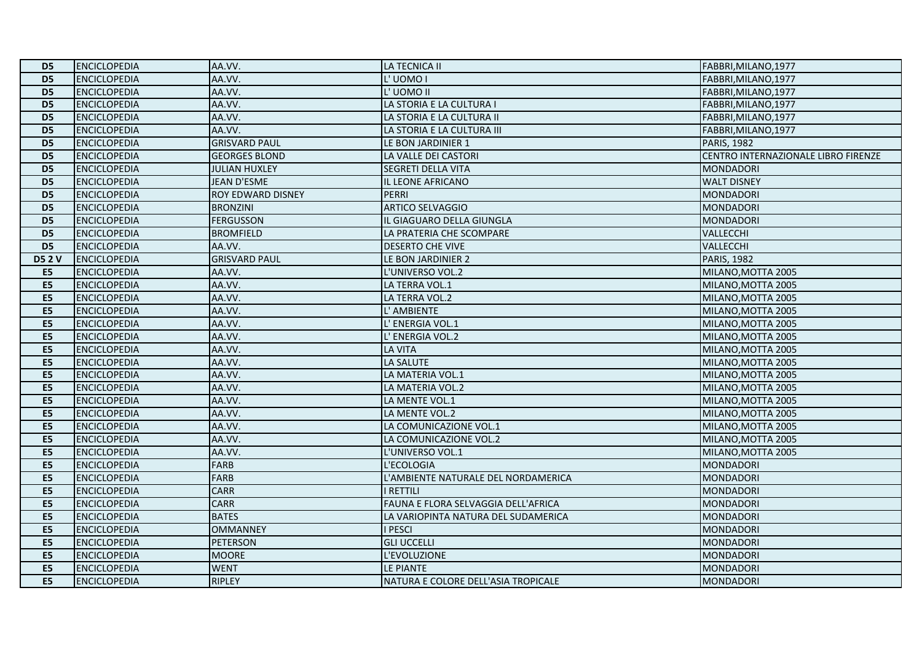| D <sub>5</sub>  | <b>ENCICLOPEDIA</b> | AA.VV.               | <b>LA TECNICA II</b>                | FABBRI, MILANO, 1977                |
|-----------------|---------------------|----------------------|-------------------------------------|-------------------------------------|
| D <sub>5</sub>  | <b>ENCICLOPEDIA</b> | AA.VV.               | L'UOMOI                             | FABBRI, MILANO, 1977                |
| D <sub>5</sub>  | <b>ENCICLOPEDIA</b> | AA.VV.               | L'UOMO II                           | FABBRI, MILANO, 1977                |
| D <sub>5</sub>  | <b>ENCICLOPEDIA</b> | AA.VV.               | LA STORIA E LA CULTURA I            | FABBRI, MILANO, 1977                |
| D <sub>5</sub>  | <b>ENCICLOPEDIA</b> | AA.VV.               | LA STORIA E LA CULTURA II           | FABBRI, MILANO, 1977                |
| D <sub>5</sub>  | <b>ENCICLOPEDIA</b> | AA.VV.               | LA STORIA E LA CULTURA III          | FABBRI, MILANO, 1977                |
| D <sub>5</sub>  | <b>ENCICLOPEDIA</b> | <b>GRISVARD PAUL</b> | LE BON JARDINIER 1                  | <b>PARIS, 1982</b>                  |
| D <sub>5</sub>  | <b>ENCICLOPEDIA</b> | <b>GEORGES BLOND</b> | LA VALLE DEI CASTORI                | CENTRO INTERNAZIONALE LIBRO FIRENZE |
| D <sub>5</sub>  | <b>ENCICLOPEDIA</b> | <b>JULIAN HUXLEY</b> | SEGRETI DELLA VITA                  | <b>MONDADORI</b>                    |
| D <sub>5</sub>  | <b>ENCICLOPEDIA</b> | JEAN D'ESME          | IL LEONE AFRICANO                   | <b>WALT DISNEY</b>                  |
| $\overline{D5}$ | <b>ENCICLOPEDIA</b> | ROY EDWARD DISNEY    | <b>PERRI</b>                        | <b>MONDADORI</b>                    |
| D <sub>5</sub>  | <b>ENCICLOPEDIA</b> | <b>BRONZINI</b>      | <b>ARTICO SELVAGGIO</b>             | <b>MONDADORI</b>                    |
| D <sub>5</sub>  | <b>ENCICLOPEDIA</b> | <b>FERGUSSON</b>     | IL GIAGUARO DELLA GIUNGLA           | <b>MONDADORI</b>                    |
| D <sub>5</sub>  | <b>ENCICLOPEDIA</b> | <b>BROMFIELD</b>     | LA PRATERIA CHE SCOMPARE            | <b>VALLECCHI</b>                    |
| D <sub>5</sub>  | <b>ENCICLOPEDIA</b> | AA.VV.               | <b>DESERTO CHE VIVE</b>             | VALLECCHI                           |
| <b>D52V</b>     | <b>ENCICLOPEDIA</b> | <b>GRISVARD PAUL</b> | LE BON JARDINIER 2                  | <b>PARIS, 1982</b>                  |
| E <sub>5</sub>  | <b>ENCICLOPEDIA</b> | AA.VV.               | L'UNIVERSO VOL.2                    | MILANO, MOTTA 2005                  |
| E5              | <b>ENCICLOPEDIA</b> | AA.VV.               | LA TERRA VOL.1                      | MILANO, MOTTA 2005                  |
| E5              | <b>ENCICLOPEDIA</b> | AA.VV.               | LA TERRA VOL.2                      | MILANO, MOTTA 2005                  |
| E5              | <b>ENCICLOPEDIA</b> | AA.VV.               | L' AMBIENTE                         | MILANO, MOTTA 2005                  |
| E5              | <b>ENCICLOPEDIA</b> | AA.VV.               | L' ENERGIA VOL.1                    | MILANO, MOTTA 2005                  |
| E <sub>5</sub>  | <b>ENCICLOPEDIA</b> | AA.VV.               | L' ENERGIA VOL.2                    | MILANO, MOTTA 2005                  |
| E <sub>5</sub>  | <b>ENCICLOPEDIA</b> | AA.VV.               | <b>LA VITA</b>                      | MILANO, MOTTA 2005                  |
| E5              | <b>ENCICLOPEDIA</b> | AA.VV.               | LA SALUTE                           | MILANO, MOTTA 2005                  |
| E5              | <b>ENCICLOPEDIA</b> | AA.VV.               | LA MATERIA VOL.1                    | MILANO, MOTTA 2005                  |
| E5              | <b>ENCICLOPEDIA</b> | AA.VV.               | LA MATERIA VOL.2                    | MILANO, MOTTA 2005                  |
| E <sub>5</sub>  | <b>ENCICLOPEDIA</b> | AA.VV.               | LA MENTE VOL.1                      | MILANO, MOTTA 2005                  |
| E <sub>5</sub>  | <b>ENCICLOPEDIA</b> | AA.VV.               | LA MENTE VOL.2                      | MILANO, MOTTA 2005                  |
| E5              | <b>ENCICLOPEDIA</b> | AA.VV.               | LA COMUNICAZIONE VOL.1              | MILANO, MOTTA 2005                  |
| E5              | <b>ENCICLOPEDIA</b> | AA.VV.               | LA COMUNICAZIONE VOL.2              | MILANO, MOTTA 2005                  |
| E5              | <b>ENCICLOPEDIA</b> | AA.VV.               | L'UNIVERSO VOL.1                    | MILANO, MOTTA 2005                  |
| E <sub>5</sub>  | <b>ENCICLOPEDIA</b> | <b>FARB</b>          | L'ECOLOGIA                          | <b>MONDADORI</b>                    |
| E <sub>5</sub>  | <b>ENCICLOPEDIA</b> | <b>FARB</b>          | L'AMBIENTE NATURALE DEL NORDAMERICA | <b>MONDADORI</b>                    |
| E <sub>5</sub>  | <b>ENCICLOPEDIA</b> | <b>CARR</b>          | I RETTILI                           | <b>MONDADORI</b>                    |
| E5              | <b>ENCICLOPEDIA</b> | <b>CARR</b>          | FAUNA E FLORA SELVAGGIA DELL'AFRICA | <b>MONDADORI</b>                    |
| E <sub>5</sub>  | <b>ENCICLOPEDIA</b> | <b>BATES</b>         | LA VARIOPINTA NATURA DEL SUDAMERICA | <b>MONDADORI</b>                    |
| E5              | <b>ENCICLOPEDIA</b> | <b>OMMANNEY</b>      | <b>I PESCI</b>                      | <b>MONDADORI</b>                    |
| E <sub>5</sub>  | <b>ENCICLOPEDIA</b> | PETERSON             | <b>GLI UCCELLI</b>                  | <b>MONDADORI</b>                    |
| E <sub>5</sub>  | <b>ENCICLOPEDIA</b> | <b>MOORE</b>         | L'EVOLUZIONE                        | <b>MONDADORI</b>                    |
| E <sub>5</sub>  | <b>ENCICLOPEDIA</b> | <b>WENT</b>          | LE PIANTE                           | <b>MONDADORI</b>                    |
| E5              | <b>ENCICLOPEDIA</b> | <b>RIPLEY</b>        | NATURA E COLORE DELL'ASIA TROPICALE | <b>MONDADORI</b>                    |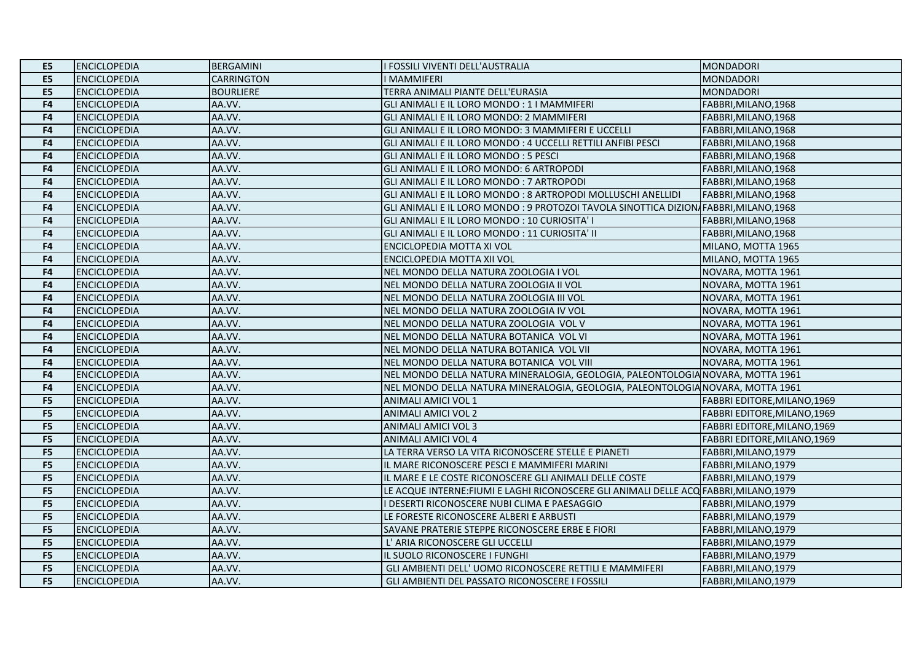| E5             | <b>ENCICLOPEDIA</b> | <b>BERGAMINI</b>  | I FOSSILI VIVENTI DELL'AUSTRALIA                                                       | <b>MONDADORI</b>             |
|----------------|---------------------|-------------------|----------------------------------------------------------------------------------------|------------------------------|
| E5             | <b>ENCICLOPEDIA</b> | <b>CARRINGTON</b> | <b>I MAMMIFERI</b>                                                                     | <b>MONDADORI</b>             |
| E5             | <b>ENCICLOPEDIA</b> | <b>BOURLIERE</b>  | TERRA ANIMALI PIANTE DELL'EURASIA                                                      | <b>MONDADORI</b>             |
| F4             | <b>ENCICLOPEDIA</b> | AA.VV.            | GLI ANIMALI E IL LORO MONDO: 1 I MAMMIFERI                                             | FABBRI, MILANO, 1968         |
| F4             | <b>ENCICLOPEDIA</b> | AA.VV.            | GLI ANIMALI E IL LORO MONDO: 2 MAMMIFERI                                               | FABBRI, MILANO, 1968         |
| F4             | <b>ENCICLOPEDIA</b> | AA.VV.            | GLI ANIMALI E IL LORO MONDO: 3 MAMMIFERI E UCCELLI                                     | FABBRI, MILANO, 1968         |
| F4             | <b>ENCICLOPEDIA</b> | AA.VV.            | GLI ANIMALI E IL LORO MONDO : 4 UCCELLI RETTILI ANFIBI PESCI                           | FABBRI, MILANO, 1968         |
| F4             | <b>ENCICLOPEDIA</b> | AA.VV.            | GLI ANIMALI E IL LORO MONDO: 5 PESCI                                                   | FABBRI, MILANO, 1968         |
| F4             | <b>ENCICLOPEDIA</b> | AA.VV.            | GLI ANIMALI E IL LORO MONDO: 6 ARTROPODI                                               | FABBRI, MILANO, 1968         |
| F4             | <b>ENCICLOPEDIA</b> | AA.VV.            | GLI ANIMALI E IL LORO MONDO : 7 ARTROPODI                                              | FABBRI, MILANO, 1968         |
| F <sub>4</sub> | <b>ENCICLOPEDIA</b> | AA.VV.            | GLI ANIMALI E IL LORO MONDO: 8 ARTROPODI MOLLUSCHI ANELLIDI                            | FABBRI, MILANO, 1968         |
| F4             | <b>ENCICLOPEDIA</b> | AA.VV.            | GLI ANIMALI E IL LORO MONDO : 9 PROTOZOI TAVOLA SINOTTICA DIZION FABBRI, MILANO, 1968  |                              |
| F4             | <b>ENCICLOPEDIA</b> | AA.VV.            | GLI ANIMALI E IL LORO MONDO: 10 CURIOSITA' I                                           | FABBRI, MILANO, 1968         |
| F <sub>4</sub> | <b>ENCICLOPEDIA</b> | AA.VV.            | GLI ANIMALI E IL LORO MONDO: 11 CURIOSITA' II                                          | FABBRI, MILANO, 1968         |
| F4             | <b>ENCICLOPEDIA</b> | AA.VV.            | ENCICLOPEDIA MOTTA XI VOL                                                              | MILANO, MOTTA 1965           |
| F4             | <b>ENCICLOPEDIA</b> | AA.VV.            | ENCICLOPEDIA MOTTA XII VOL                                                             | MILANO, MOTTA 1965           |
| F4             | <b>ENCICLOPEDIA</b> | AA.VV.            | NEL MONDO DELLA NATURA ZOOLOGIA I VOL                                                  | NOVARA, MOTTA 1961           |
| F4             | <b>ENCICLOPEDIA</b> | AA.VV.            | NEL MONDO DELLA NATURA ZOOLOGIA II VOL                                                 | NOVARA, MOTTA 1961           |
| F4             | <b>ENCICLOPEDIA</b> | AA.VV.            | NEL MONDO DELLA NATURA ZOOLOGIA III VOL                                                | NOVARA, MOTTA 1961           |
| F4             | <b>ENCICLOPEDIA</b> | AA.VV.            | NEL MONDO DELLA NATURA ZOOLOGIA IV VOL                                                 | NOVARA, MOTTA 1961           |
| F4             | <b>ENCICLOPEDIA</b> | AA.VV.            | NEL MONDO DELLA NATURA ZOOLOGIA VOL V                                                  | NOVARA, MOTTA 1961           |
| F4             | <b>ENCICLOPEDIA</b> | AA.VV.            | NEL MONDO DELLA NATURA BOTANICA VOL VI                                                 | NOVARA, MOTTA 1961           |
| F4             | <b>ENCICLOPEDIA</b> | AA.VV.            | NEL MONDO DELLA NATURA BOTANICA VOL VII                                                | NOVARA, MOTTA 1961           |
| F4             | <b>ENCICLOPEDIA</b> | AA.VV.            | NEL MONDO DELLA NATURA BOTANICA VOL VIII                                               | NOVARA, MOTTA 1961           |
| F4             | <b>ENCICLOPEDIA</b> | AA.VV.            | NEL MONDO DELLA NATURA MINERALOGIA, GEOLOGIA, PALEONTOLOGIA NOVARA, MOTTA 1961         |                              |
| F4             | <b>ENCICLOPEDIA</b> | AA.VV.            | NEL MONDO DELLA NATURA MINERALOGIA, GEOLOGIA, PALEONTOLOGIA NOVARA, MOTTA 1961         |                              |
| F <sub>5</sub> | <b>ENCICLOPEDIA</b> | AA.VV.            | <b>ANIMALI AMICI VOL 1</b>                                                             | FABBRI EDITORE, MILANO, 1969 |
| F <sub>5</sub> | <b>ENCICLOPEDIA</b> | AA.VV.            | <b>ANIMALI AMICI VOL 2</b>                                                             | FABBRI EDITORE, MILANO, 1969 |
| F <sub>5</sub> | <b>ENCICLOPEDIA</b> | AA.VV.            | <b>ANIMALI AMICI VOL 3</b>                                                             | FABBRI EDITORE, MILANO, 1969 |
| F <sub>5</sub> | <b>ENCICLOPEDIA</b> | AA.VV.            | <b>ANIMALI AMICI VOL 4</b>                                                             | FABBRI EDITORE, MILANO, 1969 |
| F <sub>5</sub> | <b>ENCICLOPEDIA</b> | AA.VV.            | LA TERRA VERSO LA VITA RICONOSCERE STELLE E PIANETI                                    | FABBRI, MILANO, 1979         |
| F <sub>5</sub> | <b>ENCICLOPEDIA</b> | AA.VV.            | IL MARE RICONOSCERE PESCI E MAMMIFERI MARINI                                           | FABBRI, MILANO, 1979         |
| F <sub>5</sub> | <b>ENCICLOPEDIA</b> | AA.VV.            | IL MARE E LE COSTE RICONOSCERE GLI ANIMALI DELLE COSTE                                 | FABBRI, MILANO, 1979         |
| F <sub>5</sub> | <b>ENCICLOPEDIA</b> | AA.VV.            | LE ACQUE INTERNE: FIUMI E LAGHI RICONOSCERE GLI ANIMALI DELLE ACQ FABBRI, MILANO, 1979 |                              |
| F <sub>5</sub> | <b>ENCICLOPEDIA</b> | AA.VV.            | I DESERTI RICONOSCERE NUBI CLIMA E PAESAGGIO                                           | FABBRI, MILANO, 1979         |
| F <sub>5</sub> | <b>ENCICLOPEDIA</b> | AA.VV.            | LE FORESTE RICONOSCERE ALBERI E ARBUSTI                                                | FABBRI, MILANO, 1979         |
| F <sub>5</sub> | <b>ENCICLOPEDIA</b> | AA.VV.            | SAVANE PRATERIE STEPPE RICONOSCERE ERBE E FIORI                                        | FABBRI, MILANO, 1979         |
| F <sub>5</sub> | <b>ENCICLOPEDIA</b> | AA.VV.            | L' ARIA RICONOSCERE GLI UCCELLI                                                        | FABBRI, MILANO, 1979         |
| F <sub>5</sub> | <b>ENCICLOPEDIA</b> | AA.VV.            | IL SUOLO RICONOSCERE I FUNGHI                                                          | FABBRI, MILANO, 1979         |
| F5             | <b>ENCICLOPEDIA</b> | AA.VV.            | GLI AMBIENTI DELL' UOMO RICONOSCERE RETTILI E MAMMIFERI                                | FABBRI, MILANO, 1979         |
| F <sub>5</sub> | <b>ENCICLOPEDIA</b> | AA.VV.            | GLI AMBIENTI DEL PASSATO RICONOSCERE I FOSSILI                                         | FABBRI, MILANO, 1979         |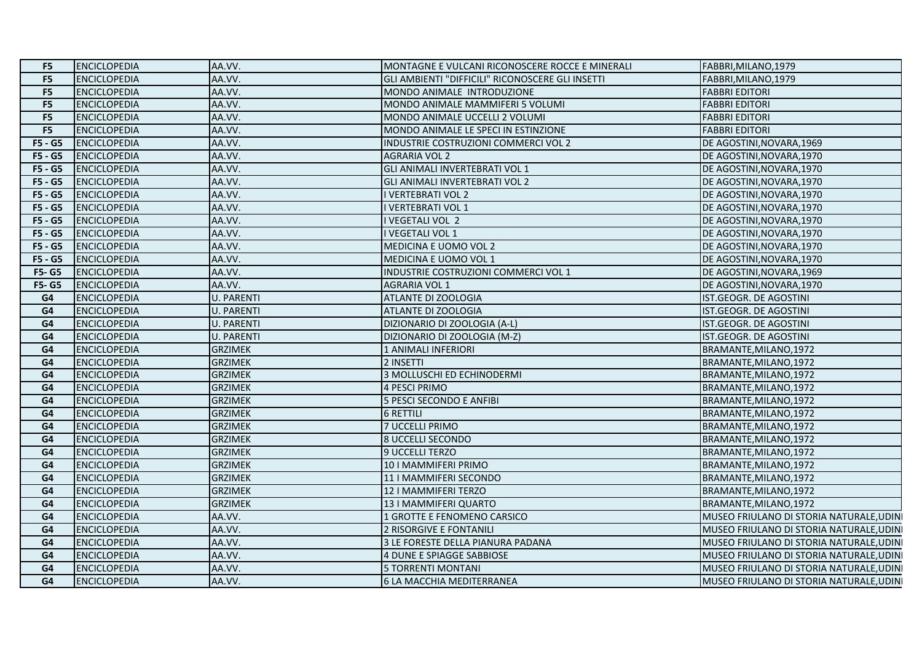| F5             | <b>ENCICLOPEDIA</b> | AA.VV.            | MONTAGNE E VULCANI RICONOSCERE ROCCE E MINERALI  | FABBRI, MILANO, 1979                     |
|----------------|---------------------|-------------------|--------------------------------------------------|------------------------------------------|
| F <sub>5</sub> | <b>ENCICLOPEDIA</b> | AA.VV.            | GLI AMBIENTI "DIFFICILI" RICONOSCERE GLI INSETTI | FABBRI, MILANO, 1979                     |
| F <sub>5</sub> | <b>ENCICLOPEDIA</b> | AA.VV.            | MONDO ANIMALE INTRODUZIONE                       | <b>FABBRI EDITORI</b>                    |
| F <sub>5</sub> | <b>ENCICLOPEDIA</b> | AA.VV.            | MONDO ANIMALE MAMMIFERI 5 VOLUMI                 | <b>FABBRI EDITORI</b>                    |
| F <sub>5</sub> | <b>ENCICLOPEDIA</b> | AA.VV.            | MONDO ANIMALE UCCELLI 2 VOLUMI                   | <b>FABBRI EDITORI</b>                    |
| F <sub>5</sub> | <b>ENCICLOPEDIA</b> | AA.VV.            | MONDO ANIMALE LE SPECI IN ESTINZIONE             | <b>FABBRI EDITORI</b>                    |
| F5 - G5        | <b>ENCICLOPEDIA</b> | AA.VV.            | INDUSTRIE COSTRUZIONI COMMERCI VOL 2             | DE AGOSTINI, NOVARA, 1969                |
| F5 - G5        | <b>ENCICLOPEDIA</b> | AA.VV.            | <b>AGRARIA VOL 2</b>                             | DE AGOSTINI, NOVARA, 1970                |
| $F5 - G5$      | <b>ENCICLOPEDIA</b> | AA.VV.            | <b>GLI ANIMALI INVERTEBRATI VOL 1</b>            | DE AGOSTINI, NOVARA, 1970                |
| $F5 - G5$      | <b>ENCICLOPEDIA</b> | AA.VV.            | <b>GLI ANIMALI INVERTEBRATI VOL 2</b>            | DE AGOSTINI, NOVARA, 1970                |
| F5 - G5        | <b>ENCICLOPEDIA</b> | AA.VV.            | <b>I VERTEBRATI VOL 2</b>                        | DE AGOSTINI, NOVARA, 1970                |
| $F5 - G5$      | <b>ENCICLOPEDIA</b> | AA.VV.            | I VERTEBRATI VOL 1                               | DE AGOSTINI, NOVARA, 1970                |
| $F5 - G5$      | <b>ENCICLOPEDIA</b> | AA.VV.            | I VEGETALI VOL 2                                 | DE AGOSTINI, NOVARA, 1970                |
| F5 - G5        | <b>ENCICLOPEDIA</b> | AA.VV.            | I VEGETALI VOL 1                                 | DE AGOSTINI, NOVARA, 1970                |
| F5 - G5        | <b>ENCICLOPEDIA</b> | AA.VV.            | MEDICINA E UOMO VOL 2                            | DE AGOSTINI, NOVARA, 1970                |
| F5 - G5        | <b>ENCICLOPEDIA</b> | AA.VV.            | MEDICINA E UOMO VOL 1                            | DE AGOSTINI, NOVARA, 1970                |
| <b>F5-G5</b>   | <b>ENCICLOPEDIA</b> | AA.VV.            | INDUSTRIE COSTRUZIONI COMMERCI VOL 1             | DE AGOSTINI, NOVARA, 1969                |
| <b>F5-G5</b>   | <b>ENCICLOPEDIA</b> | AA.VV.            | <b>AGRARIA VOL 1</b>                             | DE AGOSTINI, NOVARA, 1970                |
| G4             | <b>ENCICLOPEDIA</b> | <b>U. PARENTI</b> | ATLANTE DI ZOOLOGIA                              | IST.GEOGR. DE AGOSTINI                   |
| G4             | <b>ENCICLOPEDIA</b> | <b>U. PARENTI</b> | ATLANTE DI ZOOLOGIA                              | IST.GEOGR. DE AGOSTINI                   |
| G4             | <b>ENCICLOPEDIA</b> | <b>U. PARENTI</b> | DIZIONARIO DI ZOOLOGIA (A-L)                     | IST.GEOGR. DE AGOSTINI                   |
| G4             | <b>ENCICLOPEDIA</b> | <b>U. PARENTI</b> | DIZIONARIO DI ZOOLOGIA (M-Z)                     | IST.GEOGR. DE AGOSTINI                   |
| G4             | <b>ENCICLOPEDIA</b> | <b>GRZIMEK</b>    | 1 ANIMALI INFERIORI                              | BRAMANTE, MILANO, 1972                   |
| G4             | <b>ENCICLOPEDIA</b> | <b>GRZIMEK</b>    | 2 INSETTI                                        | BRAMANTE, MILANO, 1972                   |
| G4             | <b>ENCICLOPEDIA</b> | <b>GRZIMEK</b>    | 3 MOLLUSCHI ED ECHINODERMI                       | BRAMANTE, MILANO, 1972                   |
| G <sub>4</sub> | <b>ENCICLOPEDIA</b> | <b>GRZIMEK</b>    | 4 PESCI PRIMO                                    | BRAMANTE, MILANO, 1972                   |
| G4             | <b>ENCICLOPEDIA</b> | <b>GRZIMEK</b>    | 5 PESCI SECONDO E ANFIBI                         | BRAMANTE, MILANO, 1972                   |
| G4             | <b>ENCICLOPEDIA</b> | <b>GRZIMEK</b>    | <b>6 RETTILI</b>                                 | BRAMANTE, MILANO, 1972                   |
| G4             | <b>ENCICLOPEDIA</b> | <b>GRZIMEK</b>    | 7 UCCELLI PRIMO                                  | BRAMANTE, MILANO, 1972                   |
| G <sub>4</sub> | <b>ENCICLOPEDIA</b> | <b>GRZIMEK</b>    | 8 UCCELLI SECONDO                                | BRAMANTE, MILANO, 1972                   |
| G4             | <b>ENCICLOPEDIA</b> | <b>GRZIMEK</b>    | 9 UCCELLI TERZO                                  | BRAMANTE, MILANO, 1972                   |
| G4             | <b>ENCICLOPEDIA</b> | <b>GRZIMEK</b>    | 10   MAMMIFERI PRIMO                             | BRAMANTE, MILANO, 1972                   |
| G4             | <b>ENCICLOPEDIA</b> | <b>GRZIMEK</b>    | 11   MAMMIFERI SECONDO                           | BRAMANTE, MILANO, 1972                   |
| G <sub>4</sub> | <b>ENCICLOPEDIA</b> | <b>GRZIMEK</b>    | 12   MAMMIFERI TERZO                             | BRAMANTE, MILANO, 1972                   |
| G4             | <b>ENCICLOPEDIA</b> | <b>GRZIMEK</b>    | 13   MAMMIFERI QUARTO                            | BRAMANTE, MILANO, 1972                   |
| G4             | <b>ENCICLOPEDIA</b> | AA.VV.            | 1 GROTTE E FENOMENO CARSICO                      | MUSEO FRIULANO DI STORIA NATURALE, UDINI |
| G4             | <b>ENCICLOPEDIA</b> | AA.VV.            | 2 RISORGIVE E FONTANILI                          | MUSEO FRIULANO DI STORIA NATURALE, UDINI |
| G <sub>4</sub> | <b>ENCICLOPEDIA</b> | AA.VV.            | 3 LE FORESTE DELLA PIANURA PADANA                | MUSEO FRIULANO DI STORIA NATURALE, UDINI |
| G4             | <b>ENCICLOPEDIA</b> | AA.VV.            | 4 DUNE E SPIAGGE SABBIOSE                        | MUSEO FRIULANO DI STORIA NATURALE, UDINI |
| G4             | <b>ENCICLOPEDIA</b> | AA.VV.            | 5 TORRENTI MONTANI                               | MUSEO FRIULANO DI STORIA NATURALE, UDINI |
| G4             | <b>ENCICLOPEDIA</b> | AA.VV.            | 6 LA MACCHIA MEDITERRANEA                        | MUSEO FRIULANO DI STORIA NATURALE, UDINI |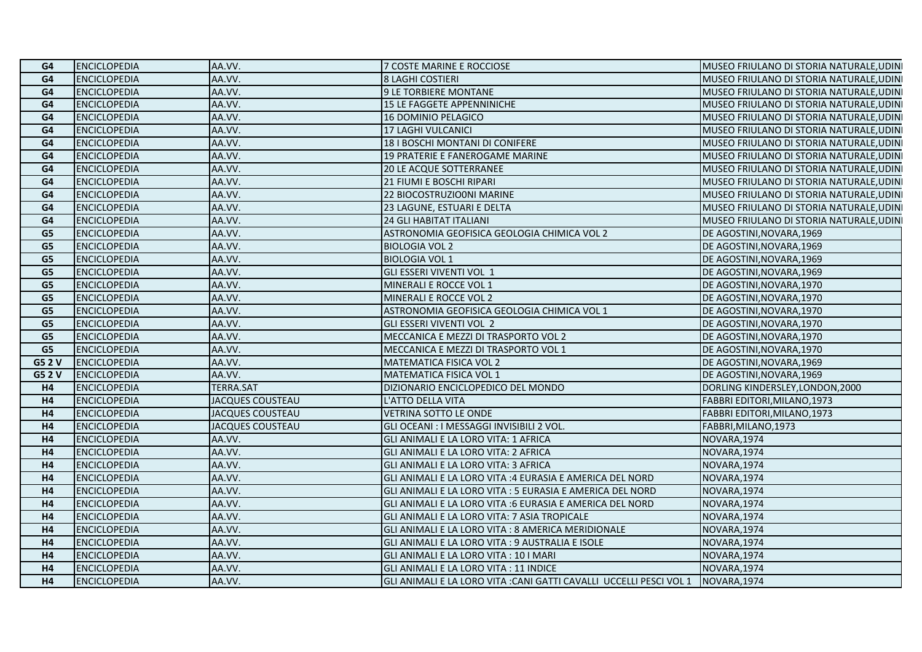| G4             | <b>ENCICLOPEDIA</b> | AA.VV.                  | 7 COSTE MARINE E ROCCIOSE                                                      | MUSEO FRIULANO DI STORIA NATURALE, UDINI |
|----------------|---------------------|-------------------------|--------------------------------------------------------------------------------|------------------------------------------|
| G4             | <b>ENCICLOPEDIA</b> | AA.VV.                  | 8 LAGHI COSTIERI                                                               | MUSEO FRIULANO DI STORIA NATURALE, UDINI |
| G <sub>4</sub> | <b>ENCICLOPEDIA</b> | AA.VV.                  | <b>9 LE TORBIERE MONTANE</b>                                                   | MUSEO FRIULANO DI STORIA NATURALE, UDINI |
| G <sub>4</sub> | <b>ENCICLOPEDIA</b> | AA.VV.                  | 15 LE FAGGETE APPENNINICHE                                                     | MUSEO FRIULANO DI STORIA NATURALE, UDINI |
| G4             | <b>ENCICLOPEDIA</b> | AA.VV.                  | <b>16 DOMINIO PELAGICO</b>                                                     | MUSEO FRIULANO DI STORIA NATURALE, UDINI |
| G4             | <b>ENCICLOPEDIA</b> | AA.VV.                  | 17 LAGHI VULCANICI                                                             | MUSEO FRIULANO DI STORIA NATURALE, UDINI |
| G <sub>4</sub> | <b>ENCICLOPEDIA</b> | AA.VV.                  | 18   BOSCHI MONTANI DI CONIFERE                                                | MUSEO FRIULANO DI STORIA NATURALE, UDINI |
| G4             | <b>ENCICLOPEDIA</b> | AA.VV.                  | <b>19 PRATERIE E FANEROGAME MARINE</b>                                         | MUSEO FRIULANO DI STORIA NATURALE, UDINI |
| G <sub>4</sub> | <b>ENCICLOPEDIA</b> | AA.VV.                  | 20 LE ACQUE SOTTERRANEE                                                        | MUSEO FRIULANO DI STORIA NATURALE, UDINI |
| G <sub>4</sub> | <b>ENCICLOPEDIA</b> | AA.VV.                  | 21 FIUMI E BOSCHI RIPARI                                                       | MUSEO FRIULANO DI STORIA NATURALE, UDINI |
| G <sub>4</sub> | <b>ENCICLOPEDIA</b> | AA.VV.                  | 22 BIOCOSTRUZIO0NI MARINE                                                      | MUSEO FRIULANO DI STORIA NATURALE, UDINI |
| G <sub>4</sub> | <b>ENCICLOPEDIA</b> | AA.VV.                  | 23 LAGUNE, ESTUARI E DELTA                                                     | MUSEO FRIULANO DI STORIA NATURALE, UDINI |
| G <sub>4</sub> | <b>ENCICLOPEDIA</b> | AA.VV.                  | <b>24 GLI HABITAT ITALIANI</b>                                                 | MUSEO FRIULANO DI STORIA NATURALE, UDINI |
| G <sub>5</sub> | <b>ENCICLOPEDIA</b> | AA.VV.                  | ASTRONOMIA GEOFISICA GEOLOGIA CHIMICA VOL 2                                    | DE AGOSTINI, NOVARA, 1969                |
| G5             | <b>ENCICLOPEDIA</b> | AA.VV.                  | <b>BIOLOGIA VOL 2</b>                                                          | DE AGOSTINI, NOVARA, 1969                |
| G <sub>5</sub> | <b>ENCICLOPEDIA</b> | AA.VV.                  | <b>BIOLOGIA VOL 1</b>                                                          | DE AGOSTINI, NOVARA, 1969                |
| G <sub>5</sub> | <b>ENCICLOPEDIA</b> | AA.VV.                  | GLI ESSERI VIVENTI VOL 1                                                       | DE AGOSTINI, NOVARA, 1969                |
| G <sub>5</sub> | <b>ENCICLOPEDIA</b> | AA.VV.                  | <b>MINERALI E ROCCE VOL 1</b>                                                  | DE AGOSTINI, NOVARA, 1970                |
| G <sub>5</sub> | <b>ENCICLOPEDIA</b> | AA.VV.                  | MINERALI E ROCCE VOL 2                                                         | DE AGOSTINI, NOVARA, 1970                |
| G <sub>5</sub> | <b>ENCICLOPEDIA</b> | AA.VV.                  | ASTRONOMIA GEOFISICA GEOLOGIA CHIMICA VOL 1                                    | DE AGOSTINI, NOVARA, 1970                |
| G <sub>5</sub> | <b>ENCICLOPEDIA</b> | AA.VV.                  | <b>GLI ESSERI VIVENTI VOL 2</b>                                                | DE AGOSTINI, NOVARA, 1970                |
| G <sub>5</sub> | <b>ENCICLOPEDIA</b> | AA.VV.                  | MECCANICA E MEZZI DI TRASPORTO VOL 2                                           | DE AGOSTINI, NOVARA, 1970                |
| G5             | <b>ENCICLOPEDIA</b> | AA.VV.                  | MECCANICA E MEZZI DI TRASPORTO VOL 1                                           | DE AGOSTINI, NOVARA, 1970                |
| G5 2 V         | <b>ENCICLOPEDIA</b> | AA.VV.                  | MATEMATICA FISICA VOL 2                                                        | DE AGOSTINI, NOVARA, 1969                |
| G5 2 V         | <b>ENCICLOPEDIA</b> | AA.VV.                  | MATEMATICA FISICA VOL 1                                                        | DE AGOSTINI, NOVARA, 1969                |
| H4             | <b>ENCICLOPEDIA</b> | <b>TERRA.SAT</b>        | DIZIONARIO ENCICLOPEDICO DEL MONDO                                             | DORLING KINDERSLEY, LONDON, 2000         |
| H <sub>4</sub> | <b>ENCICLOPEDIA</b> | <b>JACQUES COUSTEAU</b> | L'ATTO DELLA VITA                                                              | FABBRI EDITORI, MILANO, 1973             |
| H <sub>4</sub> | <b>ENCICLOPEDIA</b> | <b>JACQUES COUSTEAU</b> | VETRINA SOTTO LE ONDE                                                          | FABBRI EDITORI, MILANO, 1973             |
| H <sub>4</sub> | <b>ENCICLOPEDIA</b> | <b>JACQUES COUSTEAU</b> | GLI OCEANI : I MESSAGGI INVISIBILI 2 VOL.                                      | FABBRI, MILANO, 1973                     |
| H <sub>4</sub> | <b>ENCICLOPEDIA</b> | AA.VV.                  | GLI ANIMALI E LA LORO VITA: 1 AFRICA                                           | NOVARA, 1974                             |
| H <sub>4</sub> | <b>ENCICLOPEDIA</b> | AA.VV.                  | GLI ANIMALI E LA LORO VITA: 2 AFRICA                                           | NOVARA, 1974                             |
| H <sub>4</sub> | <b>ENCICLOPEDIA</b> | AA.VV.                  | GLI ANIMALI E LA LORO VITA: 3 AFRICA                                           | NOVARA, 1974                             |
| H <sub>4</sub> | <b>ENCICLOPEDIA</b> | AA.VV.                  | GLI ANIMALI E LA LORO VITA :4 EURASIA E AMERICA DEL NORD                       | NOVARA, 1974                             |
| H <sub>4</sub> | <b>ENCICLOPEDIA</b> | AA.VV.                  | GLI ANIMALI E LA LORO VITA : 5 EURASIA E AMERICA DEL NORD                      | NOVARA, 1974                             |
| H4             | <b>ENCICLOPEDIA</b> | AA.VV.                  | GLI ANIMALI E LA LORO VITA :6 EURASIA E AMERICA DEL NORD                       | NOVARA, 1974                             |
| H4             | <b>ENCICLOPEDIA</b> | AA.VV.                  | GLI ANIMALI E LA LORO VITA: 7 ASIA TROPICALE                                   | NOVARA, 1974                             |
| H <sub>4</sub> | <b>ENCICLOPEDIA</b> | AA.VV.                  | GLI ANIMALI E LA LORO VITA : 8 AMERICA MERIDIONALE                             | NOVARA, 1974                             |
| H <sub>4</sub> | <b>ENCICLOPEDIA</b> | AA.VV.                  | GLI ANIMALI E LA LORO VITA : 9 AUSTRALIA E ISOLE                               | NOVARA, 1974                             |
| H <sub>4</sub> | <b>ENCICLOPEDIA</b> | AA.VV.                  | GLI ANIMALI E LA LORO VITA : 10 I MARI                                         | NOVARA, 1974                             |
| H <sub>4</sub> | <b>ENCICLOPEDIA</b> | AA.VV.                  | GLI ANIMALI E LA LORO VITA : 11 INDICE                                         | NOVARA, 1974                             |
| H <sub>4</sub> | <b>ENCICLOPEDIA</b> | AA.VV.                  | GLI ANIMALI E LA LORO VITA :CANI GATTI CAVALLI UCCELLI PESCI VOL 1 NOVARA,1974 |                                          |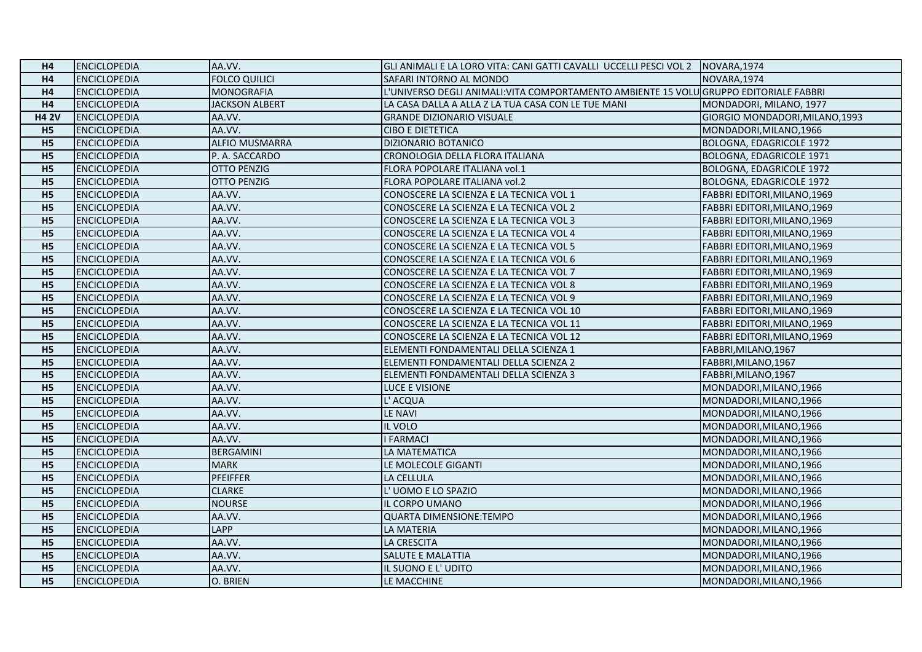| H4             | <b>ENCICLOPEDIA</b> | AA.VV.                | GLI ANIMALI E LA LORO VITA: CANI GATTI CAVALLI UCCELLI PESCI VOL 2 INOVARA,1974        |                                 |
|----------------|---------------------|-----------------------|----------------------------------------------------------------------------------------|---------------------------------|
| H <sub>4</sub> | <b>ENCICLOPEDIA</b> | <b>FOLCO QUILICI</b>  | SAFARI INTORNO AL MONDO                                                                | NOVARA, 1974                    |
| H4             | <b>ENCICLOPEDIA</b> | <b>MONOGRAFIA</b>     | L'UNIVERSO DEGLI ANIMALI: VITA COMPORTAMENTO AMBIENTE 15 VOLU GRUPPO EDITORIALE FABBRI |                                 |
| H4             | <b>ENCICLOPEDIA</b> | JACKSON ALBERT        | LA CASA DALLA A ALLA Z LA TUA CASA CON LE TUE MANI                                     | MONDADORI, MILANO, 1977         |
| <b>H4 2V</b>   | <b>ENCICLOPEDIA</b> | AA.VV.                | <b>GRANDE DIZIONARIO VISUALE</b>                                                       | GIORGIO MONDADORI, MILANO, 1993 |
| H <sub>5</sub> | <b>ENCICLOPEDIA</b> | AA.VV.                | <b>CIBO E DIETETICA</b>                                                                | MONDADORI, MILANO, 1966         |
| H <sub>5</sub> | <b>ENCICLOPEDIA</b> | <b>ALFIO MUSMARRA</b> | <b>DIZIONARIO BOTANICO</b>                                                             | BOLOGNA, EDAGRICOLE 1972        |
| <b>H5</b>      | <b>ENCICLOPEDIA</b> | P. A. SACCARDO        | CRONOLOGIA DELLA FLORA ITALIANA                                                        | BOLOGNA, EDAGRICOLE 1971        |
| H <sub>5</sub> | <b>ENCICLOPEDIA</b> | <b>OTTO PENZIG</b>    | FLORA POPOLARE ITALIANA vol.1                                                          | <b>BOLOGNA, EDAGRICOLE 1972</b> |
| H <sub>5</sub> | <b>ENCICLOPEDIA</b> | <b>OTTO PENZIG</b>    | FLORA POPOLARE ITALIANA vol.2                                                          | <b>BOLOGNA, EDAGRICOLE 1972</b> |
| H <sub>5</sub> | <b>ENCICLOPEDIA</b> | AA.VV.                | CONOSCERE LA SCIENZA E LA TECNICA VOL 1                                                | FABBRI EDITORI, MILANO, 1969    |
| H <sub>5</sub> | <b>ENCICLOPEDIA</b> | AA.VV.                | CONOSCERE LA SCIENZA E LA TECNICA VOL 2                                                | FABBRI EDITORI, MILANO, 1969    |
| H <sub>5</sub> | <b>ENCICLOPEDIA</b> | AA.VV.                | CONOSCERE LA SCIENZA E LA TECNICA VOL 3                                                | FABBRI EDITORI, MILANO, 1969    |
| H <sub>5</sub> | <b>ENCICLOPEDIA</b> | AA.VV.                | CONOSCERE LA SCIENZA E LA TECNICA VOL 4                                                | FABBRI EDITORI, MILANO, 1969    |
| H <sub>5</sub> | <b>ENCICLOPEDIA</b> | AA.VV.                | CONOSCERE LA SCIENZA E LA TECNICA VOL 5                                                | FABBRI EDITORI, MILANO, 1969    |
| H <sub>5</sub> | <b>ENCICLOPEDIA</b> | AA.VV.                | CONOSCERE LA SCIENZA E LA TECNICA VOL 6                                                | FABBRI EDITORI, MILANO, 1969    |
| H <sub>5</sub> | <b>ENCICLOPEDIA</b> | AA.VV.                | CONOSCERE LA SCIENZA E LA TECNICA VOL 7                                                | FABBRI EDITORI, MILANO, 1969    |
| H <sub>5</sub> | <b>ENCICLOPEDIA</b> | AA.VV.                | CONOSCERE LA SCIENZA E LA TECNICA VOL 8                                                | FABBRI EDITORI, MILANO, 1969    |
| H <sub>5</sub> | <b>ENCICLOPEDIA</b> | AA.VV.                | CONOSCERE LA SCIENZA E LA TECNICA VOL 9                                                | FABBRI EDITORI, MILANO, 1969    |
| H <sub>5</sub> | <b>ENCICLOPEDIA</b> | AA.VV.                | CONOSCERE LA SCIENZA E LA TECNICA VOL 10                                               | FABBRI EDITORI, MILANO, 1969    |
| H <sub>5</sub> | <b>ENCICLOPEDIA</b> | AA.VV.                | CONOSCERE LA SCIENZA E LA TECNICA VOL 11                                               | FABBRI EDITORI, MILANO, 1969    |
| H <sub>5</sub> | <b>ENCICLOPEDIA</b> | AA.VV.                | CONOSCERE LA SCIENZA E LA TECNICA VOL 12                                               | FABBRI EDITORI, MILANO, 1969    |
| H <sub>5</sub> | <b>ENCICLOPEDIA</b> | AA.VV.                | ELEMENTI FONDAMENTALI DELLA SCIENZA 1                                                  | FABBRI, MILANO, 1967            |
| H <sub>5</sub> | <b>ENCICLOPEDIA</b> | AA.VV.                | ELEMENTI FONDAMENTALI DELLA SCIENZA 2                                                  | FABBRI, MILANO, 1967            |
| <b>H5</b>      | <b>ENCICLOPEDIA</b> | AA.VV.                | ELEMENTI FONDAMENTALI DELLA SCIENZA 3                                                  | FABBRI, MILANO, 1967            |
| H <sub>5</sub> | <b>ENCICLOPEDIA</b> | AA.VV.                | LUCE E VISIONE                                                                         | MONDADORI, MILANO, 1966         |
| H <sub>5</sub> | <b>ENCICLOPEDIA</b> | AA.VV.                | L' ACQUA                                                                               | MONDADORI, MILANO, 1966         |
| H <sub>5</sub> | <b>ENCICLOPEDIA</b> | AA.VV.                | LE NAVI                                                                                | MONDADORI, MILANO, 1966         |
| <b>H5</b>      | <b>ENCICLOPEDIA</b> | AA.VV.                | IL VOLO                                                                                | MONDADORI, MILANO, 1966         |
| H <sub>5</sub> | <b>ENCICLOPEDIA</b> | AA.VV.                | <b>I FARMACI</b>                                                                       | MONDADORI, MILANO, 1966         |
| H <sub>5</sub> | <b>ENCICLOPEDIA</b> | <b>BERGAMINI</b>      | LA MATEMATICA                                                                          | MONDADORI, MILANO, 1966         |
| H <sub>5</sub> | <b>ENCICLOPEDIA</b> | <b>MARK</b>           | LE MOLECOLE GIGANTI                                                                    | MONDADORI, MILANO, 1966         |
| <b>H5</b>      | <b>ENCICLOPEDIA</b> | <b>PFEIFFER</b>       | LA CELLULA                                                                             | MONDADORI, MILANO, 1966         |
| H <sub>5</sub> | <b>ENCICLOPEDIA</b> | <b>CLARKE</b>         | L'UOMO E LO SPAZIO                                                                     | MONDADORI, MILANO, 1966         |
| H <sub>5</sub> | <b>ENCICLOPEDIA</b> | <b>NOURSE</b>         | IL CORPO UMANO                                                                         | MONDADORI, MILANO, 1966         |
| H <sub>5</sub> | <b>ENCICLOPEDIA</b> | AA.VV.                | <b>QUARTA DIMENSIONE:TEMPO</b>                                                         | MONDADORI, MILANO, 1966         |
| H <sub>5</sub> | <b>ENCICLOPEDIA</b> | <b>LAPP</b>           | LA MATERIA                                                                             | MONDADORI, MILANO, 1966         |
| H <sub>5</sub> | <b>ENCICLOPEDIA</b> | AA.VV.                | LA CRESCITA                                                                            | MONDADORI, MILANO, 1966         |
| H <sub>5</sub> | <b>ENCICLOPEDIA</b> | AA.VV.                | SALUTE E MALATTIA                                                                      | MONDADORI, MILANO, 1966         |
| H <sub>5</sub> | <b>ENCICLOPEDIA</b> | AA.VV.                | IL SUONO E L'UDITO                                                                     | MONDADORI, MILANO, 1966         |
| H <sub>5</sub> | <b>ENCICLOPEDIA</b> | O. BRIEN              | LE MACCHINE                                                                            | MONDADORI, MILANO, 1966         |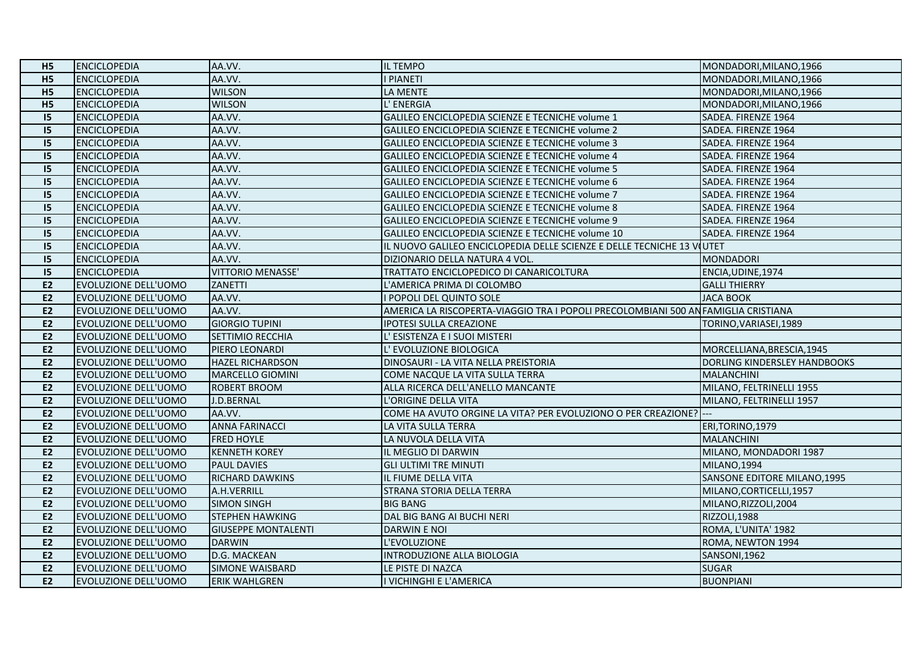| H <sub>5</sub> | <b>ENCICLOPEDIA</b>         | AA.VV.                     | IL TEMPO                                                                          | MONDADORI, MILANO, 1966      |
|----------------|-----------------------------|----------------------------|-----------------------------------------------------------------------------------|------------------------------|
| <b>H5</b>      | <b>ENCICLOPEDIA</b>         | AA.VV.                     | <b>PIANETI</b>                                                                    | MONDADORI, MILANO, 1966      |
| H <sub>5</sub> | <b>ENCICLOPEDIA</b>         | <b>WILSON</b>              | LA MENTE                                                                          | MONDADORI, MILANO, 1966      |
| H <sub>5</sub> | <b>ENCICLOPEDIA</b>         | <b>WILSON</b>              | L' ENERGIA                                                                        | MONDADORI, MILANO, 1966      |
| 15             | <b>ENCICLOPEDIA</b>         | AA.VV.                     | GALILEO ENCICLOPEDIA SCIENZE E TECNICHE volume 1                                  | SADEA. FIRENZE 1964          |
| 15             | <b>ENCICLOPEDIA</b>         | AA.VV.                     | GALILEO ENCICLOPEDIA SCIENZE E TECNICHE volume 2                                  | SADEA. FIRENZE 1964          |
| 15             | <b>ENCICLOPEDIA</b>         | AA.VV.                     | GALILEO ENCICLOPEDIA SCIENZE E TECNICHE volume 3                                  | SADEA. FIRENZE 1964          |
| 15             | <b>ENCICLOPEDIA</b>         | AA.VV.                     | GALILEO ENCICLOPEDIA SCIENZE E TECNICHE volume 4                                  | SADEA. FIRENZE 1964          |
| 15             | <b>ENCICLOPEDIA</b>         | AA.VV.                     | GALILEO ENCICLOPEDIA SCIENZE E TECNICHE volume 5                                  | SADEA. FIRENZE 1964          |
| 15             | <b>ENCICLOPEDIA</b>         | AA.VV.                     | GALILEO ENCICLOPEDIA SCIENZE E TECNICHE volume 6                                  | SADEA. FIRENZE 1964          |
| 15             | <b>ENCICLOPEDIA</b>         | AA.VV.                     | GALILEO ENCICLOPEDIA SCIENZE E TECNICHE volume 7                                  | SADEA. FIRENZE 1964          |
| 15             | <b>ENCICLOPEDIA</b>         | AA.VV.                     | GALILEO ENCICLOPEDIA SCIENZE E TECNICHE volume 8                                  | SADEA. FIRENZE 1964          |
| 15             | <b>ENCICLOPEDIA</b>         | AA.VV.                     | GALILEO ENCICLOPEDIA SCIENZE E TECNICHE volume 9                                  | SADEA. FIRENZE 1964          |
| 15             | <b>ENCICLOPEDIA</b>         | AA.VV.                     | GALILEO ENCICLOPEDIA SCIENZE E TECNICHE volume 10                                 | SADEA. FIRENZE 1964          |
| 15             | <b>ENCICLOPEDIA</b>         | AA.VV.                     | IL NUOVO GALILEO ENCICLOPEDIA DELLE SCIENZE E DELLE TECNICHE 13 VIUTET            |                              |
| 15             | <b>ENCICLOPEDIA</b>         | AA.VV.                     | DIZIONARIO DELLA NATURA 4 VOL.                                                    | <b>MONDADORI</b>             |
| 15             | <b>ENCICLOPEDIA</b>         | VITTORIO MENASSE'          | TRATTATO ENCICLOPEDICO DI CANARICOLTURA                                           | ENCIA, UDINE, 1974           |
| E2             | <b>EVOLUZIONE DELL'UOMO</b> | ZANETTI                    | L'AMERICA PRIMA DI COLOMBO                                                        | <b>GALLI THIERRY</b>         |
| <b>E2</b>      | <b>EVOLUZIONE DELL'UOMO</b> | AA.VV.                     | I POPOLI DEL QUINTO SOLE                                                          | <b>JACA BOOK</b>             |
| E2             | EVOLUZIONE DELL'UOMO        | AA.VV.                     | AMERICA LA RISCOPERTA-VIAGGIO TRA I POPOLI PRECOLOMBIANI 500 ANFAMIGLIA CRISTIANA |                              |
| E2             | <b>EVOLUZIONE DELL'UOMO</b> | <b>GIORGIO TUPINI</b>      | <b>IPOTESI SULLA CREAZIONE</b>                                                    | TORINO, VARIASEI, 1989       |
| <b>E2</b>      | EVOLUZIONE DELL'UOMO        | SETTIMIO RECCHIA           | L' ESISTENZA E I SUOI MISTERI                                                     |                              |
| E <sub>2</sub> | EVOLUZIONE DELL'UOMO        | PIERO LEONARDI             | L' EVOLUZIONE BIOLOGICA                                                           | MORCELLIANA, BRESCIA, 1945   |
| E2             | EVOLUZIONE DELL'UOMO        | <b>HAZEL RICHARDSON</b>    | DINOSAURI - LA VITA NELLA PREISTORIA                                              | DORLING KINDERSLEY HANDBOOKS |
| <b>E2</b>      | <b>EVOLUZIONE DELL'UOMO</b> | <b>MARCELLO GIOMINI</b>    | COME NACQUE LA VITA SULLA TERRA                                                   | <b>MALANCHINI</b>            |
| E <sub>2</sub> | EVOLUZIONE DELL'UOMO        | <b>ROBERT BROOM</b>        | ALLA RICERCA DELL'ANELLO MANCANTE                                                 | MILANO, FELTRINELLI 1955     |
| E <sub>2</sub> | EVOLUZIONE DELL'UOMO        | J.D.BERNAL                 | L'ORIGINE DELLA VITA                                                              | MILANO, FELTRINELLI 1957     |
| <b>E2</b>      | <b>EVOLUZIONE DELL'UOMO</b> | AA.VV.                     | COME HA AVUTO ORGINE LA VITA? PER EVOLUZIONO O PER CREAZIONE? ---                 |                              |
| E2             | <b>EVOLUZIONE DELL'UOMO</b> | <b>ANNA FARINACCI</b>      | LA VITA SULLA TERRA                                                               | ERI, TORINO, 1979            |
| E2             | EVOLUZIONE DELL'UOMO        | <b>FRED HOYLE</b>          | LA NUVOLA DELLA VITA                                                              | <b>MALANCHINI</b>            |
| E2             | <b>EVOLUZIONE DELL'UOMO</b> | <b>KENNETH KOREY</b>       | IL MEGLIO DI DARWIN                                                               | MILANO, MONDADORI 1987       |
| E <sub>2</sub> | EVOLUZIONE DELL'UOMO        | <b>PAUL DAVIES</b>         | <b>GLI ULTIMI TRE MINUTI</b>                                                      | MILANO, 1994                 |
| E2             | EVOLUZIONE DELL'UOMO        | RICHARD DAWKINS            | IL FIUME DELLA VITA                                                               | SANSONE EDITORE MILANO, 1995 |
| E <sub>2</sub> | <b>EVOLUZIONE DELL'UOMO</b> | A.H.VERRILL                | STRANA STORIA DELLA TERRA                                                         | MILANO, CORTICELLI, 1957     |
| E2             | EVOLUZIONE DELL'UOMO        | <b>SIMON SINGH</b>         | <b>BIG BANG</b>                                                                   | MILANO, RIZZOLI, 2004        |
| E2             | <b>EVOLUZIONE DELL'UOMO</b> | <b>STEPHEN HAWKING</b>     | DAL BIG BANG AI BUCHI NERI                                                        | RIZZOLI, 1988                |
| E2             | <b>EVOLUZIONE DELL'UOMO</b> | <b>GIUSEPPE MONTALENTI</b> | <b>DARWIN E NOI</b>                                                               | ROMA, L'UNITA' 1982          |
| E2             | EVOLUZIONE DELL'UOMO        | <b>DARWIN</b>              | L'EVOLUZIONE                                                                      | ROMA, NEWTON 1994            |
| E2             | EVOLUZIONE DELL'UOMO        | D.G. MACKEAN               | INTRODUZIONE ALLA BIOLOGIA                                                        | <b>SANSONI,1962</b>          |
| E <sub>2</sub> | EVOLUZIONE DELL'UOMO        | <b>SIMONE WAISBARD</b>     | LE PISTE DI NAZCA                                                                 | <b>SUGAR</b>                 |
| E2             | EVOLUZIONE DELL'UOMO        | <b>ERIK WAHLGREN</b>       | I VICHINGHI E L'AMERICA                                                           | <b>BUONPIANI</b>             |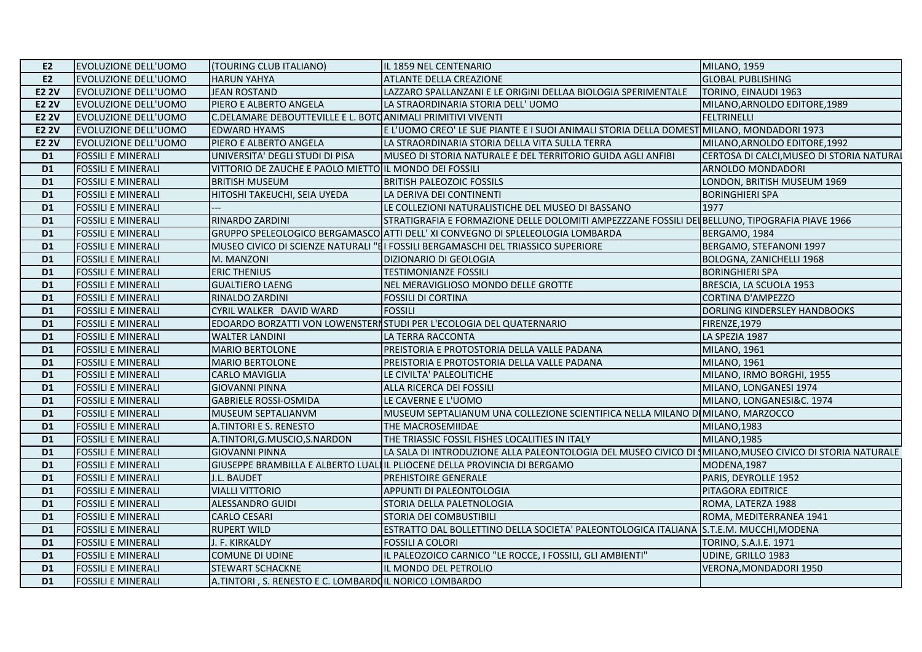| <b>EVOLUZIONE DELL'UOMO</b> | (TOURING CLUB ITALIANO)         | IL 1859 NEL CENTENARIO                  | MILANO, 1959                                                                                                                                                                                                                                                                                                                                                                                                                                                                                                                                                                                                                                                                                                                                                                                                                                                                                                                                                                                                                                                                                                                                                                                                                                                                                                                                                                                                                                                                                                                                                                                                                                                                                                                                                                                                                                                                                                           |
|-----------------------------|---------------------------------|-----------------------------------------|------------------------------------------------------------------------------------------------------------------------------------------------------------------------------------------------------------------------------------------------------------------------------------------------------------------------------------------------------------------------------------------------------------------------------------------------------------------------------------------------------------------------------------------------------------------------------------------------------------------------------------------------------------------------------------------------------------------------------------------------------------------------------------------------------------------------------------------------------------------------------------------------------------------------------------------------------------------------------------------------------------------------------------------------------------------------------------------------------------------------------------------------------------------------------------------------------------------------------------------------------------------------------------------------------------------------------------------------------------------------------------------------------------------------------------------------------------------------------------------------------------------------------------------------------------------------------------------------------------------------------------------------------------------------------------------------------------------------------------------------------------------------------------------------------------------------------------------------------------------------------------------------------------------------|
| <b>EVOLUZIONE DELL'UOMO</b> | <b>HARUN YAHYA</b>              |                                         | <b>GLOBAL PUBLISHING</b>                                                                                                                                                                                                                                                                                                                                                                                                                                                                                                                                                                                                                                                                                                                                                                                                                                                                                                                                                                                                                                                                                                                                                                                                                                                                                                                                                                                                                                                                                                                                                                                                                                                                                                                                                                                                                                                                                               |
| <b>EVOLUZIONE DELL'UOMO</b> | <b>JEAN ROSTAND</b>             |                                         | TORINO, EINAUDI 1963                                                                                                                                                                                                                                                                                                                                                                                                                                                                                                                                                                                                                                                                                                                                                                                                                                                                                                                                                                                                                                                                                                                                                                                                                                                                                                                                                                                                                                                                                                                                                                                                                                                                                                                                                                                                                                                                                                   |
| <b>EVOLUZIONE DELL'UOMO</b> | PIERO E ALBERTO ANGELA          | LA STRAORDINARIA STORIA DELL'UOMO       | MILANO, ARNOLDO EDITORE, 1989                                                                                                                                                                                                                                                                                                                                                                                                                                                                                                                                                                                                                                                                                                                                                                                                                                                                                                                                                                                                                                                                                                                                                                                                                                                                                                                                                                                                                                                                                                                                                                                                                                                                                                                                                                                                                                                                                          |
| <b>EVOLUZIONE DELL'UOMO</b> |                                 |                                         | <b>FELTRINELLI</b>                                                                                                                                                                                                                                                                                                                                                                                                                                                                                                                                                                                                                                                                                                                                                                                                                                                                                                                                                                                                                                                                                                                                                                                                                                                                                                                                                                                                                                                                                                                                                                                                                                                                                                                                                                                                                                                                                                     |
| <b>EVOLUZIONE DELL'UOMO</b> | <b>EDWARD HYAMS</b>             |                                         |                                                                                                                                                                                                                                                                                                                                                                                                                                                                                                                                                                                                                                                                                                                                                                                                                                                                                                                                                                                                                                                                                                                                                                                                                                                                                                                                                                                                                                                                                                                                                                                                                                                                                                                                                                                                                                                                                                                        |
| <b>EVOLUZIONE DELL'UOMO</b> | PIERO E ALBERTO ANGELA          |                                         | MILANO, ARNOLDO EDITORE, 1992                                                                                                                                                                                                                                                                                                                                                                                                                                                                                                                                                                                                                                                                                                                                                                                                                                                                                                                                                                                                                                                                                                                                                                                                                                                                                                                                                                                                                                                                                                                                                                                                                                                                                                                                                                                                                                                                                          |
| <b>FOSSILI E MINERALI</b>   | UNIVERSITA' DEGLI STUDI DI PISA |                                         | CERTOSA DI CALCI, MUSEO DI STORIA NATURAL                                                                                                                                                                                                                                                                                                                                                                                                                                                                                                                                                                                                                                                                                                                                                                                                                                                                                                                                                                                                                                                                                                                                                                                                                                                                                                                                                                                                                                                                                                                                                                                                                                                                                                                                                                                                                                                                              |
| <b>FOSSILI E MINERALI</b>   |                                 |                                         | ARNOLDO MONDADORI                                                                                                                                                                                                                                                                                                                                                                                                                                                                                                                                                                                                                                                                                                                                                                                                                                                                                                                                                                                                                                                                                                                                                                                                                                                                                                                                                                                                                                                                                                                                                                                                                                                                                                                                                                                                                                                                                                      |
| <b>FOSSILI E MINERALI</b>   | <b>BRITISH MUSEUM</b>           |                                         | LONDON, BRITISH MUSEUM 1969                                                                                                                                                                                                                                                                                                                                                                                                                                                                                                                                                                                                                                                                                                                                                                                                                                                                                                                                                                                                                                                                                                                                                                                                                                                                                                                                                                                                                                                                                                                                                                                                                                                                                                                                                                                                                                                                                            |
| <b>FOSSILI E MINERALI</b>   | HITOSHI TAKEUCHI, SEIA UYEDA    |                                         | <b>BORINGHIERI SPA</b>                                                                                                                                                                                                                                                                                                                                                                                                                                                                                                                                                                                                                                                                                                                                                                                                                                                                                                                                                                                                                                                                                                                                                                                                                                                                                                                                                                                                                                                                                                                                                                                                                                                                                                                                                                                                                                                                                                 |
| <b>FOSSILI E MINERALI</b>   |                                 |                                         | 1977                                                                                                                                                                                                                                                                                                                                                                                                                                                                                                                                                                                                                                                                                                                                                                                                                                                                                                                                                                                                                                                                                                                                                                                                                                                                                                                                                                                                                                                                                                                                                                                                                                                                                                                                                                                                                                                                                                                   |
| <b>FOSSILI E MINERALI</b>   | RINARDO ZARDINI                 |                                         |                                                                                                                                                                                                                                                                                                                                                                                                                                                                                                                                                                                                                                                                                                                                                                                                                                                                                                                                                                                                                                                                                                                                                                                                                                                                                                                                                                                                                                                                                                                                                                                                                                                                                                                                                                                                                                                                                                                        |
| <b>FOSSILI E MINERALI</b>   |                                 |                                         | BERGAMO, 1984                                                                                                                                                                                                                                                                                                                                                                                                                                                                                                                                                                                                                                                                                                                                                                                                                                                                                                                                                                                                                                                                                                                                                                                                                                                                                                                                                                                                                                                                                                                                                                                                                                                                                                                                                                                                                                                                                                          |
| <b>FOSSILI E MINERALI</b>   |                                 |                                         | BERGAMO, STEFANONI 1997                                                                                                                                                                                                                                                                                                                                                                                                                                                                                                                                                                                                                                                                                                                                                                                                                                                                                                                                                                                                                                                                                                                                                                                                                                                                                                                                                                                                                                                                                                                                                                                                                                                                                                                                                                                                                                                                                                |
| <b>FOSSILI E MINERALI</b>   | M. MANZONI                      | DIZIONARIO DI GEOLOGIA                  | BOLOGNA, ZANICHELLI 1968                                                                                                                                                                                                                                                                                                                                                                                                                                                                                                                                                                                                                                                                                                                                                                                                                                                                                                                                                                                                                                                                                                                                                                                                                                                                                                                                                                                                                                                                                                                                                                                                                                                                                                                                                                                                                                                                                               |
| <b>FOSSILI E MINERALI</b>   | <b>ERIC THENIUS</b>             |                                         | <b>BORINGHIERI SPA</b>                                                                                                                                                                                                                                                                                                                                                                                                                                                                                                                                                                                                                                                                                                                                                                                                                                                                                                                                                                                                                                                                                                                                                                                                                                                                                                                                                                                                                                                                                                                                                                                                                                                                                                                                                                                                                                                                                                 |
| <b>FOSSILI E MINERALI</b>   | <b>GUALTIERO LAENG</b>          |                                         | BRESCIA, LA SCUOLA 1953                                                                                                                                                                                                                                                                                                                                                                                                                                                                                                                                                                                                                                                                                                                                                                                                                                                                                                                                                                                                                                                                                                                                                                                                                                                                                                                                                                                                                                                                                                                                                                                                                                                                                                                                                                                                                                                                                                |
| <b>FOSSILI E MINERALI</b>   | RINALDO ZARDINI                 |                                         | <b>CORTINA D'AMPEZZO</b>                                                                                                                                                                                                                                                                                                                                                                                                                                                                                                                                                                                                                                                                                                                                                                                                                                                                                                                                                                                                                                                                                                                                                                                                                                                                                                                                                                                                                                                                                                                                                                                                                                                                                                                                                                                                                                                                                               |
| <b>FOSSILI E MINERALI</b>   | CYRIL WALKER DAVID WARD         | <b>FOSSILI</b>                          | DORLING KINDERSLEY HANDBOOKS                                                                                                                                                                                                                                                                                                                                                                                                                                                                                                                                                                                                                                                                                                                                                                                                                                                                                                                                                                                                                                                                                                                                                                                                                                                                                                                                                                                                                                                                                                                                                                                                                                                                                                                                                                                                                                                                                           |
| <b>FOSSILI E MINERALI</b>   |                                 |                                         | FIRENZE, 1979                                                                                                                                                                                                                                                                                                                                                                                                                                                                                                                                                                                                                                                                                                                                                                                                                                                                                                                                                                                                                                                                                                                                                                                                                                                                                                                                                                                                                                                                                                                                                                                                                                                                                                                                                                                                                                                                                                          |
| <b>FOSSILI E MINERALI</b>   | <b>WALTER LANDINI</b>           |                                         | LA SPEZIA 1987                                                                                                                                                                                                                                                                                                                                                                                                                                                                                                                                                                                                                                                                                                                                                                                                                                                                                                                                                                                                                                                                                                                                                                                                                                                                                                                                                                                                                                                                                                                                                                                                                                                                                                                                                                                                                                                                                                         |
| <b>FOSSILI E MINERALI</b>   | <b>MARIO BERTOLONE</b>          |                                         | MILANO, 1961                                                                                                                                                                                                                                                                                                                                                                                                                                                                                                                                                                                                                                                                                                                                                                                                                                                                                                                                                                                                                                                                                                                                                                                                                                                                                                                                                                                                                                                                                                                                                                                                                                                                                                                                                                                                                                                                                                           |
| <b>FOSSILI E MINERALI</b>   | <b>MARIO BERTOLONE</b>          |                                         | <b>MILANO, 1961</b>                                                                                                                                                                                                                                                                                                                                                                                                                                                                                                                                                                                                                                                                                                                                                                                                                                                                                                                                                                                                                                                                                                                                                                                                                                                                                                                                                                                                                                                                                                                                                                                                                                                                                                                                                                                                                                                                                                    |
| <b>FOSSILI E MINERALI</b>   | <b>CARLO MAVIGLIA</b>           |                                         | MILANO, IRMO BORGHI, 1955                                                                                                                                                                                                                                                                                                                                                                                                                                                                                                                                                                                                                                                                                                                                                                                                                                                                                                                                                                                                                                                                                                                                                                                                                                                                                                                                                                                                                                                                                                                                                                                                                                                                                                                                                                                                                                                                                              |
| <b>FOSSILI E MINERALI</b>   | <b>GIOVANNI PINNA</b>           |                                         | MILANO, LONGANESI 1974                                                                                                                                                                                                                                                                                                                                                                                                                                                                                                                                                                                                                                                                                                                                                                                                                                                                                                                                                                                                                                                                                                                                                                                                                                                                                                                                                                                                                                                                                                                                                                                                                                                                                                                                                                                                                                                                                                 |
| <b>FOSSILI E MINERALI</b>   | <b>GABRIELE ROSSI-OSMIDA</b>    |                                         | MILANO, LONGANESI&C. 1974                                                                                                                                                                                                                                                                                                                                                                                                                                                                                                                                                                                                                                                                                                                                                                                                                                                                                                                                                                                                                                                                                                                                                                                                                                                                                                                                                                                                                                                                                                                                                                                                                                                                                                                                                                                                                                                                                              |
| <b>FOSSILI E MINERALI</b>   | MUSEUM SEPTALIANVM              |                                         |                                                                                                                                                                                                                                                                                                                                                                                                                                                                                                                                                                                                                                                                                                                                                                                                                                                                                                                                                                                                                                                                                                                                                                                                                                                                                                                                                                                                                                                                                                                                                                                                                                                                                                                                                                                                                                                                                                                        |
| <b>FOSSILI E MINERALI</b>   | A.TINTORI E S. RENESTO          |                                         | MILANO, 1983                                                                                                                                                                                                                                                                                                                                                                                                                                                                                                                                                                                                                                                                                                                                                                                                                                                                                                                                                                                                                                                                                                                                                                                                                                                                                                                                                                                                                                                                                                                                                                                                                                                                                                                                                                                                                                                                                                           |
| <b>FOSSILI E MINERALI</b>   | A.TINTORI, G.MUSCIO, S.NARDON   |                                         | MILANO, 1985                                                                                                                                                                                                                                                                                                                                                                                                                                                                                                                                                                                                                                                                                                                                                                                                                                                                                                                                                                                                                                                                                                                                                                                                                                                                                                                                                                                                                                                                                                                                                                                                                                                                                                                                                                                                                                                                                                           |
| <b>FOSSILI E MINERALI</b>   | <b>GIOVANNI PINNA</b>           |                                         |                                                                                                                                                                                                                                                                                                                                                                                                                                                                                                                                                                                                                                                                                                                                                                                                                                                                                                                                                                                                                                                                                                                                                                                                                                                                                                                                                                                                                                                                                                                                                                                                                                                                                                                                                                                                                                                                                                                        |
| <b>FOSSILI E MINERALI</b>   |                                 |                                         | MODENA, 1987                                                                                                                                                                                                                                                                                                                                                                                                                                                                                                                                                                                                                                                                                                                                                                                                                                                                                                                                                                                                                                                                                                                                                                                                                                                                                                                                                                                                                                                                                                                                                                                                                                                                                                                                                                                                                                                                                                           |
| <b>FOSSILI E MINERALI</b>   | <b>J.L. BAUDET</b>              |                                         | PARIS, DEYROLLE 1952                                                                                                                                                                                                                                                                                                                                                                                                                                                                                                                                                                                                                                                                                                                                                                                                                                                                                                                                                                                                                                                                                                                                                                                                                                                                                                                                                                                                                                                                                                                                                                                                                                                                                                                                                                                                                                                                                                   |
| <b>FOSSILI E MINERALI</b>   | <b>VIALLI VITTORIO</b>          |                                         | PITAGORA EDITRICE                                                                                                                                                                                                                                                                                                                                                                                                                                                                                                                                                                                                                                                                                                                                                                                                                                                                                                                                                                                                                                                                                                                                                                                                                                                                                                                                                                                                                                                                                                                                                                                                                                                                                                                                                                                                                                                                                                      |
| <b>FOSSILI E MINERALI</b>   |                                 |                                         | ROMA, LATERZA 1988                                                                                                                                                                                                                                                                                                                                                                                                                                                                                                                                                                                                                                                                                                                                                                                                                                                                                                                                                                                                                                                                                                                                                                                                                                                                                                                                                                                                                                                                                                                                                                                                                                                                                                                                                                                                                                                                                                     |
|                             |                                 |                                         | ROMA, MEDITERRANEA 1941                                                                                                                                                                                                                                                                                                                                                                                                                                                                                                                                                                                                                                                                                                                                                                                                                                                                                                                                                                                                                                                                                                                                                                                                                                                                                                                                                                                                                                                                                                                                                                                                                                                                                                                                                                                                                                                                                                |
| <b>FOSSILI E MINERALI</b>   | <b>RUPERT WILD</b>              |                                         |                                                                                                                                                                                                                                                                                                                                                                                                                                                                                                                                                                                                                                                                                                                                                                                                                                                                                                                                                                                                                                                                                                                                                                                                                                                                                                                                                                                                                                                                                                                                                                                                                                                                                                                                                                                                                                                                                                                        |
| <b>FOSSILI E MINERALI</b>   | J. F. KIRKALDY                  | <b>FOSSILI A COLORI</b>                 | TORINO, S.A.I.E. 1971                                                                                                                                                                                                                                                                                                                                                                                                                                                                                                                                                                                                                                                                                                                                                                                                                                                                                                                                                                                                                                                                                                                                                                                                                                                                                                                                                                                                                                                                                                                                                                                                                                                                                                                                                                                                                                                                                                  |
| <b>FOSSILI E MINERALI</b>   | <b>COMUNE DI UDINE</b>          |                                         | UDINE, GRILLO 1983                                                                                                                                                                                                                                                                                                                                                                                                                                                                                                                                                                                                                                                                                                                                                                                                                                                                                                                                                                                                                                                                                                                                                                                                                                                                                                                                                                                                                                                                                                                                                                                                                                                                                                                                                                                                                                                                                                     |
| <b>FOSSILI E MINERALI</b>   | <b>STEWART SCHACKNE</b>         |                                         | VERONA, MONDADORI 1950                                                                                                                                                                                                                                                                                                                                                                                                                                                                                                                                                                                                                                                                                                                                                                                                                                                                                                                                                                                                                                                                                                                                                                                                                                                                                                                                                                                                                                                                                                                                                                                                                                                                                                                                                                                                                                                                                                 |
| <b>FOSSILI E MINERALI</b>   |                                 |                                         |                                                                                                                                                                                                                                                                                                                                                                                                                                                                                                                                                                                                                                                                                                                                                                                                                                                                                                                                                                                                                                                                                                                                                                                                                                                                                                                                                                                                                                                                                                                                                                                                                                                                                                                                                                                                                                                                                                                        |
|                             | <b>FOSSILI E MINERALI</b>       | ALESSANDRO GUIDI<br><b>CARLO CESARI</b> | <b>ATLANTE DELLA CREAZIONE</b><br>LAZZARO SPALLANZANI E LE ORIGINI DELLAA BIOLOGIA SPERIMENTALE<br>C.DELAMARE DEBOUTTEVILLE E L. BOTO ANIMALI PRIMITIVI VIVENTI<br>E L'UOMO CREO' LE SUE PIANTE E I SUOI ANIMALI STORIA DELLA DOMEST MILANO, MONDADORI 1973<br>LA STRAORDINARIA STORIA DELLA VITA SULLA TERRA<br>MUSEO DI STORIA NATURALE E DEL TERRITORIO GUIDA AGLI ANFIBI<br>VITTORIO DE ZAUCHE E PAOLO MIETTO IL MONDO DEI FOSSILI<br><b>BRITISH PALEOZOIC FOSSILS</b><br>LA DERIVA DEI CONTINENTI<br>LE COLLEZIONI NATURALISTICHE DEL MUSEO DI BASSANO<br>STRATIGRAFIA E FORMAZIONE DELLE DOLOMITI AMPEZZZANE FOSSILI DELBELLUNO, TIPOGRAFIA PIAVE 1966<br>GRUPPO SPELEOLOGICO BERGAMASCO ATTI DELL' XI CONVEGNO DI SPLELEOLOGIA LOMBARDA<br>MUSEO CIVICO DI SCIENZE NATURALI "EI FOSSILI BERGAMASCHI DEL TRIASSICO SUPERIORE<br><b>TESTIMONIANZE FOSSILI</b><br>NEL MERAVIGLIOSO MONDO DELLE GROTTE<br><b>FOSSILI DI CORTINA</b><br>EDOARDO BORZATTI VON LOWENSTERI STUDI PER L'ECOLOGIA DEL QUATERNARIO<br>LA TERRA RACCONTA<br>PREISTORIA E PROTOSTORIA DELLA VALLE PADANA<br>PREISTORIA E PROTOSTORIA DELLA VALLE PADANA<br>LE CIVILTA' PALEOLITICHE<br>ALLA RICERCA DEI FOSSILI<br>LE CAVERNE E L'UOMO<br>MUSEUM SEPTALIANUM UNA COLLEZIONE SCIENTIFICA NELLA MILANO DIMILANO, MARZOCCO<br>THE MACROSEMIIDAE<br>THE TRIASSIC FOSSIL FISHES LOCALITIES IN ITALY<br>LA SALA DI INTRODUZIONE ALLA PALEONTOLOGIA DEL MUSEO CIVICO DI IMILANO, MUSEO CIVICO DI STORIA NATURALE<br>GIUSEPPE BRAMBILLA E ALBERTO LUALI IL PLIOCENE DELLA PROVINCIA DI BERGAMO<br>PREHISTOIRE GENERALE<br>APPUNTI DI PALEONTOLOGIA<br>STORIA DELLA PALETNOLOGIA<br>STORIA DEI COMBUSTIBILI<br>ESTRATTO DAL BOLLETTINO DELLA SOCIETA' PALEONTOLOGICA ITALIANA S.T.E.M. MUCCHI, MODENA<br>IL PALEOZOICO CARNICO "LE ROCCE, I FOSSILI, GLI AMBIENTI"<br>IL MONDO DEL PETROLIO<br>A.TINTORI, S. RENESTO E C. LOMBARDO IL NORICO LOMBARDO |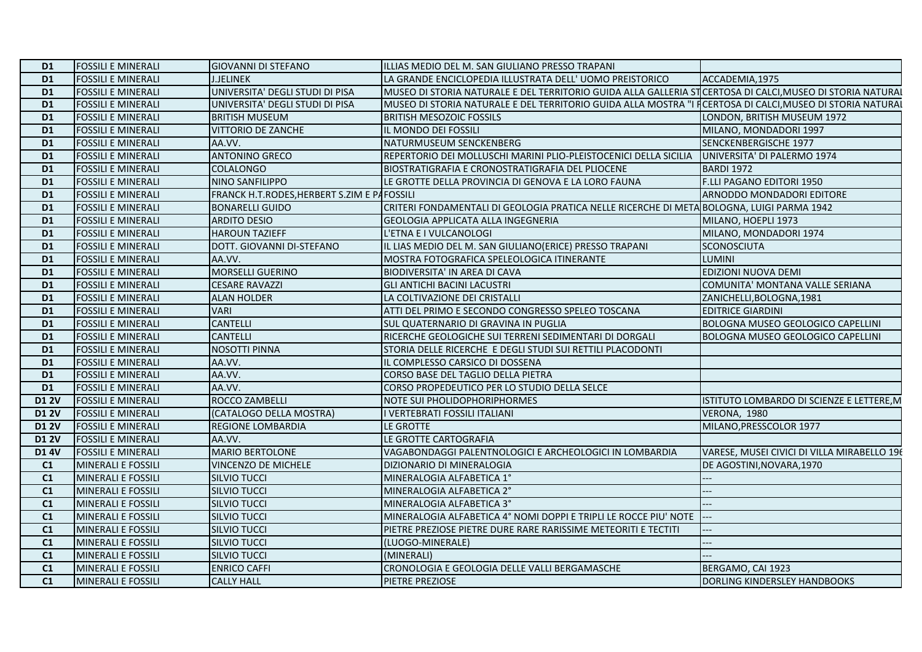| D <sub>1</sub> | <b>FOSSILI E MINERALI</b> | <b>GIOVANNI DI STEFANO</b>                  | ILLIAS MEDIO DEL M. SAN GIULIANO PRESSO TRAPANI                                                            |                                             |
|----------------|---------------------------|---------------------------------------------|------------------------------------------------------------------------------------------------------------|---------------------------------------------|
| D <sub>1</sub> | <b>FOSSILI E MINERALI</b> | <b>J.JELINEK</b>                            | LA GRANDE ENCICLOPEDIA ILLUSTRATA DELL' UOMO PREISTORICO                                                   | ACCADEMIA, 1975                             |
| D <sub>1</sub> | <b>FOSSILI E MINERALI</b> | UNIVERSITA' DEGLI STUDI DI PISA             | MUSEO DI STORIA NATURALE E DEL TERRITORIO GUIDA ALLA GALLERIA STICERTOSA DI CALCI, MUSEO DI STORIA NATURAI |                                             |
| D <sub>1</sub> | <b>FOSSILI E MINERALI</b> | UNIVERSITA' DEGLI STUDI DI PISA             | MUSEO DI STORIA NATURALE E DEL TERRITORIO GUIDA ALLA MOSTRA "I FCERTOSA DI CALCI, MUSEO DI STORIA NATURAI  |                                             |
| D <sub>1</sub> | <b>FOSSILI E MINERALI</b> | <b>BRITISH MUSEUM</b>                       | <b>BRITISH MESOZOIC FOSSILS</b>                                                                            | LONDON. BRITISH MUSEUM 1972                 |
| D <sub>1</sub> | <b>FOSSILI E MINERALI</b> | <b>VITTORIO DE ZANCHE</b>                   | IL MONDO DEI FOSSILI                                                                                       | MILANO, MONDADORI 1997                      |
| D <sub>1</sub> | <b>FOSSILI E MINERALI</b> | AA.VV.                                      | NATURMUSEUM SENCKENBERG                                                                                    | SENCKENBERGISCHE 1977                       |
| D <sub>1</sub> | <b>FOSSILI E MINERALI</b> | <b>ANTONINO GRECO</b>                       | REPERTORIO DEI MOLLUSCHI MARINI PLIO-PLEISTOCENICI DELLA SICILIA                                           | UNIVERSITA' DI PALERMO 1974                 |
| D <sub>1</sub> | <b>FOSSILI E MINERALI</b> | <b>COLALONGO</b>                            | BIOSTRATIGRAFIA E CRONOSTRATIGRAFIA DEL PLIOCENE                                                           | BARDI 1972                                  |
| D <sub>1</sub> | <b>FOSSILI E MINERALI</b> | NINO SANFILIPPO                             | LE GROTTE DELLA PROVINCIA DI GENOVA E LA LORO FAUNA                                                        | F.LLI PAGANO EDITORI 1950                   |
| <b>D1</b>      | <b>FOSSILI E MINERALI</b> | FRANCK H.T.RODES, HERBERT S.ZIM E PAFOSSILI |                                                                                                            | ARNODDO MONDADORI EDITORE                   |
| D <sub>1</sub> | <b>FOSSILI E MINERALI</b> | <b>BONARELLI GUIDO</b>                      | CRITERI FONDAMENTALI DI GEOLOGIA PRATICA NELLE RICERCHE DI META BOLOGNA, LUIGI PARMA 1942                  |                                             |
| D <sub>1</sub> | <b>FOSSILI E MINERALI</b> | <b>ARDITO DESIO</b>                         | <b>GEOLOGIA APPLICATA ALLA INGEGNERIA</b>                                                                  | MILANO, HOEPLI 1973                         |
| D <sub>1</sub> | <b>FOSSILI E MINERALI</b> | <b>HAROUN TAZIEFF</b>                       | L'ETNA E I VULCANOLOGI                                                                                     | MILANO, MONDADORI 1974                      |
| D <sub>1</sub> | <b>FOSSILI E MINERALI</b> | DOTT. GIOVANNI DI-STEFANO                   | IL LIAS MEDIO DEL M. SAN GIULIANO (ERICE) PRESSO TRAPANI                                                   | <b>SCONOSCIUTA</b>                          |
| D <sub>1</sub> | <b>FOSSILI E MINERALI</b> | AA.VV.                                      | MOSTRA FOTOGRAFICA SPELEOLOGICA ITINERANTE                                                                 | <b>LUMINI</b>                               |
| D <sub>1</sub> | <b>FOSSILI E MINERALI</b> | <b>MORSELLI GUERINO</b>                     | BIODIVERSITA' IN AREA DI CAVA                                                                              | EDIZIONI NUOVA DEMI                         |
| <b>D1</b>      | <b>FOSSILI E MINERALI</b> | <b>CESARE RAVAZZI</b>                       | <b>GLI ANTICHI BACINI LACUSTRI</b>                                                                         | COMUNITA' MONTANA VALLE SERIANA             |
| D <sub>1</sub> | <b>FOSSILI E MINERALI</b> | <b>ALAN HOLDER</b>                          | LA COLTIVAZIONE DEI CRISTALLI                                                                              | ZANICHELLI, BOLOGNA, 1981                   |
| D <sub>1</sub> | <b>FOSSILI E MINERALI</b> | <b>VARI</b>                                 | ATTI DEL PRIMO E SECONDO CONGRESSO SPELEO TOSCANA                                                          | <b>EDITRICE GIARDINI</b>                    |
| D <sub>1</sub> | <b>FOSSILI E MINERALI</b> | <b>CANTELLI</b>                             | <b>SUL QUATERNARIO DI GRAVINA IN PUGLIA</b>                                                                | <b>BOLOGNA MUSEO GEOLOGICO CAPELLINI</b>    |
| D <sub>1</sub> | <b>FOSSILI E MINERALI</b> | <b>CANTELLI</b>                             | RICERCHE GEOLOGICHE SUI TERRENI SEDIMENTARI DI DORGALI                                                     | <b>BOLOGNA MUSEO GEOLOGICO CAPELLINI</b>    |
| D <sub>1</sub> | <b>FOSSILI E MINERALI</b> | <b>NOSOTTI PINNA</b>                        | STORIA DELLE RICERCHE E DEGLI STUDI SUI RETTILI PLACODONTI                                                 |                                             |
| D <sub>1</sub> | <b>FOSSILI E MINERALI</b> | AA.VV.                                      | IL COMPLESSO CARSICO DI DOSSENA                                                                            |                                             |
| D <sub>1</sub> | <b>FOSSILI E MINERALI</b> | AA.VV.                                      | CORSO BASE DEL TAGLIO DELLA PIETRA                                                                         |                                             |
| D <sub>1</sub> | <b>FOSSILI E MINERALI</b> | AA.VV.                                      | CORSO PROPEDEUTICO PER LO STUDIO DELLA SELCE                                                               |                                             |
| <b>D1 2V</b>   | <b>FOSSILI E MINERALI</b> | <b>ROCCO ZAMBELLI</b>                       | <b>NOTE SUI PHOLIDOPHORIPHORMES</b>                                                                        | ISTITUTO LOMBARDO DI SCIENZE E LETTERE, M   |
| <b>D1 2V</b>   | <b>FOSSILI E MINERALI</b> | (CATALOGO DELLA MOSTRA)                     | I VERTEBRATI FOSSILI ITALIANI                                                                              | VERONA, 1980                                |
| <b>D1 2V</b>   | <b>FOSSILI E MINERALI</b> | <b>REGIONE LOMBARDIA</b>                    | LE GROTTE                                                                                                  | MILANO, PRESSCOLOR 1977                     |
| <b>D1 2V</b>   | <b>FOSSILI E MINERALI</b> | AA.VV.                                      | LE GROTTE CARTOGRAFIA                                                                                      |                                             |
| <b>D1 4V</b>   | <b>FOSSILI E MINERALI</b> | MARIO BERTOLONE                             | VAGABONDAGGI PALENTNOLOGICI E ARCHEOLOGICI IN LOMBARDIA                                                    | VARESE, MUSEI CIVICI DI VILLA MIRABELLO 196 |
| C1             | MINERALI E FOSSILI        | <b>VINCENZO DE MICHELE</b>                  | DIZIONARIO DI MINERALOGIA                                                                                  | DE AGOSTINI, NOVARA, 1970                   |
| C1             | <b>MINERALI E FOSSILI</b> | <b>SILVIO TUCCI</b>                         | MINERALOGIA ALFABETICA 1°                                                                                  |                                             |
| C1             | <b>MINERALI E FOSSILI</b> | <b>SILVIO TUCCI</b>                         | MINERALOGIA ALFABETICA 2°                                                                                  | --                                          |
| C <sub>1</sub> | <b>MINERALI E FOSSILI</b> | <b>SILVIO TUCCI</b>                         | MINERALOGIA ALFABETICA 3°                                                                                  |                                             |
| C <sub>1</sub> | MINERALI E FOSSILI        | <b>SILVIO TUCCI</b>                         | MINERALOGIA ALFABETICA 4° NOMI DOPPI E TRIPLI LE ROCCE PIU' NOTE                                           |                                             |
| C <sub>1</sub> | MINERALI E FOSSILI        | <b>SILVIO TUCCI</b>                         | PIETRE PREZIOSE PIETRE DURE RARE RARISSIME METEORITI E TECTITI                                             | $-$                                         |
| C1             | <b>MINERALI E FOSSILI</b> | <b>SILVIO TUCCI</b>                         | (LUOGO-MINERALE)                                                                                           |                                             |
| C1             | <b>MINERALI E FOSSILI</b> | SILVIO TUCCI                                | (MINERALI)                                                                                                 |                                             |
| C <sub>1</sub> | MINERALI E FOSSILI        | <b>ENRICO CAFFI</b>                         | CRONOLOGIA E GEOLOGIA DELLE VALLI BERGAMASCHE                                                              | BERGAMO, CAI 1923                           |
| C <sub>1</sub> | <b>MINERALI E FOSSILI</b> | <b>CALLY HALL</b>                           | <b>PIETRE PREZIOSE</b>                                                                                     | DORLING KINDERSLEY HANDBOOKS                |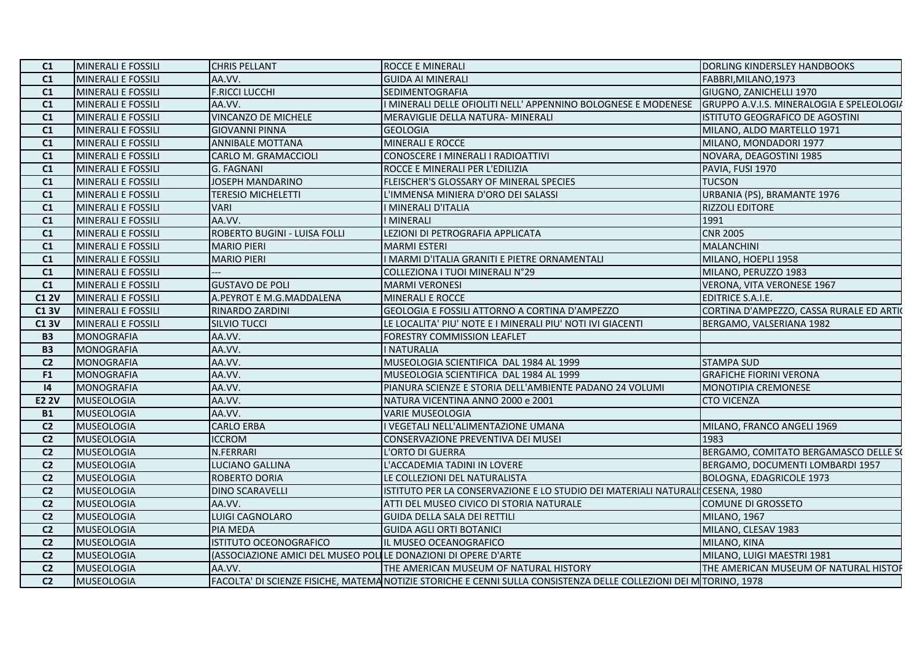| C1<br>MINERALI E FOSSILI<br>AA.VV.<br><b>GUIDA AI MINERALI</b><br>FABBRI, MILANO, 1973<br><b>F.RICCI LUCCHI</b><br>C1<br>MINERALI E FOSSILI<br><b>SEDIMENTOGRAFIA</b><br>GIUGNO, ZANICHELLI 1970<br>C1<br><b>MINERALI E FOSSILI</b><br>AA.VV.<br>I MINERALI DELLE OFIOLITI NELL' APPENNINO BOLOGNESE E MODENESE<br>GRUPPO A.V.I.S. MINERALOGIA E SPELEOLOGIA<br><b>VINCANZO DE MICHELE</b><br>C1<br>MINERALI E FOSSILI<br>ISTITUTO GEOGRAFICO DE AGOSTINI<br>MERAVIGLIE DELLA NATURA- MINERALI<br>C1<br>MINERALI E FOSSILI<br><b>GIOVANNI PINNA</b><br><b>GEOLOGIA</b><br>MILANO, ALDO MARTELLO 1971<br>MINERALI E ROCCE<br><b>MINERALI E FOSSILI</b><br><b>ANNIBALE MOTTANA</b><br>MILANO, MONDADORI 1977<br>C1<br>CONOSCERE I MINERALI I RADIOATTIVI<br>C1<br><b>MINERALI E FOSSILI</b><br>CARLO M. GRAMACCIOLI<br>NOVARA, DEAGOSTINI 1985<br>C1<br>MINERALI E FOSSILI<br>G. FAGNANI<br>ROCCE E MINERALI PER L'EDILIZIA<br>PAVIA, FUSI 1970<br>C1<br>JOSEPH MANDARINO<br><b>TUCSON</b><br>MINERALI E FOSSILI<br>FLEISCHER'S GLOSSARY OF MINERAL SPECIES<br>C1<br><b>MINERALI E FOSSILI</b><br><b>TERESIO MICHELETTI</b><br>L'IMMENSA MINIERA D'ORO DEI SALASSI<br>URBANIA (PS), BRAMANTE 1976<br><b>RIZZOLI EDITORE</b><br>C1<br><b>MINERALI E FOSSILI</b><br><b>VARI</b><br>I MINERALI D'ITALIA<br>AA.VV.<br>1991<br>C1<br>MINERALI E FOSSILI<br>I MINERALI<br><b>CNR 2005</b><br>C1<br>MINERALI E FOSSILI<br>ROBERTO BUGINI - LUISA FOLLI<br>LEZIONI DI PETROGRAFIA APPLICATA<br>MARMI ESTERI<br><b>MALANCHINI</b><br>C1<br><b>MINERALI E FOSSILI</b><br><b>MARIO PIERI</b><br>C1<br>MINERALI E FOSSILI<br><b>MARIO PIERI</b><br>I MARMI D'ITALIA GRANITI E PIETRE ORNAMENTALI<br>MILANO, HOEPLI 1958<br>C1<br>MINERALI E FOSSILI<br>COLLEZIONA I TUOI MINERALI N°29<br>MILANO, PERUZZO 1983<br><b>GUSTAVO DE POLI</b><br>C1<br>MINERALI E FOSSILI<br><b>MARMI VERONESI</b><br>VERONA, VITA VERONESE 1967<br><b>C1 2V</b><br>MINERALI E FOSSILI<br>A.PEYROT E M.G.MADDALENA<br>MINERALI E ROCCE<br><b>EDITRICE S.A.I.E.</b><br>CORTINA D'AMPEZZO, CASSA RURALE ED ARTIC<br><b>C13V</b><br>MINERALI E FOSSILI<br>RINARDO ZARDINI<br>GEOLOGIA E FOSSILI ATTORNO A CORTINA D'AMPEZZO<br>BERGAMO, VALSERIANA 1982<br><b>C13V</b><br>MINERALI E FOSSILI<br><b>SILVIO TUCCI</b><br>LE LOCALITA' PIU' NOTE E I MINERALI PIU' NOTI IVI GIACENTI<br>AA.VV.<br><b>B3</b><br><b>MONOGRAFIA</b><br><b>FORESTRY COMMISSION LEAFLET</b><br>MONOGRAFIA<br>AA.VV.<br><b>I NATURALIA</b><br><b>B3</b><br>AA.VV.<br>MUSEOLOGIA SCIENTIFICA DAL 1984 AL 1999<br>C <sub>2</sub><br>MONOGRAFIA<br><b>STAMPA SUD</b><br><b>MONOGRAFIA</b><br>AA.VV.<br>MUSEOLOGIA SCIENTIFICA DAL 1984 AL 1999<br><b>GRAFICHE FIORINI VERONA</b><br>F <sub>1</sub><br><b>MONOGRAFIA</b><br>AA.VV.<br> 4 <br>PIANURA SCIENZE E STORIA DELL'AMBIENTE PADANO 24 VOLUMI<br><b>MONOTIPIA CREMONESE</b><br>AA.VV.<br><b>E2 2V</b><br>MUSEOLOGIA<br>NATURA VICENTINA ANNO 2000 e 2001<br><b>CTO VICENZA</b><br><b>MUSEOLOGIA</b><br>AA.VV.<br><b>VARIE MUSEOLOGIA</b><br><b>B1</b><br>MUSEOLOGIA<br><b>CARLO ERBA</b><br>C <sub>2</sub><br>I VEGETALI NELL'ALIMENTAZIONE UMANA<br>MILANO, FRANCO ANGELI 1969<br>C <sub>2</sub><br><b>MUSEOLOGIA</b><br><b>ICCROM</b><br>CONSERVAZIONE PREVENTIVA DEI MUSEI<br>1983<br>C <sub>2</sub><br>MUSEOLOGIA<br>N.FERRARI<br>L'ORTO DI GUERRA<br>BERGAMO, COMITATO BERGAMASCO DELLE SO<br>C <sub>2</sub><br><b>MUSEOLOGIA</b><br>LUCIANO GALLINA<br>L'ACCADEMIA TADINI IN LOVERE<br>BERGAMO, DOCUMENTI LOMBARDI 1957<br>C <sub>2</sub><br><b>MUSEOLOGIA</b><br><b>ROBERTO DORIA</b><br>LE COLLEZIONI DEL NATURALISTA<br>BOLOGNA, EDAGRICOLE 1973<br>MUSEOLOGIA<br><b>DINO SCARAVELLI</b><br>ISTITUTO PER LA CONSERVAZIONE E LO STUDIO DEI MATERIALI NATURALI CESENA, 1980<br>C <sub>2</sub><br>AA.VV.<br>C <sub>2</sub><br>MUSEOLOGIA<br>ATTI DEL MUSEO CIVICO DI STORIA NATURALE<br><b>COMUNE DI GROSSETO</b><br>C <sub>2</sub><br><b>MUSEOLOGIA</b><br>LUIGI CAGNOLARO<br><b>GUIDA DELLA SALA DEI RETTILI</b><br><b>MILANO, 1967</b><br>C <sub>2</sub><br><b>MUSEOLOGIA</b><br><b>PIA MEDA</b><br><b>GUIDA AGLI ORTI BOTANICI</b><br>MILANO, CLESAV 1983<br>C <sub>2</sub><br>MUSEOLOGIA<br>ISTITUTO OCEONOGRAFICO<br>IL MUSEO OCEANOGRAFICO<br>MILANO, KINA<br>(ASSOCIAZIONE AMICI DEL MUSEO POLILE DONAZIONI DI OPERE D'ARTE<br>C <sub>2</sub><br>MUSEOLOGIA<br>MILANO, LUIGI MAESTRI 1981<br>AA.VV.<br>C <sub>2</sub><br><b>MUSEOLOGIA</b><br>THE AMERICAN MUSEUM OF NATURAL HISTORY<br>THE AMERICAN MUSEUM OF NATURAL HISTOR<br>C <sub>2</sub><br>MUSEOLOGIA<br>FACOLTA' DI SCIENZE FISICHE, MATEMA NOTIZIE STORICHE E CENNI SULLA CONSISTENZA DELLE COLLEZIONI DEI M TORINO, 1978 | C1 | MINERALI E FOSSILI | <b>CHRIS PELLANT</b> | <b>ROCCE E MINERALI</b> | DORLING KINDERSLEY HANDBOOKS |
|---------------------------------------------------------------------------------------------------------------------------------------------------------------------------------------------------------------------------------------------------------------------------------------------------------------------------------------------------------------------------------------------------------------------------------------------------------------------------------------------------------------------------------------------------------------------------------------------------------------------------------------------------------------------------------------------------------------------------------------------------------------------------------------------------------------------------------------------------------------------------------------------------------------------------------------------------------------------------------------------------------------------------------------------------------------------------------------------------------------------------------------------------------------------------------------------------------------------------------------------------------------------------------------------------------------------------------------------------------------------------------------------------------------------------------------------------------------------------------------------------------------------------------------------------------------------------------------------------------------------------------------------------------------------------------------------------------------------------------------------------------------------------------------------------------------------------------------------------------------------------------------------------------------------------------------------------------------------------------------------------------------------------------------------------------------------------------------------------------------------------------------------------------------------------------------------------------------------------------------------------------------------------------------------------------------------------------------------------------------------------------------------------------------------------------------------------------------------------------------------------------------------------------------------------------------------------------------------------------------------------------------------------------------------------------------------------------------------------------------------------------------------------------------------------------------------------------------------------------------------------------------------------------------------------------------------------------------------------------------------------------------------------------------------------------------------------------------------------------------------------------------------------------------------------------------------------------------------------------------------------------------------------------------------------------------------------------------------------------------------------------------------------------------------------------------------------------------------------------------------------------------------------------------------------------------------------------------------------------------------------------------------------------------------------------------------------------------------------------------------------------------------------------------------------------------------------------------------------------------------------------------------------------------------------------------------------------------------------------------------------------------------------------------------------------------------------------------------------------------------------------------------------------------------------------------------------------------------------------------------------------------------------------------------------------------------------------------------------------------------------------------------------------------------------------------------------------------------------------------------------------------------------------------------------------------------------------------------------------------------------------------------------------------------------------------|----|--------------------|----------------------|-------------------------|------------------------------|
|                                                                                                                                                                                                                                                                                                                                                                                                                                                                                                                                                                                                                                                                                                                                                                                                                                                                                                                                                                                                                                                                                                                                                                                                                                                                                                                                                                                                                                                                                                                                                                                                                                                                                                                                                                                                                                                                                                                                                                                                                                                                                                                                                                                                                                                                                                                                                                                                                                                                                                                                                                                                                                                                                                                                                                                                                                                                                                                                                                                                                                                                                                                                                                                                                                                                                                                                                                                                                                                                                                                                                                                                                                                                                                                                                                                                                                                                                                                                                                                                                                                                                                                                                                                                                                                                                                                                                                                                                                                                                                                                                                                                                                                                                       |    |                    |                      |                         |                              |
|                                                                                                                                                                                                                                                                                                                                                                                                                                                                                                                                                                                                                                                                                                                                                                                                                                                                                                                                                                                                                                                                                                                                                                                                                                                                                                                                                                                                                                                                                                                                                                                                                                                                                                                                                                                                                                                                                                                                                                                                                                                                                                                                                                                                                                                                                                                                                                                                                                                                                                                                                                                                                                                                                                                                                                                                                                                                                                                                                                                                                                                                                                                                                                                                                                                                                                                                                                                                                                                                                                                                                                                                                                                                                                                                                                                                                                                                                                                                                                                                                                                                                                                                                                                                                                                                                                                                                                                                                                                                                                                                                                                                                                                                                       |    |                    |                      |                         |                              |
|                                                                                                                                                                                                                                                                                                                                                                                                                                                                                                                                                                                                                                                                                                                                                                                                                                                                                                                                                                                                                                                                                                                                                                                                                                                                                                                                                                                                                                                                                                                                                                                                                                                                                                                                                                                                                                                                                                                                                                                                                                                                                                                                                                                                                                                                                                                                                                                                                                                                                                                                                                                                                                                                                                                                                                                                                                                                                                                                                                                                                                                                                                                                                                                                                                                                                                                                                                                                                                                                                                                                                                                                                                                                                                                                                                                                                                                                                                                                                                                                                                                                                                                                                                                                                                                                                                                                                                                                                                                                                                                                                                                                                                                                                       |    |                    |                      |                         |                              |
|                                                                                                                                                                                                                                                                                                                                                                                                                                                                                                                                                                                                                                                                                                                                                                                                                                                                                                                                                                                                                                                                                                                                                                                                                                                                                                                                                                                                                                                                                                                                                                                                                                                                                                                                                                                                                                                                                                                                                                                                                                                                                                                                                                                                                                                                                                                                                                                                                                                                                                                                                                                                                                                                                                                                                                                                                                                                                                                                                                                                                                                                                                                                                                                                                                                                                                                                                                                                                                                                                                                                                                                                                                                                                                                                                                                                                                                                                                                                                                                                                                                                                                                                                                                                                                                                                                                                                                                                                                                                                                                                                                                                                                                                                       |    |                    |                      |                         |                              |
|                                                                                                                                                                                                                                                                                                                                                                                                                                                                                                                                                                                                                                                                                                                                                                                                                                                                                                                                                                                                                                                                                                                                                                                                                                                                                                                                                                                                                                                                                                                                                                                                                                                                                                                                                                                                                                                                                                                                                                                                                                                                                                                                                                                                                                                                                                                                                                                                                                                                                                                                                                                                                                                                                                                                                                                                                                                                                                                                                                                                                                                                                                                                                                                                                                                                                                                                                                                                                                                                                                                                                                                                                                                                                                                                                                                                                                                                                                                                                                                                                                                                                                                                                                                                                                                                                                                                                                                                                                                                                                                                                                                                                                                                                       |    |                    |                      |                         |                              |
|                                                                                                                                                                                                                                                                                                                                                                                                                                                                                                                                                                                                                                                                                                                                                                                                                                                                                                                                                                                                                                                                                                                                                                                                                                                                                                                                                                                                                                                                                                                                                                                                                                                                                                                                                                                                                                                                                                                                                                                                                                                                                                                                                                                                                                                                                                                                                                                                                                                                                                                                                                                                                                                                                                                                                                                                                                                                                                                                                                                                                                                                                                                                                                                                                                                                                                                                                                                                                                                                                                                                                                                                                                                                                                                                                                                                                                                                                                                                                                                                                                                                                                                                                                                                                                                                                                                                                                                                                                                                                                                                                                                                                                                                                       |    |                    |                      |                         |                              |
|                                                                                                                                                                                                                                                                                                                                                                                                                                                                                                                                                                                                                                                                                                                                                                                                                                                                                                                                                                                                                                                                                                                                                                                                                                                                                                                                                                                                                                                                                                                                                                                                                                                                                                                                                                                                                                                                                                                                                                                                                                                                                                                                                                                                                                                                                                                                                                                                                                                                                                                                                                                                                                                                                                                                                                                                                                                                                                                                                                                                                                                                                                                                                                                                                                                                                                                                                                                                                                                                                                                                                                                                                                                                                                                                                                                                                                                                                                                                                                                                                                                                                                                                                                                                                                                                                                                                                                                                                                                                                                                                                                                                                                                                                       |    |                    |                      |                         |                              |
|                                                                                                                                                                                                                                                                                                                                                                                                                                                                                                                                                                                                                                                                                                                                                                                                                                                                                                                                                                                                                                                                                                                                                                                                                                                                                                                                                                                                                                                                                                                                                                                                                                                                                                                                                                                                                                                                                                                                                                                                                                                                                                                                                                                                                                                                                                                                                                                                                                                                                                                                                                                                                                                                                                                                                                                                                                                                                                                                                                                                                                                                                                                                                                                                                                                                                                                                                                                                                                                                                                                                                                                                                                                                                                                                                                                                                                                                                                                                                                                                                                                                                                                                                                                                                                                                                                                                                                                                                                                                                                                                                                                                                                                                                       |    |                    |                      |                         |                              |
|                                                                                                                                                                                                                                                                                                                                                                                                                                                                                                                                                                                                                                                                                                                                                                                                                                                                                                                                                                                                                                                                                                                                                                                                                                                                                                                                                                                                                                                                                                                                                                                                                                                                                                                                                                                                                                                                                                                                                                                                                                                                                                                                                                                                                                                                                                                                                                                                                                                                                                                                                                                                                                                                                                                                                                                                                                                                                                                                                                                                                                                                                                                                                                                                                                                                                                                                                                                                                                                                                                                                                                                                                                                                                                                                                                                                                                                                                                                                                                                                                                                                                                                                                                                                                                                                                                                                                                                                                                                                                                                                                                                                                                                                                       |    |                    |                      |                         |                              |
|                                                                                                                                                                                                                                                                                                                                                                                                                                                                                                                                                                                                                                                                                                                                                                                                                                                                                                                                                                                                                                                                                                                                                                                                                                                                                                                                                                                                                                                                                                                                                                                                                                                                                                                                                                                                                                                                                                                                                                                                                                                                                                                                                                                                                                                                                                                                                                                                                                                                                                                                                                                                                                                                                                                                                                                                                                                                                                                                                                                                                                                                                                                                                                                                                                                                                                                                                                                                                                                                                                                                                                                                                                                                                                                                                                                                                                                                                                                                                                                                                                                                                                                                                                                                                                                                                                                                                                                                                                                                                                                                                                                                                                                                                       |    |                    |                      |                         |                              |
|                                                                                                                                                                                                                                                                                                                                                                                                                                                                                                                                                                                                                                                                                                                                                                                                                                                                                                                                                                                                                                                                                                                                                                                                                                                                                                                                                                                                                                                                                                                                                                                                                                                                                                                                                                                                                                                                                                                                                                                                                                                                                                                                                                                                                                                                                                                                                                                                                                                                                                                                                                                                                                                                                                                                                                                                                                                                                                                                                                                                                                                                                                                                                                                                                                                                                                                                                                                                                                                                                                                                                                                                                                                                                                                                                                                                                                                                                                                                                                                                                                                                                                                                                                                                                                                                                                                                                                                                                                                                                                                                                                                                                                                                                       |    |                    |                      |                         |                              |
|                                                                                                                                                                                                                                                                                                                                                                                                                                                                                                                                                                                                                                                                                                                                                                                                                                                                                                                                                                                                                                                                                                                                                                                                                                                                                                                                                                                                                                                                                                                                                                                                                                                                                                                                                                                                                                                                                                                                                                                                                                                                                                                                                                                                                                                                                                                                                                                                                                                                                                                                                                                                                                                                                                                                                                                                                                                                                                                                                                                                                                                                                                                                                                                                                                                                                                                                                                                                                                                                                                                                                                                                                                                                                                                                                                                                                                                                                                                                                                                                                                                                                                                                                                                                                                                                                                                                                                                                                                                                                                                                                                                                                                                                                       |    |                    |                      |                         |                              |
|                                                                                                                                                                                                                                                                                                                                                                                                                                                                                                                                                                                                                                                                                                                                                                                                                                                                                                                                                                                                                                                                                                                                                                                                                                                                                                                                                                                                                                                                                                                                                                                                                                                                                                                                                                                                                                                                                                                                                                                                                                                                                                                                                                                                                                                                                                                                                                                                                                                                                                                                                                                                                                                                                                                                                                                                                                                                                                                                                                                                                                                                                                                                                                                                                                                                                                                                                                                                                                                                                                                                                                                                                                                                                                                                                                                                                                                                                                                                                                                                                                                                                                                                                                                                                                                                                                                                                                                                                                                                                                                                                                                                                                                                                       |    |                    |                      |                         |                              |
|                                                                                                                                                                                                                                                                                                                                                                                                                                                                                                                                                                                                                                                                                                                                                                                                                                                                                                                                                                                                                                                                                                                                                                                                                                                                                                                                                                                                                                                                                                                                                                                                                                                                                                                                                                                                                                                                                                                                                                                                                                                                                                                                                                                                                                                                                                                                                                                                                                                                                                                                                                                                                                                                                                                                                                                                                                                                                                                                                                                                                                                                                                                                                                                                                                                                                                                                                                                                                                                                                                                                                                                                                                                                                                                                                                                                                                                                                                                                                                                                                                                                                                                                                                                                                                                                                                                                                                                                                                                                                                                                                                                                                                                                                       |    |                    |                      |                         |                              |
|                                                                                                                                                                                                                                                                                                                                                                                                                                                                                                                                                                                                                                                                                                                                                                                                                                                                                                                                                                                                                                                                                                                                                                                                                                                                                                                                                                                                                                                                                                                                                                                                                                                                                                                                                                                                                                                                                                                                                                                                                                                                                                                                                                                                                                                                                                                                                                                                                                                                                                                                                                                                                                                                                                                                                                                                                                                                                                                                                                                                                                                                                                                                                                                                                                                                                                                                                                                                                                                                                                                                                                                                                                                                                                                                                                                                                                                                                                                                                                                                                                                                                                                                                                                                                                                                                                                                                                                                                                                                                                                                                                                                                                                                                       |    |                    |                      |                         |                              |
|                                                                                                                                                                                                                                                                                                                                                                                                                                                                                                                                                                                                                                                                                                                                                                                                                                                                                                                                                                                                                                                                                                                                                                                                                                                                                                                                                                                                                                                                                                                                                                                                                                                                                                                                                                                                                                                                                                                                                                                                                                                                                                                                                                                                                                                                                                                                                                                                                                                                                                                                                                                                                                                                                                                                                                                                                                                                                                                                                                                                                                                                                                                                                                                                                                                                                                                                                                                                                                                                                                                                                                                                                                                                                                                                                                                                                                                                                                                                                                                                                                                                                                                                                                                                                                                                                                                                                                                                                                                                                                                                                                                                                                                                                       |    |                    |                      |                         |                              |
|                                                                                                                                                                                                                                                                                                                                                                                                                                                                                                                                                                                                                                                                                                                                                                                                                                                                                                                                                                                                                                                                                                                                                                                                                                                                                                                                                                                                                                                                                                                                                                                                                                                                                                                                                                                                                                                                                                                                                                                                                                                                                                                                                                                                                                                                                                                                                                                                                                                                                                                                                                                                                                                                                                                                                                                                                                                                                                                                                                                                                                                                                                                                                                                                                                                                                                                                                                                                                                                                                                                                                                                                                                                                                                                                                                                                                                                                                                                                                                                                                                                                                                                                                                                                                                                                                                                                                                                                                                                                                                                                                                                                                                                                                       |    |                    |                      |                         |                              |
|                                                                                                                                                                                                                                                                                                                                                                                                                                                                                                                                                                                                                                                                                                                                                                                                                                                                                                                                                                                                                                                                                                                                                                                                                                                                                                                                                                                                                                                                                                                                                                                                                                                                                                                                                                                                                                                                                                                                                                                                                                                                                                                                                                                                                                                                                                                                                                                                                                                                                                                                                                                                                                                                                                                                                                                                                                                                                                                                                                                                                                                                                                                                                                                                                                                                                                                                                                                                                                                                                                                                                                                                                                                                                                                                                                                                                                                                                                                                                                                                                                                                                                                                                                                                                                                                                                                                                                                                                                                                                                                                                                                                                                                                                       |    |                    |                      |                         |                              |
|                                                                                                                                                                                                                                                                                                                                                                                                                                                                                                                                                                                                                                                                                                                                                                                                                                                                                                                                                                                                                                                                                                                                                                                                                                                                                                                                                                                                                                                                                                                                                                                                                                                                                                                                                                                                                                                                                                                                                                                                                                                                                                                                                                                                                                                                                                                                                                                                                                                                                                                                                                                                                                                                                                                                                                                                                                                                                                                                                                                                                                                                                                                                                                                                                                                                                                                                                                                                                                                                                                                                                                                                                                                                                                                                                                                                                                                                                                                                                                                                                                                                                                                                                                                                                                                                                                                                                                                                                                                                                                                                                                                                                                                                                       |    |                    |                      |                         |                              |
|                                                                                                                                                                                                                                                                                                                                                                                                                                                                                                                                                                                                                                                                                                                                                                                                                                                                                                                                                                                                                                                                                                                                                                                                                                                                                                                                                                                                                                                                                                                                                                                                                                                                                                                                                                                                                                                                                                                                                                                                                                                                                                                                                                                                                                                                                                                                                                                                                                                                                                                                                                                                                                                                                                                                                                                                                                                                                                                                                                                                                                                                                                                                                                                                                                                                                                                                                                                                                                                                                                                                                                                                                                                                                                                                                                                                                                                                                                                                                                                                                                                                                                                                                                                                                                                                                                                                                                                                                                                                                                                                                                                                                                                                                       |    |                    |                      |                         |                              |
|                                                                                                                                                                                                                                                                                                                                                                                                                                                                                                                                                                                                                                                                                                                                                                                                                                                                                                                                                                                                                                                                                                                                                                                                                                                                                                                                                                                                                                                                                                                                                                                                                                                                                                                                                                                                                                                                                                                                                                                                                                                                                                                                                                                                                                                                                                                                                                                                                                                                                                                                                                                                                                                                                                                                                                                                                                                                                                                                                                                                                                                                                                                                                                                                                                                                                                                                                                                                                                                                                                                                                                                                                                                                                                                                                                                                                                                                                                                                                                                                                                                                                                                                                                                                                                                                                                                                                                                                                                                                                                                                                                                                                                                                                       |    |                    |                      |                         |                              |
|                                                                                                                                                                                                                                                                                                                                                                                                                                                                                                                                                                                                                                                                                                                                                                                                                                                                                                                                                                                                                                                                                                                                                                                                                                                                                                                                                                                                                                                                                                                                                                                                                                                                                                                                                                                                                                                                                                                                                                                                                                                                                                                                                                                                                                                                                                                                                                                                                                                                                                                                                                                                                                                                                                                                                                                                                                                                                                                                                                                                                                                                                                                                                                                                                                                                                                                                                                                                                                                                                                                                                                                                                                                                                                                                                                                                                                                                                                                                                                                                                                                                                                                                                                                                                                                                                                                                                                                                                                                                                                                                                                                                                                                                                       |    |                    |                      |                         |                              |
|                                                                                                                                                                                                                                                                                                                                                                                                                                                                                                                                                                                                                                                                                                                                                                                                                                                                                                                                                                                                                                                                                                                                                                                                                                                                                                                                                                                                                                                                                                                                                                                                                                                                                                                                                                                                                                                                                                                                                                                                                                                                                                                                                                                                                                                                                                                                                                                                                                                                                                                                                                                                                                                                                                                                                                                                                                                                                                                                                                                                                                                                                                                                                                                                                                                                                                                                                                                                                                                                                                                                                                                                                                                                                                                                                                                                                                                                                                                                                                                                                                                                                                                                                                                                                                                                                                                                                                                                                                                                                                                                                                                                                                                                                       |    |                    |                      |                         |                              |
|                                                                                                                                                                                                                                                                                                                                                                                                                                                                                                                                                                                                                                                                                                                                                                                                                                                                                                                                                                                                                                                                                                                                                                                                                                                                                                                                                                                                                                                                                                                                                                                                                                                                                                                                                                                                                                                                                                                                                                                                                                                                                                                                                                                                                                                                                                                                                                                                                                                                                                                                                                                                                                                                                                                                                                                                                                                                                                                                                                                                                                                                                                                                                                                                                                                                                                                                                                                                                                                                                                                                                                                                                                                                                                                                                                                                                                                                                                                                                                                                                                                                                                                                                                                                                                                                                                                                                                                                                                                                                                                                                                                                                                                                                       |    |                    |                      |                         |                              |
|                                                                                                                                                                                                                                                                                                                                                                                                                                                                                                                                                                                                                                                                                                                                                                                                                                                                                                                                                                                                                                                                                                                                                                                                                                                                                                                                                                                                                                                                                                                                                                                                                                                                                                                                                                                                                                                                                                                                                                                                                                                                                                                                                                                                                                                                                                                                                                                                                                                                                                                                                                                                                                                                                                                                                                                                                                                                                                                                                                                                                                                                                                                                                                                                                                                                                                                                                                                                                                                                                                                                                                                                                                                                                                                                                                                                                                                                                                                                                                                                                                                                                                                                                                                                                                                                                                                                                                                                                                                                                                                                                                                                                                                                                       |    |                    |                      |                         |                              |
|                                                                                                                                                                                                                                                                                                                                                                                                                                                                                                                                                                                                                                                                                                                                                                                                                                                                                                                                                                                                                                                                                                                                                                                                                                                                                                                                                                                                                                                                                                                                                                                                                                                                                                                                                                                                                                                                                                                                                                                                                                                                                                                                                                                                                                                                                                                                                                                                                                                                                                                                                                                                                                                                                                                                                                                                                                                                                                                                                                                                                                                                                                                                                                                                                                                                                                                                                                                                                                                                                                                                                                                                                                                                                                                                                                                                                                                                                                                                                                                                                                                                                                                                                                                                                                                                                                                                                                                                                                                                                                                                                                                                                                                                                       |    |                    |                      |                         |                              |
|                                                                                                                                                                                                                                                                                                                                                                                                                                                                                                                                                                                                                                                                                                                                                                                                                                                                                                                                                                                                                                                                                                                                                                                                                                                                                                                                                                                                                                                                                                                                                                                                                                                                                                                                                                                                                                                                                                                                                                                                                                                                                                                                                                                                                                                                                                                                                                                                                                                                                                                                                                                                                                                                                                                                                                                                                                                                                                                                                                                                                                                                                                                                                                                                                                                                                                                                                                                                                                                                                                                                                                                                                                                                                                                                                                                                                                                                                                                                                                                                                                                                                                                                                                                                                                                                                                                                                                                                                                                                                                                                                                                                                                                                                       |    |                    |                      |                         |                              |
|                                                                                                                                                                                                                                                                                                                                                                                                                                                                                                                                                                                                                                                                                                                                                                                                                                                                                                                                                                                                                                                                                                                                                                                                                                                                                                                                                                                                                                                                                                                                                                                                                                                                                                                                                                                                                                                                                                                                                                                                                                                                                                                                                                                                                                                                                                                                                                                                                                                                                                                                                                                                                                                                                                                                                                                                                                                                                                                                                                                                                                                                                                                                                                                                                                                                                                                                                                                                                                                                                                                                                                                                                                                                                                                                                                                                                                                                                                                                                                                                                                                                                                                                                                                                                                                                                                                                                                                                                                                                                                                                                                                                                                                                                       |    |                    |                      |                         |                              |
|                                                                                                                                                                                                                                                                                                                                                                                                                                                                                                                                                                                                                                                                                                                                                                                                                                                                                                                                                                                                                                                                                                                                                                                                                                                                                                                                                                                                                                                                                                                                                                                                                                                                                                                                                                                                                                                                                                                                                                                                                                                                                                                                                                                                                                                                                                                                                                                                                                                                                                                                                                                                                                                                                                                                                                                                                                                                                                                                                                                                                                                                                                                                                                                                                                                                                                                                                                                                                                                                                                                                                                                                                                                                                                                                                                                                                                                                                                                                                                                                                                                                                                                                                                                                                                                                                                                                                                                                                                                                                                                                                                                                                                                                                       |    |                    |                      |                         |                              |
|                                                                                                                                                                                                                                                                                                                                                                                                                                                                                                                                                                                                                                                                                                                                                                                                                                                                                                                                                                                                                                                                                                                                                                                                                                                                                                                                                                                                                                                                                                                                                                                                                                                                                                                                                                                                                                                                                                                                                                                                                                                                                                                                                                                                                                                                                                                                                                                                                                                                                                                                                                                                                                                                                                                                                                                                                                                                                                                                                                                                                                                                                                                                                                                                                                                                                                                                                                                                                                                                                                                                                                                                                                                                                                                                                                                                                                                                                                                                                                                                                                                                                                                                                                                                                                                                                                                                                                                                                                                                                                                                                                                                                                                                                       |    |                    |                      |                         |                              |
|                                                                                                                                                                                                                                                                                                                                                                                                                                                                                                                                                                                                                                                                                                                                                                                                                                                                                                                                                                                                                                                                                                                                                                                                                                                                                                                                                                                                                                                                                                                                                                                                                                                                                                                                                                                                                                                                                                                                                                                                                                                                                                                                                                                                                                                                                                                                                                                                                                                                                                                                                                                                                                                                                                                                                                                                                                                                                                                                                                                                                                                                                                                                                                                                                                                                                                                                                                                                                                                                                                                                                                                                                                                                                                                                                                                                                                                                                                                                                                                                                                                                                                                                                                                                                                                                                                                                                                                                                                                                                                                                                                                                                                                                                       |    |                    |                      |                         |                              |
|                                                                                                                                                                                                                                                                                                                                                                                                                                                                                                                                                                                                                                                                                                                                                                                                                                                                                                                                                                                                                                                                                                                                                                                                                                                                                                                                                                                                                                                                                                                                                                                                                                                                                                                                                                                                                                                                                                                                                                                                                                                                                                                                                                                                                                                                                                                                                                                                                                                                                                                                                                                                                                                                                                                                                                                                                                                                                                                                                                                                                                                                                                                                                                                                                                                                                                                                                                                                                                                                                                                                                                                                                                                                                                                                                                                                                                                                                                                                                                                                                                                                                                                                                                                                                                                                                                                                                                                                                                                                                                                                                                                                                                                                                       |    |                    |                      |                         |                              |
|                                                                                                                                                                                                                                                                                                                                                                                                                                                                                                                                                                                                                                                                                                                                                                                                                                                                                                                                                                                                                                                                                                                                                                                                                                                                                                                                                                                                                                                                                                                                                                                                                                                                                                                                                                                                                                                                                                                                                                                                                                                                                                                                                                                                                                                                                                                                                                                                                                                                                                                                                                                                                                                                                                                                                                                                                                                                                                                                                                                                                                                                                                                                                                                                                                                                                                                                                                                                                                                                                                                                                                                                                                                                                                                                                                                                                                                                                                                                                                                                                                                                                                                                                                                                                                                                                                                                                                                                                                                                                                                                                                                                                                                                                       |    |                    |                      |                         |                              |
|                                                                                                                                                                                                                                                                                                                                                                                                                                                                                                                                                                                                                                                                                                                                                                                                                                                                                                                                                                                                                                                                                                                                                                                                                                                                                                                                                                                                                                                                                                                                                                                                                                                                                                                                                                                                                                                                                                                                                                                                                                                                                                                                                                                                                                                                                                                                                                                                                                                                                                                                                                                                                                                                                                                                                                                                                                                                                                                                                                                                                                                                                                                                                                                                                                                                                                                                                                                                                                                                                                                                                                                                                                                                                                                                                                                                                                                                                                                                                                                                                                                                                                                                                                                                                                                                                                                                                                                                                                                                                                                                                                                                                                                                                       |    |                    |                      |                         |                              |
|                                                                                                                                                                                                                                                                                                                                                                                                                                                                                                                                                                                                                                                                                                                                                                                                                                                                                                                                                                                                                                                                                                                                                                                                                                                                                                                                                                                                                                                                                                                                                                                                                                                                                                                                                                                                                                                                                                                                                                                                                                                                                                                                                                                                                                                                                                                                                                                                                                                                                                                                                                                                                                                                                                                                                                                                                                                                                                                                                                                                                                                                                                                                                                                                                                                                                                                                                                                                                                                                                                                                                                                                                                                                                                                                                                                                                                                                                                                                                                                                                                                                                                                                                                                                                                                                                                                                                                                                                                                                                                                                                                                                                                                                                       |    |                    |                      |                         |                              |
|                                                                                                                                                                                                                                                                                                                                                                                                                                                                                                                                                                                                                                                                                                                                                                                                                                                                                                                                                                                                                                                                                                                                                                                                                                                                                                                                                                                                                                                                                                                                                                                                                                                                                                                                                                                                                                                                                                                                                                                                                                                                                                                                                                                                                                                                                                                                                                                                                                                                                                                                                                                                                                                                                                                                                                                                                                                                                                                                                                                                                                                                                                                                                                                                                                                                                                                                                                                                                                                                                                                                                                                                                                                                                                                                                                                                                                                                                                                                                                                                                                                                                                                                                                                                                                                                                                                                                                                                                                                                                                                                                                                                                                                                                       |    |                    |                      |                         |                              |
|                                                                                                                                                                                                                                                                                                                                                                                                                                                                                                                                                                                                                                                                                                                                                                                                                                                                                                                                                                                                                                                                                                                                                                                                                                                                                                                                                                                                                                                                                                                                                                                                                                                                                                                                                                                                                                                                                                                                                                                                                                                                                                                                                                                                                                                                                                                                                                                                                                                                                                                                                                                                                                                                                                                                                                                                                                                                                                                                                                                                                                                                                                                                                                                                                                                                                                                                                                                                                                                                                                                                                                                                                                                                                                                                                                                                                                                                                                                                                                                                                                                                                                                                                                                                                                                                                                                                                                                                                                                                                                                                                                                                                                                                                       |    |                    |                      |                         |                              |
|                                                                                                                                                                                                                                                                                                                                                                                                                                                                                                                                                                                                                                                                                                                                                                                                                                                                                                                                                                                                                                                                                                                                                                                                                                                                                                                                                                                                                                                                                                                                                                                                                                                                                                                                                                                                                                                                                                                                                                                                                                                                                                                                                                                                                                                                                                                                                                                                                                                                                                                                                                                                                                                                                                                                                                                                                                                                                                                                                                                                                                                                                                                                                                                                                                                                                                                                                                                                                                                                                                                                                                                                                                                                                                                                                                                                                                                                                                                                                                                                                                                                                                                                                                                                                                                                                                                                                                                                                                                                                                                                                                                                                                                                                       |    |                    |                      |                         |                              |
|                                                                                                                                                                                                                                                                                                                                                                                                                                                                                                                                                                                                                                                                                                                                                                                                                                                                                                                                                                                                                                                                                                                                                                                                                                                                                                                                                                                                                                                                                                                                                                                                                                                                                                                                                                                                                                                                                                                                                                                                                                                                                                                                                                                                                                                                                                                                                                                                                                                                                                                                                                                                                                                                                                                                                                                                                                                                                                                                                                                                                                                                                                                                                                                                                                                                                                                                                                                                                                                                                                                                                                                                                                                                                                                                                                                                                                                                                                                                                                                                                                                                                                                                                                                                                                                                                                                                                                                                                                                                                                                                                                                                                                                                                       |    |                    |                      |                         |                              |
|                                                                                                                                                                                                                                                                                                                                                                                                                                                                                                                                                                                                                                                                                                                                                                                                                                                                                                                                                                                                                                                                                                                                                                                                                                                                                                                                                                                                                                                                                                                                                                                                                                                                                                                                                                                                                                                                                                                                                                                                                                                                                                                                                                                                                                                                                                                                                                                                                                                                                                                                                                                                                                                                                                                                                                                                                                                                                                                                                                                                                                                                                                                                                                                                                                                                                                                                                                                                                                                                                                                                                                                                                                                                                                                                                                                                                                                                                                                                                                                                                                                                                                                                                                                                                                                                                                                                                                                                                                                                                                                                                                                                                                                                                       |    |                    |                      |                         |                              |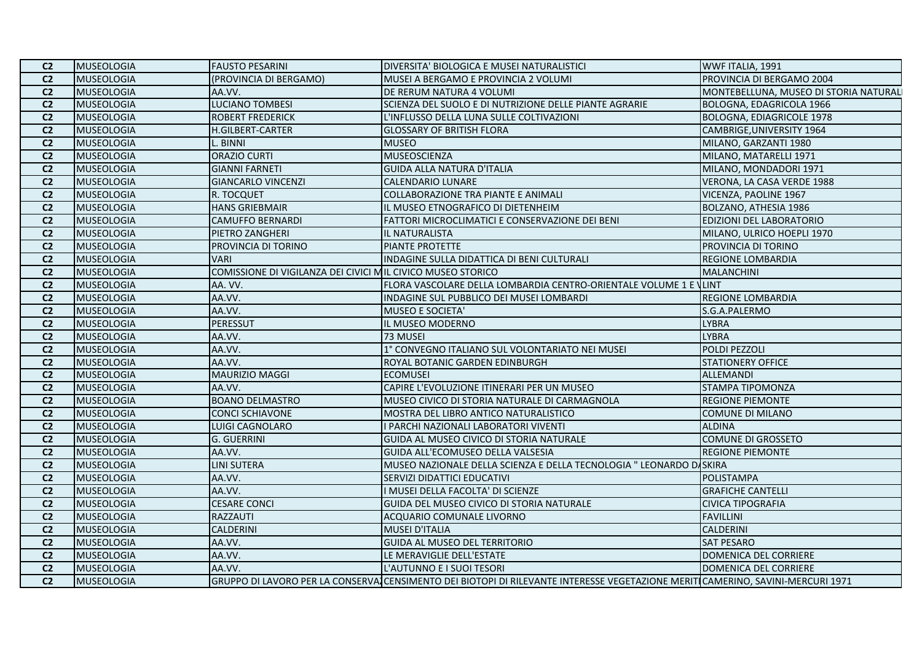| C <sub>2</sub> | <b>MUSEOLOGIA</b> | <b>FAUSTO PESARINI</b>                                      | DIVERSITA' BIOLOGICA E MUSEI NATURALISTICI                                                                                     | WWF ITALIA, 1991                       |
|----------------|-------------------|-------------------------------------------------------------|--------------------------------------------------------------------------------------------------------------------------------|----------------------------------------|
| C <sub>2</sub> | <b>MUSEOLOGIA</b> | (PROVINCIA DI BERGAMO)                                      | MUSEI A BERGAMO E PROVINCIA 2 VOLUMI                                                                                           | PROVINCIA DI BERGAMO 2004              |
| C <sub>2</sub> | <b>MUSEOLOGIA</b> | AA.VV.                                                      | DE RERUM NATURA 4 VOLUMI                                                                                                       | MONTEBELLUNA, MUSEO DI STORIA NATURALI |
| C <sub>2</sub> | <b>MUSEOLOGIA</b> | <b>LUCIANO TOMBESI</b>                                      | SCIENZA DEL SUOLO E DI NUTRIZIONE DELLE PIANTE AGRARIE                                                                         | BOLOGNA, EDAGRICOLA 1966               |
| C <sub>2</sub> | <b>MUSEOLOGIA</b> | <b>ROBERT FREDERICK</b>                                     | L'INFLUSSO DELLA LUNA SULLE COLTIVAZIONI                                                                                       | <b>BOLOGNA, EDIAGRICOLE 1978</b>       |
| C <sub>2</sub> | <b>MUSEOLOGIA</b> | H.GILBERT-CARTER                                            | <b>GLOSSARY OF BRITISH FLORA</b>                                                                                               | CAMBRIGE, UNIVERSITY 1964              |
| C <sub>2</sub> | <b>MUSEOLOGIA</b> | . BINNI                                                     | <b>MUSEO</b>                                                                                                                   | MILANO, GARZANTI 1980                  |
| C <sub>2</sub> | <b>MUSEOLOGIA</b> | <b>ORAZIO CURTI</b>                                         | MUSEOSCIENZA                                                                                                                   | MILANO, MATARELLI 1971                 |
| C <sub>2</sub> | <b>MUSEOLOGIA</b> | <b>GIANNI FARNETI</b>                                       | <b>GUIDA ALLA NATURA D'ITALIA</b>                                                                                              | MILANO, MONDADORI 1971                 |
| C <sub>2</sub> | <b>MUSEOLOGIA</b> | <b>GIANCARLO VINCENZI</b>                                   | <b>CALENDARIO LUNARE</b>                                                                                                       | VERONA, LA CASA VERDE 1988             |
| C <sub>2</sub> | <b>MUSEOLOGIA</b> | R. TOCQUET                                                  | COLLABORAZIONE TRA PIANTE E ANIMALI                                                                                            | VICENZA, PAOLINE 1967                  |
| C <sub>2</sub> | <b>MUSEOLOGIA</b> | <b>HANS GRIEBMAIR</b>                                       | IL MUSEO ETNOGRAFICO DI DIETENHEIM                                                                                             | BOLZANO, ATHESIA 1986                  |
| C <sub>2</sub> | <b>MUSEOLOGIA</b> | <b>CAMUFFO BERNARDI</b>                                     | FATTORI MICROCLIMATICI E CONSERVAZIONE DEI BENI                                                                                | EDIZIONI DEL LABORATORIO               |
| C <sub>2</sub> | <b>MUSEOLOGIA</b> | PIETRO ZANGHERI                                             | IL NATURALISTA                                                                                                                 | MILANO, ULRICO HOEPLI 1970             |
| C <sub>2</sub> | <b>MUSEOLOGIA</b> | PROVINCIA DI TORINO                                         | PIANTE PROTETTE                                                                                                                | PROVINCIA DI TORINO                    |
| C <sub>2</sub> | <b>MUSEOLOGIA</b> | <b>VARI</b>                                                 | INDAGINE SULLA DIDATTICA DI BENI CULTURALI                                                                                     | REGIONE LOMBARDIA                      |
| C <sub>2</sub> | <b>MUSEOLOGIA</b> | COMISSIONE DI VIGILANZA DEI CIVICI MIL CIVICO MUSEO STORICO |                                                                                                                                | <b>MALANCHINI</b>                      |
| C <sub>2</sub> | <b>MUSEOLOGIA</b> | AA. VV.                                                     | FLORA VASCOLARE DELLA LOMBARDIA CENTRO-ORIENTALE VOLUME 1 E VLINT                                                              |                                        |
| C <sub>2</sub> | <b>MUSEOLOGIA</b> | AA.VV.                                                      | INDAGINE SUL PUBBLICO DEI MUSEI LOMBARDI                                                                                       | <b>REGIONE LOMBARDIA</b>               |
| C <sub>2</sub> | <b>MUSEOLOGIA</b> | AA.VV.                                                      | <b>MUSEO E SOCIETA'</b>                                                                                                        | S.G.A.PALERMO                          |
| C <sub>2</sub> | <b>MUSEOLOGIA</b> | PERESSUT                                                    | IL MUSEO MODERNO                                                                                                               | <b>LYBRA</b>                           |
| C <sub>2</sub> | <b>MUSEOLOGIA</b> | AA.VV.                                                      | 73 MUSEI                                                                                                                       | <b>LYBRA</b>                           |
| C <sub>2</sub> | <b>MUSEOLOGIA</b> | AA.VV.                                                      | 1° CONVEGNO ITALIANO SUL VOLONTARIATO NEI MUSEI                                                                                | POLDI PEZZOLI                          |
| C <sub>2</sub> | <b>MUSEOLOGIA</b> | AA.VV.                                                      | ROYAL BOTANIC GARDEN EDINBURGH                                                                                                 | <b>STATIONERY OFFICE</b>               |
| C <sub>2</sub> | <b>MUSEOLOGIA</b> | MAURIZIO MAGGI                                              | <b>ECOMUSEI</b>                                                                                                                | <b>ALLEMANDI</b>                       |
| C <sub>2</sub> | <b>MUSEOLOGIA</b> | AA.VV.                                                      | CAPIRE L'EVOLUZIONE ITINERARI PER UN MUSEO                                                                                     | <b>STAMPA TIPOMONZA</b>                |
| C <sub>2</sub> | <b>MUSEOLOGIA</b> | <b>BOANO DELMASTRO</b>                                      | MUSEO CIVICO DI STORIA NATURALE DI CARMAGNOLA                                                                                  | <b>REGIONE PIEMONTE</b>                |
| C <sub>2</sub> | <b>MUSEOLOGIA</b> | <b>CONCI SCHIAVONE</b>                                      | MOSTRA DEL LIBRO ANTICO NATURALISTICO                                                                                          | <b>COMUNE DI MILANO</b>                |
| C <sub>2</sub> | <b>MUSEOLOGIA</b> | LUIGI CAGNOLARO                                             | I PARCHI NAZIONALI LABORATORI VIVENTI                                                                                          | <b>ALDINA</b>                          |
| C <sub>2</sub> | <b>MUSEOLOGIA</b> | <b>G. GUERRINI</b>                                          | GUIDA AL MUSEO CIVICO DI STORIA NATURALE                                                                                       | <b>COMUNE DI GROSSETO</b>              |
| C <sub>2</sub> | <b>MUSEOLOGIA</b> | AA.VV.                                                      | GUIDA ALL'ECOMUSEO DELLA VALSESIA                                                                                              | <b>REGIONE PIEMONTE</b>                |
| C <sub>2</sub> | <b>MUSEOLOGIA</b> | LINI SUTERA                                                 | MUSEO NAZIONALE DELLA SCIENZA E DELLA TECNOLOGIA " LEONARDO DASKIRA                                                            |                                        |
| C <sub>2</sub> | <b>MUSEOLOGIA</b> | AA.VV.                                                      | SERVIZI DIDATTICI EDUCATIVI                                                                                                    | POLISTAMPA                             |
| C <sub>2</sub> | <b>MUSEOLOGIA</b> | AA.VV.                                                      | I MUSEI DELLA FACOLTA' DI SCIENZE                                                                                              | <b>GRAFICHE CANTELLI</b>               |
| C <sub>2</sub> | <b>MUSEOLOGIA</b> | <b>CESARE CONCI</b>                                         | GUIDA DEL MUSEO CIVICO DI STORIA NATURALE                                                                                      | <b>CIVICA TIPOGRAFIA</b>               |
| C <sub>2</sub> | <b>MUSEOLOGIA</b> | <b>RAZZAUTI</b>                                             | ACQUARIO COMUNALE LIVORNO                                                                                                      | <b>FAVILLINI</b>                       |
| C <sub>2</sub> | <b>MUSEOLOGIA</b> | <b>CALDERINI</b>                                            | <b>MUSEI D'ITALIA</b>                                                                                                          | <b>CALDERINI</b>                       |
| C <sub>2</sub> | <b>MUSEOLOGIA</b> | AA.VV.                                                      | GUIDA AL MUSEO DEL TERRITORIO                                                                                                  | <b>SAT PESARO</b>                      |
| C <sub>2</sub> | <b>MUSEOLOGIA</b> | AA.VV.                                                      | LE MERAVIGLIE DELL'ESTATE                                                                                                      | DOMENICA DEL CORRIERE                  |
| C <sub>2</sub> | <b>MUSEOLOGIA</b> | AA.VV.                                                      | L'AUTUNNO E I SUOI TESORI                                                                                                      | DOMENICA DEL CORRIERE                  |
| C <sub>2</sub> | <b>MUSEOLOGIA</b> |                                                             | GRUPPO DI LAVORO PER LA CONSERVA CENSIMENTO DEI BIOTOPI DI RILEVANTE INTERESSE VEGETAZIONE MERITICAMERINO, SAVINI-MERCURI 1971 |                                        |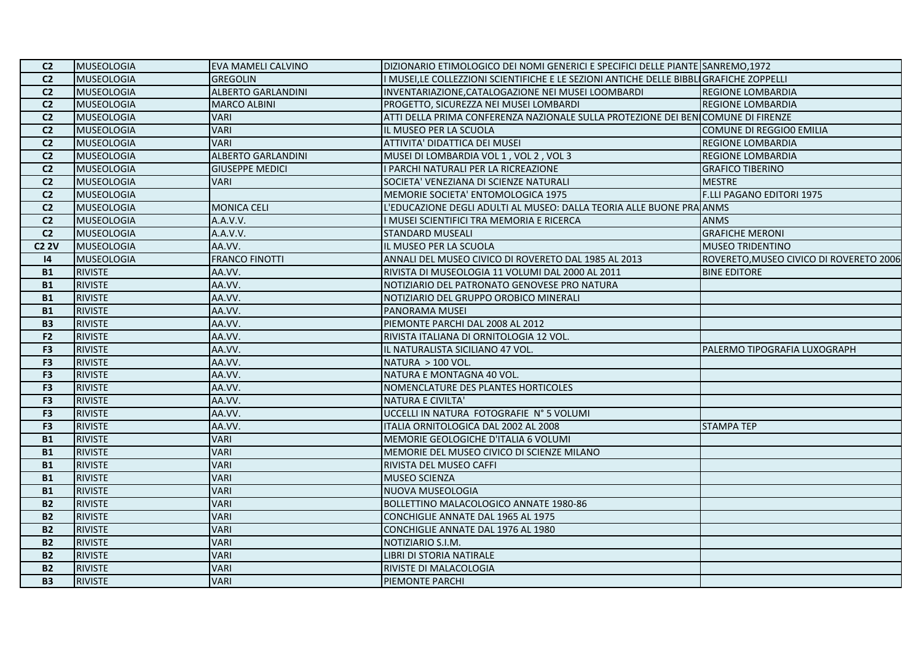| C <sub>2</sub>  | MUSEOLOGIA        | <b>EVA MAMELI CALVINO</b> | DIZIONARIO ETIMOLOGICO DEI NOMI GENERICI E SPECIFICI DELLE PIANTE SANREMO,1972         |                                         |
|-----------------|-------------------|---------------------------|----------------------------------------------------------------------------------------|-----------------------------------------|
| C <sub>2</sub>  | <b>MUSEOLOGIA</b> | <b>GREGOLIN</b>           | I MUSEI,LE COLLEZZIONI SCIENTIFICHE E LE SEZIONI ANTICHE DELLE BIBBLIGRAFICHE ZOPPELLI |                                         |
| $\overline{C2}$ | <b>MUSEOLOGIA</b> | <b>ALBERTO GARLANDINI</b> | INVENTARIAZIONE, CATALOGAZIONE NEI MUSEI LOOMBARDI                                     | <b>REGIONE LOMBARDIA</b>                |
| C <sub>2</sub>  | <b>MUSEOLOGIA</b> | <b>MARCO ALBINI</b>       | PROGETTO, SICUREZZA NEI MUSEI LOMBARDI                                                 | <b>REGIONE LOMBARDIA</b>                |
| C <sub>2</sub>  | <b>MUSEOLOGIA</b> | <b>VARI</b>               | ATTI DELLA PRIMA CONFERENZA NAZIONALE SULLA PROTEZIONE DEI BENICOMUNE DI FIRENZE       |                                         |
| C <sub>2</sub>  | <b>MUSEOLOGIA</b> | <b>VARI</b>               | IL MUSEO PER LA SCUOLA                                                                 | COMUNE DI REGGIO0 EMILIA                |
| C <sub>2</sub>  | <b>MUSEOLOGIA</b> | <b>VARI</b>               | ATTIVITA' DIDATTICA DEI MUSEI                                                          | <b>REGIONE LOMBARDIA</b>                |
| C <sub>2</sub>  | <b>MUSEOLOGIA</b> | <b>ALBERTO GARLANDINI</b> | MUSEI DI LOMBARDIA VOL 1, VOL 2, VOL 3                                                 | <b>REGIONE LOMBARDIA</b>                |
| C <sub>2</sub>  | <b>MUSEOLOGIA</b> | <b>GIUSEPPE MEDICI</b>    | I PARCHI NATURALI PER LA RICREAZIONE                                                   | <b>GRAFICO TIBERINO</b>                 |
| C <sub>2</sub>  | <b>MUSEOLOGIA</b> | <b>VARI</b>               | SOCIETA' VENEZIANA DI SCIENZE NATURALI                                                 | <b>MESTRE</b>                           |
| C <sub>2</sub>  | <b>MUSEOLOGIA</b> |                           | MEMORIE SOCIETA' ENTOMOLOGICA 1975                                                     | F.LLI PAGANO EDITORI 1975               |
| C <sub>2</sub>  | <b>MUSEOLOGIA</b> | <b>MONICA CELI</b>        | L'EDUCAZIONE DEGLI ADULTI AL MUSEO: DALLA TEORIA ALLE BUONE PRA ANMS                   |                                         |
| C <sub>2</sub>  | <b>MUSEOLOGIA</b> | A.A.V.V.                  | I MUSEI SCIENTIFICI TRA MEMORIA E RICERCA                                              | <b>ANMS</b>                             |
| C <sub>2</sub>  | <b>MUSEOLOGIA</b> | A.A.V.V.                  | <b>STANDARD MUSEALI</b>                                                                | <b>GRAFICHE MERONI</b>                  |
| <b>C2 2V</b>    | <b>MUSEOLOGIA</b> | AA.VV.                    | IL MUSEO PER LA SCUOLA                                                                 | <b>MUSEO TRIDENTINO</b>                 |
| 4               | <b>MUSEOLOGIA</b> | <b>FRANCO FINOTTI</b>     | ANNALI DEL MUSEO CIVICO DI ROVERETO DAL 1985 AL 2013                                   | ROVERETO, MUSEO CIVICO DI ROVERETO 2006 |
| <b>B1</b>       | <b>RIVISTE</b>    | AA.VV.                    | RIVISTA DI MUSEOLOGIA 11 VOLUMI DAL 2000 AL 2011                                       | <b>BINE EDITORE</b>                     |
| <b>B1</b>       | <b>RIVISTE</b>    | AA.VV.                    | NOTIZIARIO DEL PATRONATO GENOVESE PRO NATURA                                           |                                         |
| <b>B1</b>       | <b>RIVISTE</b>    | AA.VV.                    | NOTIZIARIO DEL GRUPPO OROBICO MINERALI                                                 |                                         |
| <b>B1</b>       | <b>RIVISTE</b>    | AA.VV.                    | <b>PANORAMA MUSEI</b>                                                                  |                                         |
| <b>B3</b>       | <b>RIVISTE</b>    | AA.VV.                    | PIEMONTE PARCHI DAL 2008 AL 2012                                                       |                                         |
| F2              | <b>RIVISTE</b>    | AA.VV.                    | RIVISTA ITALIANA DI ORNITOLOGIA 12 VOL.                                                |                                         |
| F <sub>3</sub>  | <b>RIVISTE</b>    | AA.VV.                    | IL NATURALISTA SICILIANO 47 VOL.                                                       | PALERMO TIPOGRAFIA LUXOGRAPH            |
| F <sub>3</sub>  | <b>RIVISTE</b>    | AA.VV.                    | NATURA > 100 VOL.                                                                      |                                         |
| F <sub>3</sub>  | <b>RIVISTE</b>    | AA.VV.                    | NATURA E MONTAGNA 40 VOL.                                                              |                                         |
| F <sub>3</sub>  | <b>RIVISTE</b>    | AA.VV.                    | NOMENCLATURE DES PLANTES HORTICOLES                                                    |                                         |
| F <sub>3</sub>  | <b>RIVISTE</b>    | AA.VV.                    | NATURA E CIVILTA'                                                                      |                                         |
| F <sub>3</sub>  | <b>RIVISTE</b>    | AA.VV.                    | UCCELLI IN NATURA FOTOGRAFIE N° 5 VOLUMI                                               |                                         |
| F <sub>3</sub>  | <b>RIVISTE</b>    | AA.VV.                    | ITALIA ORNITOLOGICA DAL 2002 AL 2008                                                   | <b>STAMPA TEP</b>                       |
| <b>B1</b>       | <b>RIVISTE</b>    | <b>VARI</b>               | MEMORIE GEOLOGICHE D'ITALIA 6 VOLUMI                                                   |                                         |
| <b>B1</b>       | <b>RIVISTE</b>    | <b>VARI</b>               | MEMORIE DEL MUSEO CIVICO DI SCIENZE MILANO                                             |                                         |
| <b>B1</b>       | <b>RIVISTE</b>    | <b>VARI</b>               | RIVISTA DEL MUSEO CAFFI                                                                |                                         |
| <b>B1</b>       | <b>RIVISTE</b>    | <b>VARI</b>               | <b>MUSEO SCIENZA</b>                                                                   |                                         |
| <b>B1</b>       | <b>RIVISTE</b>    | <b>VARI</b>               | NUOVA MUSEOLOGIA                                                                       |                                         |
| <b>B2</b>       | <b>RIVISTE</b>    | <b>VARI</b>               | BOLLETTINO MALACOLOGICO ANNATE 1980-86                                                 |                                         |
| <b>B2</b>       | <b>RIVISTE</b>    | <b>VARI</b>               | CONCHIGLIE ANNATE DAL 1965 AL 1975                                                     |                                         |
| <b>B2</b>       | <b>RIVISTE</b>    | <b>VARI</b>               | CONCHIGLIE ANNATE DAL 1976 AL 1980                                                     |                                         |
| <b>B2</b>       | <b>RIVISTE</b>    | <b>VARI</b>               | NOTIZIARIO S.I.M.                                                                      |                                         |
| <b>B2</b>       | <b>RIVISTE</b>    | <b>VARI</b>               | LIBRI DI STORIA NATIRALE                                                               |                                         |
| <b>B2</b>       | <b>RIVISTE</b>    | <b>VARI</b>               | RIVISTE DI MALACOLOGIA                                                                 |                                         |
| <b>B3</b>       | <b>RIVISTE</b>    | <b>VARI</b>               | <b>PIEMONTE PARCHI</b>                                                                 |                                         |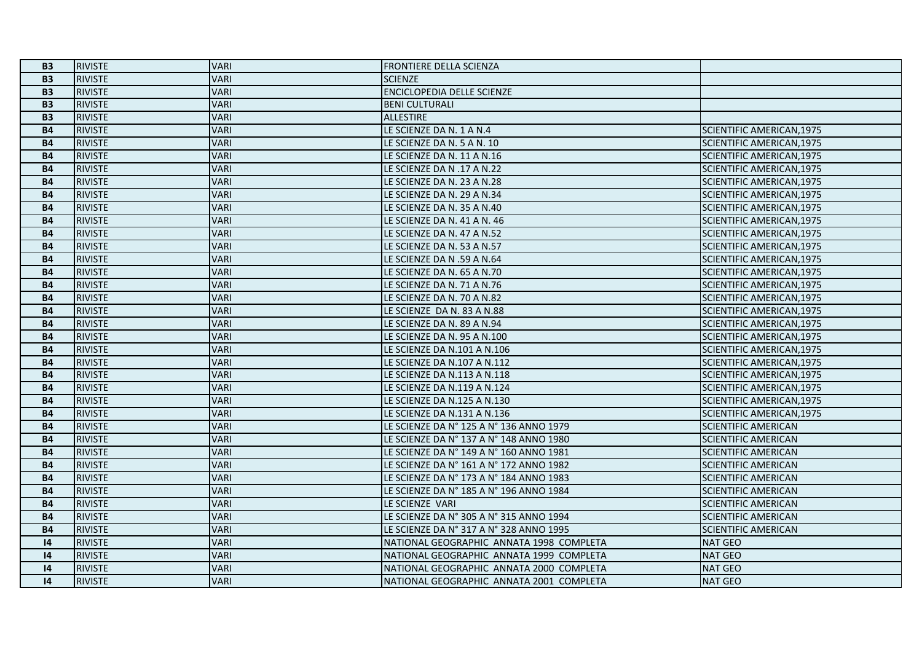| <b>B3</b> | <b>RIVISTE</b> | <b>VARI</b> | <b>FRONTIERE DELLA SCIENZA</b>           |                                  |
|-----------|----------------|-------------|------------------------------------------|----------------------------------|
| <b>B3</b> | <b>RIVISTE</b> | <b>VARI</b> | <b>SCIENZE</b>                           |                                  |
| <b>B3</b> | <b>RIVISTE</b> | <b>VARI</b> | <b>ENCICLOPEDIA DELLE SCIENZE</b>        |                                  |
| <b>B3</b> | <b>RIVISTE</b> | <b>VARI</b> | <b>BENI CULTURALI</b>                    |                                  |
| <b>B3</b> | <b>RIVISTE</b> | <b>VARI</b> | <b>ALLESTIRE</b>                         |                                  |
| <b>B4</b> | <b>RIVISTE</b> | <b>VARI</b> | LE SCIENZE DA N. 1 A N.4                 | SCIENTIFIC AMERICAN, 1975        |
| <b>B4</b> | <b>RIVISTE</b> | <b>VARI</b> | LE SCIENZE DA N. 5 A N. 10               | <b>SCIENTIFIC AMERICAN, 1975</b> |
| <b>B4</b> | <b>RIVISTE</b> | <b>VARI</b> | LE SCIENZE DA N. 11 A N.16               | SCIENTIFIC AMERICAN, 1975        |
| <b>B4</b> | <b>RIVISTE</b> | <b>VARI</b> | LE SCIENZE DA N .17 A N.22               | SCIENTIFIC AMERICAN, 1975        |
| <b>B4</b> | <b>RIVISTE</b> | <b>VARI</b> | LE SCIENZE DA N. 23 A N.28               | SCIENTIFIC AMERICAN, 1975        |
| <b>B4</b> | <b>RIVISTE</b> | <b>VARI</b> | LE SCIENZE DA N. 29 A N.34               | SCIENTIFIC AMERICAN, 1975        |
| <b>B4</b> | <b>RIVISTE</b> | <b>VARI</b> | LE SCIENZE DA N. 35 A N.40               | SCIENTIFIC AMERICAN, 1975        |
| <b>B4</b> | <b>RIVISTE</b> | <b>VARI</b> | LE SCIENZE DA N. 41 A N. 46              | SCIENTIFIC AMERICAN, 1975        |
| <b>B4</b> | <b>RIVISTE</b> | <b>VARI</b> | LE SCIENZE DA N. 47 A N.52               | SCIENTIFIC AMERICAN, 1975        |
| <b>B4</b> | <b>RIVISTE</b> | <b>VARI</b> | LE SCIENZE DA N. 53 A N.57               | <b>SCIENTIFIC AMERICAN, 1975</b> |
| <b>B4</b> | <b>RIVISTE</b> | <b>VARI</b> | LE SCIENZE DA N .59 A N.64               | SCIENTIFIC AMERICAN, 1975        |
| <b>B4</b> | <b>RIVISTE</b> | <b>VARI</b> | LE SCIENZE DA N. 65 A N.70               | SCIENTIFIC AMERICAN, 1975        |
| <b>B4</b> | <b>RIVISTE</b> | <b>VARI</b> | LE SCIENZE DA N. 71 A N.76               | <b>SCIENTIFIC AMERICAN, 1975</b> |
| <b>B4</b> | <b>RIVISTE</b> | <b>VARI</b> | LE SCIENZE DA N. 70 A N.82               | SCIENTIFIC AMERICAN, 1975        |
| <b>B4</b> | <b>RIVISTE</b> | <b>VARI</b> | LE SCIENZE DA N. 83 A N.88               | SCIENTIFIC AMERICAN, 1975        |
| <b>B4</b> | <b>RIVISTE</b> | <b>VARI</b> | LE SCIENZE DA N. 89 A N.94               | <b>SCIENTIFIC AMERICAN, 1975</b> |
| <b>B4</b> | <b>RIVISTE</b> | <b>VARI</b> | LE SCIENZE DA N. 95 A N.100              | SCIENTIFIC AMERICAN, 1975        |
| <b>B4</b> | <b>RIVISTE</b> | <b>VARI</b> | LE SCIENZE DA N.101 A N.106              | SCIENTIFIC AMERICAN, 1975        |
| <b>B4</b> | <b>RIVISTE</b> | <b>VARI</b> | LE SCIENZE DA N.107 A N.112              | <b>SCIENTIFIC AMERICAN, 1975</b> |
| <b>B4</b> | <b>RIVISTE</b> | <b>VARI</b> | LE SCIENZE DA N.113 A N.118              | SCIENTIFIC AMERICAN, 1975        |
| <b>B4</b> | <b>RIVISTE</b> | <b>VARI</b> | LE SCIENZE DA N.119 A N.124              | SCIENTIFIC AMERICAN, 1975        |
| <b>B4</b> | <b>RIVISTE</b> | <b>VARI</b> | LE SCIENZE DA N.125 A N.130              | SCIENTIFIC AMERICAN, 1975        |
| <b>B4</b> | <b>RIVISTE</b> | <b>VARI</b> | LE SCIENZE DA N.131 A N.136              | SCIENTIFIC AMERICAN, 1975        |
| <b>B4</b> | <b>RIVISTE</b> | <b>VARI</b> | LE SCIENZE DA N° 125 A N° 136 ANNO 1979  | <b>SCIENTIFIC AMERICAN</b>       |
| <b>B4</b> | <b>RIVISTE</b> | <b>VARI</b> | LE SCIENZE DA Nº 137 A Nº 148 ANNO 1980  | <b>SCIENTIFIC AMERICAN</b>       |
| <b>B4</b> | <b>RIVISTE</b> | <b>VARI</b> | LE SCIENZE DA N° 149 A N° 160 ANNO 1981  | <b>SCIENTIFIC AMERICAN</b>       |
| <b>B4</b> | <b>RIVISTE</b> | <b>VARI</b> | LE SCIENZE DA N° 161 A N° 172 ANNO 1982  | <b>SCIENTIFIC AMERICAN</b>       |
| <b>B4</b> | <b>RIVISTE</b> | <b>VARI</b> | LE SCIENZE DA N° 173 A N° 184 ANNO 1983  | <b>SCIENTIFIC AMERICAN</b>       |
| <b>B4</b> | <b>RIVISTE</b> | <b>VARI</b> | LE SCIENZE DA N° 185 A N° 196 ANNO 1984  | <b>SCIENTIFIC AMERICAN</b>       |
| <b>B4</b> | <b>RIVISTE</b> | <b>VARI</b> | LE SCIENZE VARI                          | <b>SCIENTIFIC AMERICAN</b>       |
| <b>B4</b> | <b>RIVISTE</b> | <b>VARI</b> | LE SCIENZE DA N° 305 A N° 315 ANNO 1994  | <b>SCIENTIFIC AMERICAN</b>       |
| <b>B4</b> | <b>RIVISTE</b> | <b>VARI</b> | LE SCIENZE DA Nº 317 A Nº 328 ANNO 1995  | <b>SCIENTIFIC AMERICAN</b>       |
| 4         | <b>RIVISTE</b> | <b>VARI</b> | NATIONAL GEOGRAPHIC ANNATA 1998 COMPLETA | <b>NAT GEO</b>                   |
| 4         | <b>RIVISTE</b> | <b>VARI</b> | NATIONAL GEOGRAPHIC ANNATA 1999 COMPLETA | <b>NAT GEO</b>                   |
| 4         | <b>RIVISTE</b> | <b>VARI</b> | NATIONAL GEOGRAPHIC ANNATA 2000 COMPLETA | <b>NAT GEO</b>                   |
| 4         | <b>RIVISTE</b> | <b>VARI</b> | NATIONAL GEOGRAPHIC ANNATA 2001 COMPLETA | <b>NAT GEO</b>                   |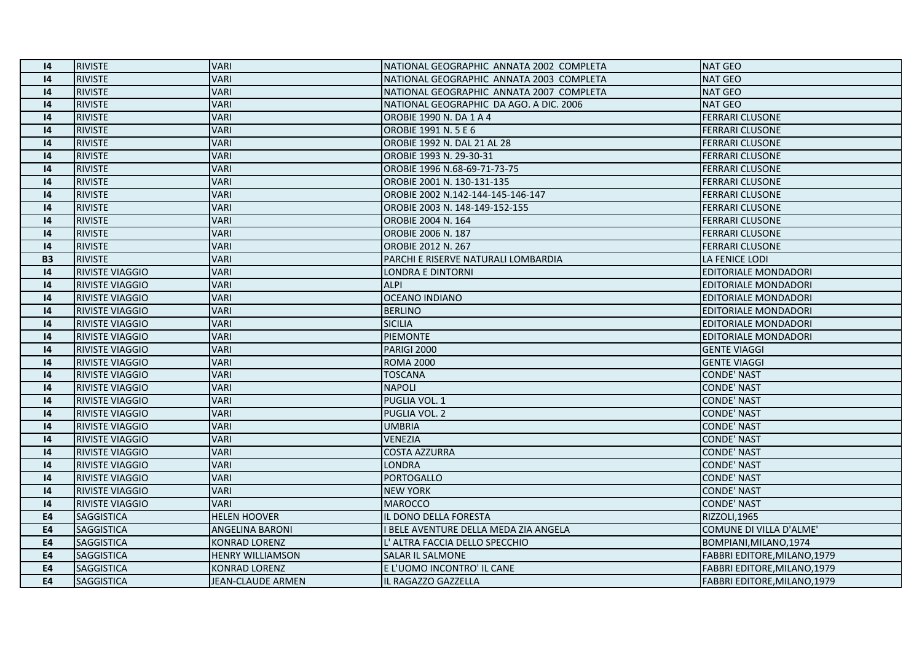| $\overline{14}$ | <b>RIVISTE</b>         | <b>VARI</b>              | NATIONAL GEOGRAPHIC ANNATA 2002 COMPLETA | <b>NAT GEO</b>               |
|-----------------|------------------------|--------------------------|------------------------------------------|------------------------------|
| 4               | <b>RIVISTE</b>         | <b>VARI</b>              | NATIONAL GEOGRAPHIC ANNATA 2003 COMPLETA | <b>NAT GEO</b>               |
| 4               | <b>RIVISTE</b>         | <b>VARI</b>              | NATIONAL GEOGRAPHIC ANNATA 2007 COMPLETA | <b>NAT GEO</b>               |
| 4               | <b>RIVISTE</b>         | <b>VARI</b>              | NATIONAL GEOGRAPHIC DA AGO. A DIC. 2006  | <b>NAT GEO</b>               |
| 4               | <b>RIVISTE</b>         | <b>VARI</b>              | OROBIE 1990 N. DA 1 A 4                  | <b>FERRARI CLUSONE</b>       |
| 4               | <b>RIVISTE</b>         | <b>VARI</b>              | OROBIE 1991 N. 5 E 6                     | <b>FERRARI CLUSONE</b>       |
| $\overline{14}$ | <b>RIVISTE</b>         | <b>VARI</b>              | OROBIE 1992 N. DAL 21 AL 28              | <b>FERRARI CLUSONE</b>       |
| 4               | <b>RIVISTE</b>         | <b>VARI</b>              | OROBIE 1993 N. 29-30-31                  | <b>FERRARI CLUSONE</b>       |
| 4               | <b>RIVISTE</b>         | <b>VARI</b>              | OROBIE 1996 N.68-69-71-73-75             | <b>FERRARI CLUSONE</b>       |
| $\overline{14}$ | <b>RIVISTE</b>         | <b>VARI</b>              | OROBIE 2001 N. 130-131-135               | <b>FERRARI CLUSONE</b>       |
| 4               | <b>RIVISTE</b>         | <b>VARI</b>              | OROBIE 2002 N.142-144-145-146-147        | <b>FERRARI CLUSONE</b>       |
| $\overline{14}$ | <b>RIVISTE</b>         | <b>VARI</b>              | OROBIE 2003 N. 148-149-152-155           | <b>FERRARI CLUSONE</b>       |
| 4               | <b>RIVISTE</b>         | <b>VARI</b>              | OROBIE 2004 N. 164                       | <b>FERRARI CLUSONE</b>       |
| 4               | <b>RIVISTE</b>         | <b>VARI</b>              | <b>OROBIE 2006 N. 187</b>                | <b>FERRARI CLUSONE</b>       |
| 4               | <b>RIVISTE</b>         | <b>VARI</b>              | <b>OROBIE 2012 N. 267</b>                | <b>FERRARI CLUSONE</b>       |
| <b>B3</b>       | <b>RIVISTE</b>         | <b>VARI</b>              | PARCHI E RISERVE NATURALI LOMBARDIA      | LA FENICE LODI               |
| 4               | <b>RIVISTE VIAGGIO</b> | <b>VARI</b>              | <b>LONDRA E DINTORNI</b>                 | EDITORIALE MONDADORI         |
| $\overline{14}$ | <b>RIVISTE VIAGGIO</b> | <b>VARI</b>              | <b>ALPI</b>                              | EDITORIALE MONDADORI         |
| 4               | <b>RIVISTE VIAGGIO</b> | <b>VARI</b>              | <b>OCEANO INDIANO</b>                    | EDITORIALE MONDADORI         |
| 4               | RIVISTE VIAGGIO        | <b>VARI</b>              | <b>BERLINO</b>                           | EDITORIALE MONDADORI         |
| $\overline{14}$ | <b>RIVISTE VIAGGIO</b> | <b>VARI</b>              | <b>SICILIA</b>                           | EDITORIALE MONDADORI         |
| 4               | <b>RIVISTE VIAGGIO</b> | <b>VARI</b>              | PIEMONTE                                 | <b>EDITORIALE MONDADORI</b>  |
| 4               | RIVISTE VIAGGIO        | <b>VARI</b>              | PARIGI 2000                              | <b>GENTE VIAGGI</b>          |
| 4               | <b>RIVISTE VIAGGIO</b> | <b>VARI</b>              | <b>ROMA 2000</b>                         | <b>GENTE VIAGGI</b>          |
| 4               | <b>RIVISTE VIAGGIO</b> | <b>VARI</b>              | <b>TOSCANA</b>                           | <b>CONDE' NAST</b>           |
| 4               | <b>RIVISTE VIAGGIO</b> | <b>VARI</b>              | <b>NAPOLI</b>                            | <b>CONDE' NAST</b>           |
| 4               | <b>RIVISTE VIAGGIO</b> | <b>VARI</b>              | PUGLIA VOL. 1                            | <b>CONDE' NAST</b>           |
| 4               | <b>RIVISTE VIAGGIO</b> | <b>VARI</b>              | PUGLIA VOL. 2                            | <b>CONDE' NAST</b>           |
| $\overline{14}$ | <b>RIVISTE VIAGGIO</b> | <b>VARI</b>              | <b>UMBRIA</b>                            | <b>CONDE' NAST</b>           |
| 4               | <b>RIVISTE VIAGGIO</b> | <b>VARI</b>              | <b>VENEZIA</b>                           | <b>CONDE' NAST</b>           |
| 4               | <b>RIVISTE VIAGGIO</b> | <b>VARI</b>              | <b>COSTA AZZURRA</b>                     | <b>CONDE' NAST</b>           |
| 4               | <b>RIVISTE VIAGGIO</b> | <b>VARI</b>              | <b>LONDRA</b>                            | <b>CONDE' NAST</b>           |
| 4               | <b>RIVISTE VIAGGIO</b> | <b>VARI</b>              | <b>PORTOGALLO</b>                        | <b>CONDE' NAST</b>           |
| 4               | RIVISTE VIAGGIO        | <b>VARI</b>              | <b>NEW YORK</b>                          | <b>CONDE' NAST</b>           |
| 4               | <b>RIVISTE VIAGGIO</b> | <b>VARI</b>              | <b>MAROCCO</b>                           | <b>CONDE' NAST</b>           |
| <b>E4</b>       | <b>SAGGISTICA</b>      | <b>HELEN HOOVER</b>      | IL DONO DELLA FORESTA                    | RIZZOLI, 1965                |
| E4              | <b>SAGGISTICA</b>      | ANGELINA BARONI          | BELE AVENTURE DELLA MEDA ZIA ANGELA      | COMUNE DI VILLA D'ALME'      |
| <b>E4</b>       | <b>SAGGISTICA</b>      | <b>KONRAD LORENZ</b>     | L' ALTRA FACCIA DELLO SPECCHIO           | BOMPIANI, MILANO, 1974       |
| E4              | <b>SAGGISTICA</b>      | <b>HENRY WILLIAMSON</b>  | SALAR IL SALMONE                         | FABBRI EDITORE, MILANO, 1979 |
| <b>E4</b>       | <b>SAGGISTICA</b>      | <b>KONRAD LORENZ</b>     | E L'UOMO INCONTRO' IL CANE               | FABBRI EDITORE, MILANO, 1979 |
| <b>E4</b>       | <b>SAGGISTICA</b>      | <b>JEAN-CLAUDE ARMEN</b> | IL RAGAZZO GAZZELLA                      | FABBRI EDITORE, MILANO, 1979 |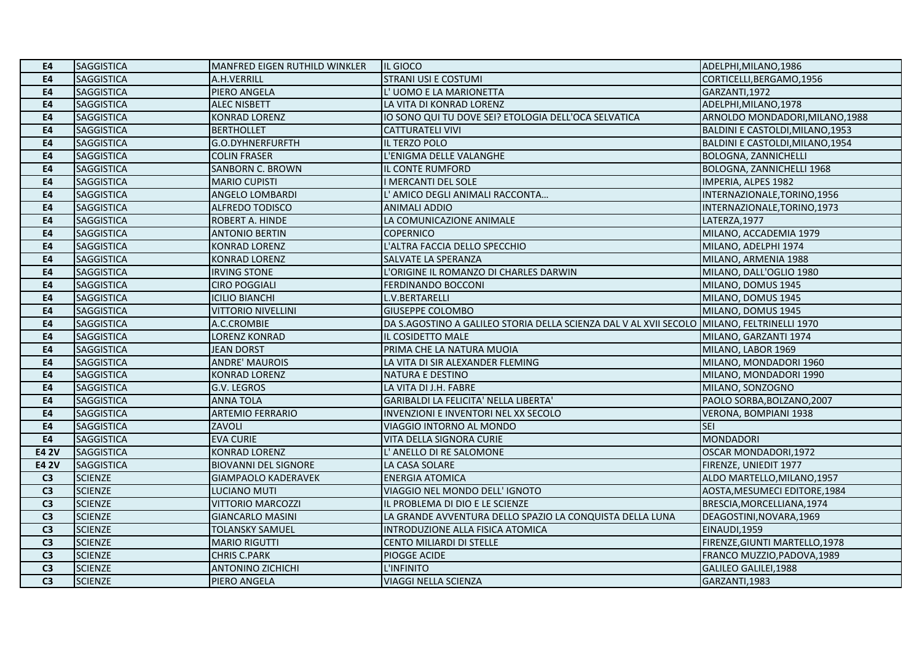| E4             | <b>SAGGISTICA</b> | MANFRED EIGEN RUTHILD WINKLER | IIL GIOCO                                                                                  | ADELPHI, MILANO, 1986            |
|----------------|-------------------|-------------------------------|--------------------------------------------------------------------------------------------|----------------------------------|
| <b>E4</b>      | <b>SAGGISTICA</b> | A.H.VERRILL                   | STRANI USI E COSTUMI                                                                       | CORTICELLI, BERGAMO, 1956        |
| <b>E4</b>      | <b>SAGGISTICA</b> | PIERO ANGELA                  | L'UOMO E LA MARIONETTA                                                                     | GARZANTI,1972                    |
| <b>E4</b>      | <b>SAGGISTICA</b> | <b>ALEC NISBETT</b>           | LA VITA DI KONRAD LORENZ                                                                   | ADELPHI, MILANO, 1978            |
| <b>E4</b>      | <b>SAGGISTICA</b> | <b>KONRAD LORENZ</b>          | IO SONO QUI TU DOVE SEI? ETOLOGIA DELL'OCA SELVATICA                                       | ARNOLDO MONDADORI, MILANO, 1988  |
| <b>E4</b>      | <b>SAGGISTICA</b> | <b>BERTHOLLET</b>             | <b>CATTURATELI VIVI</b>                                                                    | BALDINI E CASTOLDI, MILANO, 1953 |
| E <sub>4</sub> | <b>SAGGISTICA</b> | G.O.DYHNERFURFTH              | IL TERZO POLO                                                                              | BALDINI E CASTOLDI, MILANO, 1954 |
| <b>E4</b>      | <b>SAGGISTICA</b> | <b>COLIN FRASER</b>           | L'ENIGMA DELLE VALANGHE                                                                    | <b>BOLOGNA, ZANNICHELLI</b>      |
| <b>E4</b>      | <b>SAGGISTICA</b> | <b>SANBORN C. BROWN</b>       | IL CONTE RUMFORD                                                                           | <b>BOLOGNA, ZANNICHELLI 1968</b> |
| <b>E4</b>      | <b>SAGGISTICA</b> | <b>MARIO CUPISTI</b>          | I MERCANTI DEL SOLE                                                                        | IMPERIA, ALPES 1982              |
| <b>E4</b>      | <b>SAGGISTICA</b> | <b>ANGELO LOMBARDI</b>        | L' AMICO DEGLI ANIMALI RACCONTA                                                            | INTERNAZIONALE, TORINO, 1956     |
| E <sub>4</sub> | <b>SAGGISTICA</b> | ALFREDO TODISCO               | <b>ANIMALI ADDIO</b>                                                                       | INTERNAZIONALE, TORINO, 1973     |
| <b>E4</b>      | <b>SAGGISTICA</b> | ROBERT A. HINDE               | LA COMUNICAZIONE ANIMALE                                                                   | LATERZA, 1977                    |
| E4             | <b>SAGGISTICA</b> | <b>ANTONIO BERTIN</b>         | <b>COPERNICO</b>                                                                           | MILANO, ACCADEMIA 1979           |
| <b>E4</b>      | <b>SAGGISTICA</b> | <b>KONRAD LORENZ</b>          | L'ALTRA FACCIA DELLO SPECCHIO                                                              | MILANO, ADELPHI 1974             |
| <b>E4</b>      | <b>SAGGISTICA</b> | <b>KONRAD LORENZ</b>          | SALVATE LA SPERANZA                                                                        | MILANO, ARMENIA 1988             |
| <b>E4</b>      | <b>SAGGISTICA</b> | <b>IRVING STONE</b>           | L'ORIGINE IL ROMANZO DI CHARLES DARWIN                                                     | MILANO, DALL'OGLIO 1980          |
| E4             | <b>SAGGISTICA</b> | <b>CIRO POGGIALI</b>          | <b>FERDINANDO BOCCONI</b>                                                                  | MILANO, DOMUS 1945               |
| <b>E4</b>      | <b>SAGGISTICA</b> | <b>ICILIO BIANCHI</b>         | L.V.BERTARELLI                                                                             | MILANO, DOMUS 1945               |
| <b>E4</b>      | <b>SAGGISTICA</b> | <b>VITTORIO NIVELLINI</b>     | <b>GIUSEPPE COLOMBO</b>                                                                    | MILANO, DOMUS 1945               |
| <b>E4</b>      | <b>SAGGISTICA</b> | A.C.CROMBIE                   | DA S.AGOSTINO A GALILEO STORIA DELLA SCIENZA DAL V AL XVII SECOLO MILANO, FELTRINELLI 1970 |                                  |
| E4             | <b>SAGGISTICA</b> | <b>LORENZ KONRAD</b>          | IL COSIDETTO MALE                                                                          | MILANO, GARZANTI 1974            |
| <b>E4</b>      | <b>SAGGISTICA</b> | <b>JEAN DORST</b>             | PRIMA CHE LA NATURA MUOIA                                                                  | MILANO, LABOR 1969               |
| <b>E4</b>      | <b>SAGGISTICA</b> | <b>ANDRE' MAUROIS</b>         | LA VITA DI SIR ALEXANDER FLEMING                                                           | MILANO, MONDADORI 1960           |
| <b>E4</b>      | <b>SAGGISTICA</b> | <b>KONRAD LORENZ</b>          | <b>NATURA E DESTINO</b>                                                                    | MILANO, MONDADORI 1990           |
| <b>E4</b>      | <b>SAGGISTICA</b> | <b>G.V. LEGROS</b>            | LA VITA DI J.H. FABRE                                                                      | MILANO, SONZOGNO                 |
| <b>E4</b>      | <b>SAGGISTICA</b> | <b>ANNA TOLA</b>              | GARIBALDI LA FELICITA' NELLA LIBERTA'                                                      | PAOLO SORBA, BOLZANO, 2007       |
| <b>E4</b>      | <b>SAGGISTICA</b> | <b>ARTEMIO FERRARIO</b>       | INVENZIONI E INVENTORI NEL XX SECOLO                                                       | VERONA, BOMPIANI 1938            |
| <b>E4</b>      | <b>SAGGISTICA</b> | ZAVOLI                        | VIAGGIO INTORNO AL MONDO                                                                   | <b>SEI</b>                       |
| <b>E4</b>      | <b>SAGGISTICA</b> | <b>EVA CURIE</b>              | VITA DELLA SIGNORA CURIE                                                                   | <b>MONDADORI</b>                 |
| <b>E4 2V</b>   | <b>SAGGISTICA</b> | <b>KONRAD LORENZ</b>          | L' ANELLO DI RE SALOMONE                                                                   | OSCAR MONDADORI,1972             |
| <b>E4 2V</b>   | <b>SAGGISTICA</b> | <b>BIOVANNI DEL SIGNORE</b>   | LA CASA SOLARE                                                                             | FIRENZE, UNIEDIT 1977            |
| C <sub>3</sub> | <b>SCIENZE</b>    | <b>GIAMPAOLO KADERAVEK</b>    | <b>ENERGIA ATOMICA</b>                                                                     | ALDO MARTELLO, MILANO, 1957      |
| C <sub>3</sub> | <b>SCIENZE</b>    | LUCIANO MUTI                  | VIAGGIO NEL MONDO DELL' IGNOTO                                                             | AOSTA, MESUMECI EDITORE, 1984    |
| C <sub>3</sub> | <b>SCIENZE</b>    | <b>VITTORIO MARCOZZI</b>      | IL PROBLEMA DI DIO E LE SCIENZE                                                            | BRESCIA, MORCELLIANA, 1974       |
| C <sub>3</sub> | <b>SCIENZE</b>    | <b>GIANCARLO MASINI</b>       | LA GRANDE AVVENTURA DELLO SPAZIO LA CONQUISTA DELLA LUNA                                   | DEAGOSTINI, NOVARA, 1969         |
| C <sub>3</sub> | <b>SCIENZE</b>    | <b>TOLANSKY SAMUEL</b>        | INTRODUZIONE ALLA FISICA ATOMICA                                                           | EINAUDI,1959                     |
| C <sub>3</sub> | <b>SCIENZE</b>    | <b>MARIO RIGUTTI</b>          | CENTO MILIARDI DI STELLE                                                                   | FIRENZE, GIUNTI MARTELLO, 1978   |
| C <sub>3</sub> | <b>SCIENZE</b>    | <b>CHRIS C.PARK</b>           | PIOGGE ACIDE                                                                               | FRANCO MUZZIO, PADOVA, 1989      |
| C <sub>3</sub> | <b>SCIENZE</b>    | <b>ANTONINO ZICHICHI</b>      | L'INFINITO                                                                                 | GALILEO GALILEI,1988             |
| $\overline{C}$ | <b>SCIENZE</b>    | PIERO ANGELA                  | VIAGGI NELLA SCIENZA                                                                       | GARZANTI,1983                    |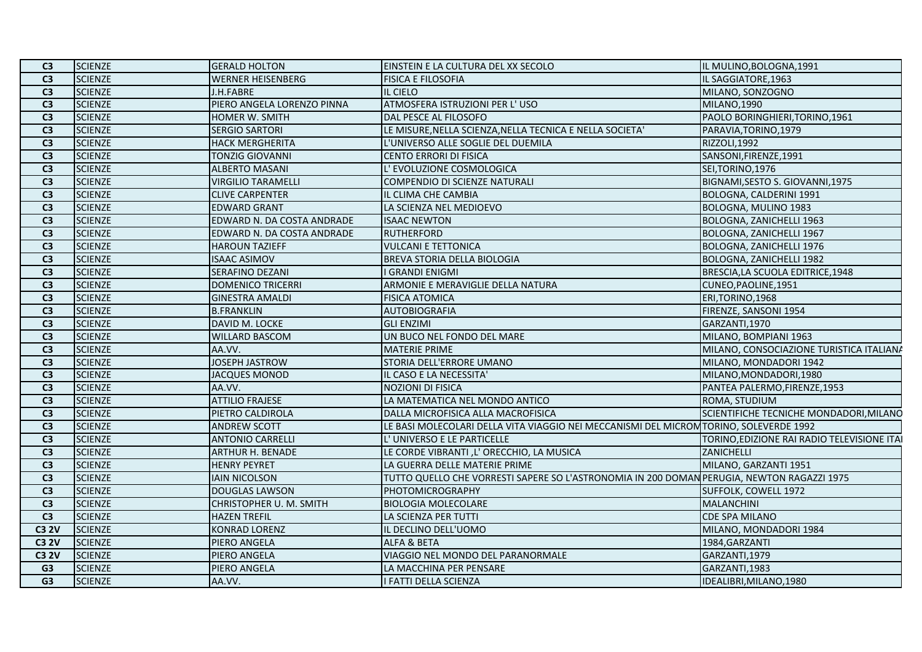| C <sub>3</sub>  | <b>SCIENZE</b> | <b>GERALD HOLTON</b>       | EINSTEIN E LA CULTURA DEL XX SECOLO                                                        | IL MULINO, BOLOGNA, 1991                    |
|-----------------|----------------|----------------------------|--------------------------------------------------------------------------------------------|---------------------------------------------|
| C <sub>3</sub>  | <b>SCIENZE</b> | <b>WERNER HEISENBERG</b>   | <b>FISICA E FILOSOFIA</b>                                                                  | IL SAGGIATORE, 1963                         |
| $\overline{C3}$ | <b>SCIENZE</b> | J.H.FABRE                  | IL CIELO                                                                                   | MILANO, SONZOGNO                            |
| C <sub>3</sub>  | <b>SCIENZE</b> | PIERO ANGELA LORENZO PINNA | ATMOSFERA ISTRUZIONI PER L'USO                                                             | <b>MILANO,1990</b>                          |
| C <sub>3</sub>  | <b>SCIENZE</b> | HOMER W. SMITH             | DAL PESCE AL FILOSOFO                                                                      | PAOLO BORINGHIERI, TORINO, 1961             |
| C3              | <b>SCIENZE</b> | <b>SERGIO SARTORI</b>      | LE MISURE, NELLA SCIENZA, NELLA TECNICA E NELLA SOCIETA'                                   | PARAVIA, TORINO, 1979                       |
| C <sub>3</sub>  | <b>SCIENZE</b> | <b>HACK MERGHERITA</b>     | L'UNIVERSO ALLE SOGLIE DEL DUEMILA                                                         | RIZZOLI, 1992                               |
| C <sub>3</sub>  | <b>SCIENZE</b> | <b>TONZIG GIOVANNI</b>     | CENTO ERRORI DI FISICA                                                                     | SANSONI, FIRENZE, 1991                      |
| C <sub>3</sub>  | <b>SCIENZE</b> | <b>ALBERTO MASANI</b>      | L' EVOLUZIONE COSMOLOGICA                                                                  | SEI, TORINO, 1976                           |
| C <sub>3</sub>  | <b>SCIENZE</b> | <b>VIRGILIO TARAMELLI</b>  | COMPENDIO DI SCIENZE NATURALI                                                              | BIGNAMI, SESTO S. GIOVANNI, 1975            |
| C3              | <b>SCIENZE</b> | <b>CLIVE CARPENTER</b>     | IL CLIMA CHE CAMBIA                                                                        | BOLOGNA, CALDERINI 1991                     |
| C <sub>3</sub>  | <b>SCIENZE</b> | <b>EDWARD GRANT</b>        | LA SCIENZA NEL MEDIOEVO                                                                    | BOLOGNA, MULINO 1983                        |
| C <sub>3</sub>  | <b>SCIENZE</b> | EDWARD N. DA COSTA ANDRADE | <b>ISAAC NEWTON</b>                                                                        | BOLOGNA, ZANICHELLI 1963                    |
| $\overline{C3}$ | <b>SCIENZE</b> | EDWARD N. DA COSTA ANDRADE | <b>RUTHERFORD</b>                                                                          | BOLOGNA, ZANICHELLI 1967                    |
| C <sub>3</sub>  | <b>SCIENZE</b> | <b>HAROUN TAZIEFF</b>      | <b>VULCANI E TETTONICA</b>                                                                 | BOLOGNA, ZANICHELLI 1976                    |
| C <sub>3</sub>  | <b>SCIENZE</b> | <b>ISAAC ASIMOV</b>        | BREVA STORIA DELLA BIOLOGIA                                                                | BOLOGNA, ZANICHELLI 1982                    |
| $\overline{C3}$ | <b>SCIENZE</b> | SERAFINO DEZANI            | I GRANDI ENIGMI                                                                            | BRESCIA, LA SCUOLA EDITRICE, 1948           |
| C <sub>3</sub>  | <b>SCIENZE</b> | <b>DOMENICO TRICERRI</b>   | ARMONIE E MERAVIGLIE DELLA NATURA                                                          | CUNEO, PAOLINE, 1951                        |
| C3              | <b>SCIENZE</b> | <b>GINESTRA AMALDI</b>     | <b>FISICA ATOMICA</b>                                                                      | ERI, TORINO, 1968                           |
| C <sub>3</sub>  | <b>SCIENZE</b> | <b>B.FRANKLIN</b>          | <b>AUTOBIOGRAFIA</b>                                                                       | FIRENZE, SANSONI 1954                       |
| C <sub>3</sub>  | <b>SCIENZE</b> | DAVID M. LOCKE             | <b>GLI ENZIMI</b>                                                                          | GARZANTI,1970                               |
| $\overline{C3}$ | <b>SCIENZE</b> | <b>WILLARD BASCOM</b>      | UN BUCO NEL FONDO DEL MARE                                                                 | MILANO, BOMPIANI 1963                       |
| C <sub>3</sub>  | <b>SCIENZE</b> | AA.VV.                     | <b>MATERIE PRIME</b>                                                                       | MILANO, CONSOCIAZIONE TURISTICA ITALIANA    |
| C <sub>3</sub>  | <b>SCIENZE</b> | <b>JOSEPH JASTROW</b>      | STORIA DELL'ERRORE UMANO                                                                   | MILANO, MONDADORI 1942                      |
| C <sub>3</sub>  | <b>SCIENZE</b> | <b>JACQUES MONOD</b>       | IL CASO E LA NECESSITA'                                                                    | MILANO, MONDADORI, 1980                     |
| C <sub>3</sub>  | <b>SCIENZE</b> | AA.VV.                     | <b>NOZIONI DI FISICA</b>                                                                   | PANTEA PALERMO, FIRENZE, 1953               |
| C <sub>3</sub>  | <b>SCIENZE</b> | <b>ATTILIO FRAJESE</b>     | LA MATEMATICA NEL MONDO ANTICO                                                             | ROMA, STUDIUM                               |
| C3              | <b>SCIENZE</b> | PIETRO CALDIROLA           | DALLA MICROFISICA ALLA MACROFISICA                                                         | SCIENTIFICHE TECNICHE MONDADORI, MILANO     |
| C <sub>3</sub>  | <b>SCIENZE</b> | <b>ANDREW SCOTT</b>        | LE BASI MOLECOLARI DELLA VITA VIAGGIO NEI MECCANISMI DEL MICROM TORINO, SOLEVERDE 1992     |                                             |
| $\overline{C}$  | <b>SCIENZE</b> | <b>ANTONIO CARRELLI</b>    | L'UNIVERSO E LE PARTICELLE                                                                 | TORINO, EDIZIONE RAI RADIO TELEVISIONE ITAL |
| C <sub>3</sub>  | <b>SCIENZE</b> | <b>ARTHUR H. BENADE</b>    | LE CORDE VIBRANTI, L'ORECCHIO, LA MUSICA                                                   | ZANICHELLI                                  |
| C <sub>3</sub>  | <b>SCIENZE</b> | <b>HENRY PEYRET</b>        | LA GUERRA DELLE MATERIE PRIME                                                              | MILANO, GARZANTI 1951                       |
| C3              | <b>SCIENZE</b> | <b>IAIN NICOLSON</b>       | TUTTO QUELLO CHE VORRESTI SAPERE SO L'ASTRONOMIA IN 200 DOMAN PERUGIA, NEWTON RAGAZZI 1975 |                                             |
| C <sub>3</sub>  | <b>SCIENZE</b> | <b>DOUGLAS LAWSON</b>      | PHOTOMICROGRAPHY                                                                           | SUFFOLK, COWELL 1972                        |
| C <sub>3</sub>  | <b>SCIENZE</b> | CHRISTOPHER U. M. SMITH    | <b>BIOLOGIA MOLECOLARE</b>                                                                 | <b>MALANCHINI</b>                           |
| C <sub>3</sub>  | <b>SCIENZE</b> | <b>HAZEN TREFIL</b>        | LA SCIENZA PER TUTTI                                                                       | <b>CDE SPA MILANO</b>                       |
| <b>C3 2V</b>    | <b>SCIENZE</b> | <b>KONRAD LORENZ</b>       | IL DECLINO DELL'UOMO                                                                       | MILANO, MONDADORI 1984                      |
| <b>C3 2V</b>    | <b>SCIENZE</b> | PIERO ANGELA               | ALFA & BETA                                                                                | 1984, GARZANTI                              |
| <b>C3 2V</b>    | <b>SCIENZE</b> | PIERO ANGELA               | VIAGGIO NEL MONDO DEL PARANORMALE                                                          | GARZANTI,1979                               |
| G <sub>3</sub>  | <b>SCIENZE</b> | PIERO ANGELA               | LA MACCHINA PER PENSARE                                                                    | GARZANTI,1983                               |
| $\overline{G}$  | <b>SCIENZE</b> | AA.VV.                     | I FATTI DELLA SCIENZA                                                                      | IDEALIBRI, MILANO, 1980                     |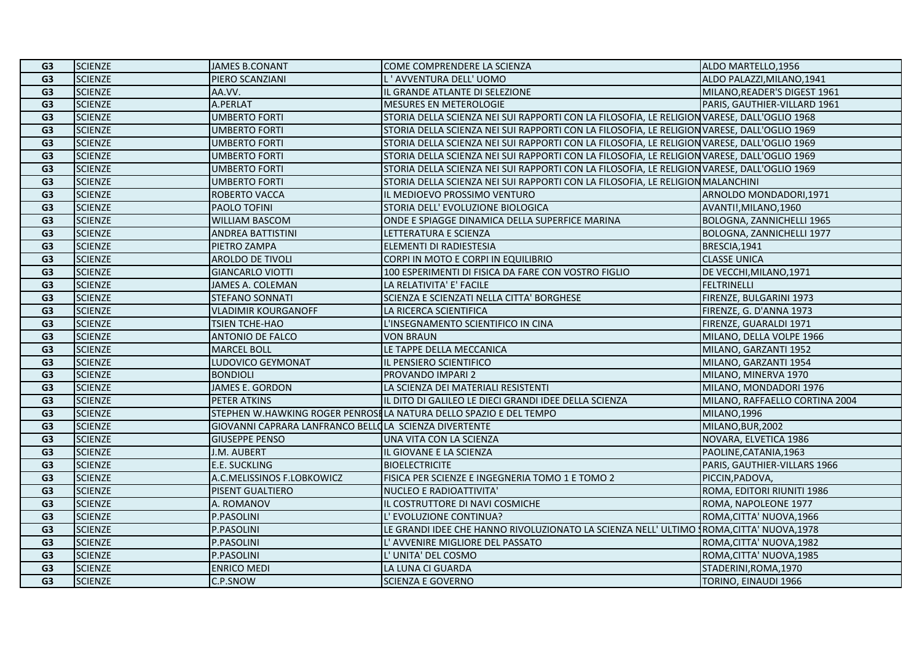| G <sub>3</sub><br><b>SCIENZE</b><br>PIERO SCANZIANI<br>L'AVVENTURA DELL'UOMO<br>ALDO PALAZZI, MILANO, 1941<br><b>SCIENZE</b><br>G <sub>3</sub><br>AA.VV.<br>L GRANDE ATLANTE DI SELEZIONE<br>MILANO, READER'S DIGEST 1961<br>G <sub>3</sub><br><b>SCIENZE</b><br>A.PERLAT<br><b>MESURES EN METEROLOGIE</b><br>PARIS, GAUTHIER-VILLARD 1961<br>G <sub>3</sub><br><b>SCIENZE</b><br><b>UMBERTO FORTI</b><br>STORIA DELLA SCIENZA NEI SUI RAPPORTI CON LA FILOSOFIA, LE RELIGION VARESE, DALL'OGLIO 1968<br><b>SCIENZE</b><br><b>UMBERTO FORTI</b><br>STORIA DELLA SCIENZA NEI SUI RAPPORTI CON LA FILOSOFIA, LE RELIGION VARESE, DALL'OGLIO 1969<br>G <sub>3</sub><br><b>SCIENZE</b><br><b>UMBERTO FORTI</b><br>STORIA DELLA SCIENZA NEI SUI RAPPORTI CON LA FILOSOFIA, LE RELIGION VARESE, DALL'OGLIO 1969<br>G <sub>3</sub><br><b>SCIENZE</b><br>STORIA DELLA SCIENZA NEI SUI RAPPORTI CON LA FILOSOFIA, LE RELIGION VARESE, DALL'OGLIO 1969<br>G <sub>3</sub><br><b>UMBERTO FORTI</b><br><b>SCIENZE</b><br>G <sub>3</sub><br><b>UMBERTO FORTI</b><br>STORIA DELLA SCIENZA NEI SUI RAPPORTI CON LA FILOSOFIA, LE RELIGION VARESE, DALL'OGLIO 1969<br><b>SCIENZE</b><br>G <sub>3</sub><br><b>UMBERTO FORTI</b><br>STORIA DELLA SCIENZA NEI SUI RAPPORTI CON LA FILOSOFIA, LE RELIGION MALANCHINI<br><b>SCIENZE</b><br>ROBERTO VACCA<br>IL MEDIOEVO PROSSIMO VENTURO<br>ARNOLDO MONDADORI, 1971<br>G <sub>3</sub><br><b>SCIENZE</b><br>PAOLO TOFINI<br>G <sub>3</sub><br>STORIA DELL' EVOLUZIONE BIOLOGICA<br>AVANTI!, MILANO, 1960<br><b>SCIENZE</b><br>G <sub>3</sub><br><b>WILLIAM BASCOM</b><br>ONDE E SPIAGGE DINAMICA DELLA SUPERFICE MARINA<br>BOLOGNA, ZANNICHELLI 1965<br>G <sub>3</sub><br><b>SCIENZE</b><br><b>ANDREA BATTISTINI</b><br>LETTERATURA E SCIENZA<br><b>BOLOGNA, ZANNICHELLI 1977</b><br>G3<br><b>SCIENZE</b><br>ELEMENTI DI RADIESTESIA<br>BRESCIA, 1941<br>PIETRO ZAMPA<br><b>SCIENZE</b><br><b>CLASSE UNICA</b><br>G <sub>3</sub><br><b>AROLDO DE TIVOLI</b><br>CORPI IN MOTO E CORPI IN EQUILIBRIO<br><b>SCIENZE</b><br>G <sub>3</sub><br><b>GIANCARLO VIOTTI</b><br>100 ESPERIMENTI DI FISICA DA FARE CON VOSTRO FIGLIO<br>DE VECCHI, MILANO, 1971<br><b>SCIENZE</b><br>JAMES A. COLEMAN<br>G <sub>3</sub><br>LA RELATIVITA' E' FACILE<br><b>FELTRINELLI</b><br><b>SCIENZE</b><br>SCIENZA E SCIENZATI NELLA CITTA' BORGHESE<br>FIRENZE, BULGARINI 1973<br>G <sub>3</sub><br><b>STEFANO SONNATI</b><br>G <sub>3</sub><br><b>SCIENZE</b><br><b>VLADIMIR KOURGANOFF</b><br>LA RICERCA SCIENTIFICA<br>FIRENZE, G. D'ANNA 1973<br><b>SCIENZE</b><br>G <sub>3</sub><br><b>TSIEN TCHE-HAO</b><br>L'INSEGNAMENTO SCIENTIFICO IN CINA<br>FIRENZE, GUARALDI 1971<br><b>SCIENZE</b><br><b>ANTONIO DE FALCO</b><br><b>VON BRAUN</b><br>MILANO, DELLA VOLPE 1966<br>G <sub>3</sub><br><b>SCIENZE</b><br>LE TAPPE DELLA MECCANICA<br>G <sub>3</sub><br><b>MARCEL BOLL</b><br>MILANO, GARZANTI 1952<br><b>SCIENZE</b><br>G <sub>3</sub><br>LUDOVICO GEYMONAT<br>IL PENSIERO SCIENTIFICO<br>MILANO, GARZANTI 1954<br>G <sub>3</sub><br><b>SCIENZE</b><br><b>BONDIOLI</b><br><b>PROVANDO IMPARI 2</b><br>MILANO, MINERVA 1970<br><b>SCIENZE</b><br>G <sub>3</sub><br>JAMES E. GORDON<br>LA SCIENZA DEI MATERIALI RESISTENTI<br>MILANO, MONDADORI 1976<br><b>SCIENZE</b><br>G <sub>3</sub><br>PETER ATKINS<br>IL DITO DI GALILEO LE DIECI GRANDI IDEE DELLA SCIENZA<br>MILANO, RAFFAELLO CORTINA 2004<br>G <sub>3</sub><br><b>SCIENZE</b><br>STEPHEN W.HAWKING ROGER PENROSILA NATURA DELLO SPAZIO E DEL TEMPO<br>MILANO,1996<br><b>SCIENZE</b><br>G <sub>3</sub><br>GIOVANNI CAPRARA LANFRANCO BELLO LA SCIENZA DIVERTENTE<br>MILANO, BUR, 2002<br>G <sub>3</sub><br><b>SCIENZE</b><br><b>GIUSEPPE PENSO</b><br>UNA VITA CON LA SCIENZA<br>NOVARA, ELVETICA 1986<br><b>SCIENZE</b><br>G <sub>3</sub><br>IL GIOVANE E LA SCIENZA<br>J.M. AUBERT<br>PAOLINE, CATANIA, 1963<br><b>SCIENZE</b><br>E.E. SUCKLING<br>PARIS, GAUTHIER-VILLARS 1966<br>G <sub>3</sub><br><b>BIOELECTRICITE</b><br><b>SCIENZE</b><br>A.C.MELISSINOS F.LOBKOWICZ<br>G <sub>3</sub><br>FISICA PER SCIENZE E INGEGNERIA TOMO 1 E TOMO 2<br>PICCIN, PADOVA,<br><b>SCIENZE</b><br>ROMA, EDITORI RIUNITI 1986<br>G <sub>3</sub><br>PISENT GUALTIERO<br><b>NUCLEO E RADIOATTIVITA'</b><br><b>SCIENZE</b><br>G <sub>3</sub><br>A. ROMANOV<br>L COSTRUTTORE DI NAVI COSMICHE<br>ROMA, NAPOLEONE 1977<br>G <sub>3</sub><br><b>SCIENZE</b><br>P.PASOLINI<br>L' EVOLUZIONE CONTINUA?<br>ROMA, CITTA' NUOVA, 1966<br><b>SCIENZE</b><br>P.PASOLINI<br>G <sub>3</sub><br>LE GRANDI IDEE CHE HANNO RIVOLUZIONATO LA SCIENZA NELL'ULTIMO (ROMA, CITTA' NUOVA, 1978<br><b>SCIENZE</b><br>P.PASOLINI<br>G <sub>3</sub><br>L' AVVENIRE MIGLIORE DEL PASSATO<br>ROMA, CITTA' NUOVA, 1982<br>G <sub>3</sub><br><b>SCIENZE</b><br>P.PASOLINI<br>L' UNITA' DEL COSMO<br>ROMA, CITTA' NUOVA, 1985<br>G <sub>3</sub><br><b>SCIENZE</b><br><b>ENRICO MEDI</b><br>LA LUNA CI GUARDA<br>STADERINI, ROMA, 1970<br>G <sub>3</sub><br><b>SCIENZE</b><br>C.P.SNOW<br><b>SCIENZA E GOVERNO</b><br>TORINO, EINAUDI 1966 | G <sub>3</sub> | <b>SCIENZE</b> | <b>JAMES B.CONANT</b> | COME COMPRENDERE LA SCIENZA | ALDO MARTELLO, 1956 |
|----------------------------------------------------------------------------------------------------------------------------------------------------------------------------------------------------------------------------------------------------------------------------------------------------------------------------------------------------------------------------------------------------------------------------------------------------------------------------------------------------------------------------------------------------------------------------------------------------------------------------------------------------------------------------------------------------------------------------------------------------------------------------------------------------------------------------------------------------------------------------------------------------------------------------------------------------------------------------------------------------------------------------------------------------------------------------------------------------------------------------------------------------------------------------------------------------------------------------------------------------------------------------------------------------------------------------------------------------------------------------------------------------------------------------------------------------------------------------------------------------------------------------------------------------------------------------------------------------------------------------------------------------------------------------------------------------------------------------------------------------------------------------------------------------------------------------------------------------------------------------------------------------------------------------------------------------------------------------------------------------------------------------------------------------------------------------------------------------------------------------------------------------------------------------------------------------------------------------------------------------------------------------------------------------------------------------------------------------------------------------------------------------------------------------------------------------------------------------------------------------------------------------------------------------------------------------------------------------------------------------------------------------------------------------------------------------------------------------------------------------------------------------------------------------------------------------------------------------------------------------------------------------------------------------------------------------------------------------------------------------------------------------------------------------------------------------------------------------------------------------------------------------------------------------------------------------------------------------------------------------------------------------------------------------------------------------------------------------------------------------------------------------------------------------------------------------------------------------------------------------------------------------------------------------------------------------------------------------------------------------------------------------------------------------------------------------------------------------------------------------------------------------------------------------------------------------------------------------------------------------------------------------------------------------------------------------------------------------------------------------------------------------------------------------------------------------------------------------------------------------------------------------------------------------------------------------------------------------------------------------------------------------------------------------------------------------------------------------------------------------------------------------------------------------------------------------------------------------------------------------------------------------------------------------------------------------------------------------------------------------------------------------------------------------------------------------------------------------------------------------------------------------------------------------------------------------------------------------------------------------------------------------------------------------------------------------------------------------------------------------------------------------------------------------------------------|----------------|----------------|-----------------------|-----------------------------|---------------------|
|                                                                                                                                                                                                                                                                                                                                                                                                                                                                                                                                                                                                                                                                                                                                                                                                                                                                                                                                                                                                                                                                                                                                                                                                                                                                                                                                                                                                                                                                                                                                                                                                                                                                                                                                                                                                                                                                                                                                                                                                                                                                                                                                                                                                                                                                                                                                                                                                                                                                                                                                                                                                                                                                                                                                                                                                                                                                                                                                                                                                                                                                                                                                                                                                                                                                                                                                                                                                                                                                                                                                                                                                                                                                                                                                                                                                                                                                                                                                                                                                                                                                                                                                                                                                                                                                                                                                                                                                                                                                                                                                                                                                                                                                                                                                                                                                                                                                                                                                                                                                                                                                      |                |                |                       |                             |                     |
|                                                                                                                                                                                                                                                                                                                                                                                                                                                                                                                                                                                                                                                                                                                                                                                                                                                                                                                                                                                                                                                                                                                                                                                                                                                                                                                                                                                                                                                                                                                                                                                                                                                                                                                                                                                                                                                                                                                                                                                                                                                                                                                                                                                                                                                                                                                                                                                                                                                                                                                                                                                                                                                                                                                                                                                                                                                                                                                                                                                                                                                                                                                                                                                                                                                                                                                                                                                                                                                                                                                                                                                                                                                                                                                                                                                                                                                                                                                                                                                                                                                                                                                                                                                                                                                                                                                                                                                                                                                                                                                                                                                                                                                                                                                                                                                                                                                                                                                                                                                                                                                                      |                |                |                       |                             |                     |
|                                                                                                                                                                                                                                                                                                                                                                                                                                                                                                                                                                                                                                                                                                                                                                                                                                                                                                                                                                                                                                                                                                                                                                                                                                                                                                                                                                                                                                                                                                                                                                                                                                                                                                                                                                                                                                                                                                                                                                                                                                                                                                                                                                                                                                                                                                                                                                                                                                                                                                                                                                                                                                                                                                                                                                                                                                                                                                                                                                                                                                                                                                                                                                                                                                                                                                                                                                                                                                                                                                                                                                                                                                                                                                                                                                                                                                                                                                                                                                                                                                                                                                                                                                                                                                                                                                                                                                                                                                                                                                                                                                                                                                                                                                                                                                                                                                                                                                                                                                                                                                                                      |                |                |                       |                             |                     |
|                                                                                                                                                                                                                                                                                                                                                                                                                                                                                                                                                                                                                                                                                                                                                                                                                                                                                                                                                                                                                                                                                                                                                                                                                                                                                                                                                                                                                                                                                                                                                                                                                                                                                                                                                                                                                                                                                                                                                                                                                                                                                                                                                                                                                                                                                                                                                                                                                                                                                                                                                                                                                                                                                                                                                                                                                                                                                                                                                                                                                                                                                                                                                                                                                                                                                                                                                                                                                                                                                                                                                                                                                                                                                                                                                                                                                                                                                                                                                                                                                                                                                                                                                                                                                                                                                                                                                                                                                                                                                                                                                                                                                                                                                                                                                                                                                                                                                                                                                                                                                                                                      |                |                |                       |                             |                     |
|                                                                                                                                                                                                                                                                                                                                                                                                                                                                                                                                                                                                                                                                                                                                                                                                                                                                                                                                                                                                                                                                                                                                                                                                                                                                                                                                                                                                                                                                                                                                                                                                                                                                                                                                                                                                                                                                                                                                                                                                                                                                                                                                                                                                                                                                                                                                                                                                                                                                                                                                                                                                                                                                                                                                                                                                                                                                                                                                                                                                                                                                                                                                                                                                                                                                                                                                                                                                                                                                                                                                                                                                                                                                                                                                                                                                                                                                                                                                                                                                                                                                                                                                                                                                                                                                                                                                                                                                                                                                                                                                                                                                                                                                                                                                                                                                                                                                                                                                                                                                                                                                      |                |                |                       |                             |                     |
|                                                                                                                                                                                                                                                                                                                                                                                                                                                                                                                                                                                                                                                                                                                                                                                                                                                                                                                                                                                                                                                                                                                                                                                                                                                                                                                                                                                                                                                                                                                                                                                                                                                                                                                                                                                                                                                                                                                                                                                                                                                                                                                                                                                                                                                                                                                                                                                                                                                                                                                                                                                                                                                                                                                                                                                                                                                                                                                                                                                                                                                                                                                                                                                                                                                                                                                                                                                                                                                                                                                                                                                                                                                                                                                                                                                                                                                                                                                                                                                                                                                                                                                                                                                                                                                                                                                                                                                                                                                                                                                                                                                                                                                                                                                                                                                                                                                                                                                                                                                                                                                                      |                |                |                       |                             |                     |
|                                                                                                                                                                                                                                                                                                                                                                                                                                                                                                                                                                                                                                                                                                                                                                                                                                                                                                                                                                                                                                                                                                                                                                                                                                                                                                                                                                                                                                                                                                                                                                                                                                                                                                                                                                                                                                                                                                                                                                                                                                                                                                                                                                                                                                                                                                                                                                                                                                                                                                                                                                                                                                                                                                                                                                                                                                                                                                                                                                                                                                                                                                                                                                                                                                                                                                                                                                                                                                                                                                                                                                                                                                                                                                                                                                                                                                                                                                                                                                                                                                                                                                                                                                                                                                                                                                                                                                                                                                                                                                                                                                                                                                                                                                                                                                                                                                                                                                                                                                                                                                                                      |                |                |                       |                             |                     |
|                                                                                                                                                                                                                                                                                                                                                                                                                                                                                                                                                                                                                                                                                                                                                                                                                                                                                                                                                                                                                                                                                                                                                                                                                                                                                                                                                                                                                                                                                                                                                                                                                                                                                                                                                                                                                                                                                                                                                                                                                                                                                                                                                                                                                                                                                                                                                                                                                                                                                                                                                                                                                                                                                                                                                                                                                                                                                                                                                                                                                                                                                                                                                                                                                                                                                                                                                                                                                                                                                                                                                                                                                                                                                                                                                                                                                                                                                                                                                                                                                                                                                                                                                                                                                                                                                                                                                                                                                                                                                                                                                                                                                                                                                                                                                                                                                                                                                                                                                                                                                                                                      |                |                |                       |                             |                     |
|                                                                                                                                                                                                                                                                                                                                                                                                                                                                                                                                                                                                                                                                                                                                                                                                                                                                                                                                                                                                                                                                                                                                                                                                                                                                                                                                                                                                                                                                                                                                                                                                                                                                                                                                                                                                                                                                                                                                                                                                                                                                                                                                                                                                                                                                                                                                                                                                                                                                                                                                                                                                                                                                                                                                                                                                                                                                                                                                                                                                                                                                                                                                                                                                                                                                                                                                                                                                                                                                                                                                                                                                                                                                                                                                                                                                                                                                                                                                                                                                                                                                                                                                                                                                                                                                                                                                                                                                                                                                                                                                                                                                                                                                                                                                                                                                                                                                                                                                                                                                                                                                      |                |                |                       |                             |                     |
|                                                                                                                                                                                                                                                                                                                                                                                                                                                                                                                                                                                                                                                                                                                                                                                                                                                                                                                                                                                                                                                                                                                                                                                                                                                                                                                                                                                                                                                                                                                                                                                                                                                                                                                                                                                                                                                                                                                                                                                                                                                                                                                                                                                                                                                                                                                                                                                                                                                                                                                                                                                                                                                                                                                                                                                                                                                                                                                                                                                                                                                                                                                                                                                                                                                                                                                                                                                                                                                                                                                                                                                                                                                                                                                                                                                                                                                                                                                                                                                                                                                                                                                                                                                                                                                                                                                                                                                                                                                                                                                                                                                                                                                                                                                                                                                                                                                                                                                                                                                                                                                                      |                |                |                       |                             |                     |
|                                                                                                                                                                                                                                                                                                                                                                                                                                                                                                                                                                                                                                                                                                                                                                                                                                                                                                                                                                                                                                                                                                                                                                                                                                                                                                                                                                                                                                                                                                                                                                                                                                                                                                                                                                                                                                                                                                                                                                                                                                                                                                                                                                                                                                                                                                                                                                                                                                                                                                                                                                                                                                                                                                                                                                                                                                                                                                                                                                                                                                                                                                                                                                                                                                                                                                                                                                                                                                                                                                                                                                                                                                                                                                                                                                                                                                                                                                                                                                                                                                                                                                                                                                                                                                                                                                                                                                                                                                                                                                                                                                                                                                                                                                                                                                                                                                                                                                                                                                                                                                                                      |                |                |                       |                             |                     |
|                                                                                                                                                                                                                                                                                                                                                                                                                                                                                                                                                                                                                                                                                                                                                                                                                                                                                                                                                                                                                                                                                                                                                                                                                                                                                                                                                                                                                                                                                                                                                                                                                                                                                                                                                                                                                                                                                                                                                                                                                                                                                                                                                                                                                                                                                                                                                                                                                                                                                                                                                                                                                                                                                                                                                                                                                                                                                                                                                                                                                                                                                                                                                                                                                                                                                                                                                                                                                                                                                                                                                                                                                                                                                                                                                                                                                                                                                                                                                                                                                                                                                                                                                                                                                                                                                                                                                                                                                                                                                                                                                                                                                                                                                                                                                                                                                                                                                                                                                                                                                                                                      |                |                |                       |                             |                     |
|                                                                                                                                                                                                                                                                                                                                                                                                                                                                                                                                                                                                                                                                                                                                                                                                                                                                                                                                                                                                                                                                                                                                                                                                                                                                                                                                                                                                                                                                                                                                                                                                                                                                                                                                                                                                                                                                                                                                                                                                                                                                                                                                                                                                                                                                                                                                                                                                                                                                                                                                                                                                                                                                                                                                                                                                                                                                                                                                                                                                                                                                                                                                                                                                                                                                                                                                                                                                                                                                                                                                                                                                                                                                                                                                                                                                                                                                                                                                                                                                                                                                                                                                                                                                                                                                                                                                                                                                                                                                                                                                                                                                                                                                                                                                                                                                                                                                                                                                                                                                                                                                      |                |                |                       |                             |                     |
|                                                                                                                                                                                                                                                                                                                                                                                                                                                                                                                                                                                                                                                                                                                                                                                                                                                                                                                                                                                                                                                                                                                                                                                                                                                                                                                                                                                                                                                                                                                                                                                                                                                                                                                                                                                                                                                                                                                                                                                                                                                                                                                                                                                                                                                                                                                                                                                                                                                                                                                                                                                                                                                                                                                                                                                                                                                                                                                                                                                                                                                                                                                                                                                                                                                                                                                                                                                                                                                                                                                                                                                                                                                                                                                                                                                                                                                                                                                                                                                                                                                                                                                                                                                                                                                                                                                                                                                                                                                                                                                                                                                                                                                                                                                                                                                                                                                                                                                                                                                                                                                                      |                |                |                       |                             |                     |
|                                                                                                                                                                                                                                                                                                                                                                                                                                                                                                                                                                                                                                                                                                                                                                                                                                                                                                                                                                                                                                                                                                                                                                                                                                                                                                                                                                                                                                                                                                                                                                                                                                                                                                                                                                                                                                                                                                                                                                                                                                                                                                                                                                                                                                                                                                                                                                                                                                                                                                                                                                                                                                                                                                                                                                                                                                                                                                                                                                                                                                                                                                                                                                                                                                                                                                                                                                                                                                                                                                                                                                                                                                                                                                                                                                                                                                                                                                                                                                                                                                                                                                                                                                                                                                                                                                                                                                                                                                                                                                                                                                                                                                                                                                                                                                                                                                                                                                                                                                                                                                                                      |                |                |                       |                             |                     |
|                                                                                                                                                                                                                                                                                                                                                                                                                                                                                                                                                                                                                                                                                                                                                                                                                                                                                                                                                                                                                                                                                                                                                                                                                                                                                                                                                                                                                                                                                                                                                                                                                                                                                                                                                                                                                                                                                                                                                                                                                                                                                                                                                                                                                                                                                                                                                                                                                                                                                                                                                                                                                                                                                                                                                                                                                                                                                                                                                                                                                                                                                                                                                                                                                                                                                                                                                                                                                                                                                                                                                                                                                                                                                                                                                                                                                                                                                                                                                                                                                                                                                                                                                                                                                                                                                                                                                                                                                                                                                                                                                                                                                                                                                                                                                                                                                                                                                                                                                                                                                                                                      |                |                |                       |                             |                     |
|                                                                                                                                                                                                                                                                                                                                                                                                                                                                                                                                                                                                                                                                                                                                                                                                                                                                                                                                                                                                                                                                                                                                                                                                                                                                                                                                                                                                                                                                                                                                                                                                                                                                                                                                                                                                                                                                                                                                                                                                                                                                                                                                                                                                                                                                                                                                                                                                                                                                                                                                                                                                                                                                                                                                                                                                                                                                                                                                                                                                                                                                                                                                                                                                                                                                                                                                                                                                                                                                                                                                                                                                                                                                                                                                                                                                                                                                                                                                                                                                                                                                                                                                                                                                                                                                                                                                                                                                                                                                                                                                                                                                                                                                                                                                                                                                                                                                                                                                                                                                                                                                      |                |                |                       |                             |                     |
|                                                                                                                                                                                                                                                                                                                                                                                                                                                                                                                                                                                                                                                                                                                                                                                                                                                                                                                                                                                                                                                                                                                                                                                                                                                                                                                                                                                                                                                                                                                                                                                                                                                                                                                                                                                                                                                                                                                                                                                                                                                                                                                                                                                                                                                                                                                                                                                                                                                                                                                                                                                                                                                                                                                                                                                                                                                                                                                                                                                                                                                                                                                                                                                                                                                                                                                                                                                                                                                                                                                                                                                                                                                                                                                                                                                                                                                                                                                                                                                                                                                                                                                                                                                                                                                                                                                                                                                                                                                                                                                                                                                                                                                                                                                                                                                                                                                                                                                                                                                                                                                                      |                |                |                       |                             |                     |
|                                                                                                                                                                                                                                                                                                                                                                                                                                                                                                                                                                                                                                                                                                                                                                                                                                                                                                                                                                                                                                                                                                                                                                                                                                                                                                                                                                                                                                                                                                                                                                                                                                                                                                                                                                                                                                                                                                                                                                                                                                                                                                                                                                                                                                                                                                                                                                                                                                                                                                                                                                                                                                                                                                                                                                                                                                                                                                                                                                                                                                                                                                                                                                                                                                                                                                                                                                                                                                                                                                                                                                                                                                                                                                                                                                                                                                                                                                                                                                                                                                                                                                                                                                                                                                                                                                                                                                                                                                                                                                                                                                                                                                                                                                                                                                                                                                                                                                                                                                                                                                                                      |                |                |                       |                             |                     |
|                                                                                                                                                                                                                                                                                                                                                                                                                                                                                                                                                                                                                                                                                                                                                                                                                                                                                                                                                                                                                                                                                                                                                                                                                                                                                                                                                                                                                                                                                                                                                                                                                                                                                                                                                                                                                                                                                                                                                                                                                                                                                                                                                                                                                                                                                                                                                                                                                                                                                                                                                                                                                                                                                                                                                                                                                                                                                                                                                                                                                                                                                                                                                                                                                                                                                                                                                                                                                                                                                                                                                                                                                                                                                                                                                                                                                                                                                                                                                                                                                                                                                                                                                                                                                                                                                                                                                                                                                                                                                                                                                                                                                                                                                                                                                                                                                                                                                                                                                                                                                                                                      |                |                |                       |                             |                     |
|                                                                                                                                                                                                                                                                                                                                                                                                                                                                                                                                                                                                                                                                                                                                                                                                                                                                                                                                                                                                                                                                                                                                                                                                                                                                                                                                                                                                                                                                                                                                                                                                                                                                                                                                                                                                                                                                                                                                                                                                                                                                                                                                                                                                                                                                                                                                                                                                                                                                                                                                                                                                                                                                                                                                                                                                                                                                                                                                                                                                                                                                                                                                                                                                                                                                                                                                                                                                                                                                                                                                                                                                                                                                                                                                                                                                                                                                                                                                                                                                                                                                                                                                                                                                                                                                                                                                                                                                                                                                                                                                                                                                                                                                                                                                                                                                                                                                                                                                                                                                                                                                      |                |                |                       |                             |                     |
|                                                                                                                                                                                                                                                                                                                                                                                                                                                                                                                                                                                                                                                                                                                                                                                                                                                                                                                                                                                                                                                                                                                                                                                                                                                                                                                                                                                                                                                                                                                                                                                                                                                                                                                                                                                                                                                                                                                                                                                                                                                                                                                                                                                                                                                                                                                                                                                                                                                                                                                                                                                                                                                                                                                                                                                                                                                                                                                                                                                                                                                                                                                                                                                                                                                                                                                                                                                                                                                                                                                                                                                                                                                                                                                                                                                                                                                                                                                                                                                                                                                                                                                                                                                                                                                                                                                                                                                                                                                                                                                                                                                                                                                                                                                                                                                                                                                                                                                                                                                                                                                                      |                |                |                       |                             |                     |
|                                                                                                                                                                                                                                                                                                                                                                                                                                                                                                                                                                                                                                                                                                                                                                                                                                                                                                                                                                                                                                                                                                                                                                                                                                                                                                                                                                                                                                                                                                                                                                                                                                                                                                                                                                                                                                                                                                                                                                                                                                                                                                                                                                                                                                                                                                                                                                                                                                                                                                                                                                                                                                                                                                                                                                                                                                                                                                                                                                                                                                                                                                                                                                                                                                                                                                                                                                                                                                                                                                                                                                                                                                                                                                                                                                                                                                                                                                                                                                                                                                                                                                                                                                                                                                                                                                                                                                                                                                                                                                                                                                                                                                                                                                                                                                                                                                                                                                                                                                                                                                                                      |                |                |                       |                             |                     |
|                                                                                                                                                                                                                                                                                                                                                                                                                                                                                                                                                                                                                                                                                                                                                                                                                                                                                                                                                                                                                                                                                                                                                                                                                                                                                                                                                                                                                                                                                                                                                                                                                                                                                                                                                                                                                                                                                                                                                                                                                                                                                                                                                                                                                                                                                                                                                                                                                                                                                                                                                                                                                                                                                                                                                                                                                                                                                                                                                                                                                                                                                                                                                                                                                                                                                                                                                                                                                                                                                                                                                                                                                                                                                                                                                                                                                                                                                                                                                                                                                                                                                                                                                                                                                                                                                                                                                                                                                                                                                                                                                                                                                                                                                                                                                                                                                                                                                                                                                                                                                                                                      |                |                |                       |                             |                     |
|                                                                                                                                                                                                                                                                                                                                                                                                                                                                                                                                                                                                                                                                                                                                                                                                                                                                                                                                                                                                                                                                                                                                                                                                                                                                                                                                                                                                                                                                                                                                                                                                                                                                                                                                                                                                                                                                                                                                                                                                                                                                                                                                                                                                                                                                                                                                                                                                                                                                                                                                                                                                                                                                                                                                                                                                                                                                                                                                                                                                                                                                                                                                                                                                                                                                                                                                                                                                                                                                                                                                                                                                                                                                                                                                                                                                                                                                                                                                                                                                                                                                                                                                                                                                                                                                                                                                                                                                                                                                                                                                                                                                                                                                                                                                                                                                                                                                                                                                                                                                                                                                      |                |                |                       |                             |                     |
|                                                                                                                                                                                                                                                                                                                                                                                                                                                                                                                                                                                                                                                                                                                                                                                                                                                                                                                                                                                                                                                                                                                                                                                                                                                                                                                                                                                                                                                                                                                                                                                                                                                                                                                                                                                                                                                                                                                                                                                                                                                                                                                                                                                                                                                                                                                                                                                                                                                                                                                                                                                                                                                                                                                                                                                                                                                                                                                                                                                                                                                                                                                                                                                                                                                                                                                                                                                                                                                                                                                                                                                                                                                                                                                                                                                                                                                                                                                                                                                                                                                                                                                                                                                                                                                                                                                                                                                                                                                                                                                                                                                                                                                                                                                                                                                                                                                                                                                                                                                                                                                                      |                |                |                       |                             |                     |
|                                                                                                                                                                                                                                                                                                                                                                                                                                                                                                                                                                                                                                                                                                                                                                                                                                                                                                                                                                                                                                                                                                                                                                                                                                                                                                                                                                                                                                                                                                                                                                                                                                                                                                                                                                                                                                                                                                                                                                                                                                                                                                                                                                                                                                                                                                                                                                                                                                                                                                                                                                                                                                                                                                                                                                                                                                                                                                                                                                                                                                                                                                                                                                                                                                                                                                                                                                                                                                                                                                                                                                                                                                                                                                                                                                                                                                                                                                                                                                                                                                                                                                                                                                                                                                                                                                                                                                                                                                                                                                                                                                                                                                                                                                                                                                                                                                                                                                                                                                                                                                                                      |                |                |                       |                             |                     |
|                                                                                                                                                                                                                                                                                                                                                                                                                                                                                                                                                                                                                                                                                                                                                                                                                                                                                                                                                                                                                                                                                                                                                                                                                                                                                                                                                                                                                                                                                                                                                                                                                                                                                                                                                                                                                                                                                                                                                                                                                                                                                                                                                                                                                                                                                                                                                                                                                                                                                                                                                                                                                                                                                                                                                                                                                                                                                                                                                                                                                                                                                                                                                                                                                                                                                                                                                                                                                                                                                                                                                                                                                                                                                                                                                                                                                                                                                                                                                                                                                                                                                                                                                                                                                                                                                                                                                                                                                                                                                                                                                                                                                                                                                                                                                                                                                                                                                                                                                                                                                                                                      |                |                |                       |                             |                     |
|                                                                                                                                                                                                                                                                                                                                                                                                                                                                                                                                                                                                                                                                                                                                                                                                                                                                                                                                                                                                                                                                                                                                                                                                                                                                                                                                                                                                                                                                                                                                                                                                                                                                                                                                                                                                                                                                                                                                                                                                                                                                                                                                                                                                                                                                                                                                                                                                                                                                                                                                                                                                                                                                                                                                                                                                                                                                                                                                                                                                                                                                                                                                                                                                                                                                                                                                                                                                                                                                                                                                                                                                                                                                                                                                                                                                                                                                                                                                                                                                                                                                                                                                                                                                                                                                                                                                                                                                                                                                                                                                                                                                                                                                                                                                                                                                                                                                                                                                                                                                                                                                      |                |                |                       |                             |                     |
|                                                                                                                                                                                                                                                                                                                                                                                                                                                                                                                                                                                                                                                                                                                                                                                                                                                                                                                                                                                                                                                                                                                                                                                                                                                                                                                                                                                                                                                                                                                                                                                                                                                                                                                                                                                                                                                                                                                                                                                                                                                                                                                                                                                                                                                                                                                                                                                                                                                                                                                                                                                                                                                                                                                                                                                                                                                                                                                                                                                                                                                                                                                                                                                                                                                                                                                                                                                                                                                                                                                                                                                                                                                                                                                                                                                                                                                                                                                                                                                                                                                                                                                                                                                                                                                                                                                                                                                                                                                                                                                                                                                                                                                                                                                                                                                                                                                                                                                                                                                                                                                                      |                |                |                       |                             |                     |
|                                                                                                                                                                                                                                                                                                                                                                                                                                                                                                                                                                                                                                                                                                                                                                                                                                                                                                                                                                                                                                                                                                                                                                                                                                                                                                                                                                                                                                                                                                                                                                                                                                                                                                                                                                                                                                                                                                                                                                                                                                                                                                                                                                                                                                                                                                                                                                                                                                                                                                                                                                                                                                                                                                                                                                                                                                                                                                                                                                                                                                                                                                                                                                                                                                                                                                                                                                                                                                                                                                                                                                                                                                                                                                                                                                                                                                                                                                                                                                                                                                                                                                                                                                                                                                                                                                                                                                                                                                                                                                                                                                                                                                                                                                                                                                                                                                                                                                                                                                                                                                                                      |                |                |                       |                             |                     |
|                                                                                                                                                                                                                                                                                                                                                                                                                                                                                                                                                                                                                                                                                                                                                                                                                                                                                                                                                                                                                                                                                                                                                                                                                                                                                                                                                                                                                                                                                                                                                                                                                                                                                                                                                                                                                                                                                                                                                                                                                                                                                                                                                                                                                                                                                                                                                                                                                                                                                                                                                                                                                                                                                                                                                                                                                                                                                                                                                                                                                                                                                                                                                                                                                                                                                                                                                                                                                                                                                                                                                                                                                                                                                                                                                                                                                                                                                                                                                                                                                                                                                                                                                                                                                                                                                                                                                                                                                                                                                                                                                                                                                                                                                                                                                                                                                                                                                                                                                                                                                                                                      |                |                |                       |                             |                     |
|                                                                                                                                                                                                                                                                                                                                                                                                                                                                                                                                                                                                                                                                                                                                                                                                                                                                                                                                                                                                                                                                                                                                                                                                                                                                                                                                                                                                                                                                                                                                                                                                                                                                                                                                                                                                                                                                                                                                                                                                                                                                                                                                                                                                                                                                                                                                                                                                                                                                                                                                                                                                                                                                                                                                                                                                                                                                                                                                                                                                                                                                                                                                                                                                                                                                                                                                                                                                                                                                                                                                                                                                                                                                                                                                                                                                                                                                                                                                                                                                                                                                                                                                                                                                                                                                                                                                                                                                                                                                                                                                                                                                                                                                                                                                                                                                                                                                                                                                                                                                                                                                      |                |                |                       |                             |                     |
|                                                                                                                                                                                                                                                                                                                                                                                                                                                                                                                                                                                                                                                                                                                                                                                                                                                                                                                                                                                                                                                                                                                                                                                                                                                                                                                                                                                                                                                                                                                                                                                                                                                                                                                                                                                                                                                                                                                                                                                                                                                                                                                                                                                                                                                                                                                                                                                                                                                                                                                                                                                                                                                                                                                                                                                                                                                                                                                                                                                                                                                                                                                                                                                                                                                                                                                                                                                                                                                                                                                                                                                                                                                                                                                                                                                                                                                                                                                                                                                                                                                                                                                                                                                                                                                                                                                                                                                                                                                                                                                                                                                                                                                                                                                                                                                                                                                                                                                                                                                                                                                                      |                |                |                       |                             |                     |
|                                                                                                                                                                                                                                                                                                                                                                                                                                                                                                                                                                                                                                                                                                                                                                                                                                                                                                                                                                                                                                                                                                                                                                                                                                                                                                                                                                                                                                                                                                                                                                                                                                                                                                                                                                                                                                                                                                                                                                                                                                                                                                                                                                                                                                                                                                                                                                                                                                                                                                                                                                                                                                                                                                                                                                                                                                                                                                                                                                                                                                                                                                                                                                                                                                                                                                                                                                                                                                                                                                                                                                                                                                                                                                                                                                                                                                                                                                                                                                                                                                                                                                                                                                                                                                                                                                                                                                                                                                                                                                                                                                                                                                                                                                                                                                                                                                                                                                                                                                                                                                                                      |                |                |                       |                             |                     |
|                                                                                                                                                                                                                                                                                                                                                                                                                                                                                                                                                                                                                                                                                                                                                                                                                                                                                                                                                                                                                                                                                                                                                                                                                                                                                                                                                                                                                                                                                                                                                                                                                                                                                                                                                                                                                                                                                                                                                                                                                                                                                                                                                                                                                                                                                                                                                                                                                                                                                                                                                                                                                                                                                                                                                                                                                                                                                                                                                                                                                                                                                                                                                                                                                                                                                                                                                                                                                                                                                                                                                                                                                                                                                                                                                                                                                                                                                                                                                                                                                                                                                                                                                                                                                                                                                                                                                                                                                                                                                                                                                                                                                                                                                                                                                                                                                                                                                                                                                                                                                                                                      |                |                |                       |                             |                     |
|                                                                                                                                                                                                                                                                                                                                                                                                                                                                                                                                                                                                                                                                                                                                                                                                                                                                                                                                                                                                                                                                                                                                                                                                                                                                                                                                                                                                                                                                                                                                                                                                                                                                                                                                                                                                                                                                                                                                                                                                                                                                                                                                                                                                                                                                                                                                                                                                                                                                                                                                                                                                                                                                                                                                                                                                                                                                                                                                                                                                                                                                                                                                                                                                                                                                                                                                                                                                                                                                                                                                                                                                                                                                                                                                                                                                                                                                                                                                                                                                                                                                                                                                                                                                                                                                                                                                                                                                                                                                                                                                                                                                                                                                                                                                                                                                                                                                                                                                                                                                                                                                      |                |                |                       |                             |                     |
|                                                                                                                                                                                                                                                                                                                                                                                                                                                                                                                                                                                                                                                                                                                                                                                                                                                                                                                                                                                                                                                                                                                                                                                                                                                                                                                                                                                                                                                                                                                                                                                                                                                                                                                                                                                                                                                                                                                                                                                                                                                                                                                                                                                                                                                                                                                                                                                                                                                                                                                                                                                                                                                                                                                                                                                                                                                                                                                                                                                                                                                                                                                                                                                                                                                                                                                                                                                                                                                                                                                                                                                                                                                                                                                                                                                                                                                                                                                                                                                                                                                                                                                                                                                                                                                                                                                                                                                                                                                                                                                                                                                                                                                                                                                                                                                                                                                                                                                                                                                                                                                                      |                |                |                       |                             |                     |
|                                                                                                                                                                                                                                                                                                                                                                                                                                                                                                                                                                                                                                                                                                                                                                                                                                                                                                                                                                                                                                                                                                                                                                                                                                                                                                                                                                                                                                                                                                                                                                                                                                                                                                                                                                                                                                                                                                                                                                                                                                                                                                                                                                                                                                                                                                                                                                                                                                                                                                                                                                                                                                                                                                                                                                                                                                                                                                                                                                                                                                                                                                                                                                                                                                                                                                                                                                                                                                                                                                                                                                                                                                                                                                                                                                                                                                                                                                                                                                                                                                                                                                                                                                                                                                                                                                                                                                                                                                                                                                                                                                                                                                                                                                                                                                                                                                                                                                                                                                                                                                                                      |                |                |                       |                             |                     |
|                                                                                                                                                                                                                                                                                                                                                                                                                                                                                                                                                                                                                                                                                                                                                                                                                                                                                                                                                                                                                                                                                                                                                                                                                                                                                                                                                                                                                                                                                                                                                                                                                                                                                                                                                                                                                                                                                                                                                                                                                                                                                                                                                                                                                                                                                                                                                                                                                                                                                                                                                                                                                                                                                                                                                                                                                                                                                                                                                                                                                                                                                                                                                                                                                                                                                                                                                                                                                                                                                                                                                                                                                                                                                                                                                                                                                                                                                                                                                                                                                                                                                                                                                                                                                                                                                                                                                                                                                                                                                                                                                                                                                                                                                                                                                                                                                                                                                                                                                                                                                                                                      |                |                |                       |                             |                     |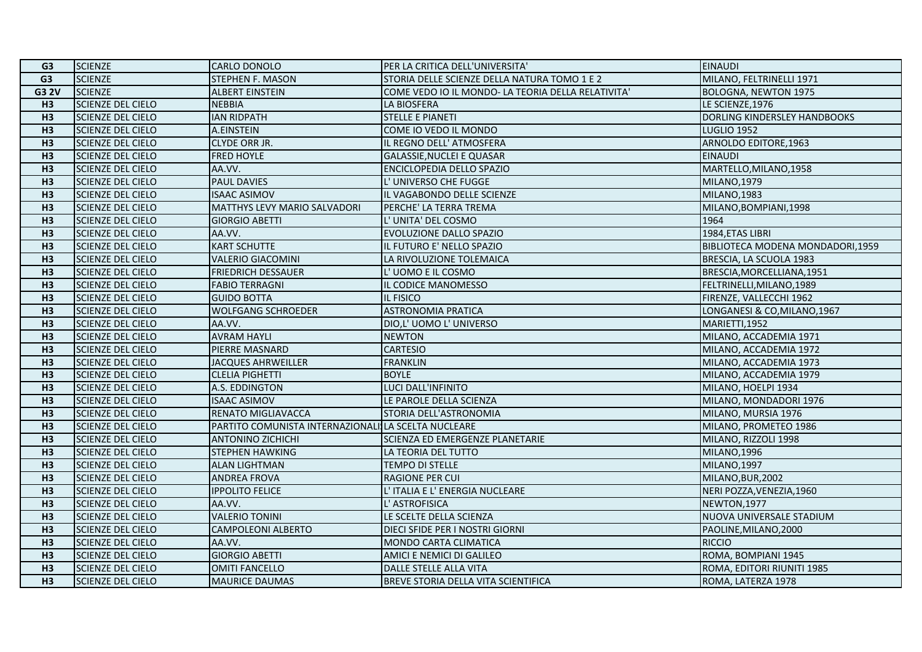| G <sub>3</sub> | <b>SCIENZE</b>           | <b>CARLO DONOLO</b>                                 | PER LA CRITICA DELL'UNIVERSITA'                    | <b>EINAUDI</b>                   |
|----------------|--------------------------|-----------------------------------------------------|----------------------------------------------------|----------------------------------|
| G <sub>3</sub> | <b>SCIENZE</b>           | <b>STEPHEN F. MASON</b>                             | STORIA DELLE SCIENZE DELLA NATURA TOMO 1 E 2       | MILANO, FELTRINELLI 1971         |
| <b>G3 2V</b>   | <b>SCIENZE</b>           | <b>ALBERT EINSTEIN</b>                              | COME VEDO IO IL MONDO- LA TEORIA DELLA RELATIVITA' | BOLOGNA, NEWTON 1975             |
| H3             | <b>SCIENZE DEL CIELO</b> | <b>NEBBIA</b>                                       | <b>LA BIOSFERA</b>                                 | LE SCIENZE, 1976                 |
| H3             | <b>SCIENZE DEL CIELO</b> | <b>IAN RIDPATH</b>                                  | <b>STELLE E PIANETI</b>                            | DORLING KINDERSLEY HANDBOOKS     |
| H <sub>3</sub> | <b>SCIENZE DEL CIELO</b> | A.EINSTEIN                                          | COME IO VEDO IL MONDO                              | <b>LUGLIO 1952</b>               |
| H3             | <b>SCIENZE DEL CIELO</b> | <b>CLYDE ORR JR.</b>                                | IL REGNO DELL' ATMOSFERA                           | ARNOLDO EDITORE,1963             |
| H3             | SCIENZE DEL CIELO        | <b>FRED HOYLE</b>                                   | GALASSIE, NUCLEI E QUASAR                          | <b>EINAUDI</b>                   |
| H <sub>3</sub> | <b>SCIENZE DEL CIELO</b> | AA.VV.                                              | ENCICLOPEDIA DELLO SPAZIO                          | MARTELLO, MILANO, 1958           |
| H3             | <b>SCIENZE DEL CIELO</b> | <b>PAUL DAVIES</b>                                  | L'UNIVERSO CHE FUGGE                               | MILANO, 1979                     |
| H <sub>3</sub> | SCIENZE DEL CIELO        | <b>ISAAC ASIMOV</b>                                 | IL VAGABONDO DELLE SCIENZE                         | <b>MILANO, 1983</b>              |
| H <sub>3</sub> | <b>SCIENZE DEL CIELO</b> | MATTHYS LEVY MARIO SALVADORI                        | PERCHE' LA TERRA TREMA                             | MILANO, BOMPIANI, 1998           |
| H3             | <b>SCIENZE DEL CIELO</b> | <b>GIORGIO ABETTI</b>                               | L' UNITA' DEL COSMO                                | 1964                             |
| H <sub>3</sub> | <b>SCIENZE DEL CIELO</b> | AA.VV.                                              | EVOLUZIONE DALLO SPAZIO                            | 1984, ETAS LIBRI                 |
| H3             | <b>SCIENZE DEL CIELO</b> | <b>KART SCHUTTE</b>                                 | IL FUTURO E' NELLO SPAZIO                          | BIBLIOTECA MODENA MONDADORI,1959 |
| H3             | <b>SCIENZE DEL CIELO</b> | <b>VALERIO GIACOMINI</b>                            | LA RIVOLUZIONE TOLEMAICA                           | BRESCIA, LA SCUOLA 1983          |
| H3             | <b>SCIENZE DEL CIELO</b> | <b>FRIEDRICH DESSAUER</b>                           | L'UOMO E IL COSMO                                  | BRESCIA, MORCELLIANA, 1951       |
| H3             | <b>SCIENZE DEL CIELO</b> | <b>FABIO TERRAGNI</b>                               | IL CODICE MANOMESSO                                | FELTRINELLI, MILANO, 1989        |
| H <sub>3</sub> | <b>SCIENZE DEL CIELO</b> | <b>GUIDO BOTTA</b>                                  | IL FISICO                                          | FIRENZE, VALLECCHI 1962          |
| H3             | <b>SCIENZE DEL CIELO</b> | <b>WOLFGANG SCHROEDER</b>                           | <b>ASTRONOMIA PRATICA</b>                          | LONGANESI & CO, MILANO, 1967     |
| H <sub>3</sub> | SCIENZE DEL CIELO        | AA.VV.                                              | DIO,L' UOMO L' UNIVERSO                            | MARIETTI.1952                    |
| H <sub>3</sub> | <b>SCIENZE DEL CIELO</b> | <b>AVRAM HAYLI</b>                                  | <b>NEWTON</b>                                      | MILANO, ACCADEMIA 1971           |
| H3             | <b>SCIENZE DEL CIELO</b> | PIERRE MASNARD                                      | <b>CARTESIO</b>                                    | MILANO, ACCADEMIA 1972           |
| H3             | <b>SCIENZE DEL CIELO</b> | <b>JACQUES AHRWEILLER</b>                           | <b>FRANKLIN</b>                                    | MILANO, ACCADEMIA 1973           |
| H <sub>3</sub> | <b>SCIENZE DEL CIELO</b> | <b>CLELIA PIGHETTI</b>                              | <b>BOYLE</b>                                       | MILANO, ACCADEMIA 1979           |
| H <sub>3</sub> | <b>SCIENZE DEL CIELO</b> | A.S. EDDINGTON                                      | LUCI DALL'INFINITO                                 | MILANO, HOELPI 1934              |
| H3             | <b>SCIENZE DEL CIELO</b> | <b>ISAAC ASIMOV</b>                                 | LE PAROLE DELLA SCIENZA                            | MILANO, MONDADORI 1976           |
| H <sub>3</sub> | <b>SCIENZE DEL CIELO</b> | RENATO MIGLIAVACCA                                  | STORIA DELL'ASTRONOMIA                             | MILANO, MURSIA 1976              |
| H3             | <b>SCIENZE DEL CIELO</b> | PARTITO COMUNISTA INTERNAZIONALI LA SCELTA NUCLEARE |                                                    | MILANO, PROMETEO 1986            |
| H3             | <b>SCIENZE DEL CIELO</b> | <b>ANTONINO ZICHICHI</b>                            | SCIENZA ED EMERGENZE PLANETARIE                    | MILANO, RIZZOLI 1998             |
| H3             | <b>SCIENZE DEL CIELO</b> | <b>STEPHEN HAWKING</b>                              | LA TEORIA DEL TUTTO                                | MILANO,1996                      |
| H3             | SCIENZE DEL CIELO        | <b>ALAN LIGHTMAN</b>                                | TEMPO DI STELLE                                    | <b>MILANO, 1997</b>              |
| H3             | SCIENZE DEL CIELO        | <b>ANDREA FROVA</b>                                 | <b>RAGIONE PER CUI</b>                             | MILANO, BUR, 2002                |
| H3             | <b>SCIENZE DEL CIELO</b> | <b>IPPOLITO FELICE</b>                              | L' ITALIA E L' ENERGIA NUCLEARE                    | NERI POZZA, VENEZIA, 1960        |
| H3             | <b>SCIENZE DEL CIELO</b> | AA.VV.                                              | L' ASTROFISICA                                     | NEWTON, 1977                     |
| H <sub>3</sub> | <b>SCIENZE DEL CIELO</b> | <b>VALERIO TONINI</b>                               | LE SCELTE DELLA SCIENZA                            | NUOVA UNIVERSALE STADIUM         |
| H3             | <b>SCIENZE DEL CIELO</b> | <b>CAMPOLEONI ALBERTO</b>                           | DIECI SFIDE PER I NOSTRI GIORNI                    | PAOLINE, MILANO, 2000            |
| H <sub>3</sub> | SCIENZE DEL CIELO        | AA.VV.                                              | MONDO CARTA CLIMATICA                              | <b>RICCIO</b>                    |
| H <sub>3</sub> | <b>SCIENZE DEL CIELO</b> | <b>GIORGIO ABETTI</b>                               | AMICI E NEMICI DI GALILEO                          | ROMA, BOMPIANI 1945              |
| H3             | <b>SCIENZE DEL CIELO</b> | <b>OMITI FANCELLO</b>                               | DALLE STELLE ALLA VITA                             | ROMA, EDITORI RIUNITI 1985       |
| H3             | <b>SCIENZE DEL CIELO</b> | <b>MAURICE DAUMAS</b>                               | BREVE STORIA DELLA VITA SCIENTIFICA                | ROMA, LATERZA 1978               |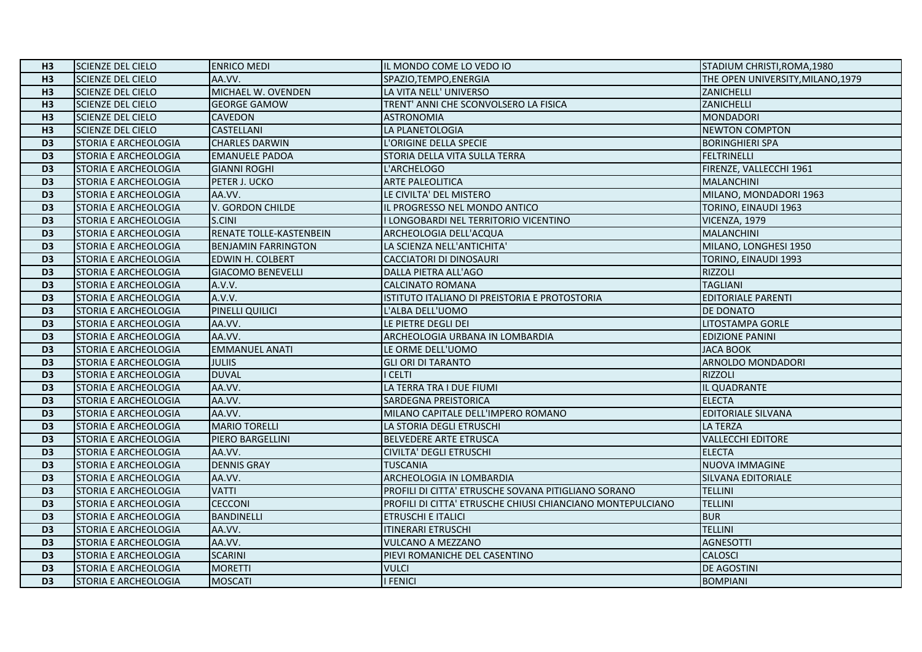| H <sub>3</sub>  | <b>SCIENZE DEL CIELO</b>    | <b>ENRICO MEDI</b>         | IL MONDO COME LO VEDO IO                                   | STADIUM CHRISTI, ROMA, 1980       |
|-----------------|-----------------------------|----------------------------|------------------------------------------------------------|-----------------------------------|
| H3              | <b>SCIENZE DEL CIELO</b>    | AA.VV.                     | SPAZIO, TEMPO, ENERGIA                                     | THE OPEN UNIVERSITY, MILANO, 1979 |
| H3              | <b>SCIENZE DEL CIELO</b>    | MICHAEL W. OVENDEN         | LA VITA NELL' UNIVERSO                                     | ZANICHELLI                        |
| H <sub>3</sub>  | <b>SCIENZE DEL CIELO</b>    | <b>GEORGE GAMOW</b>        | TRENT' ANNI CHE SCONVOLSERO LA FISICA                      | <b>ZANICHELLI</b>                 |
| H3              | <b>SCIENZE DEL CIELO</b>    | <b>CAVEDON</b>             | <b>ASTRONOMIA</b>                                          | <b>MONDADORI</b>                  |
| H3              | <b>SCIENZE DEL CIELO</b>    | CASTELLANI                 | LA PLANETOLOGIA                                            | <b>NEWTON COMPTON</b>             |
| D <sub>3</sub>  | <b>STORIA E ARCHEOLOGIA</b> | <b>CHARLES DARWIN</b>      | L'ORIGINE DELLA SPECIE                                     | <b>BORINGHIERI SPA</b>            |
| D <sub>3</sub>  | <b>STORIA E ARCHEOLOGIA</b> | <b>EMANUELE PADOA</b>      | STORIA DELLA VITA SULLA TERRA                              | <b>FELTRINELLI</b>                |
| D <sub>3</sub>  | STORIA E ARCHEOLOGIA        | <b>GIANNI ROGHI</b>        | L'ARCHELOGO                                                | FIRENZE, VALLECCHI 1961           |
| D <sub>3</sub>  | STORIA E ARCHEOLOGIA        | PETER J. UCKO              | <b>ARTE PALEOLITICA</b>                                    | <b>MALANCHINI</b>                 |
| $\overline{D3}$ | STORIA E ARCHEOLOGIA        | AA.VV.                     | LE CIVILTA' DEL MISTERO                                    | MILANO, MONDADORI 1963            |
| D <sub>3</sub>  | <b>STORIA E ARCHEOLOGIA</b> | V. GORDON CHILDE           | IL PROGRESSO NEL MONDO ANTICO                              | <b>TORINO, EINAUDI 1963</b>       |
| D <sub>3</sub>  | <b>STORIA E ARCHEOLOGIA</b> | S.CINI                     | I LONGOBARDI NEL TERRITORIO VICENTINO                      | VICENZA, 1979                     |
| D <sub>3</sub>  | <b>STORIA E ARCHEOLOGIA</b> | RENATE TOLLE-KASTENBEIN    | ARCHEOLOGIA DELL'ACQUA                                     | <b>MALANCHINI</b>                 |
| D <sub>3</sub>  | STORIA E ARCHEOLOGIA        | <b>BENJAMIN FARRINGTON</b> | LA SCIENZA NELL'ANTICHITA'                                 | MILANO, LONGHESI 1950             |
| D <sub>3</sub>  | STORIA E ARCHEOLOGIA        | EDWIN H. COLBERT           | <b>CACCIATORI DI DINOSAURI</b>                             | TORINO, EINAUDI 1993              |
| D <sub>3</sub>  | <b>STORIA E ARCHEOLOGIA</b> | <b>GIACOMO BENEVELLI</b>   | DALLA PIETRA ALL'AGO                                       | <b>RIZZOLI</b>                    |
| D <sub>3</sub>  | <b>STORIA E ARCHEOLOGIA</b> | A.V.V.                     | <b>CALCINATO ROMANA</b>                                    | <b>TAGLIANI</b>                   |
| D <sub>3</sub>  | <b>STORIA E ARCHEOLOGIA</b> | A.V.V.                     | ISTITUTO ITALIANO DI PREISTORIA E PROTOSTORIA              | <b>EDITORIALE PARENTI</b>         |
| D <sub>3</sub>  | STORIA E ARCHEOLOGIA        | PINELLI QUILICI            | L'ALBA DELL'UOMO                                           | <b>DE DONATO</b>                  |
| D <sub>3</sub>  | <b>STORIA E ARCHEOLOGIA</b> | AA.VV.                     | LE PIETRE DEGLI DEI                                        | <b>LITOSTAMPA GORLE</b>           |
| D <sub>3</sub>  | <b>STORIA E ARCHEOLOGIA</b> | AA.VV.                     | ARCHEOLOGIA URBANA IN LOMBARDIA                            | <b>EDIZIONE PANINI</b>            |
| D <sub>3</sub>  | STORIA E ARCHEOLOGIA        | <b>EMMANUEL ANATI</b>      | LE ORME DELL'UOMO                                          | <b>JACA BOOK</b>                  |
| D <sub>3</sub>  | <b>STORIA E ARCHEOLOGIA</b> | <b>JULIIS</b>              | <b>GLI ORI DI TARANTO</b>                                  | ARNOLDO MONDADORI                 |
| D <sub>3</sub>  | STORIA E ARCHEOLOGIA        | <b>DUVAL</b>               | I CELTI                                                    | <b>RIZZOLI</b>                    |
| D <sub>3</sub>  | STORIA E ARCHEOLOGIA        | AA.VV.                     | LA TERRA TRA I DUE FIUMI                                   | IL QUADRANTE                      |
| D <sub>3</sub>  | STORIA E ARCHEOLOGIA        | AA.VV.                     | SARDEGNA PREISTORICA                                       | <b>ELECTA</b>                     |
| D <sub>3</sub>  | STORIA E ARCHEOLOGIA        | AA.VV.                     | MILANO CAPITALE DELL'IMPERO ROMANO                         | <b>EDITORIALE SILVANA</b>         |
| D <sub>3</sub>  | STORIA E ARCHEOLOGIA        | <b>MARIO TORELLI</b>       | LA STORIA DEGLI ETRUSCHI                                   | <b>LA TERZA</b>                   |
| D <sub>3</sub>  | <b>STORIA E ARCHEOLOGIA</b> | PIERO BARGELLINI           | BELVEDERE ARTE ETRUSCA                                     | <b>VALLECCHI EDITORE</b>          |
| D <sub>3</sub>  | STORIA E ARCHEOLOGIA        | AA.VV.                     | <b>CIVILTA' DEGLI ETRUSCHI</b>                             | <b>ELECTA</b>                     |
| D <sub>3</sub>  | STORIA E ARCHEOLOGIA        | <b>DENNIS GRAY</b>         | <b>TUSCANIA</b>                                            | <b>NUOVA IMMAGINE</b>             |
| $\overline{D3}$ | STORIA E ARCHEOLOGIA        | AA.VV.                     | ARCHEOLOGIA IN LOMBARDIA                                   | SILVANA EDITORIALE                |
| D <sub>3</sub>  | STORIA E ARCHEOLOGIA        | <b>VATTI</b>               | PROFILI DI CITTA' ETRUSCHE SOVANA PITIGLIANO SORANO        | <b>TELLINI</b>                    |
| D <sub>3</sub>  | <b>STORIA E ARCHEOLOGIA</b> | <b>CECCONI</b>             | PROFILI DI CITTA' ETRUSCHE CHIUSI CHIANCIANO MONTEPULCIANO | <b>TELLINI</b>                    |
| D <sub>3</sub>  | STORIA E ARCHEOLOGIA        | BANDINELLI                 | <b>ETRUSCHI E ITALICI</b>                                  | <b>BUR</b>                        |
| D <sub>3</sub>  | <b>STORIA E ARCHEOLOGIA</b> | AA.VV.                     | <b>ITINERARI ETRUSCHI</b>                                  | <b>TELLINI</b>                    |
| D <sub>3</sub>  | STORIA E ARCHEOLOGIA        | AA.VV.                     | <b>VULCANO A MEZZANO</b>                                   | <b>AGNESOTTI</b>                  |
| D <sub>3</sub>  | <b>STORIA E ARCHEOLOGIA</b> | <b>SCARINI</b>             | PIEVI ROMANICHE DEL CASENTINO                              | <b>CALOSCI</b>                    |
| D <sub>3</sub>  | STORIA E ARCHEOLOGIA        | <b>MORETTI</b>             | <b>VULCI</b>                                               | <b>DE AGOSTINI</b>                |
| D <sub>3</sub>  | STORIA E ARCHEOLOGIA        | <b>MOSCATI</b>             | <b>I FENICI</b>                                            | <b>BOMPIANI</b>                   |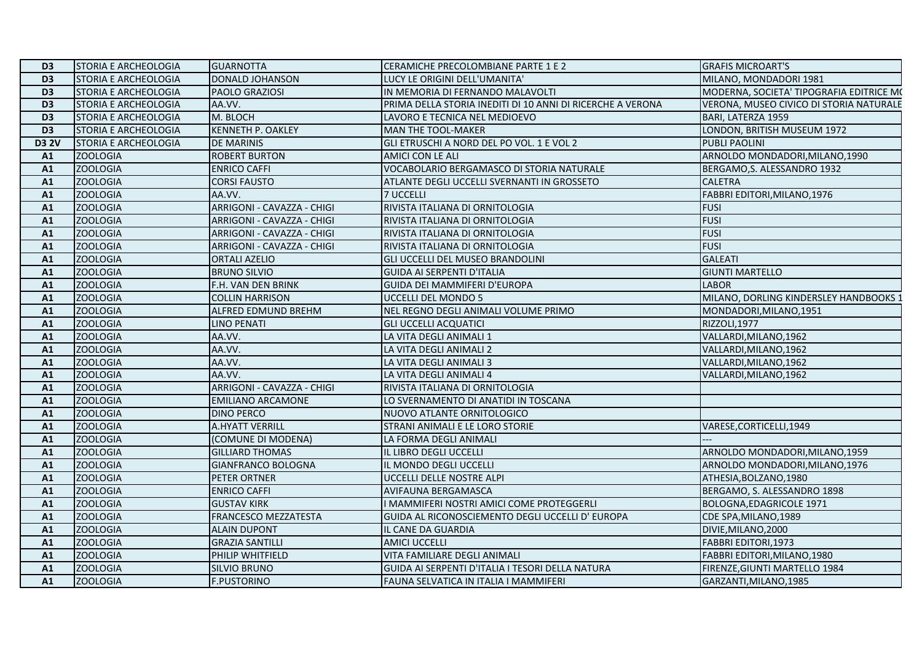| D <sub>3</sub> | <b>STORIA E ARCHEOLOGIA</b> | <b>GUARNOTTA</b>            | CERAMICHE PRECOLOMBIANE PARTE 1 E 2                        | <b>GRAFIS MICROART'S</b>                 |
|----------------|-----------------------------|-----------------------------|------------------------------------------------------------|------------------------------------------|
| D <sub>3</sub> | STORIA E ARCHEOLOGIA        | DONALD JOHANSON             | LUCY LE ORIGINI DELL'UMANITA'                              | MILANO, MONDADORI 1981                   |
| D <sub>3</sub> | STORIA E ARCHEOLOGIA        | PAOLO GRAZIOSI              | IN MEMORIA DI FERNANDO MALAVOLTI                           | MODERNA, SOCIETA' TIPOGRAFIA EDITRICE MO |
| D <sub>3</sub> | STORIA E ARCHEOLOGIA        | AA.VV.                      | PRIMA DELLA STORIA INEDITI DI 10 ANNI DI RICERCHE A VERONA | VERONA, MUSEO CIVICO DI STORIA NATURALE  |
| D <sub>3</sub> | STORIA E ARCHEOLOGIA        | M. BLOCH                    | LAVORO E TECNICA NEL MEDIOEVO                              | BARI, LATERZA 1959                       |
| D <sub>3</sub> | STORIA E ARCHEOLOGIA        | <b>KENNETH P. OAKLEY</b>    | MAN THE TOOL-MAKER                                         | LONDON, BRITISH MUSEUM 1972              |
| <b>D3 2V</b>   | <b>STORIA E ARCHEOLOGIA</b> | <b>DE MARINIS</b>           | GLI ETRUSCHI A NORD DEL PO VOL. 1 E VOL 2                  | PUBLI PAOLINI                            |
| A1             | <b>ZOOLOGIA</b>             | <b>ROBERT BURTON</b>        | AMICI CON LE ALI                                           | ARNOLDO MONDADORI, MILANO, 1990          |
| A1             | <b>ZOOLOGIA</b>             | <b>ENRICO CAFFI</b>         | VOCABOLARIO BERGAMASCO DI STORIA NATURALE                  | BERGAMO, S. ALESSANDRO 1932              |
| A1             | <b>ZOOLOGIA</b>             | <b>CORSI FAUSTO</b>         | ATLANTE DEGLI UCCELLI SVERNANTI IN GROSSETO                | <b>CALETRA</b>                           |
| A1             | <b>ZOOLOGIA</b>             | AA.VV.                      | 7 UCCELLI                                                  | FABBRI EDITORI, MILANO, 1976             |
| A <sub>1</sub> | <b>ZOOLOGIA</b>             | ARRIGONI - CAVAZZA - CHIGI  | RIVISTA ITALIANA DI ORNITOLOGIA                            | <b>FUSI</b>                              |
| A1             | <b>ZOOLOGIA</b>             | ARRIGONI - CAVAZZA - CHIGI  | RIVISTA ITALIANA DI ORNITOLOGIA                            | <b>FUSI</b>                              |
| A1             | <b>ZOOLOGIA</b>             | ARRIGONI - CAVAZZA - CHIGI  | RIVISTA ITALIANA DI ORNITOLOGIA                            | <b>FUSI</b>                              |
| A1             | <b>ZOOLOGIA</b>             | ARRIGONI - CAVAZZA - CHIGI  | RIVISTA ITALIANA DI ORNITOLOGIA                            | <b>FUSI</b>                              |
| A1             | <b>ZOOLOGIA</b>             | <b>ORTALI AZELIO</b>        | GLI UCCELLI DEL MUSEO BRANDOLINI                           | <b>GALEATI</b>                           |
| A1             | <b>ZOOLOGIA</b>             | <b>BRUNO SILVIO</b>         | <b>GUIDA AI SERPENTI D'ITALIA</b>                          | <b>GIUNTI MARTELLO</b>                   |
| A1             | <b>ZOOLOGIA</b>             | F.H. VAN DEN BRINK          | <b>GUIDA DEI MAMMIFERI D'EUROPA</b>                        | <b>LABOR</b>                             |
| A1             | <b>ZOOLOGIA</b>             | <b>COLLIN HARRISON</b>      | UCCELLI DEL MONDO 5                                        | MILANO, DORLING KINDERSLEY HANDBOOKS :   |
| A1             | <b>ZOOLOGIA</b>             | ALFRED EDMUND BREHM         | NEL REGNO DEGLI ANIMALI VOLUME PRIMO                       | MONDADORI, MILANO, 1951                  |
| A1             | <b>ZOOLOGIA</b>             | LINO PENATI                 | <b>GLI UCCELLI ACQUATICI</b>                               | RIZZOLI, 1977                            |
| A1             | <b>ZOOLOGIA</b>             | AA.VV.                      | LA VITA DEGLI ANIMALI 1                                    | VALLARDI, MILANO, 1962                   |
| A1             | <b>ZOOLOGIA</b>             | AA.VV.                      | LA VITA DEGLI ANIMALI 2                                    | VALLARDI, MILANO, 1962                   |
| A1             | <b>ZOOLOGIA</b>             | AA.VV.                      | LA VITA DEGLI ANIMALI 3                                    | VALLARDI, MILANO, 1962                   |
| A1             | <b>ZOOLOGIA</b>             | AA.VV.                      | LA VITA DEGLI ANIMALI 4                                    | VALLARDI, MILANO, 1962                   |
| A1             | <b>ZOOLOGIA</b>             | ARRIGONI - CAVAZZA - CHIGI  | RIVISTA ITALIANA DI ORNITOLOGIA                            |                                          |
| A1             | <b>ZOOLOGIA</b>             | <b>EMILIANO ARCAMONE</b>    | LO SVERNAMENTO DI ANATIDI IN TOSCANA                       |                                          |
| A1             | <b>ZOOLOGIA</b>             | <b>DINO PERCO</b>           | NUOVO ATLANTE ORNITOLOGICO                                 |                                          |
| A1             | <b>ZOOLOGIA</b>             | <b>A.HYATT VERRILL</b>      | STRANI ANIMALI E LE LORO STORIE                            | VARESE, CORTICELLI, 1949                 |
| A1             | <b>ZOOLOGIA</b>             | (COMUNE DI MODENA)          | LA FORMA DEGLI ANIMALI                                     |                                          |
| A1             | <b>ZOOLOGIA</b>             | <b>GILLIARD THOMAS</b>      | IL LIBRO DEGLI UCCELLI                                     | ARNOLDO MONDADORI, MILANO, 1959          |
| A1             | <b>ZOOLOGIA</b>             | GIANFRANCO BOLOGNA          | IL MONDO DEGLI UCCELLI                                     | ARNOLDO MONDADORI, MILANO, 1976          |
| A1             | <b>ZOOLOGIA</b>             | PETER ORTNER                | UCCELLI DELLE NOSTRE ALPI                                  | ATHESIA, BOLZANO, 1980                   |
| A1             | <b>ZOOLOGIA</b>             | <b>ENRICO CAFFI</b>         | AVIFAUNA BERGAMASCA                                        | BERGAMO, S. ALESSANDRO 1898              |
| A1             | <b>ZOOLOGIA</b>             | <b>GUSTAV KIRK</b>          | I MAMMIFERI NOSTRI AMICI COME PROTEGGERLI                  | BOLOGNA, EDAGRICOLE 1971                 |
| A1             | <b>ZOOLOGIA</b>             | <b>FRANCESCO MEZZATESTA</b> | GUIDA AL RICONOSCIEMENTO DEGLI UCCELLI D' EUROPA           | CDE SPA, MILANO, 1989                    |
| A1             | <b>ZOOLOGIA</b>             | <b>ALAIN DUPONT</b>         | IL CANE DA GUARDIA                                         | DIVIE, MILANO, 2000                      |
| A1             | <b>ZOOLOGIA</b>             | <b>GRAZIA SANTILLI</b>      | <b>AMICI UCCELLI</b>                                       | FABBRI EDITORI, 1973                     |
| A1             | <b>ZOOLOGIA</b>             | PHILIP WHITFIELD            | VITA FAMILIARE DEGLI ANIMALI                               | FABBRI EDITORI, MILANO, 1980             |
| A1             | <b>ZOOLOGIA</b>             | <b>SILVIO BRUNO</b>         | GUIDA AI SERPENTI D'ITALIA I TESORI DELLA NATURA           | FIRENZE, GIUNTI MARTELLO 1984            |
| A1             | <b>ZOOLOGIA</b>             | <b>F.PUSTORINO</b>          | FAUNA SELVATICA IN ITALIA I MAMMIFERI                      | GARZANTI, MILANO, 1985                   |
|                |                             |                             |                                                            |                                          |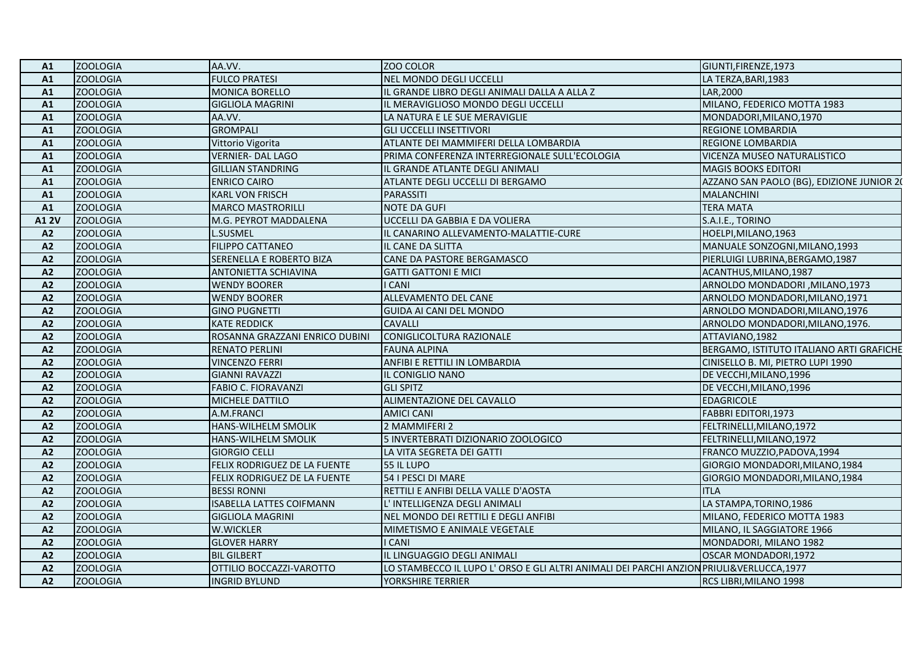| Α1              | <b>ZOOLOGIA</b> | AA.VV.                          | <b>ZOO COLOR</b>                                                                       | GIUNTI, FIRENZE, 1973                     |
|-----------------|-----------------|---------------------------------|----------------------------------------------------------------------------------------|-------------------------------------------|
| A1              | <b>ZOOLOGIA</b> | <b>FULCO PRATESI</b>            | NEL MONDO DEGLI UCCELLI                                                                | LA TERZA, BARI, 1983                      |
| A1              | <b>ZOOLOGIA</b> | <b>MONICA BORELLO</b>           | IL GRANDE LIBRO DEGLI ANIMALI DALLA A ALLA Z                                           | LAR, 2000                                 |
| A1              | <b>ZOOLOGIA</b> | <b>GIGLIOLA MAGRINI</b>         | IL MERAVIGLIOSO MONDO DEGLI UCCELLI                                                    | MILANO, FEDERICO MOTTA 1983               |
| A1              | <b>ZOOLOGIA</b> | AA.VV.                          | LA NATURA E LE SUE MERAVIGLIE                                                          | MONDADORI, MILANO, 1970                   |
| A1              | <b>ZOOLOGIA</b> | <b>GROMPALI</b>                 | <b>GLI UCCELLI INSETTIVORI</b>                                                         | <b>REGIONE LOMBARDIA</b>                  |
| A1              | <b>ZOOLOGIA</b> | Vittorio Vigorita               | ATLANTE DEI MAMMIFERI DELLA LOMBARDIA                                                  | <b>REGIONE LOMBARDIA</b>                  |
| A1              | <b>ZOOLOGIA</b> | <b>VERNIER- DAL LAGO</b>        | PRIMA CONFERENZA INTERREGIONALE SULL'ECOLOGIA                                          | VICENZA MUSEO NATURALISTICO               |
| A1              | <b>ZOOLOGIA</b> | <b>GILLIAN STANDRING</b>        | IL GRANDE ATLANTE DEGLI ANIMALI                                                        | <b>MAGIS BOOKS EDITORI</b>                |
| A1              | <b>ZOOLOGIA</b> | <b>ENRICO CAIRO</b>             | ATLANTE DEGLI UCCELLI DI BERGAMO                                                       | AZZANO SAN PAOLO (BG), EDIZIONE JUNIOR 20 |
| A1              | <b>ZOOLOGIA</b> | <b>KARL VON FRISCH</b>          | <b>PARASSITI</b>                                                                       | <b>MALANCHINI</b>                         |
| A1              | <b>ZOOLOGIA</b> | <b>MARCO MASTRORILLI</b>        | <b>NOTE DA GUFI</b>                                                                    | <b>TERA MATA</b>                          |
| <b>A12V</b>     | <b>ZOOLOGIA</b> | M.G. PEYROT MADDALENA           | UCCELLI DA GABBIA E DA VOLIERA                                                         | S.A.I.E., TORINO                          |
| A2              | <b>ZOOLOGIA</b> | <b>L.SUSMEL</b>                 | IL CANARINO ALLEVAMENTO-MALATTIE-CURE                                                  | HOELPI, MILANO, 1963                      |
| A2              | <b>ZOOLOGIA</b> | <b>FILIPPO CATTANEO</b>         | IL CANE DA SLITTA                                                                      | MANUALE SONZOGNI, MILANO, 1993            |
| A2              | <b>ZOOLOGIA</b> | SERENELLA E ROBERTO BIZA        | CANE DA PASTORE BERGAMASCO                                                             | PIERLUIGI LUBRINA, BERGAMO, 1987          |
| A2              | <b>ZOOLOGIA</b> | <b>ANTONIETTA SCHIAVINA</b>     | <b>GATTI GATTONI E MICI</b>                                                            | ACANTHUS, MILANO, 1987                    |
| A2              | <b>ZOOLOGIA</b> | <b>WENDY BOORER</b>             | <b>CANI</b>                                                                            | ARNOLDO MONDADORI , MILANO, 1973          |
| A2              | <b>ZOOLOGIA</b> | <b>WENDY BOORER</b>             | ALLEVAMENTO DEL CANE                                                                   | ARNOLDO MONDADORI, MILANO, 1971           |
| A2              | <b>ZOOLOGIA</b> | <b>GINO PUGNETTI</b>            | <b>GUIDA AI CANI DEL MONDO</b>                                                         | ARNOLDO MONDADORI, MILANO, 1976           |
| A2              | <b>ZOOLOGIA</b> | <b>KATE REDDICK</b>             | <b>CAVALLI</b>                                                                         | ARNOLDO MONDADORI, MILANO, 1976.          |
| A2              | <b>ZOOLOGIA</b> | ROSANNA GRAZZANI ENRICO DUBINI  | CONIGLICOLTURA RAZIONALE                                                               | ATTAVIANO, 1982                           |
| A2              | <b>ZOOLOGIA</b> | <b>RENATO PERLINI</b>           | <b>FAUNA ALPINA</b>                                                                    | BERGAMO, ISTITUTO ITALIANO ARTI GRAFICHE  |
| A2              | <b>ZOOLOGIA</b> | <b>VINCENZO FERRI</b>           | ANFIBI E RETTILI IN LOMBARDIA                                                          | CINISELLO B. MI, PIETRO LUPI 1990         |
| A2              | <b>ZOOLOGIA</b> | <b>GIANNI RAVAZZI</b>           | IL CONIGLIO NANO                                                                       | DE VECCHI, MILANO, 1996                   |
| A2              | <b>ZOOLOGIA</b> | <b>FABIO C. FIORAVANZI</b>      | <b>GLI SPITZ</b>                                                                       | DE VECCHI, MILANO, 1996                   |
| A2              | <b>ZOOLOGIA</b> | MICHELE DATTILO                 | ALIMENTAZIONE DEL CAVALLO                                                              | <b>EDAGRICOLE</b>                         |
| A2              | <b>ZOOLOGIA</b> | A.M.FRANCI                      | <b>AMICI CANI</b>                                                                      | FABBRI EDITORI, 1973                      |
| A2              | <b>ZOOLOGIA</b> | HANS-WILHELM SMOLIK             | 2 MAMMIFERI 2                                                                          | FELTRINELLI, MILANO, 1972                 |
| A2              | <b>ZOOLOGIA</b> | HANS-WILHELM SMOLIK             | 5 INVERTEBRATI DIZIONARIO ZOOLOGICO                                                    | FELTRINELLI, MILANO, 1972                 |
| $\overline{A2}$ | <b>ZOOLOGIA</b> | <b>GIORGIO CELLI</b>            | LA VITA SEGRETA DEI GATTI                                                              | FRANCO MUZZIO, PADOVA, 1994               |
| A2              | <b>ZOOLOGIA</b> | FELIX RODRIGUEZ DE LA FUENTE    | 55 IL LUPO                                                                             | GIORGIO MONDADORI, MILANO, 1984           |
| A2              | <b>ZOOLOGIA</b> | FELIX RODRIGUEZ DE LA FUENTE    | 54 I PESCI DI MARE                                                                     | GIORGIO MONDADORI, MILANO, 1984           |
| A2              | <b>ZOOLOGIA</b> | <b>BESSI RONNI</b>              | RETTILI E ANFIBI DELLA VALLE D'AOSTA                                                   | <b>ITLA</b>                               |
| A2              | <b>ZOOLOGIA</b> | <b>ISABELLA LATTES COIFMANN</b> | L' INTELLIGENZA DEGLI ANIMALI                                                          | LA STAMPA, TORINO, 1986                   |
| A2              | <b>ZOOLOGIA</b> | <b>GIGLIOLA MAGRINI</b>         | NEL MONDO DEI RETTILI E DEGLI ANFIBI                                                   | MILANO, FEDERICO MOTTA 1983               |
| A2              | <b>ZOOLOGIA</b> | W.WICKLER                       | MIMETISMO E ANIMALE VEGETALE                                                           | MILANO, IL SAGGIATORE 1966                |
| A2              | <b>ZOOLOGIA</b> | <b>GLOVER HARRY</b>             | <b>CANI</b>                                                                            | MONDADORI, MILANO 1982                    |
| A2              | <b>ZOOLOGIA</b> | <b>BIL GILBERT</b>              | IL LINGUAGGIO DEGLI ANIMALI                                                            | OSCAR MONDADORI,1972                      |
| A2              | <b>ZOOLOGIA</b> | OTTILIO BOCCAZZI-VAROTTO        | LO STAMBECCO IL LUPO L'ORSO E GLI ALTRI ANIMALI DEI PARCHI ANZION PRIULI&VERLUCCA,1977 |                                           |
| $\overline{A2}$ | <b>ZOOLOGIA</b> | <b>INGRID BYLUND</b>            | YORKSHIRE TERRIER                                                                      | RCS LIBRI, MILANO 1998                    |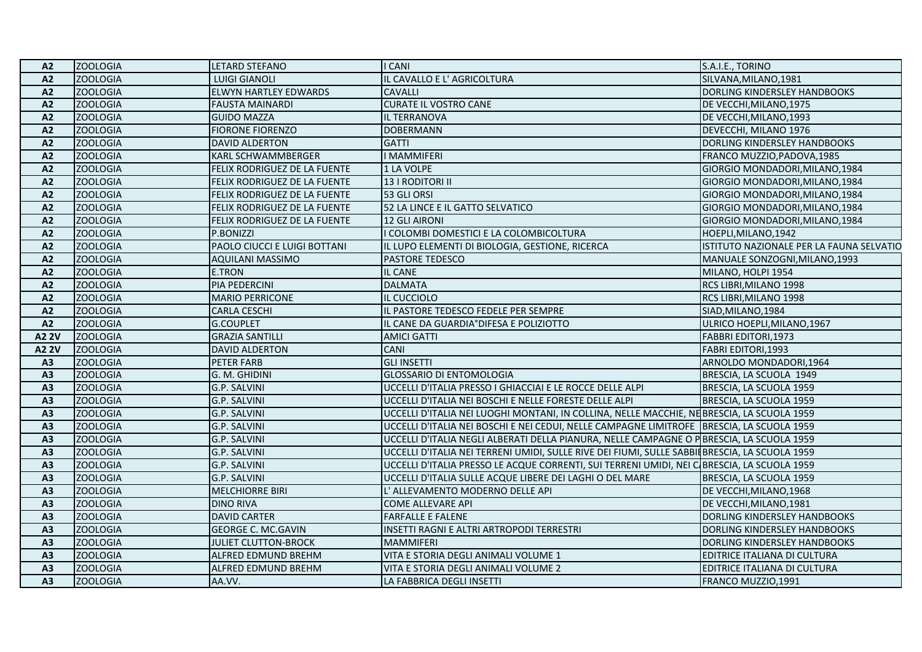| A <sub>2</sub> | <b>ZOOLOGIA</b> | <b>LETARD STEFANO</b>        | I CANI                                                                                        | S.A.I.E., TORINO                         |
|----------------|-----------------|------------------------------|-----------------------------------------------------------------------------------------------|------------------------------------------|
| A2             | <b>ZOOLOGIA</b> | <b>LUIGI GIANOLI</b>         | IL CAVALLO E L' AGRICOLTURA                                                                   | SILVANA, MILANO, 1981                    |
| A <sub>2</sub> | <b>ZOOLOGIA</b> | ELWYN HARTLEY EDWARDS        | <b>CAVALLI</b>                                                                                | DORLING KINDERSLEY HANDBOOKS             |
| A2             | <b>ZOOLOGIA</b> | <b>FAUSTA MAINARDI</b>       | <b>CURATE IL VOSTRO CANE</b>                                                                  | DE VECCHI, MILANO, 1975                  |
| A2             | <b>ZOOLOGIA</b> | <b>GUIDO MAZZA</b>           | IL TERRANOVA                                                                                  | DE VECCHI, MILANO, 1993                  |
| A2             | <b>ZOOLOGIA</b> | <b>FIORONE FIORENZO</b>      | <b>DOBERMANN</b>                                                                              | DEVECCHI, MILANO 1976                    |
| A2             | <b>ZOOLOGIA</b> | <b>DAVID ALDERTON</b>        | <b>GATTI</b>                                                                                  | DORLING KINDERSLEY HANDBOOKS             |
| A <sub>2</sub> | <b>ZOOLOGIA</b> | <b>KARL SCHWAMMBERGER</b>    | <b>I MAMMIFERI</b>                                                                            | FRANCO MUZZIO, PADOVA, 1985              |
| A2             | <b>ZOOLOGIA</b> | FELIX RODRIGUEZ DE LA FUENTE | 1 LA VOLPE                                                                                    | GIORGIO MONDADORI, MILANO, 1984          |
| A2             | <b>ZOOLOGIA</b> | FELIX RODRIGUEZ DE LA FUENTE | 13   RODITORI II                                                                              | GIORGIO MONDADORI, MILANO, 1984          |
| A2             | <b>ZOOLOGIA</b> | FELIX RODRIGUEZ DE LA FUENTE | 53 GLI ORSI                                                                                   | GIORGIO MONDADORI, MILANO, 1984          |
| A2             | <b>ZOOLOGIA</b> | FELIX RODRIGUEZ DE LA FUENTE | 52 LA LINCE E IL GATTO SELVATICO                                                              | GIORGIO MONDADORI, MILANO, 1984          |
| A <sub>2</sub> | <b>ZOOLOGIA</b> | FELIX RODRIGUEZ DE LA FUENTE | 12 GLI AIRONI                                                                                 | GIORGIO MONDADORI, MILANO, 1984          |
| A2             | <b>ZOOLOGIA</b> | P.BONIZZI                    | COLOMBI DOMESTICI E LA COLOMBICOLTURA                                                         | HOEPLI, MILANO, 1942                     |
| A2             | <b>ZOOLOGIA</b> | PAOLO CIUCCI E LUIGI BOTTANI | IL LUPO ELEMENTI DI BIOLOGIA, GESTIONE, RICERCA                                               | ISTITUTO NAZIONALE PER LA FAUNA SELVATIO |
| A <sub>2</sub> | <b>ZOOLOGIA</b> | <b>AQUILANI MASSIMO</b>      | <b>PASTORE TEDESCO</b>                                                                        | MANUALE SONZOGNI, MILANO, 1993           |
| A2             | <b>ZOOLOGIA</b> | <b>E.TRON</b>                | IL CANE                                                                                       | MILANO, HOLPI 1954                       |
| A2             | <b>ZOOLOGIA</b> | PIA PEDERCINI                | <b>DALMATA</b>                                                                                | RCS LIBRI, MILANO 1998                   |
| A2             | <b>ZOOLOGIA</b> | <b>MARIO PERRICONE</b>       | IL CUCCIOLO                                                                                   | RCS LIBRI, MILANO 1998                   |
| A2             | <b>ZOOLOGIA</b> | <b>CARLA CESCHI</b>          | IL PASTORE TEDESCO FEDELE PER SEMPRE                                                          | SIAD, MILANO, 1984                       |
| A2             | <b>ZOOLOGIA</b> | <b>G.COUPLET</b>             | IL CANE DA GUARDIA°DIFESA E POLIZIOTTO                                                        | ULRICO HOEPLI, MILANO, 1967              |
| <b>A2 2V</b>   | <b>ZOOLOGIA</b> | <b>GRAZIA SANTILLI</b>       | <b>AMICI GATTI</b>                                                                            | FABBRI EDITORI, 1973                     |
| A2 2V          | <b>ZOOLOGIA</b> | <b>DAVID ALDERTON</b>        | <b>CANI</b>                                                                                   | <b>FABRI EDITORI, 1993</b>               |
| A <sub>3</sub> | <b>ZOOLOGIA</b> | PETER FARB                   | <b>GLI INSETTI</b>                                                                            | ARNOLDO MONDADORI,1964                   |
| A3             | <b>ZOOLOGIA</b> | G. M. GHIDINI                | <b>GLOSSARIO DI ENTOMOLOGIA</b>                                                               | BRESCIA, LA SCUOLA 1949                  |
| A3             | <b>ZOOLOGIA</b> | G.P. SALVINI                 | UCCELLI D'ITALIA PRESSO I GHIACCIAI E LE ROCCE DELLE ALPI                                     | BRESCIA, LA SCUOLA 1959                  |
| A3             | <b>ZOOLOGIA</b> | G.P. SALVINI                 | UCCELLI D'ITALIA NEI BOSCHI E NELLE FORESTE DELLE ALPI                                        | BRESCIA, LA SCUOLA 1959                  |
| A3             | <b>ZOOLOGIA</b> | G.P. SALVINI                 | UCCELLI D'ITALIA NEI LUOGHI MONTANI, IN COLLINA, NELLE MACCHIE, NEBRESCIA, LA SCUOLA 1959     |                                          |
| A3             | <b>ZOOLOGIA</b> | G.P. SALVINI                 | UCCELLI D'ITALIA NEI BOSCHI E NEI CEDUI, NELLE CAMPAGNE LIMITROFE BRESCIA, LA SCUOLA 1959     |                                          |
| A3             | <b>ZOOLOGIA</b> | G.P. SALVINI                 | UCCELLI D'ITALIA NEGLI ALBERATI DELLA PIANURA, NELLE CAMPAGNE O PBRESCIA, LA SCUOLA 1959      |                                          |
| A3             | <b>ZOOLOGIA</b> | G.P. SALVINI                 | UCCELLI D'ITALIA NEI TERRENI UMIDI, SULLE RIVE DEI FIUMI, SULLE SABBILBRESCIA, LA SCUOLA 1959 |                                          |
| A3             | <b>ZOOLOGIA</b> | G.P. SALVINI                 | UCCELLI D'ITALIA PRESSO LE ACQUE CORRENTI, SUI TERRENI UMIDI, NEI CIBRESCIA, LA SCUOLA 1959   |                                          |
| A3             | <b>ZOOLOGIA</b> | G.P. SALVINI                 | UCCELLI D'ITALIA SULLE ACQUE LIBERE DEI LAGHI O DEL MARE                                      | BRESCIA, LA SCUOLA 1959                  |
| A3             | <b>ZOOLOGIA</b> | <b>MELCHIORRE BIRI</b>       | L' ALLEVAMENTO MODERNO DELLE API                                                              | DE VECCHI, MILANO, 1968                  |
| A <sub>3</sub> | <b>ZOOLOGIA</b> | <b>DINO RIVA</b>             | <b>COME ALLEVARE API</b>                                                                      | DE VECCHI, MILANO, 1981                  |
| A <sub>3</sub> | <b>ZOOLOGIA</b> | <b>DAVID CARTER</b>          | <b>FARFALLE E FALENE</b>                                                                      | DORLING KINDERSLEY HANDBOOKS             |
| A3             | <b>ZOOLOGIA</b> | <b>GEORGE C. MC.GAVIN</b>    | INSETTI RAGNI E ALTRI ARTROPODI TERRESTRI                                                     | DORLING KINDERSLEY HANDBOOKS             |
| A3             | <b>ZOOLOGIA</b> | JULIET CLUTTON-BROCK         | <b>MAMMIFERI</b>                                                                              | DORLING KINDERSLEY HANDBOOKS             |
| A <sub>3</sub> | <b>ZOOLOGIA</b> | ALFRED EDMUND BREHM          | VITA E STORIA DEGLI ANIMALI VOLUME 1                                                          | EDITRICE ITALIANA DI CULTURA             |
| A3             | <b>ZOOLOGIA</b> | <b>ALFRED EDMUND BREHM</b>   | VITA E STORIA DEGLI ANIMALI VOLUME 2                                                          | EDITRICE ITALIANA DI CULTURA             |
| A3             | <b>ZOOLOGIA</b> | AA.VV.                       | LA FABBRICA DEGLI INSETTI                                                                     | FRANCO MUZZIO,1991                       |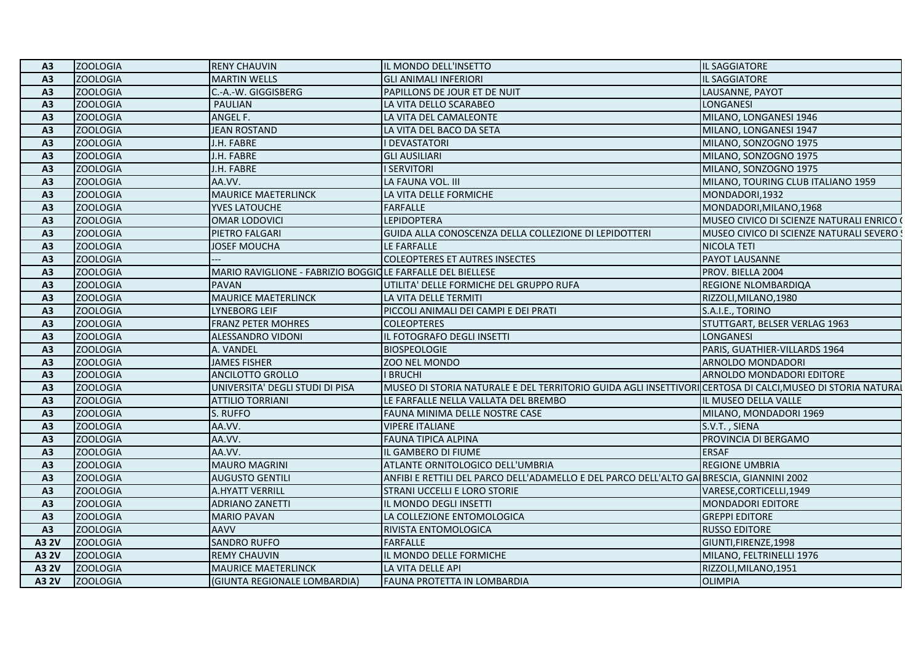| A <sub>3</sub> | ZOOLOGIA        | <b>RENY CHAUVIN</b>                                        | IL MONDO DELL'INSETTO                                                                                      | <b>IL SAGGIATORE</b>                      |
|----------------|-----------------|------------------------------------------------------------|------------------------------------------------------------------------------------------------------------|-------------------------------------------|
| A <sub>3</sub> | <b>ZOOLOGIA</b> | <b>MARTIN WELLS</b>                                        | <b>GLI ANIMALI INFERIORI</b>                                                                               | IL SAGGIATORE                             |
| A3             | <b>ZOOLOGIA</b> | C.-A.-W. GIGGISBERG                                        | PAPILLONS DE JOUR ET DE NUIT                                                                               | LAUSANNE, PAYOT                           |
| A <sub>3</sub> | <b>ZOOLOGIA</b> | PAULIAN                                                    | LA VITA DELLO SCARABEO                                                                                     | LONGANESI                                 |
| A3             | <b>ZOOLOGIA</b> | ANGEL F.                                                   | LA VITA DEL CAMALEONTE                                                                                     | MILANO, LONGANESI 1946                    |
| A3             | <b>ZOOLOGIA</b> | <b>JEAN ROSTAND</b>                                        | LA VITA DEL BACO DA SETA                                                                                   | MILANO, LONGANESI 1947                    |
| A <sub>3</sub> | <b>ZOOLOGIA</b> | J.H. FABRE                                                 | <b>I DEVASTATORI</b>                                                                                       | MILANO, SONZOGNO 1975                     |
| A <sub>3</sub> | <b>ZOOLOGIA</b> | J.H. FABRE                                                 | <b>GLI AUSILIARI</b>                                                                                       | MILANO, SONZOGNO 1975                     |
| A3             | <b>ZOOLOGIA</b> | J.H. FABRE                                                 | <b>I SERVITORI</b>                                                                                         | MILANO, SONZOGNO 1975                     |
| A3             | <b>ZOOLOGIA</b> | AA.VV.                                                     | LA FAUNA VOL. III                                                                                          | MILANO, TOURING CLUB ITALIANO 1959        |
| A3             | <b>ZOOLOGIA</b> | <b>MAURICE MAETERLINCK</b>                                 | LA VITA DELLE FORMICHE                                                                                     | MONDADORI,1932                            |
| A <sub>3</sub> | <b>ZOOLOGIA</b> | <b>YVES LATOUCHE</b>                                       | <b>FARFALLE</b>                                                                                            | MONDADORI, MILANO, 1968                   |
| A <sub>3</sub> | <b>ZOOLOGIA</b> | OMAR LODOVICI                                              | <b>LEPIDOPTERA</b>                                                                                         | MUSEO CIVICO DI SCIENZE NATURALI ENRICO ( |
| A3             | <b>ZOOLOGIA</b> | PIETRO FALGARI                                             | GUIDA ALLA CONOSCENZA DELLA COLLEZIONE DI LEPIDOTTERI                                                      | MUSEO CIVICO DI SCIENZE NATURALI SEVERO : |
| A3             | <b>ZOOLOGIA</b> | <b>JOSEF MOUCHA</b>                                        | LE FARFALLE                                                                                                | NICOLA TETI                               |
| A3             | <b>ZOOLOGIA</b> |                                                            | <b>COLEOPTERES ET AUTRES INSECTES</b>                                                                      | <b>PAYOT LAUSANNE</b>                     |
| A <sub>3</sub> | <b>ZOOLOGIA</b> | MARIO RAVIGLIONE - FABRIZIO BOGGIOLE FARFALLE DEL BIELLESE |                                                                                                            | PROV. BIELLA 2004                         |
| A <sub>3</sub> | <b>ZOOLOGIA</b> | <b>PAVAN</b>                                               | UTILITA' DELLE FORMICHE DEL GRUPPO RUFA                                                                    | <b>REGIONE NLOMBARDIQA</b>                |
| A <sub>3</sub> | <b>ZOOLOGIA</b> | <b>MAURICE MAETERLINCK</b>                                 | LA VITA DELLE TERMITI                                                                                      | RIZZOLI, MILANO, 1980                     |
| A <sub>3</sub> | <b>ZOOLOGIA</b> | <b>LYNEBORG LEIF</b>                                       | PICCOLI ANIMALI DEI CAMPI E DEI PRATI                                                                      | S.A.I.E., TORINO                          |
| A <sub>3</sub> | <b>ZOOLOGIA</b> | <b>FRANZ PETER MOHRES</b>                                  | <b>COLEOPTERES</b>                                                                                         | STUTTGART, BELSER VERLAG 1963             |
| A3             | <b>ZOOLOGIA</b> | <b>ALESSANDRO VIDONI</b>                                   | IL FOTOGRAFO DEGLI INSETTI                                                                                 | <b>LONGANESI</b>                          |
| A3             | <b>ZOOLOGIA</b> | A. VANDEL                                                  | <b>BIOSPEOLOGIE</b>                                                                                        | PARIS, GUATHIER-VILLARDS 1964             |
| A <sub>3</sub> | <b>ZOOLOGIA</b> | <b>JAMES FISHER</b>                                        | <b>ZOO NEL MONDO</b>                                                                                       | ARNOLDO MONDADORI                         |
| A3             | <b>ZOOLOGIA</b> | <b>ANCILOTTO GROLLO</b>                                    | <b>I BRUCHI</b>                                                                                            | ARNOLDO MONDADORI EDITORE                 |
| A3             | <b>ZOOLOGIA</b> | UNIVERSITA' DEGLI STUDI DI PISA                            | MUSEO DI STORIA NATURALE E DEL TERRITORIO GUIDA AGLI INSETTIVORI CERTOSA DI CALCI, MUSEO DI STORIA NATURAL |                                           |
| A3             | <b>ZOOLOGIA</b> | <b>ATTILIO TORRIANI</b>                                    | LE FARFALLE NELLA VALLATA DEL BREMBO                                                                       | IL MUSEO DELLA VALLE                      |
| A <sub>3</sub> | <b>ZOOLOGIA</b> | S. RUFFO                                                   | FAUNA MINIMA DELLE NOSTRE CASE                                                                             | MILANO, MONDADORI 1969                    |
| A3             | <b>ZOOLOGIA</b> | AA.VV.                                                     | <b>VIPERE ITALIANE</b>                                                                                     | S.V.T., SIENA                             |
| A3             | <b>ZOOLOGIA</b> | AA.VV.                                                     | <b>FAUNA TIPICA ALPINA</b>                                                                                 | PROVINCIA DI BERGAMO                      |
| A3             | <b>ZOOLOGIA</b> | AA.VV.                                                     | IL GAMBERO DI FIUME                                                                                        | <b>ERSAF</b>                              |
| A <sub>3</sub> | <b>ZOOLOGIA</b> | <b>MAURO MAGRINI</b>                                       | ATLANTE ORNITOLOGICO DELL'UMBRIA                                                                           | <b>REGIONE UMBRIA</b>                     |
| A3             | <b>ZOOLOGIA</b> | <b>AUGUSTO GENTILI</b>                                     | ANFIBI E RETTILI DEL PARCO DELL'ADAMELLO E DEL PARCO DELL'ALTO GA BRESCIA, GIANNINI 2002                   |                                           |
| A3             | <b>ZOOLOGIA</b> | <b>A.HYATT VERRILL</b>                                     | <b>STRANI UCCELLI E LORO STORIE</b>                                                                        | VARESE, CORTICELLI, 1949                  |
| A <sub>3</sub> | <b>ZOOLOGIA</b> | <b>ADRIANO ZANETTI</b>                                     | IL MONDO DEGLI INSETTI                                                                                     | MONDADORI EDITORE                         |
| A <sub>3</sub> | <b>ZOOLOGIA</b> | <b>MARIO PAVAN</b>                                         | LA COLLEZIONE ENTOMOLOGICA                                                                                 | <b>GREPPI EDITORE</b>                     |
| A3             | <b>ZOOLOGIA</b> | <b>AAVV</b>                                                | RIVISTA ENTOMOLOGICA                                                                                       | <b>RUSSO EDITORE</b>                      |
| <b>A3 2V</b>   | <b>ZOOLOGIA</b> | <b>SANDRO RUFFO</b>                                        | <b>FARFALLE</b>                                                                                            | GIUNTI, FIRENZE, 1998                     |
| A3 2V          | <b>ZOOLOGIA</b> | <b>REMY CHAUVIN</b>                                        | IL MONDO DELLE FORMICHE                                                                                    | MILANO, FELTRINELLI 1976                  |
| A3 2V          | <b>ZOOLOGIA</b> | <b>MAURICE MAETERLINCK</b>                                 | LA VITA DELLE API                                                                                          | RIZZOLI, MILANO, 1951                     |
| A3 2V          | <b>ZOOLOGIA</b> | (GIUNTA REGIONALE LOMBARDIA)                               | FAUNA PROTETTA IN LOMBARDIA                                                                                | <b>OLIMPIA</b>                            |
|                |                 |                                                            |                                                                                                            |                                           |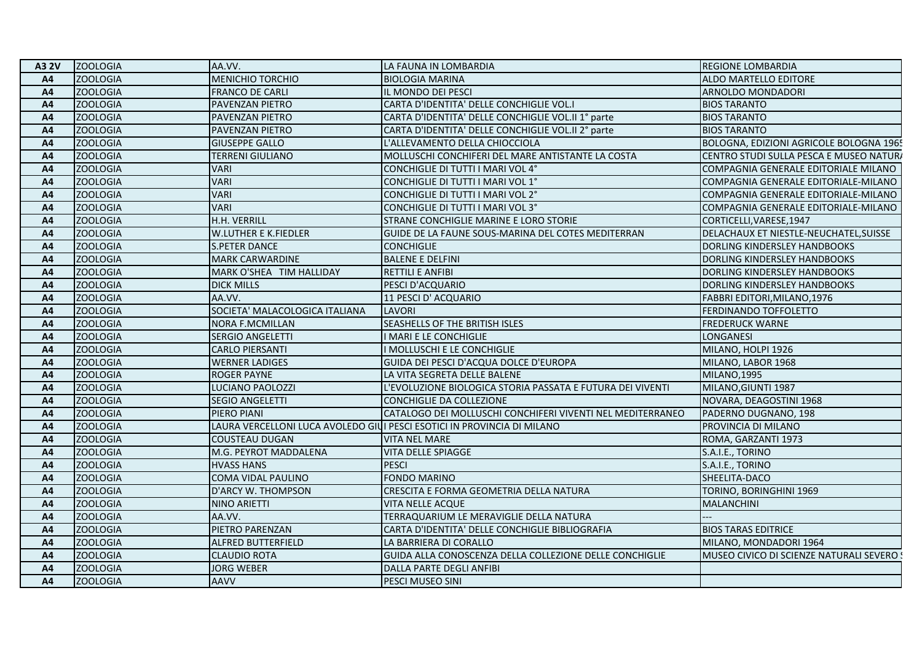| <b>ZOOLOGIA</b><br><b>MENICHIO TORCHIO</b><br><b>BIOLOGIA MARINA</b><br>A <sub>4</sub>                              |                                           |
|---------------------------------------------------------------------------------------------------------------------|-------------------------------------------|
|                                                                                                                     | <b>ALDO MARTELLO EDITORE</b>              |
| <b>ZOOLOGIA</b><br><b>FRANCO DE CARLI</b><br>IL MONDO DEI PESCI<br>A4                                               | <b>ARNOLDO MONDADORI</b>                  |
| <b>ZOOLOGIA</b><br>CARTA D'IDENTITA' DELLE CONCHIGLIE VOL.I<br>A4<br>PAVENZAN PIETRO                                | <b>BIOS TARANTO</b>                       |
| <b>ZOOLOGIA</b><br>PAVENZAN PIETRO<br>CARTA D'IDENTITA' DELLE CONCHIGLIE VOL.II 1° parte<br>A <sup>4</sup>          | <b>BIOS TARANTO</b>                       |
| <b>ZOOLOGIA</b><br>CARTA D'IDENTITA' DELLE CONCHIGLIE VOL.II 2° parte<br>A <sub>4</sub><br>PAVENZAN PIETRO          | <b>BIOS TARANTO</b>                       |
| <b>ZOOLOGIA</b><br>L'ALLEVAMENTO DELLA CHIOCCIOLA<br><b>GIUSEPPE GALLO</b><br>A4                                    | BOLOGNA, EDIZIONI AGRICOLE BOLOGNA 1965   |
| <b>ZOOLOGIA</b><br><b>TERRENI GIULIANO</b><br>MOLLUSCHI CONCHIFERI DEL MARE ANTISTANTE LA COSTA<br>A4               | CENTRO STUDI SULLA PESCA E MUSEO NATURA   |
| <b>ZOOLOGIA</b><br><b>VARI</b><br>CONCHIGLIE DI TUTTI I MARI VOL 4°<br>A <sub>4</sub>                               | COMPAGNIA GENERALE EDITORIALE MILANO      |
| <b>VARI</b><br><b>ZOOLOGIA</b><br>CONCHIGLIE DI TUTTI I MARI VOL 1°<br>A4                                           | COMPAGNIA GENERALE EDITORIALE-MILANO      |
| <b>ZOOLOGIA</b><br><b>VARI</b><br>A <sub>4</sub><br>CONCHIGLIE DI TUTTI I MARI VOL 2°                               | COMPAGNIA GENERALE EDITORIALE-MILANO      |
| <b>VARI</b><br><b>ZOOLOGIA</b><br>CONCHIGLIE DI TUTTI I MARI VOL 3°<br>A <sub>4</sub>                               | COMPAGNIA GENERALE EDITORIALE-MILANO      |
| H.H. VERRILL<br><b>ZOOLOGIA</b><br>STRANE CONCHIGLIE MARINE E LORO STORIE<br>A4                                     | CORTICELLI, VARESE, 1947                  |
| <b>W.LUTHER E K.FIEDLER</b><br>GUIDE DE LA FAUNE SOUS-MARINA DEL COTES MEDITERRAN<br><b>ZOOLOGIA</b><br>A4          | DELACHAUX ET NIESTLE-NEUCHATEL, SUISSE    |
| <b>ZOOLOGIA</b><br><b>S.PETER DANCE</b><br><b>CONCHIGLIE</b><br>A <sup>4</sup>                                      | DORLING KINDERSLEY HANDBOOKS              |
| <b>ZOOLOGIA</b><br><b>MARK CARWARDINE</b><br><b>BALENE E DELFINI</b><br>A <sup>4</sup>                              | DORLING KINDERSLEY HANDBOOKS              |
| <b>ZOOLOGIA</b><br>MARK O'SHEA TIM HALLIDAY<br><b>RETTILI E ANFIBI</b><br>A4                                        | DORLING KINDERSLEY HANDBOOKS              |
| <b>ZOOLOGIA</b><br><b>DICK MILLS</b><br>A <sub>4</sub><br>PESCI D'ACQUARIO                                          | DORLING KINDERSLEY HANDBOOKS              |
| <b>ZOOLOGIA</b><br>AA.VV.<br>11 PESCI D' ACQUARIO<br>A <sub>4</sub>                                                 | FABBRI EDITORI, MILANO, 1976              |
| <b>ZOOLOGIA</b><br>SOCIETA' MALACOLOGICA ITALIANA<br>A <sub>4</sub><br><b>LAVORI</b>                                | <b>FERDINANDO TOFFOLETTO</b>              |
| <b>ZOOLOGIA</b><br><b>NORA F.MCMILLAN</b><br>SEASHELLS OF THE BRITISH ISLES<br>A <sup>4</sup>                       | <b>FREDERUCK WARNE</b>                    |
| <b>ZOOLOGIA</b><br>A4<br>SERGIO ANGELETTI<br>I MARI E LE CONCHIGLIE                                                 | <b>LONGANESI</b>                          |
| <b>ZOOLOGIA</b><br><b>CARLO PIERSANTI</b><br>I MOLLUSCHI E LE CONCHIGLIE<br>A4                                      | MILANO, HOLPI 1926                        |
| <b>ZOOLOGIA</b><br><b>WERNER LADIGES</b><br>GUIDA DEI PESCI D'ACQUA DOLCE D'EUROPA<br>A4                            | MILANO, LABOR 1968                        |
| <b>ZOOLOGIA</b><br>LA VITA SEGRETA DELLE BALENE<br><b>ROGER PAYNE</b><br>A <sup>4</sup>                             | MILANO.1995                               |
| <b>ZOOLOGIA</b><br>LUCIANO PAOLOZZI<br>L'EVOLUZIONE BIOLOGICA STORIA PASSATA E FUTURA DEI VIVENTI<br>A4             | MILANO, GIUNTI 1987                       |
| <b>ZOOLOGIA</b><br>A4<br><b>SEGIO ANGELETTI</b><br>CONCHIGLIE DA COLLEZIONE                                         | NOVARA, DEAGOSTINI 1968                   |
| <b>ZOOLOGIA</b><br>CATALOGO DEI MOLLUSCHI CONCHIFERI VIVENTI NEL MEDITERRANEO<br>A4<br>PIERO PIANI                  | PADERNO DUGNANO, 198                      |
| <b>ZOOLOGIA</b><br>LAURA VERCELLONI LUCA AVOLEDO GIUI PESCI ESOTICI IN PROVINCIA DI MILANO<br>A <sub>4</sub>        | PROVINCIA DI MILANO                       |
| <b>ZOOLOGIA</b><br><b>COUSTEAU DUGAN</b><br><b>VITA NEL MARE</b><br>A <sub>4</sub>                                  | ROMA, GARZANTI 1973                       |
| <b>ZOOLOGIA</b><br>M.G. PEYROT MADDALENA<br>VITA DELLE SPIAGGE<br>A4                                                | S.A.I.E., TORINO                          |
| <b>ZOOLOGIA</b><br><b>PESCI</b><br>A <sup>4</sup><br><b>HVASS HANS</b>                                              | S.A.I.E., TORINO                          |
| <b>ZOOLOGIA</b><br>COMA VIDAL PAULINO<br><b>FONDO MARINO</b><br>A <sup>4</sup>                                      | SHEELITA-DACO                             |
| <b>ZOOLOGIA</b><br>D'ARCY W. THOMPSON<br>CRESCITA E FORMA GEOMETRIA DELLA NATURA<br>A <sub>4</sub>                  | TORINO, BORINGHINI 1969                   |
| <b>ZOOLOGIA</b><br><b>NINO ARIETTI</b><br><b>VITA NELLE ACQUE</b><br>A <sub>4</sub>                                 | MALANCHINI                                |
| <b>ZOOLOGIA</b><br>AA.VV.<br>TERRAQUARIUM LE MERAVIGLIE DELLA NATURA<br>A4                                          |                                           |
| <b>ZOOLOGIA</b><br>PIETRO PARENZAN<br>CARTA D'IDENTITA' DELLE CONCHIGLIE BIBLIOGRAFIA<br>A4                         | <b>BIOS TARAS EDITRICE</b>                |
| <b>ZOOLOGIA</b><br>ALFRED BUTTERFIELD<br>LA BARRIERA DI CORALLO<br>A4                                               | MILANO, MONDADORI 1964                    |
| <b>ZOOLOGIA</b><br><b>CLAUDIO ROTA</b><br>GUIDA ALLA CONOSCENZA DELLA COLLEZIONE DELLE CONCHIGLIE<br>A <sup>4</sup> | MUSEO CIVICO DI SCIENZE NATURALI SEVERO ! |
| <b>JORG WEBER</b><br>DALLA PARTE DEGLI ANFIBI<br><b>ZOOLOGIA</b><br>A <sub>4</sub>                                  |                                           |
| <b>ZOOLOGIA</b><br>PESCI MUSEO SINI<br>A4<br><b>AAVV</b>                                                            |                                           |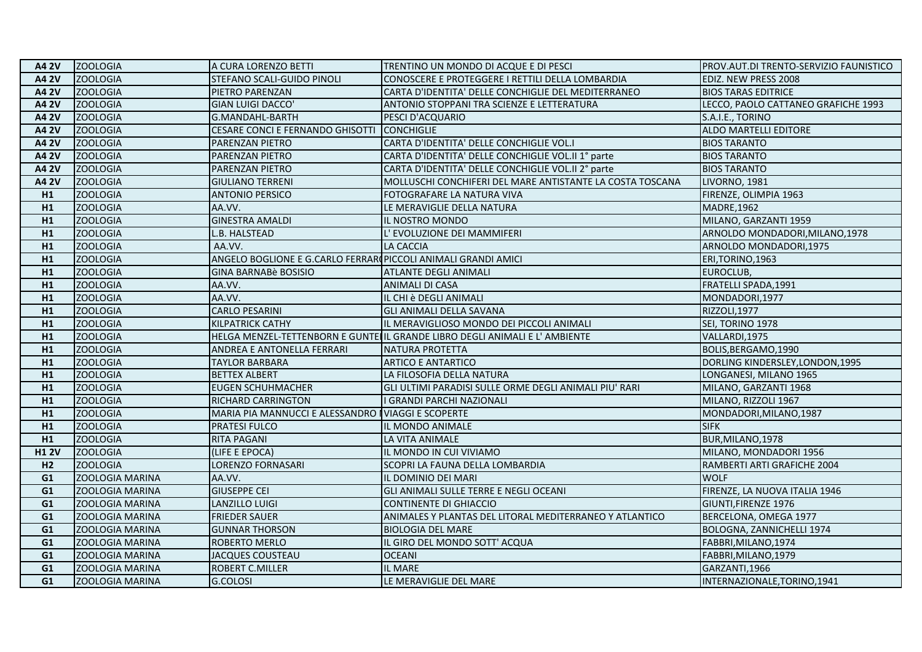| <b>A4 2V</b>   | <b>ZOOLOGIA</b>        | A CURA LORENZO BETTI                                           | TRENTINO UN MONDO DI ACQUE E DI PESCI                                       | PROV.AUT.DI TRENTO-SERVIZIO FAUNISTICO |
|----------------|------------------------|----------------------------------------------------------------|-----------------------------------------------------------------------------|----------------------------------------|
| A4 2V          | <b>ZOOLOGIA</b>        | STEFANO SCALI-GUIDO PINOLI                                     | CONOSCERE E PROTEGGERE I RETTILI DELLA LOMBARDIA                            | EDIZ. NEW PRESS 2008                   |
| A4 2V          | <b>ZOOLOGIA</b>        | PIETRO PARENZAN                                                | CARTA D'IDENTITA' DELLE CONCHIGLIE DEL MEDITERRANEO                         | <b>BIOS TARAS EDITRICE</b>             |
| A4 2V          | <b>ZOOLOGIA</b>        | GIAN LUIGI DACCO'                                              | ANTONIO STOPPANI TRA SCIENZE E LETTERATURA                                  | LECCO, PAOLO CATTANEO GRAFICHE 1993    |
| A4 2V          | <b>ZOOLOGIA</b>        | G.MANDAHL-BARTH                                                | PESCI D'ACQUARIO                                                            | S.A.I.E., TORINO                       |
| <b>A4 2V</b>   | <b>ZOOLOGIA</b>        | CESARE CONCI E FERNANDO GHISOTTI                               | <b>CONCHIGLIE</b>                                                           | ALDO MARTELLI EDITORE                  |
| A4 2V          | <b>ZOOLOGIA</b>        | PARENZAN PIETRO                                                | CARTA D'IDENTITA' DELLE CONCHIGLIE VOL.I                                    | <b>BIOS TARANTO</b>                    |
| A4 2V          | <b>ZOOLOGIA</b>        | PARENZAN PIETRO                                                | CARTA D'IDENTITA' DELLE CONCHIGLIE VOL.II 1° parte                          | <b>BIOS TARANTO</b>                    |
| <b>A4 2V</b>   | <b>ZOOLOGIA</b>        | PARENZAN PIETRO                                                | CARTA D'IDENTITA' DELLE CONCHIGLIE VOL.II 2° parte                          | <b>BIOS TARANTO</b>                    |
| A4 2V          | <b>ZOOLOGIA</b>        | <b>GIULIANO TERRENI</b>                                        | MOLLUSCHI CONCHIFERI DEL MARE ANTISTANTE LA COSTA TOSCANA                   | LIVORNO, 1981                          |
| H1             | <b>ZOOLOGIA</b>        | <b>ANTONIO PERSICO</b>                                         | FOTOGRAFARE LA NATURA VIVA                                                  | FIRENZE, OLIMPIA 1963                  |
| H1             | <b>ZOOLOGIA</b>        | AA.VV.                                                         | LE MERAVIGLIE DELLA NATURA                                                  | <b>MADRE, 1962</b>                     |
| H1             | <b>ZOOLOGIA</b>        | <b>GINESTRA AMALDI</b>                                         | IL NOSTRO MONDO                                                             | MILANO, GARZANTI 1959                  |
| H1             | <b>ZOOLOGIA</b>        | L.B. HALSTEAD                                                  | L' EVOLUZIONE DEI MAMMIFERI                                                 | ARNOLDO MONDADORI, MILANO, 1978        |
| H1             | <b>ZOOLOGIA</b>        | AA.VV.                                                         | LA CACCIA                                                                   | ARNOLDO MONDADORI,1975                 |
| H1             | <b>ZOOLOGIA</b>        | ANGELO BOGLIONE E G.CARLO FERRARI PICCOLI ANIMALI GRANDI AMICI |                                                                             | ERI, TORINO, 1963                      |
| H1             | <b>ZOOLOGIA</b>        | GINA BARNABè BOSISIO                                           | ATLANTE DEGLI ANIMALI                                                       | EUROCLUB,                              |
| H1             | <b>ZOOLOGIA</b>        | AA.VV.                                                         | <b>ANIMALI DI CASA</b>                                                      | FRATELLI SPADA,1991                    |
| H1             | <b>ZOOLOGIA</b>        | AA.VV.                                                         | IL CHI è DEGLI ANIMALI                                                      | MONDADORI,1977                         |
| H1             | <b>ZOOLOGIA</b>        | <b>CARLO PESARINI</b>                                          | <b>GLI ANIMALI DELLA SAVANA</b>                                             | RIZZOLI, 1977                          |
| H1             | <b>ZOOLOGIA</b>        | <b>KILPATRICK CATHY</b>                                        | IL MERAVIGLIOSO MONDO DEI PICCOLI ANIMALI                                   | SEI, TORINO 1978                       |
| H1             | <b>ZOOLOGIA</b>        |                                                                | HELGA MENZEL-TETTENBORN E GUNTE IL GRANDE LIBRO DEGLI ANIMALI E L' AMBIENTE | VALLARDI, 1975                         |
| H1             | <b>ZOOLOGIA</b>        | ANDREA E ANTONELLA FERRARI                                     | NATURA PROTETTA                                                             | BOLIS, BERGAMO, 1990                   |
| H1             | <b>ZOOLOGIA</b>        | <b>TAYLOR BARBARA</b>                                          | <b>ARTICO E ANTARTICO</b>                                                   | DORLING KINDERSLEY, LONDON, 1995       |
| H1             | <b>ZOOLOGIA</b>        | <b>BETTEX ALBERT</b>                                           | LA FILOSOFIA DELLA NATURA                                                   | LONGANESI, MILANO 1965                 |
| H1             | <b>ZOOLOGIA</b>        | <b>EUGEN SCHUHMACHER</b>                                       | GLI ULTIMI PARADISI SULLE ORME DEGLI ANIMALI PIU' RARI                      | MILANO, GARZANTI 1968                  |
| H1             | <b>ZOOLOGIA</b>        | RICHARD CARRINGTON                                             | I GRANDI PARCHI NAZIONALI                                                   | MILANO, RIZZOLI 1967                   |
| H1             | <b>ZOOLOGIA</b>        | MARIA PIA MANNUCCI E ALESSANDRO                                | <b>VIAGGI E SCOPERTE</b>                                                    | MONDADORI, MILANO, 1987                |
| H1             | <b>ZOOLOGIA</b>        | <b>PRATESI FULCO</b>                                           | IL MONDO ANIMALE                                                            | <b>SIFK</b>                            |
| H1             | <b>ZOOLOGIA</b>        | <b>RITA PAGANI</b>                                             | LA VITA ANIMALE                                                             | BUR, MILANO, 1978                      |
| <b>H12V</b>    | <b>ZOOLOGIA</b>        | (LIFE E EPOCA)                                                 | IL MONDO IN CUI VIVIAMO                                                     | MILANO, MONDADORI 1956                 |
| H <sub>2</sub> | <b>ZOOLOGIA</b>        | <b>LORENZO FORNASARI</b>                                       | SCOPRI LA FAUNA DELLA LOMBARDIA                                             | RAMBERTI ARTI GRAFICHE 2004            |
| G1             | ZOOLOGIA MARINA        | AA.VV.                                                         | IL DOMINIO DEI MARI                                                         | <b>WOLF</b>                            |
| G1             | ZOOLOGIA MARINA        | <b>GIUSEPPE CEI</b>                                            | GLI ANIMALI SULLE TERRE E NEGLI OCEANI                                      | FIRENZE, LA NUOVA ITALIA 1946          |
| G1             | <b>ZOOLOGIA MARINA</b> | <b>LANZILLO LUIGI</b>                                          | <b>CONTINENTE DI GHIACCIO</b>                                               | GIUNTI, FIRENZE 1976                   |
| G1             | <b>ZOOLOGIA MARINA</b> | <b>FRIEDER SAUER</b>                                           | ANIMALES Y PLANTAS DEL LITORAL MEDITERRANEO Y ATLANTICO                     | BERCELONA, OMEGA 1977                  |
| G1             | ZOOLOGIA MARINA        | <b>GUNNAR THORSON</b>                                          | <b>BIOLOGIA DEL MARE</b>                                                    | <b>BOLOGNA, ZANNICHELLI 1974</b>       |
| G1             | ZOOLOGIA MARINA        | <b>ROBERTO MERLO</b>                                           | IL GIRO DEL MONDO SOTT' ACQUA                                               | FABBRI, MILANO, 1974                   |
| G1             | ZOOLOGIA MARINA        | JACQUES COUSTEAU                                               | <b>OCEANI</b>                                                               | FABBRI, MILANO, 1979                   |
| G1             | <b>ZOOLOGIA MARINA</b> | ROBERT C.MILLER                                                | IL MARE                                                                     | GARZANTI,1966                          |
| G1             | ZOOLOGIA MARINA        | G.COLOSI                                                       | LE MERAVIGLIE DEL MARE                                                      | INTERNAZIONALE, TORINO, 1941           |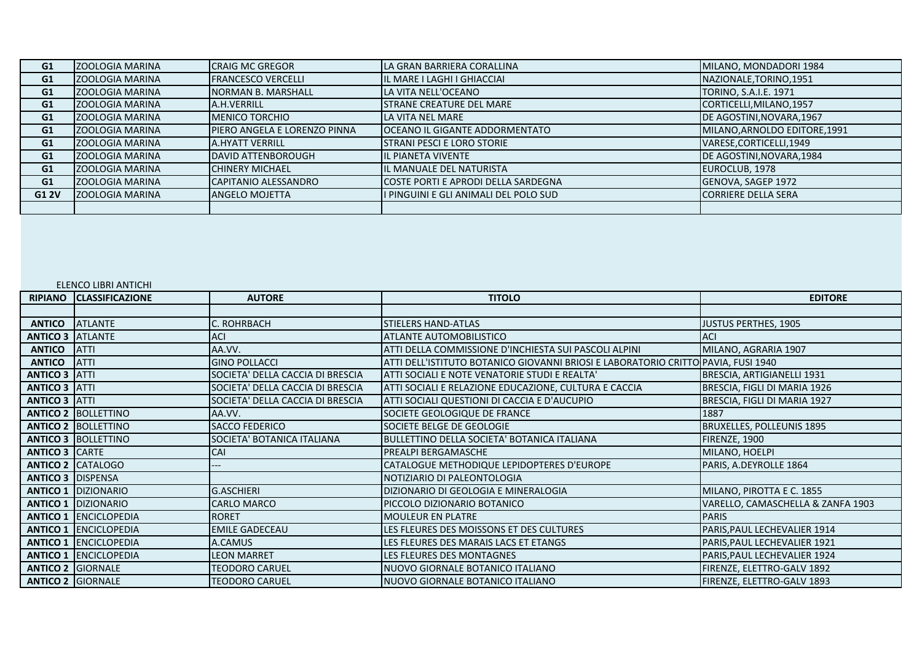| G1    | <b>ZOOLOGIA MARINA</b>  | <b>CRAIG MC GREGOR</b>       | LA GRAN BARRIERA CORALLINA            | MILANO, MONDADORI 1984        |
|-------|-------------------------|------------------------------|---------------------------------------|-------------------------------|
| G1    | <b>ZOOLOGIA MARINA</b>  | <b>FRANCESCO VERCELLI</b>    | IL MARE I LAGHI I GHIACCIAI           | NAZIONALE, TORINO, 1951       |
| G1    | <b>ZOOLOGIA MARINA</b>  | <b>NORMAN B. MARSHALL</b>    | LA VITA NELL'OCEANO                   | TORINO, S.A.I.E. 1971         |
| G1    | <b>ZOOLOGIA MARINA</b>  | A.H.VERRILL                  | <b>STRANE CREATURE DEL MARE</b>       | CORTICELLI, MILANO, 1957      |
| G1    | <b>ZOOLOGIA MARINA</b>  | <b>MENICO TORCHIO</b>        | LA VITA NEL MARE                      | DE AGOSTINI, NOVARA, 1967     |
| G1    | <b>ZOOLOGIA MARINA</b>  | PIERO ANGELA E LORENZO PINNA | <b>OCEANO IL GIGANTE ADDORMENTATO</b> | MILANO, ARNOLDO EDITORE, 1991 |
| G1    | <b>ZOOLOGIA MARINA</b>  | <b>A.HYATT VERRILL</b>       | <b>STRANI PESCI E LORO STORIE</b>     | VARESE, CORTICELLI, 1949      |
| G1    | <b>ZOOLOGIA MARINA</b>  | <b>DAVID ATTENBOROUGH</b>    | IL PIANETA VIVENTE                    | DE AGOSTINI, NOVARA, 1984     |
| G1    | <b>ZOOLOGIA MARINA</b>  | <b>CHINERY MICHAEL</b>       | IL MANUALE DEL NATURISTA              | EUROCLUB, 1978                |
| G1    | <b>ZOOLOGIA MARINA</b>  | CAPITANIO ALESSANDRO         | COSTE PORTI E APRODI DELLA SARDEGNA   | GENOVA, SAGEP 1972            |
| G1 2V | <b>IZOOLOGIA MARINA</b> | ANGELO MOJETTA               | I PINGUINI E GLI ANIMALI DEL POLO SUD | <b>CORRIERE DELLA SERA</b>    |
|       |                         |                              |                                       |                               |

## ELENCO LIBRI ANTICHI

| <b>RIPIANO</b>           | <b>CLASSIFICAZIONE</b>       | <b>AUTORE</b>                    | <b>TITOLO</b>                                                                     | <b>EDITORE</b>                    |
|--------------------------|------------------------------|----------------------------------|-----------------------------------------------------------------------------------|-----------------------------------|
|                          |                              |                                  |                                                                                   |                                   |
| <b>ANTICO</b>            | <b>ATLANTE</b>               | C. ROHRBACH                      | <b>STIELERS HAND-ATLAS</b>                                                        | <b>JUSTUS PERTHES, 1905</b>       |
| <b>ANTICO 3 ATLANTE</b>  |                              | <b>ACI</b>                       | ATLANTE AUTOMOBILISTICO                                                           | <b>ACI</b>                        |
| <b>ANTICO</b>            | <b>ATTI</b>                  | AA.VV.                           | ATTI DELLA COMMISSIONE D'INCHIESTA SUI PASCOLI ALPINI                             | MILANO, AGRARIA 1907              |
| <b>ANTICO</b>            | <b>ATTI</b>                  | <b>GINO POLLACCI</b>             | ATTI DELL'ISTITUTO BOTANICO GIOVANNI BRIOSI E LABORATORIO CRITTO PAVIA, FUSI 1940 |                                   |
| <b>ANTICO 3 ATTI</b>     |                              | SOCIETA' DELLA CACCIA DI BRESCIA | ATTI SOCIALI E NOTE VENATORIE STUDI E REALTA'                                     | BRESCIA, ARTIGIANELLI 1931        |
| <b>ANTICO 3 ATTI</b>     |                              | SOCIETA' DELLA CACCIA DI BRESCIA | ATTI SOCIALI E RELAZIONE EDUCAZIONE, CULTURA E CACCIA                             | BRESCIA, FIGLI DI MARIA 1926      |
| <b>ANTICO 3 ATTI</b>     |                              | SOCIETA' DELLA CACCIA DI BRESCIA | ATTI SOCIALI QUESTIONI DI CACCIA E D'AUCUPIO                                      | BRESCIA, FIGLI DI MARIA 1927      |
|                          | <b>ANTICO 2 BOLLETTINO</b>   | AA.VV.                           | SOCIETE GEOLOGIQUE DE FRANCE                                                      | 1887                              |
|                          | <b>ANTICO 2 BOLLETTINO</b>   | <b>SACCO FEDERICO</b>            | SOCIETE BELGE DE GEOLOGIE                                                         | <b>BRUXELLES, POLLEUNIS 1895</b>  |
|                          | <b>ANTICO 3 BOLLETTINO</b>   | SOCIETA' BOTANICA ITALIANA       | BULLETTINO DELLA SOCIETA' BOTANICA ITALIANA                                       | FIRENZE, 1900                     |
| <b>ANTICO 3 CARTE</b>    |                              | CAI                              | <b>PREALPI BERGAMASCHE</b>                                                        | MILANO, HOELPI                    |
|                          | <b>ANTICO 2 CATALOGO</b>     |                                  | CATALOGUE METHODIQUE LEPIDOPTERES D'EUROPE                                        | PARIS, A.DEYROLLE 1864            |
| <b>ANTICO 3 DISPENSA</b> |                              |                                  | NOTIZIARIO DI PALEONTOLOGIA                                                       |                                   |
|                          | <b>ANTICO 1 DIZIONARIO</b>   | <b>G.ASCHIERI</b>                | DIZIONARIO DI GEOLOGIA E MINERALOGIA                                              | MILANO, PIROTTA E C. 1855         |
|                          | <b>ANTICO 1 DIZIONARIO</b>   | <b>CARLO MARCO</b>               | PICCOLO DIZIONARIO BOTANICO                                                       | VARELLO, CAMASCHELLA & ZANFA 1903 |
|                          | <b>ANTICO 1 ENCICLOPEDIA</b> | <b>RORET</b>                     | <b>MOULEUR EN PLATRE</b>                                                          | <b>PARIS</b>                      |
|                          | <b>ANTICO 1 ENCICLOPEDIA</b> | <b>EMILE GADECEAU</b>            | LES FLEURES DES MOISSONS ET DES CULTURES                                          | PARIS, PAUL LECHEVALIER 1914      |
|                          | <b>ANTICO 1 ENCICLOPEDIA</b> | A.CAMUS                          | LES FLEURES DES MARAIS LACS ET ETANGS                                             | PARIS, PAUL LECHEVALIER 1921      |
|                          | <b>ANTICO 1 ENCICLOPEDIA</b> | <b>LEON MARRET</b>               | LES FLEURES DES MONTAGNES                                                         | PARIS, PAUL LECHEVALIER 1924      |
| <b>ANTICO 2 GIORNALE</b> |                              | <b>TEODORO CARUEL</b>            | NUOVO GIORNALE BOTANICO ITALIANO                                                  | FIRENZE, ELETTRO-GALV 1892        |
| <b>ANTICO 2 GIORNALE</b> |                              | <b>TEODORO CARUEL</b>            | NUOVO GIORNALE BOTANICO ITALIANO                                                  | FIRENZE, ELETTRO-GALV 1893        |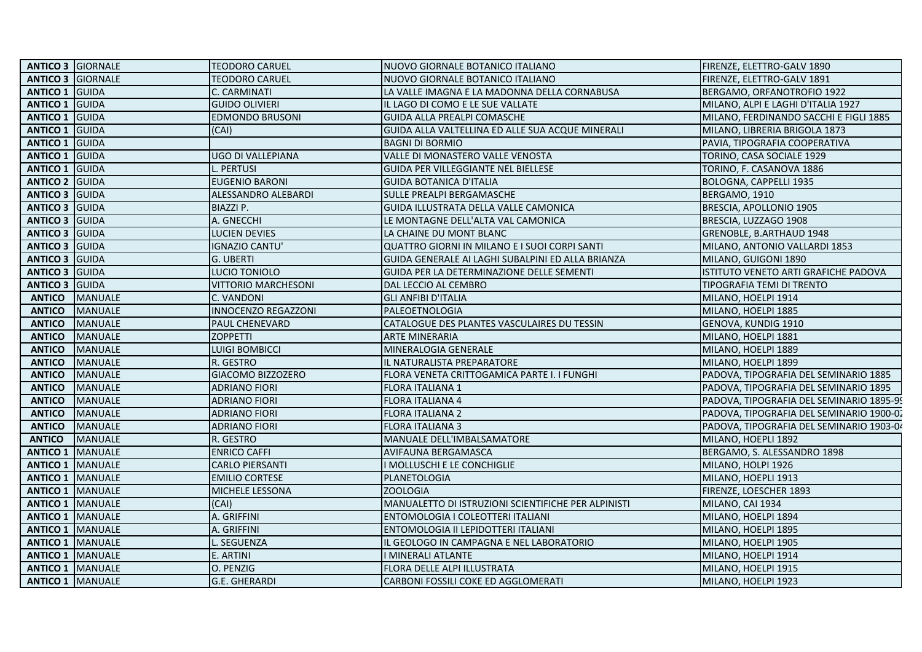| <b>ANTICO 3 GIORNALE</b>  |                           | <b>TEODORO CARUEL</b>      | NUOVO GIORNALE BOTANICO ITALIANO                    | FIRENZE, ELETTRO-GALV 1890               |
|---------------------------|---------------------------|----------------------------|-----------------------------------------------------|------------------------------------------|
| <b>ANTICO 3 GIORNALE</b>  |                           | <b>TEODORO CARUEL</b>      | NUOVO GIORNALE BOTANICO ITALIANO                    | FIRENZE, ELETTRO-GALV 1891               |
| <b>ANTICO 1 GUIDA</b>     |                           | C. CARMINATI               | LA VALLE IMAGNA E LA MADONNA DELLA CORNABUSA        | BERGAMO, ORFANOTROFIO 1922               |
| <b>ANTICO 1 GUIDA</b>     |                           | <b>GUIDO OLIVIERI</b>      | IL LAGO DI COMO E LE SUE VALLATE                    | MILANO, ALPI E LAGHI D'ITALIA 1927       |
| <b>ANTICO 1 GUIDA</b>     |                           | <b>EDMONDO BRUSONI</b>     | <b>GUIDA ALLA PREALPI COMASCHE</b>                  | MILANO, FERDINANDO SACCHI E FIGLI 1885   |
| <b>ANTICO 1 GUIDA</b>     |                           | (CAI)                      | GUIDA ALLA VALTELLINA ED ALLE SUA ACQUE MINERALI    | MILANO, LIBRERIA BRIGOLA 1873            |
| <b>ANTICO 1 GUIDA</b>     |                           |                            | <b>BAGNI DI BORMIO</b>                              | PAVIA, TIPOGRAFIA COOPERATIVA            |
| <b>ANTICO 1 GUIDA</b>     |                           | <b>UGO DI VALLEPIANA</b>   | VALLE DI MONASTERO VALLE VENOSTA                    | TORINO, CASA SOCIALE 1929                |
| <b>ANTICO 1 GUIDA</b>     |                           | L. PERTUSI                 | GUIDA PER VILLEGGIANTE NEL BIELLESE                 | TORINO, F. CASANOVA 1886                 |
| <b>ANTICO 2 GUIDA</b>     |                           | <b>EUGENIO BARONI</b>      | <b>GUIDA BOTANICA D'ITALIA</b>                      | BOLOGNA, CAPPELLI 1935                   |
| <b>ANTICO 3 GUIDA</b>     |                           | ALESSANDRO ALEBARDI        | SULLE PREALPI BERGAMASCHE                           | BERGAMO, 1910                            |
| <b>ANTICO 3 GUIDA</b>     |                           | <b>BIAZZI P.</b>           | GUIDA ILLUSTRATA DELLA VALLE CAMONICA               | BRESCIA, APOLLONIO 1905                  |
| <b>ANTICO 3 GUIDA</b>     |                           | A. GNECCHI                 | LE MONTAGNE DELL'ALTA VAL CAMONICA                  | BRESCIA, LUZZAGO 1908                    |
| <b>ANTICO 3 GUIDA</b>     |                           | <b>LUCIEN DEVIES</b>       | LA CHAINE DU MONT BLANC                             | GRENOBLE, B.ARTHAUD 1948                 |
| <b>ANTICO 3 GUIDA</b>     |                           | <b>IGNAZIO CANTU'</b>      | QUATTRO GIORNI IN MILANO E I SUOI CORPI SANTI       | MILANO, ANTONIO VALLARDI 1853            |
| <b>ANTICO 3 GUIDA</b>     |                           | <b>G. UBERTI</b>           | GUIDA GENERALE AI LAGHI SUBALPINI ED ALLA BRIANZA   | MILANO, GUIGONI 1890                     |
| <b>ANTICO 3 GUIDA</b>     |                           | LUCIO TONIOLO              | <b>GUIDA PER LA DETERMINAZIONE DELLE SEMENTI</b>    | ISTITUTO VENETO ARTI GRAFICHE PADOVA     |
| <b>ANTICO 3 GUIDA</b>     |                           | <b>VITTORIO MARCHESONI</b> | DAL LECCIO AL CEMBRO                                | TIPOGRAFIA TEMI DI TRENTO                |
| <b>ANTICO</b>             | MANUALE                   | C. VANDONI                 | <b>GLI ANFIBI D'ITALIA</b>                          | MILANO, HOELPI 1914                      |
| <b>ANTICO</b>             | <b>MANUALE</b>            | <b>INNOCENZO REGAZZONI</b> | PALEOETNOLOGIA                                      | MILANO, HOELPI 1885                      |
| <b>ANTICO</b>             | <b>MANUALE</b>            | <b>PAUL CHENEVARD</b>      | CATALOGUE DES PLANTES VASCULAIRES DU TESSIN         | GENOVA, KUNDIG 1910                      |
| <b>ANTICO</b>             | <b>MANUALE</b>            | <b>ZOPPETTI</b>            | <b>ARTE MINERARIA</b>                               | MILANO, HOELPI 1881                      |
| <b>ANTICO</b>             | <b>MANUALE</b>            | <b>LUIGI BOMBICCI</b>      | MINERALOGIA GENERALE                                | MILANO, HOELPI 1889                      |
| <b>ANTICO</b>             | <b>MANUALE</b>            | R. GESTRO                  | IL NATURALISTA PREPARATORE                          | MILANO, HOELPI 1899                      |
| <b>ANTICO</b>             | <b>MANUALE</b>            | GIACOMO BIZZOZERO          | FLORA VENETA CRITTOGAMICA PARTE I. I FUNGHI         | PADOVA, TIPOGRAFIA DEL SEMINARIO 1885    |
| <b>ANTICO</b>             | <b>MANUALE</b>            | <b>ADRIANO FIORI</b>       | FLORA ITALIANA 1                                    | PADOVA, TIPOGRAFIA DEL SEMINARIO 1895    |
| <b>ANTICO</b>             | <b>MANUALE</b>            | <b>ADRIANO FIORI</b>       | <b>FLORA ITALIANA 4</b>                             | PADOVA, TIPOGRAFIA DEL SEMINARIO 1895-99 |
| <b>ANTICO</b>             | <b>MANUALE</b>            | <b>ADRIANO FIORI</b>       | <b>FLORA ITALIANA 2</b>                             | PADOVA, TIPOGRAFIA DEL SEMINARIO 1900-02 |
| <b>ANTICO</b>             | <b>MANUALE</b>            | <b>ADRIANO FIORI</b>       | <b>FLORA ITALIANA 3</b>                             | PADOVA, TIPOGRAFIA DEL SEMINARIO 1903-04 |
| <b>ANTICO</b>             | <b>MANUALE</b>            | R. GESTRO                  | MANUALE DELL'IMBALSAMATORE                          | MILANO, HOEPLI 1892                      |
|                           | <b>ANTICO 1   MANUALE</b> | <b>ENRICO CAFFI</b>        | <b>AVIFAUNA BERGAMASCA</b>                          | BERGAMO, S. ALESSANDRO 1898              |
| <b>ANTICO 1 MANUALE</b>   |                           | <b>CARLO PIERSANTI</b>     | I MOLLUSCHI E LE CONCHIGLIE                         | MILANO, HOLPI 1926                       |
| <b>ANTICO 1 MANUALE</b>   |                           | <b>EMILIO CORTESE</b>      | PLANETOLOGIA                                        | MILANO, HOEPLI 1913                      |
|                           | <b>ANTICO 1   MANUALE</b> | MICHELE LESSONA            | <b>ZOOLOGIA</b>                                     | FIRENZE, LOESCHER 1893                   |
| <b>ANTICO 1   MANUALE</b> |                           | (CAI)                      | MANUALETTO DI ISTRUZIONI SCIENTIFICHE PER ALPINISTI | MILANO, CAI 1934                         |
| <b>ANTICO 1 MANUALE</b>   |                           | A. GRIFFINI                | ENTOMOLOGIA I COLEOTTERI ITALIANI                   | MILANO, HOELPI 1894                      |
| <b>ANTICO 1   MANUALE</b> |                           | A. GRIFFINI                | ENTOMOLOGIA II LEPIDOTTERI ITALIANI                 | MILANO, HOELPI 1895                      |
| <b>ANTICO 1   MANUALE</b> |                           | L. SEGUENZA                | IL GEOLOGO IN CAMPAGNA E NEL LABORATORIO            | MILANO, HOELPI 1905                      |
| <b>ANTICO 1   MANUALE</b> |                           | E. ARTINI                  | I MINERALI ATLANTE                                  | MILANO, HOELPI 1914                      |
| <b>ANTICO 1 MANUALE</b>   |                           | O. PENZIG                  | FLORA DELLE ALPI ILLUSTRATA                         | MILANO, HOELPI 1915                      |
|                           | <b>ANTICO 1   MANUALE</b> | <b>G.E. GHERARDI</b>       | CARBONI FOSSILI COKE ED AGGLOMERATI                 | MILANO, HOELPI 1923                      |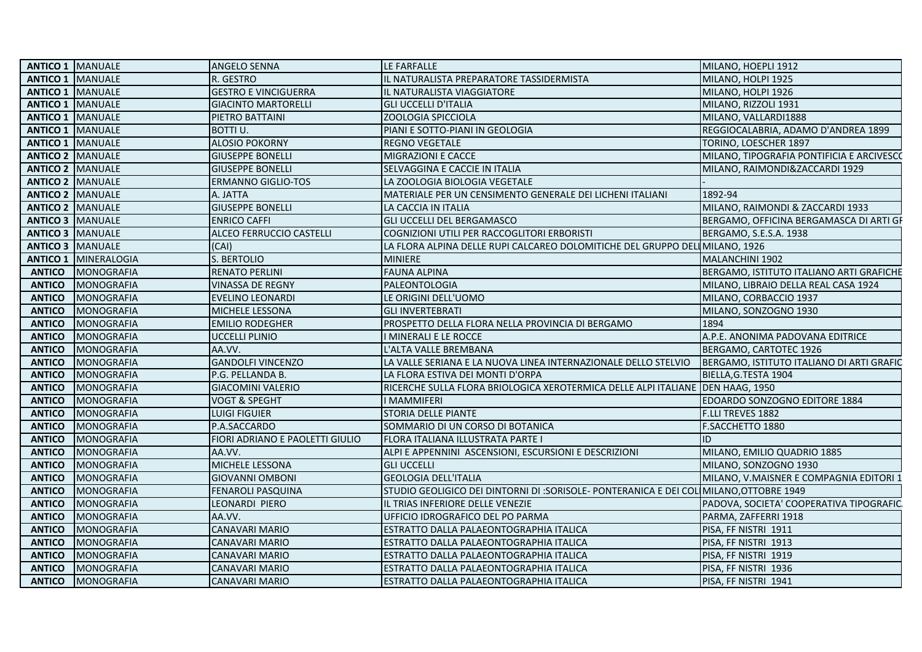| <b>ANTICO 1 MANUALE</b><br>R. GESTRO<br>IL NATURALISTA PREPARATORE TASSIDERMISTA<br>MILANO, HOLPI 1925<br><b>ANTICO 1   MANUALE</b><br><b>GESTRO E VINCIGUERRA</b><br>IL NATURALISTA VIAGGIATORE<br>MILANO, HOLPI 1926<br><b>ANTICO 1 MANUALE</b><br><b>GIACINTO MARTORELLI</b><br><b>GLI UCCELLI D'ITALIA</b><br>MILANO, RIZZOLI 1931<br><b>ANTICO 1   MANUALE</b><br>PIETRO BATTAINI<br><b>ZOOLOGIA SPICCIOLA</b><br>MILANO, VALLARDI1888<br><b>ANTICO 1 MANUALE</b><br>BOTTI U.<br>PIANI E SOTTO-PIANI IN GEOLOGIA<br>REGGIOCALABRIA, ADAMO D'ANDREA 1899<br><b>ANTICO 1 MANUALE</b><br><b>ALOSIO POKORNY</b><br><b>REGNO VEGETALE</b><br>TORINO, LOESCHER 1897<br><b>ANTICO 2 MANUALE</b><br><b>GIUSEPPE BONELLI</b><br>MILANO, TIPOGRAFIA PONTIFICIA E ARCIVESCO<br>MIGRAZIONI E CACCE<br><b>ANTICO 2 MANUALE</b><br><b>GIUSEPPE BONELLI</b><br>SELVAGGINA E CACCIE IN ITALIA<br>MILANO, RAIMONDI&ZACCARDI 1929<br><b>ANTICO 2 MANUALE</b><br>LA ZOOLOGIA BIOLOGIA VEGETALE<br>ERMANNO GIGLIO-TOS<br><b>ANTICO 2 MANUALE</b><br>1892-94<br>A. JATTA<br>MATERIALE PER UN CENSIMENTO GENERALE DEI LICHENI ITALIANI<br><b>ANTICO 2 MANUALE</b><br><b>GIUSEPPE BONELLI</b><br>LA CACCIA IN ITALIA<br>MILANO, RAIMONDI & ZACCARDI 1933<br><b>ANTICO 3 MANUALE</b><br><b>ENRICO CAFFI</b><br><b>GLI UCCELLI DEL BERGAMASCO</b><br>BERGAMO, OFFICINA BERGAMASCA DI ARTI GF<br><b>ANTICO 3 MANUALE</b><br>ALCEO FERRUCCIO CASTELLI<br>COGNIZIONI UTILI PER RACCOGLITORI ERBORISTI<br>BERGAMO, S.E.S.A. 1938<br><b>ANTICO 3 MANUALE</b><br>(CAI)<br>LA FLORA ALPINA DELLE RUPI CALCAREO DOLOMITICHE DEL GRUPPO DELLAILANO, 1926<br><b>ANTICO 1   MINERALOGIA</b><br>S. BERTOLIO<br><b>MINIERE</b><br>MALANCHINI 1902<br><b>ANTICO</b><br>MONOGRAFIA<br><b>RENATO PERLINI</b><br><b>FAUNA ALPINA</b><br>BERGAMO, ISTITUTO ITALIANO ARTI GRAFICHE<br><b>ANTICO</b><br>MONOGRAFIA<br>PALEONTOLOGIA<br><b>VINASSA DE REGNY</b><br>MILANO, LIBRAIO DELLA REAL CASA 1924<br><b>ANTICO</b><br>MONOGRAFIA<br>LE ORIGINI DELL'UOMO<br>MILANO, CORBACCIO 1937<br>EVELINO LEONARDI<br><b>ANTICO</b><br>MONOGRAFIA<br>MICHELE LESSONA<br><b>GLI INVERTEBRATI</b><br>MILANO, SONZOGNO 1930<br><b>ANTICO</b><br>MONOGRAFIA<br>1894<br>EMILIO RODEGHER<br>PROSPETTO DELLA FLORA NELLA PROVINCIA DI BERGAMO<br><b>ANTICO</b><br>MONOGRAFIA<br><b>UCCELLI PLINIO</b><br>I MINERALI E LE ROCCE<br>A.P.E. ANONIMA PADOVANA EDITRICE<br><b>ANTICO</b><br>MONOGRAFIA<br>AA.VV.<br>L'ALTA VALLE BREMBANA<br>BERGAMO, CARTOTEC 1926<br><b>GANDOLFI VINCENZO</b><br><b>ANTICO</b><br>MONOGRAFIA<br>LA VALLE SERIANA E LA NUOVA LINEA INTERNAZIONALE DELLO STELVIO<br>BERGAMO, ISTITUTO ITALIANO DI ARTI GRAFIC<br>P.G. PELLANDA B.<br><b>ANTICO</b><br>MONOGRAFIA<br>LA FLORA ESTIVA DEI MONTI D'ORPA<br>BIELLA, G. TESTA 1904<br><b>ANTICO</b><br>MONOGRAFIA<br><b>GIACOMINI VALERIO</b><br>RICERCHE SULLA FLORA BRIOLOGICA XEROTERMICA DELLE ALPI ITALIANE DEN HAAG, 1950<br><b>ANTICO</b><br>MONOGRAFIA<br><b>VOGT &amp; SPEGHT</b><br>I MAMMIFERI<br>EDOARDO SONZOGNO EDITORE 1884<br><b>ANTICO</b><br>MONOGRAFIA<br>STORIA DELLE PIANTE<br>F.LLI TREVES 1882<br><b>LUIGI FIGUIER</b><br><b>ANTICO</b><br>MONOGRAFIA<br>P.A.SACCARDO<br>SOMMARIO DI UN CORSO DI BOTANICA<br>F.SACCHETTO 1880<br><b>ANTICO</b><br>MONOGRAFIA<br>FIORI ADRIANO E PAOLETTI GIULIO<br>FLORA ITALIANA ILLUSTRATA PARTE I<br>ID<br><b>ANTICO</b><br>MONOGRAFIA<br>AA.VV.<br>ALPI E APPENNINI ASCENSIONI, ESCURSIONI E DESCRIZIONI<br>MILANO, EMILIO QUADRIO 1885<br><b>ANTICO</b><br>MICHELE LESSONA<br>MONOGRAFIA<br>MILANO, SONZOGNO 1930<br><b>GLI UCCELLI</b><br><b>ANTICO</b><br>MONOGRAFIA<br><b>GEOLOGIA DELL'ITALIA</b><br><b>GIOVANNI OMBONI</b><br>MILANO, V.MAISNER E COMPAGNIA EDITORI 1<br><b>ANTICO</b><br>MONOGRAFIA<br>FENAROLI PASQUINA<br>STUDIO GEOLIGICO DEI DINTORNI DI :SORISOLE- PONTERANICA E DEI COL MILANO, OTTOBRE 1949<br><b>ANTICO</b><br>MONOGRAFIA<br>LEONARDI PIERO<br>IL TRIAS INFERIORE DELLE VENEZIE<br>PADOVA, SOCIETA' COOPERATIVA TIPOGRAFIC<br><b>ANTICO</b><br>MONOGRAFIA<br>AA.VV.<br>UFFICIO IDROGRAFICO DEL PO PARMA<br>PARMA, ZAFFERRI 1918<br><b>ANTICO</b><br>MONOGRAFIA<br><b>CANAVARI MARIO</b><br>PISA, FF NISTRI 1911<br>ESTRATTO DALLA PALAEONTOGRAPHIA ITALICA<br><b>ANTICO</b><br>MONOGRAFIA<br>CANAVARI MARIO<br>ESTRATTO DALLA PALAEONTOGRAPHIA ITALICA<br>PISA, FF NISTRI 1913<br><b>ANTICO</b><br>MONOGRAFIA<br><b>CANAVARI MARIO</b><br>ESTRATTO DALLA PALAEONTOGRAPHIA ITALICA<br>PISA, FF NISTRI 1919<br><b>ANTICO</b><br>MONOGRAFIA<br>PISA, FF NISTRI 1936<br><b>CANAVARI MARIO</b><br>ESTRATTO DALLA PALAEONTOGRAPHIA ITALICA<br><b>ANTICO</b><br>MONOGRAFIA<br><b>CANAVARI MARIO</b><br>ESTRATTO DALLA PALAEONTOGRAPHIA ITALICA<br>PISA, FF NISTRI 1941 | <b>ANTICO 1 MANUALE</b> | <b>ANGELO SENNA</b> | LE FARFALLE | MILANO, HOEPLI 1912 |
|---------------------------------------------------------------------------------------------------------------------------------------------------------------------------------------------------------------------------------------------------------------------------------------------------------------------------------------------------------------------------------------------------------------------------------------------------------------------------------------------------------------------------------------------------------------------------------------------------------------------------------------------------------------------------------------------------------------------------------------------------------------------------------------------------------------------------------------------------------------------------------------------------------------------------------------------------------------------------------------------------------------------------------------------------------------------------------------------------------------------------------------------------------------------------------------------------------------------------------------------------------------------------------------------------------------------------------------------------------------------------------------------------------------------------------------------------------------------------------------------------------------------------------------------------------------------------------------------------------------------------------------------------------------------------------------------------------------------------------------------------------------------------------------------------------------------------------------------------------------------------------------------------------------------------------------------------------------------------------------------------------------------------------------------------------------------------------------------------------------------------------------------------------------------------------------------------------------------------------------------------------------------------------------------------------------------------------------------------------------------------------------------------------------------------------------------------------------------------------------------------------------------------------------------------------------------------------------------------------------------------------------------------------------------------------------------------------------------------------------------------------------------------------------------------------------------------------------------------------------------------------------------------------------------------------------------------------------------------------------------------------------------------------------------------------------------------------------------------------------------------------------------------------------------------------------------------------------------------------------------------------------------------------------------------------------------------------------------------------------------------------------------------------------------------------------------------------------------------------------------------------------------------------------------------------------------------------------------------------------------------------------------------------------------------------------------------------------------------------------------------------------------------------------------------------------------------------------------------------------------------------------------------------------------------------------------------------------------------------------------------------------------------------------------------------------------------------------------------------------------------------------------------------------------------------------------------------------------------------------------------------------------------------------------------------------------------------------------------------------------------------------------------------------------------------------------------------------------------------------------------------------------------------------------------------------------------------------------------------------------------------------------------------------------------------------------------------------------------------------------------------------------------|-------------------------|---------------------|-------------|---------------------|
|                                                                                                                                                                                                                                                                                                                                                                                                                                                                                                                                                                                                                                                                                                                                                                                                                                                                                                                                                                                                                                                                                                                                                                                                                                                                                                                                                                                                                                                                                                                                                                                                                                                                                                                                                                                                                                                                                                                                                                                                                                                                                                                                                                                                                                                                                                                                                                                                                                                                                                                                                                                                                                                                                                                                                                                                                                                                                                                                                                                                                                                                                                                                                                                                                                                                                                                                                                                                                                                                                                                                                                                                                                                                                                                                                                                                                                                                                                                                                                                                                                                                                                                                                                                                                                                                                                                                                                                                                                                                                                                                                                                                                                                                                                                                                                           |                         |                     |             |                     |
|                                                                                                                                                                                                                                                                                                                                                                                                                                                                                                                                                                                                                                                                                                                                                                                                                                                                                                                                                                                                                                                                                                                                                                                                                                                                                                                                                                                                                                                                                                                                                                                                                                                                                                                                                                                                                                                                                                                                                                                                                                                                                                                                                                                                                                                                                                                                                                                                                                                                                                                                                                                                                                                                                                                                                                                                                                                                                                                                                                                                                                                                                                                                                                                                                                                                                                                                                                                                                                                                                                                                                                                                                                                                                                                                                                                                                                                                                                                                                                                                                                                                                                                                                                                                                                                                                                                                                                                                                                                                                                                                                                                                                                                                                                                                                                           |                         |                     |             |                     |
|                                                                                                                                                                                                                                                                                                                                                                                                                                                                                                                                                                                                                                                                                                                                                                                                                                                                                                                                                                                                                                                                                                                                                                                                                                                                                                                                                                                                                                                                                                                                                                                                                                                                                                                                                                                                                                                                                                                                                                                                                                                                                                                                                                                                                                                                                                                                                                                                                                                                                                                                                                                                                                                                                                                                                                                                                                                                                                                                                                                                                                                                                                                                                                                                                                                                                                                                                                                                                                                                                                                                                                                                                                                                                                                                                                                                                                                                                                                                                                                                                                                                                                                                                                                                                                                                                                                                                                                                                                                                                                                                                                                                                                                                                                                                                                           |                         |                     |             |                     |
|                                                                                                                                                                                                                                                                                                                                                                                                                                                                                                                                                                                                                                                                                                                                                                                                                                                                                                                                                                                                                                                                                                                                                                                                                                                                                                                                                                                                                                                                                                                                                                                                                                                                                                                                                                                                                                                                                                                                                                                                                                                                                                                                                                                                                                                                                                                                                                                                                                                                                                                                                                                                                                                                                                                                                                                                                                                                                                                                                                                                                                                                                                                                                                                                                                                                                                                                                                                                                                                                                                                                                                                                                                                                                                                                                                                                                                                                                                                                                                                                                                                                                                                                                                                                                                                                                                                                                                                                                                                                                                                                                                                                                                                                                                                                                                           |                         |                     |             |                     |
|                                                                                                                                                                                                                                                                                                                                                                                                                                                                                                                                                                                                                                                                                                                                                                                                                                                                                                                                                                                                                                                                                                                                                                                                                                                                                                                                                                                                                                                                                                                                                                                                                                                                                                                                                                                                                                                                                                                                                                                                                                                                                                                                                                                                                                                                                                                                                                                                                                                                                                                                                                                                                                                                                                                                                                                                                                                                                                                                                                                                                                                                                                                                                                                                                                                                                                                                                                                                                                                                                                                                                                                                                                                                                                                                                                                                                                                                                                                                                                                                                                                                                                                                                                                                                                                                                                                                                                                                                                                                                                                                                                                                                                                                                                                                                                           |                         |                     |             |                     |
|                                                                                                                                                                                                                                                                                                                                                                                                                                                                                                                                                                                                                                                                                                                                                                                                                                                                                                                                                                                                                                                                                                                                                                                                                                                                                                                                                                                                                                                                                                                                                                                                                                                                                                                                                                                                                                                                                                                                                                                                                                                                                                                                                                                                                                                                                                                                                                                                                                                                                                                                                                                                                                                                                                                                                                                                                                                                                                                                                                                                                                                                                                                                                                                                                                                                                                                                                                                                                                                                                                                                                                                                                                                                                                                                                                                                                                                                                                                                                                                                                                                                                                                                                                                                                                                                                                                                                                                                                                                                                                                                                                                                                                                                                                                                                                           |                         |                     |             |                     |
|                                                                                                                                                                                                                                                                                                                                                                                                                                                                                                                                                                                                                                                                                                                                                                                                                                                                                                                                                                                                                                                                                                                                                                                                                                                                                                                                                                                                                                                                                                                                                                                                                                                                                                                                                                                                                                                                                                                                                                                                                                                                                                                                                                                                                                                                                                                                                                                                                                                                                                                                                                                                                                                                                                                                                                                                                                                                                                                                                                                                                                                                                                                                                                                                                                                                                                                                                                                                                                                                                                                                                                                                                                                                                                                                                                                                                                                                                                                                                                                                                                                                                                                                                                                                                                                                                                                                                                                                                                                                                                                                                                                                                                                                                                                                                                           |                         |                     |             |                     |
|                                                                                                                                                                                                                                                                                                                                                                                                                                                                                                                                                                                                                                                                                                                                                                                                                                                                                                                                                                                                                                                                                                                                                                                                                                                                                                                                                                                                                                                                                                                                                                                                                                                                                                                                                                                                                                                                                                                                                                                                                                                                                                                                                                                                                                                                                                                                                                                                                                                                                                                                                                                                                                                                                                                                                                                                                                                                                                                                                                                                                                                                                                                                                                                                                                                                                                                                                                                                                                                                                                                                                                                                                                                                                                                                                                                                                                                                                                                                                                                                                                                                                                                                                                                                                                                                                                                                                                                                                                                                                                                                                                                                                                                                                                                                                                           |                         |                     |             |                     |
|                                                                                                                                                                                                                                                                                                                                                                                                                                                                                                                                                                                                                                                                                                                                                                                                                                                                                                                                                                                                                                                                                                                                                                                                                                                                                                                                                                                                                                                                                                                                                                                                                                                                                                                                                                                                                                                                                                                                                                                                                                                                                                                                                                                                                                                                                                                                                                                                                                                                                                                                                                                                                                                                                                                                                                                                                                                                                                                                                                                                                                                                                                                                                                                                                                                                                                                                                                                                                                                                                                                                                                                                                                                                                                                                                                                                                                                                                                                                                                                                                                                                                                                                                                                                                                                                                                                                                                                                                                                                                                                                                                                                                                                                                                                                                                           |                         |                     |             |                     |
|                                                                                                                                                                                                                                                                                                                                                                                                                                                                                                                                                                                                                                                                                                                                                                                                                                                                                                                                                                                                                                                                                                                                                                                                                                                                                                                                                                                                                                                                                                                                                                                                                                                                                                                                                                                                                                                                                                                                                                                                                                                                                                                                                                                                                                                                                                                                                                                                                                                                                                                                                                                                                                                                                                                                                                                                                                                                                                                                                                                                                                                                                                                                                                                                                                                                                                                                                                                                                                                                                                                                                                                                                                                                                                                                                                                                                                                                                                                                                                                                                                                                                                                                                                                                                                                                                                                                                                                                                                                                                                                                                                                                                                                                                                                                                                           |                         |                     |             |                     |
|                                                                                                                                                                                                                                                                                                                                                                                                                                                                                                                                                                                                                                                                                                                                                                                                                                                                                                                                                                                                                                                                                                                                                                                                                                                                                                                                                                                                                                                                                                                                                                                                                                                                                                                                                                                                                                                                                                                                                                                                                                                                                                                                                                                                                                                                                                                                                                                                                                                                                                                                                                                                                                                                                                                                                                                                                                                                                                                                                                                                                                                                                                                                                                                                                                                                                                                                                                                                                                                                                                                                                                                                                                                                                                                                                                                                                                                                                                                                                                                                                                                                                                                                                                                                                                                                                                                                                                                                                                                                                                                                                                                                                                                                                                                                                                           |                         |                     |             |                     |
|                                                                                                                                                                                                                                                                                                                                                                                                                                                                                                                                                                                                                                                                                                                                                                                                                                                                                                                                                                                                                                                                                                                                                                                                                                                                                                                                                                                                                                                                                                                                                                                                                                                                                                                                                                                                                                                                                                                                                                                                                                                                                                                                                                                                                                                                                                                                                                                                                                                                                                                                                                                                                                                                                                                                                                                                                                                                                                                                                                                                                                                                                                                                                                                                                                                                                                                                                                                                                                                                                                                                                                                                                                                                                                                                                                                                                                                                                                                                                                                                                                                                                                                                                                                                                                                                                                                                                                                                                                                                                                                                                                                                                                                                                                                                                                           |                         |                     |             |                     |
|                                                                                                                                                                                                                                                                                                                                                                                                                                                                                                                                                                                                                                                                                                                                                                                                                                                                                                                                                                                                                                                                                                                                                                                                                                                                                                                                                                                                                                                                                                                                                                                                                                                                                                                                                                                                                                                                                                                                                                                                                                                                                                                                                                                                                                                                                                                                                                                                                                                                                                                                                                                                                                                                                                                                                                                                                                                                                                                                                                                                                                                                                                                                                                                                                                                                                                                                                                                                                                                                                                                                                                                                                                                                                                                                                                                                                                                                                                                                                                                                                                                                                                                                                                                                                                                                                                                                                                                                                                                                                                                                                                                                                                                                                                                                                                           |                         |                     |             |                     |
|                                                                                                                                                                                                                                                                                                                                                                                                                                                                                                                                                                                                                                                                                                                                                                                                                                                                                                                                                                                                                                                                                                                                                                                                                                                                                                                                                                                                                                                                                                                                                                                                                                                                                                                                                                                                                                                                                                                                                                                                                                                                                                                                                                                                                                                                                                                                                                                                                                                                                                                                                                                                                                                                                                                                                                                                                                                                                                                                                                                                                                                                                                                                                                                                                                                                                                                                                                                                                                                                                                                                                                                                                                                                                                                                                                                                                                                                                                                                                                                                                                                                                                                                                                                                                                                                                                                                                                                                                                                                                                                                                                                                                                                                                                                                                                           |                         |                     |             |                     |
|                                                                                                                                                                                                                                                                                                                                                                                                                                                                                                                                                                                                                                                                                                                                                                                                                                                                                                                                                                                                                                                                                                                                                                                                                                                                                                                                                                                                                                                                                                                                                                                                                                                                                                                                                                                                                                                                                                                                                                                                                                                                                                                                                                                                                                                                                                                                                                                                                                                                                                                                                                                                                                                                                                                                                                                                                                                                                                                                                                                                                                                                                                                                                                                                                                                                                                                                                                                                                                                                                                                                                                                                                                                                                                                                                                                                                                                                                                                                                                                                                                                                                                                                                                                                                                                                                                                                                                                                                                                                                                                                                                                                                                                                                                                                                                           |                         |                     |             |                     |
|                                                                                                                                                                                                                                                                                                                                                                                                                                                                                                                                                                                                                                                                                                                                                                                                                                                                                                                                                                                                                                                                                                                                                                                                                                                                                                                                                                                                                                                                                                                                                                                                                                                                                                                                                                                                                                                                                                                                                                                                                                                                                                                                                                                                                                                                                                                                                                                                                                                                                                                                                                                                                                                                                                                                                                                                                                                                                                                                                                                                                                                                                                                                                                                                                                                                                                                                                                                                                                                                                                                                                                                                                                                                                                                                                                                                                                                                                                                                                                                                                                                                                                                                                                                                                                                                                                                                                                                                                                                                                                                                                                                                                                                                                                                                                                           |                         |                     |             |                     |
|                                                                                                                                                                                                                                                                                                                                                                                                                                                                                                                                                                                                                                                                                                                                                                                                                                                                                                                                                                                                                                                                                                                                                                                                                                                                                                                                                                                                                                                                                                                                                                                                                                                                                                                                                                                                                                                                                                                                                                                                                                                                                                                                                                                                                                                                                                                                                                                                                                                                                                                                                                                                                                                                                                                                                                                                                                                                                                                                                                                                                                                                                                                                                                                                                                                                                                                                                                                                                                                                                                                                                                                                                                                                                                                                                                                                                                                                                                                                                                                                                                                                                                                                                                                                                                                                                                                                                                                                                                                                                                                                                                                                                                                                                                                                                                           |                         |                     |             |                     |
|                                                                                                                                                                                                                                                                                                                                                                                                                                                                                                                                                                                                                                                                                                                                                                                                                                                                                                                                                                                                                                                                                                                                                                                                                                                                                                                                                                                                                                                                                                                                                                                                                                                                                                                                                                                                                                                                                                                                                                                                                                                                                                                                                                                                                                                                                                                                                                                                                                                                                                                                                                                                                                                                                                                                                                                                                                                                                                                                                                                                                                                                                                                                                                                                                                                                                                                                                                                                                                                                                                                                                                                                                                                                                                                                                                                                                                                                                                                                                                                                                                                                                                                                                                                                                                                                                                                                                                                                                                                                                                                                                                                                                                                                                                                                                                           |                         |                     |             |                     |
|                                                                                                                                                                                                                                                                                                                                                                                                                                                                                                                                                                                                                                                                                                                                                                                                                                                                                                                                                                                                                                                                                                                                                                                                                                                                                                                                                                                                                                                                                                                                                                                                                                                                                                                                                                                                                                                                                                                                                                                                                                                                                                                                                                                                                                                                                                                                                                                                                                                                                                                                                                                                                                                                                                                                                                                                                                                                                                                                                                                                                                                                                                                                                                                                                                                                                                                                                                                                                                                                                                                                                                                                                                                                                                                                                                                                                                                                                                                                                                                                                                                                                                                                                                                                                                                                                                                                                                                                                                                                                                                                                                                                                                                                                                                                                                           |                         |                     |             |                     |
|                                                                                                                                                                                                                                                                                                                                                                                                                                                                                                                                                                                                                                                                                                                                                                                                                                                                                                                                                                                                                                                                                                                                                                                                                                                                                                                                                                                                                                                                                                                                                                                                                                                                                                                                                                                                                                                                                                                                                                                                                                                                                                                                                                                                                                                                                                                                                                                                                                                                                                                                                                                                                                                                                                                                                                                                                                                                                                                                                                                                                                                                                                                                                                                                                                                                                                                                                                                                                                                                                                                                                                                                                                                                                                                                                                                                                                                                                                                                                                                                                                                                                                                                                                                                                                                                                                                                                                                                                                                                                                                                                                                                                                                                                                                                                                           |                         |                     |             |                     |
|                                                                                                                                                                                                                                                                                                                                                                                                                                                                                                                                                                                                                                                                                                                                                                                                                                                                                                                                                                                                                                                                                                                                                                                                                                                                                                                                                                                                                                                                                                                                                                                                                                                                                                                                                                                                                                                                                                                                                                                                                                                                                                                                                                                                                                                                                                                                                                                                                                                                                                                                                                                                                                                                                                                                                                                                                                                                                                                                                                                                                                                                                                                                                                                                                                                                                                                                                                                                                                                                                                                                                                                                                                                                                                                                                                                                                                                                                                                                                                                                                                                                                                                                                                                                                                                                                                                                                                                                                                                                                                                                                                                                                                                                                                                                                                           |                         |                     |             |                     |
|                                                                                                                                                                                                                                                                                                                                                                                                                                                                                                                                                                                                                                                                                                                                                                                                                                                                                                                                                                                                                                                                                                                                                                                                                                                                                                                                                                                                                                                                                                                                                                                                                                                                                                                                                                                                                                                                                                                                                                                                                                                                                                                                                                                                                                                                                                                                                                                                                                                                                                                                                                                                                                                                                                                                                                                                                                                                                                                                                                                                                                                                                                                                                                                                                                                                                                                                                                                                                                                                                                                                                                                                                                                                                                                                                                                                                                                                                                                                                                                                                                                                                                                                                                                                                                                                                                                                                                                                                                                                                                                                                                                                                                                                                                                                                                           |                         |                     |             |                     |
|                                                                                                                                                                                                                                                                                                                                                                                                                                                                                                                                                                                                                                                                                                                                                                                                                                                                                                                                                                                                                                                                                                                                                                                                                                                                                                                                                                                                                                                                                                                                                                                                                                                                                                                                                                                                                                                                                                                                                                                                                                                                                                                                                                                                                                                                                                                                                                                                                                                                                                                                                                                                                                                                                                                                                                                                                                                                                                                                                                                                                                                                                                                                                                                                                                                                                                                                                                                                                                                                                                                                                                                                                                                                                                                                                                                                                                                                                                                                                                                                                                                                                                                                                                                                                                                                                                                                                                                                                                                                                                                                                                                                                                                                                                                                                                           |                         |                     |             |                     |
|                                                                                                                                                                                                                                                                                                                                                                                                                                                                                                                                                                                                                                                                                                                                                                                                                                                                                                                                                                                                                                                                                                                                                                                                                                                                                                                                                                                                                                                                                                                                                                                                                                                                                                                                                                                                                                                                                                                                                                                                                                                                                                                                                                                                                                                                                                                                                                                                                                                                                                                                                                                                                                                                                                                                                                                                                                                                                                                                                                                                                                                                                                                                                                                                                                                                                                                                                                                                                                                                                                                                                                                                                                                                                                                                                                                                                                                                                                                                                                                                                                                                                                                                                                                                                                                                                                                                                                                                                                                                                                                                                                                                                                                                                                                                                                           |                         |                     |             |                     |
|                                                                                                                                                                                                                                                                                                                                                                                                                                                                                                                                                                                                                                                                                                                                                                                                                                                                                                                                                                                                                                                                                                                                                                                                                                                                                                                                                                                                                                                                                                                                                                                                                                                                                                                                                                                                                                                                                                                                                                                                                                                                                                                                                                                                                                                                                                                                                                                                                                                                                                                                                                                                                                                                                                                                                                                                                                                                                                                                                                                                                                                                                                                                                                                                                                                                                                                                                                                                                                                                                                                                                                                                                                                                                                                                                                                                                                                                                                                                                                                                                                                                                                                                                                                                                                                                                                                                                                                                                                                                                                                                                                                                                                                                                                                                                                           |                         |                     |             |                     |
|                                                                                                                                                                                                                                                                                                                                                                                                                                                                                                                                                                                                                                                                                                                                                                                                                                                                                                                                                                                                                                                                                                                                                                                                                                                                                                                                                                                                                                                                                                                                                                                                                                                                                                                                                                                                                                                                                                                                                                                                                                                                                                                                                                                                                                                                                                                                                                                                                                                                                                                                                                                                                                                                                                                                                                                                                                                                                                                                                                                                                                                                                                                                                                                                                                                                                                                                                                                                                                                                                                                                                                                                                                                                                                                                                                                                                                                                                                                                                                                                                                                                                                                                                                                                                                                                                                                                                                                                                                                                                                                                                                                                                                                                                                                                                                           |                         |                     |             |                     |
|                                                                                                                                                                                                                                                                                                                                                                                                                                                                                                                                                                                                                                                                                                                                                                                                                                                                                                                                                                                                                                                                                                                                                                                                                                                                                                                                                                                                                                                                                                                                                                                                                                                                                                                                                                                                                                                                                                                                                                                                                                                                                                                                                                                                                                                                                                                                                                                                                                                                                                                                                                                                                                                                                                                                                                                                                                                                                                                                                                                                                                                                                                                                                                                                                                                                                                                                                                                                                                                                                                                                                                                                                                                                                                                                                                                                                                                                                                                                                                                                                                                                                                                                                                                                                                                                                                                                                                                                                                                                                                                                                                                                                                                                                                                                                                           |                         |                     |             |                     |
|                                                                                                                                                                                                                                                                                                                                                                                                                                                                                                                                                                                                                                                                                                                                                                                                                                                                                                                                                                                                                                                                                                                                                                                                                                                                                                                                                                                                                                                                                                                                                                                                                                                                                                                                                                                                                                                                                                                                                                                                                                                                                                                                                                                                                                                                                                                                                                                                                                                                                                                                                                                                                                                                                                                                                                                                                                                                                                                                                                                                                                                                                                                                                                                                                                                                                                                                                                                                                                                                                                                                                                                                                                                                                                                                                                                                                                                                                                                                                                                                                                                                                                                                                                                                                                                                                                                                                                                                                                                                                                                                                                                                                                                                                                                                                                           |                         |                     |             |                     |
|                                                                                                                                                                                                                                                                                                                                                                                                                                                                                                                                                                                                                                                                                                                                                                                                                                                                                                                                                                                                                                                                                                                                                                                                                                                                                                                                                                                                                                                                                                                                                                                                                                                                                                                                                                                                                                                                                                                                                                                                                                                                                                                                                                                                                                                                                                                                                                                                                                                                                                                                                                                                                                                                                                                                                                                                                                                                                                                                                                                                                                                                                                                                                                                                                                                                                                                                                                                                                                                                                                                                                                                                                                                                                                                                                                                                                                                                                                                                                                                                                                                                                                                                                                                                                                                                                                                                                                                                                                                                                                                                                                                                                                                                                                                                                                           |                         |                     |             |                     |
|                                                                                                                                                                                                                                                                                                                                                                                                                                                                                                                                                                                                                                                                                                                                                                                                                                                                                                                                                                                                                                                                                                                                                                                                                                                                                                                                                                                                                                                                                                                                                                                                                                                                                                                                                                                                                                                                                                                                                                                                                                                                                                                                                                                                                                                                                                                                                                                                                                                                                                                                                                                                                                                                                                                                                                                                                                                                                                                                                                                                                                                                                                                                                                                                                                                                                                                                                                                                                                                                                                                                                                                                                                                                                                                                                                                                                                                                                                                                                                                                                                                                                                                                                                                                                                                                                                                                                                                                                                                                                                                                                                                                                                                                                                                                                                           |                         |                     |             |                     |
|                                                                                                                                                                                                                                                                                                                                                                                                                                                                                                                                                                                                                                                                                                                                                                                                                                                                                                                                                                                                                                                                                                                                                                                                                                                                                                                                                                                                                                                                                                                                                                                                                                                                                                                                                                                                                                                                                                                                                                                                                                                                                                                                                                                                                                                                                                                                                                                                                                                                                                                                                                                                                                                                                                                                                                                                                                                                                                                                                                                                                                                                                                                                                                                                                                                                                                                                                                                                                                                                                                                                                                                                                                                                                                                                                                                                                                                                                                                                                                                                                                                                                                                                                                                                                                                                                                                                                                                                                                                                                                                                                                                                                                                                                                                                                                           |                         |                     |             |                     |
|                                                                                                                                                                                                                                                                                                                                                                                                                                                                                                                                                                                                                                                                                                                                                                                                                                                                                                                                                                                                                                                                                                                                                                                                                                                                                                                                                                                                                                                                                                                                                                                                                                                                                                                                                                                                                                                                                                                                                                                                                                                                                                                                                                                                                                                                                                                                                                                                                                                                                                                                                                                                                                                                                                                                                                                                                                                                                                                                                                                                                                                                                                                                                                                                                                                                                                                                                                                                                                                                                                                                                                                                                                                                                                                                                                                                                                                                                                                                                                                                                                                                                                                                                                                                                                                                                                                                                                                                                                                                                                                                                                                                                                                                                                                                                                           |                         |                     |             |                     |
|                                                                                                                                                                                                                                                                                                                                                                                                                                                                                                                                                                                                                                                                                                                                                                                                                                                                                                                                                                                                                                                                                                                                                                                                                                                                                                                                                                                                                                                                                                                                                                                                                                                                                                                                                                                                                                                                                                                                                                                                                                                                                                                                                                                                                                                                                                                                                                                                                                                                                                                                                                                                                                                                                                                                                                                                                                                                                                                                                                                                                                                                                                                                                                                                                                                                                                                                                                                                                                                                                                                                                                                                                                                                                                                                                                                                                                                                                                                                                                                                                                                                                                                                                                                                                                                                                                                                                                                                                                                                                                                                                                                                                                                                                                                                                                           |                         |                     |             |                     |
|                                                                                                                                                                                                                                                                                                                                                                                                                                                                                                                                                                                                                                                                                                                                                                                                                                                                                                                                                                                                                                                                                                                                                                                                                                                                                                                                                                                                                                                                                                                                                                                                                                                                                                                                                                                                                                                                                                                                                                                                                                                                                                                                                                                                                                                                                                                                                                                                                                                                                                                                                                                                                                                                                                                                                                                                                                                                                                                                                                                                                                                                                                                                                                                                                                                                                                                                                                                                                                                                                                                                                                                                                                                                                                                                                                                                                                                                                                                                                                                                                                                                                                                                                                                                                                                                                                                                                                                                                                                                                                                                                                                                                                                                                                                                                                           |                         |                     |             |                     |
|                                                                                                                                                                                                                                                                                                                                                                                                                                                                                                                                                                                                                                                                                                                                                                                                                                                                                                                                                                                                                                                                                                                                                                                                                                                                                                                                                                                                                                                                                                                                                                                                                                                                                                                                                                                                                                                                                                                                                                                                                                                                                                                                                                                                                                                                                                                                                                                                                                                                                                                                                                                                                                                                                                                                                                                                                                                                                                                                                                                                                                                                                                                                                                                                                                                                                                                                                                                                                                                                                                                                                                                                                                                                                                                                                                                                                                                                                                                                                                                                                                                                                                                                                                                                                                                                                                                                                                                                                                                                                                                                                                                                                                                                                                                                                                           |                         |                     |             |                     |
|                                                                                                                                                                                                                                                                                                                                                                                                                                                                                                                                                                                                                                                                                                                                                                                                                                                                                                                                                                                                                                                                                                                                                                                                                                                                                                                                                                                                                                                                                                                                                                                                                                                                                                                                                                                                                                                                                                                                                                                                                                                                                                                                                                                                                                                                                                                                                                                                                                                                                                                                                                                                                                                                                                                                                                                                                                                                                                                                                                                                                                                                                                                                                                                                                                                                                                                                                                                                                                                                                                                                                                                                                                                                                                                                                                                                                                                                                                                                                                                                                                                                                                                                                                                                                                                                                                                                                                                                                                                                                                                                                                                                                                                                                                                                                                           |                         |                     |             |                     |
|                                                                                                                                                                                                                                                                                                                                                                                                                                                                                                                                                                                                                                                                                                                                                                                                                                                                                                                                                                                                                                                                                                                                                                                                                                                                                                                                                                                                                                                                                                                                                                                                                                                                                                                                                                                                                                                                                                                                                                                                                                                                                                                                                                                                                                                                                                                                                                                                                                                                                                                                                                                                                                                                                                                                                                                                                                                                                                                                                                                                                                                                                                                                                                                                                                                                                                                                                                                                                                                                                                                                                                                                                                                                                                                                                                                                                                                                                                                                                                                                                                                                                                                                                                                                                                                                                                                                                                                                                                                                                                                                                                                                                                                                                                                                                                           |                         |                     |             |                     |
|                                                                                                                                                                                                                                                                                                                                                                                                                                                                                                                                                                                                                                                                                                                                                                                                                                                                                                                                                                                                                                                                                                                                                                                                                                                                                                                                                                                                                                                                                                                                                                                                                                                                                                                                                                                                                                                                                                                                                                                                                                                                                                                                                                                                                                                                                                                                                                                                                                                                                                                                                                                                                                                                                                                                                                                                                                                                                                                                                                                                                                                                                                                                                                                                                                                                                                                                                                                                                                                                                                                                                                                                                                                                                                                                                                                                                                                                                                                                                                                                                                                                                                                                                                                                                                                                                                                                                                                                                                                                                                                                                                                                                                                                                                                                                                           |                         |                     |             |                     |
|                                                                                                                                                                                                                                                                                                                                                                                                                                                                                                                                                                                                                                                                                                                                                                                                                                                                                                                                                                                                                                                                                                                                                                                                                                                                                                                                                                                                                                                                                                                                                                                                                                                                                                                                                                                                                                                                                                                                                                                                                                                                                                                                                                                                                                                                                                                                                                                                                                                                                                                                                                                                                                                                                                                                                                                                                                                                                                                                                                                                                                                                                                                                                                                                                                                                                                                                                                                                                                                                                                                                                                                                                                                                                                                                                                                                                                                                                                                                                                                                                                                                                                                                                                                                                                                                                                                                                                                                                                                                                                                                                                                                                                                                                                                                                                           |                         |                     |             |                     |
|                                                                                                                                                                                                                                                                                                                                                                                                                                                                                                                                                                                                                                                                                                                                                                                                                                                                                                                                                                                                                                                                                                                                                                                                                                                                                                                                                                                                                                                                                                                                                                                                                                                                                                                                                                                                                                                                                                                                                                                                                                                                                                                                                                                                                                                                                                                                                                                                                                                                                                                                                                                                                                                                                                                                                                                                                                                                                                                                                                                                                                                                                                                                                                                                                                                                                                                                                                                                                                                                                                                                                                                                                                                                                                                                                                                                                                                                                                                                                                                                                                                                                                                                                                                                                                                                                                                                                                                                                                                                                                                                                                                                                                                                                                                                                                           |                         |                     |             |                     |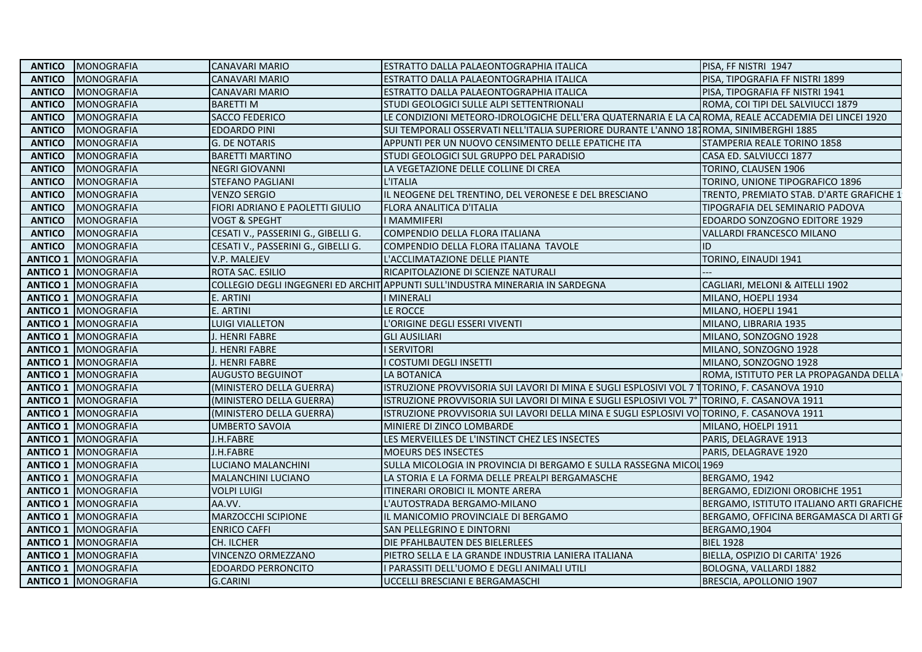|               | <b>ANTICO   MONOGRAFIA</b>   | <b>CANAVARI MARIO</b>               | ESTRATTO DALLA PALAEONTOGRAPHIA ITALICA                                                             | PISA, FF NISTRI 1947                     |
|---------------|------------------------------|-------------------------------------|-----------------------------------------------------------------------------------------------------|------------------------------------------|
| <b>ANTICO</b> | MONOGRAFIA                   | <b>CANAVARI MARIO</b>               | ESTRATTO DALLA PALAEONTOGRAPHIA ITALICA                                                             | PISA, TIPOGRAFIA FF NISTRI 1899          |
| <b>ANTICO</b> | MONOGRAFIA                   | <b>CANAVARI MARIO</b>               | ESTRATTO DALLA PALAEONTOGRAPHIA ITALICA                                                             | PISA, TIPOGRAFIA FF NISTRI 1941          |
| <b>ANTICO</b> | <b>MONOGRAFIA</b>            | <b>BARETTI M</b>                    | STUDI GEOLOGICI SULLE ALPI SETTENTRIONALI                                                           | ROMA, COI TIPI DEL SALVIUCCI 1879        |
| <b>ANTICO</b> | MONOGRAFIA                   | <b>SACCO FEDERICO</b>               | LE CONDIZIONI METEORO-IDROLOGICHE DELL'ERA QUATERNARIA E LA CAROMA, REALE ACCADEMIA DEI LINCEI 1920 |                                          |
| <b>ANTICO</b> | MONOGRAFIA                   | <b>EDOARDO PINI</b>                 | SUI TEMPORALI OSSERVATI NELL'ITALIA SUPERIORE DURANTE L'ANNO 187 ROMA, SINIMBERGHI 1885             |                                          |
| <b>ANTICO</b> | <b>MONOGRAFIA</b>            | <b>G. DE NOTARIS</b>                | APPUNTI PER UN NUOVO CENSIMENTO DELLE EPATICHE ITA                                                  | STAMPERIA REALE TORINO 1858              |
| <b>ANTICO</b> | MONOGRAFIA                   | <b>BARETTI MARTINO</b>              | STUDI GEOLOGICI SUL GRUPPO DEL PARADISIO                                                            | CASA ED. SALVIUCCI 1877                  |
| <b>ANTICO</b> | MONOGRAFIA                   | <b>NEGRI GIOVANNI</b>               | LA VEGETAZIONE DELLE COLLINE DI CREA                                                                | TORINO, CLAUSEN 1906                     |
| <b>ANTICO</b> | MONOGRAFIA                   | <b>STEFANO PAGLIANI</b>             | L'ITALIA                                                                                            | TORINO, UNIONE TIPOGRAFICO 1896          |
| <b>ANTICO</b> | MONOGRAFIA                   | <b>VENZO SERGIO</b>                 | IL NEOGENE DEL TRENTINO, DEL VERONESE E DEL BRESCIANO                                               | TRENTO, PREMIATO STAB. D'ARTE GRAFICHE 1 |
| <b>ANTICO</b> | MONOGRAFIA                   | FIORI ADRIANO E PAOLETTI GIULIO     | FLORA ANALITICA D'ITALIA                                                                            | TIPOGRAFIA DEL SEMINARIO PADOVA          |
| <b>ANTICO</b> | MONOGRAFIA                   | <b>VOGT &amp; SPEGHT</b>            | I MAMMIFERI                                                                                         | EDOARDO SONZOGNO EDITORE 1929            |
| <b>ANTICO</b> | MONOGRAFIA                   | CESATI V., PASSERINI G., GIBELLI G. | COMPENDIO DELLA FLORA ITALIANA                                                                      | <b>VALLARDI FRANCESCO MILANO</b>         |
| <b>ANTICO</b> | <b>MONOGRAFIA</b>            | CESATI V., PASSERINI G., GIBELLI G. | COMPENDIO DELLA FLORA ITALIANA TAVOLE                                                               | ID                                       |
|               | <b>ANTICO 1   MONOGRAFIA</b> | V.P. MALEJEV                        | L'ACCLIMATAZIONE DELLE PIANTE                                                                       | TORINO, EINAUDI 1941                     |
|               | <b>ANTICO 1   MONOGRAFIA</b> | ROTA SAC. ESILIO                    | RICAPITOLAZIONE DI SCIENZE NATURALI                                                                 |                                          |
|               | <b>ANTICO 1   MONOGRAFIA</b> |                                     | COLLEGIO DEGLI INGEGNERI ED ARCHIT APPUNTI SULL'INDUSTRA MINERARIA IN SARDEGNA                      | CAGLIARI, MELONI & AITELLI 1902          |
|               | <b>ANTICO 1 MONOGRAFIA</b>   | E. ARTINI                           | <b>I MINERALI</b>                                                                                   | MILANO, HOEPLI 1934                      |
|               | <b>ANTICO 1   MONOGRAFIA</b> | E. ARTINI                           | LE ROCCE                                                                                            | MILANO, HOEPLI 1941                      |
|               | <b>ANTICO 1   MONOGRAFIA</b> | LUIGI VIALLETON                     | L'ORIGINE DEGLI ESSERI VIVENTI                                                                      | MILANO, LIBRARIA 1935                    |
|               | <b>ANTICO 1   MONOGRAFIA</b> | J. HENRI FABRE                      | <b>GLI AUSILIARI</b>                                                                                | MILANO, SONZOGNO 1928                    |
|               | <b>ANTICO 1   MONOGRAFIA</b> | J. HENRI FABRE                      | <b>I SERVITORI</b>                                                                                  | MILANO, SONZOGNO 1928                    |
|               | <b>ANTICO 1 MONOGRAFIA</b>   | J. HENRI FABRE                      | <b>COSTUMI DEGLI INSETTI</b>                                                                        | MILANO, SONZOGNO 1928                    |
|               | <b>ANTICO 1 MONOGRAFIA</b>   | <b>AUGUSTO BEGUINOT</b>             | LA BOTANICA                                                                                         | ROMA, ISTITUTO PER LA PROPAGANDA DELLA   |
|               | <b>ANTICO 1   MONOGRAFIA</b> | (MINISTERO DELLA GUERRA)            | ISTRUZIONE PROVVISORIA SUI LAVORI DI MINA E SUGLI ESPLOSIVI VOL 7 TTORINO, F. CASANOVA 1910         |                                          |
|               | <b>ANTICO 1   MONOGRAFIA</b> | (MINISTERO DELLA GUERRA)            | ISTRUZIONE PROVVISORIA SUI LAVORI DI MINA E SUGLI ESPLOSIVI VOL 7º  TORINO, F. CASANOVA 1911        |                                          |
|               | <b>ANTICO 1   MONOGRAFIA</b> | (MINISTERO DELLA GUERRA)            | ISTRUZIONE PROVVISORIA SUI LAVORI DELLA MINA E SUGLI ESPLOSIVI VO TORINO, F. CASANOVA 1911          |                                          |
|               | <b>ANTICO 1 MONOGRAFIA</b>   | <b>UMBERTO SAVOIA</b>               | MINIERE DI ZINCO LOMBARDE                                                                           | MILANO, HOELPI 1911                      |
|               | <b>ANTICO 1 MONOGRAFIA</b>   | J.H.FABRE                           | LES MERVEILLES DE L'INSTINCT CHEZ LES INSECTES                                                      | PARIS, DELAGRAVE 1913                    |
|               | <b>ANTICO 1   MONOGRAFIA</b> | J.H.FABRE                           | MOEURS DES INSECTES                                                                                 | PARIS, DELAGRAVE 1920                    |
|               | <b>ANTICO 1   MONOGRAFIA</b> | LUCIANO MALANCHINI                  | SULLA MICOLOGIA IN PROVINCIA DI BERGAMO E SULLA RASSEGNA MICOL 1969                                 |                                          |
|               | <b>ANTICO 1   MONOGRAFIA</b> | MALANCHINI LUCIANO                  | LA STORIA E LA FORMA DELLE PREALPI BERGAMASCHE                                                      | BERGAMO, 1942                            |
|               | <b>ANTICO 1   MONOGRAFIA</b> | <b>VOLPI LUIGI</b>                  | ITINERARI OROBICI IL MONTE ARERA                                                                    | BERGAMO, EDIZIONI OROBICHE 1951          |
|               | <b>ANTICO 1   MONOGRAFIA</b> | AA.VV.                              | L'AUTOSTRADA BERGAMO-MILANO                                                                         | BERGAMO, ISTITUTO ITALIANO ARTI GRAFICHE |
|               | <b>ANTICO 1 MONOGRAFIA</b>   | <b>MARZOCCHI SCIPIONE</b>           | IL MANICOMIO PROVINCIALE DI BERGAMO                                                                 | BERGAMO, OFFICINA BERGAMASCA DI ARTI GF  |
|               | <b>ANTICO 1   MONOGRAFIA</b> | <b>ENRICO CAFFI</b>                 | SAN PELLEGRINO E DINTORNI                                                                           | BERGAMO,1904                             |
|               | <b>ANTICO 1   MONOGRAFIA</b> | <b>CH. ILCHER</b>                   | DIE PFAHLBAUTEN DES BIELERLEES                                                                      | <b>BIEL 1928</b>                         |
|               | <b>ANTICO 1   MONOGRAFIA</b> | VINCENZO ORMEZZANO                  | PIETRO SELLA E LA GRANDE INDUSTRIA LANIERA ITALIANA                                                 | BIELLA, OSPIZIO DI CARITA' 1926          |
|               | <b>ANTICO 1   MONOGRAFIA</b> | <b>EDOARDO PERRONCITO</b>           | I PARASSITI DELL'UOMO E DEGLI ANIMALI UTILI                                                         | BOLOGNA, VALLARDI 1882                   |
|               | <b>ANTICO 1 MONOGRAFIA</b>   | <b>G.CARINI</b>                     | UCCELLI BRESCIANI E BERGAMASCHI                                                                     | BRESCIA, APOLLONIO 1907                  |
|               |                              |                                     |                                                                                                     |                                          |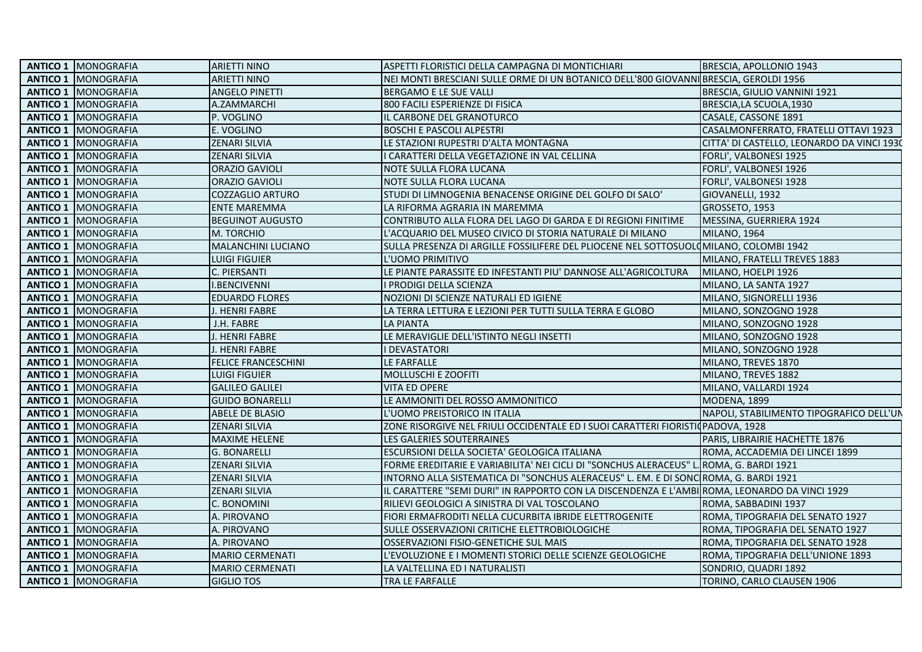| <b>ANTICO 1   MONOGRAFIA</b> | <b>ARIETTI NINO</b>        | ASPETTI FLORISTICI DELLA CAMPAGNA DI MONTICHIARI                                              | BRESCIA, APOLLONIO 1943                    |
|------------------------------|----------------------------|-----------------------------------------------------------------------------------------------|--------------------------------------------|
| <b>ANTICO 1   MONOGRAFIA</b> | <b>ARIETTI NINO</b>        | NEI MONTI BRESCIANI SULLE ORME DI UN BOTANICO DELL'800 GIOVANNI BRESCIA, GEROLDI 1956         |                                            |
| <b>ANTICO 1   MONOGRAFIA</b> | <b>ANGELO PINETTI</b>      | BERGAMO E LE SUE VALLI                                                                        | BRESCIA, GIULIO VANNINI 1921               |
| <b>ANTICO 1   MONOGRAFIA</b> | A.ZAMMARCHI                | 800 FACILI ESPERIENZE DI FISICA                                                               | BRESCIA, LA SCUOLA, 1930                   |
| <b>ANTICO 1   MONOGRAFIA</b> | P. VOGLINO                 | IL CARBONE DEL GRANOTURCO                                                                     | CASALE, CASSONE 1891                       |
| <b>ANTICO 1   MONOGRAFIA</b> | E. VOGLINO                 | <b>BOSCHI E PASCOLI ALPESTRI</b>                                                              | CASALMONFERRATO, FRATELLI OTTAVI 1923      |
| <b>ANTICO 1   MONOGRAFIA</b> | <b>ZENARI SILVIA</b>       | LE STAZIONI RUPESTRI D'ALTA MONTAGNA                                                          | CITTA' DI CASTELLO, LEONARDO DA VINCI 1930 |
| <b>ANTICO 1   MONOGRAFIA</b> | <b>ZENARI SILVIA</b>       | CARATTERI DELLA VEGETAZIONE IN VAL CELLINA                                                    | FORLI', VALBONESI 1925                     |
| <b>ANTICO 1   MONOGRAFIA</b> | <b>ORAZIO GAVIOLI</b>      | NOTE SULLA FLORA LUCANA                                                                       | FORLI', VALBONESI 1926                     |
| <b>ANTICO 1   MONOGRAFIA</b> | <b>ORAZIO GAVIOLI</b>      | NOTE SULLA FLORA LUCANA                                                                       | FORLI', VALBONESI 1928                     |
| <b>ANTICO 1   MONOGRAFIA</b> | COZZAGLIO ARTURO           | STUDI DI LIMNOGENIA BENACENSE ORIGINE DEL GOLFO DI SALO'                                      | GIOVANELLI, 1932                           |
| <b>ANTICO 1   MONOGRAFIA</b> | <b>ENTE MAREMMA</b>        | LA RIFORMA AGRARIA IN MAREMMA                                                                 | GROSSETO, 1953                             |
| <b>ANTICO 1   MONOGRAFIA</b> | <b>BEGUINOT AUGUSTO</b>    | CONTRIBUTO ALLA FLORA DEL LAGO DI GARDA E DI REGIONI FINITIME                                 | MESSINA, GUERRIERA 1924                    |
| <b>ANTICO 1   MONOGRAFIA</b> | M. TORCHIO                 | L'ACQUARIO DEL MUSEO CIVICO DI STORIA NATURALE DI MILANO                                      | <b>MILANO, 1964</b>                        |
| <b>ANTICO 1   MONOGRAFIA</b> | MALANCHINI LUCIANO         | SULLA PRESENZA DI ARGILLE FOSSILIFERE DEL PLIOCENE NEL SOTTOSUOLOMILANO, COLOMBI 1942         |                                            |
| <b>ANTICO 1   MONOGRAFIA</b> | LUIGI FIGUIER              | L'UOMO PRIMITIVO                                                                              | MILANO, FRATELLI TREVES 1883               |
| <b>ANTICO 1   MONOGRAFIA</b> | C. PIERSANTI               | LE PIANTE PARASSITE ED INFESTANTI PIU' DANNOSE ALL'AGRICOLTURA                                | MILANO, HOELPI 1926                        |
| <b>ANTICO 1   MONOGRAFIA</b> | <b>I.BENCIVENNI</b>        | I PRODIGI DELLA SCIENZA                                                                       | MILANO, LA SANTA 1927                      |
| <b>ANTICO 1   MONOGRAFIA</b> | <b>EDUARDO FLORES</b>      | NOZIONI DI SCIENZE NATURALI ED IGIENE                                                         | MILANO, SIGNORELLI 1936                    |
| <b>ANTICO 1   MONOGRAFIA</b> | J. HENRI FABRE             | LA TERRA LETTURA E LEZIONI PER TUTTI SULLA TERRA E GLOBO                                      | MILANO, SONZOGNO 1928                      |
| <b>ANTICO 1   MONOGRAFIA</b> | J.H. FABRE                 | <b>LA PIANTA</b>                                                                              | MILANO, SONZOGNO 1928                      |
| <b>ANTICO 1   MONOGRAFIA</b> | J. HENRI FABRE             | LE MERAVIGLIE DELL'ISTINTO NEGLI INSETTI                                                      | MILANO, SONZOGNO 1928                      |
| <b>ANTICO 1   MONOGRAFIA</b> | J. HENRI FABRE             | <b>I DEVASTATORI</b>                                                                          | MILANO, SONZOGNO 1928                      |
| <b>ANTICO 1   MONOGRAFIA</b> | <b>FELICE FRANCESCHINI</b> | LE FARFALLE                                                                                   | MILANO, TREVES 1870                        |
| <b>ANTICO 1   MONOGRAFIA</b> | LUIGI FIGUIER              | <b>MOLLUSCHI E ZOOFITI</b>                                                                    | MILANO, TREVES 1882                        |
| <b>ANTICO 1   MONOGRAFIA</b> | <b>GALILEO GALILEI</b>     | <b>VITA ED OPERE</b>                                                                          | MILANO, VALLARDI 1924                      |
| <b>ANTICO 1   MONOGRAFIA</b> | <b>GUIDO BONARELLI</b>     | LE AMMONITI DEL ROSSO AMMONITICO                                                              | MODENA, 1899                               |
| <b>ANTICO 1   MONOGRAFIA</b> | ABELE DE BLASIO            | L'UOMO PREISTORICO IN ITALIA                                                                  | NAPOLI, STABILIMENTO TIPOGRAFICO DELL'UN   |
| <b>ANTICO 1   MONOGRAFIA</b> | <b>ZENARI SILVIA</b>       | ZONE RISORGIVE NEL FRIULI OCCIDENTALE ED I SUOI CARATTERI FIORISTICPADOVA, 1928               |                                            |
| <b>ANTICO 1   MONOGRAFIA</b> | <b>MAXIME HELENE</b>       | LES GALERIES SOUTERRAINES                                                                     | PARIS, LIBRAIRIE HACHETTE 1876             |
| <b>ANTICO 1   MONOGRAFIA</b> | <b>G. BONARELLI</b>        | ESCURSIONI DELLA SOCIETA' GEOLOGICA ITALIANA                                                  | ROMA, ACCADEMIA DEI LINCEI 1899            |
| <b>ANTICO 1 I</b> MONOGRAFIA | <b>ZENARI SILVIA</b>       | FORME EREDITARIE E VARIABILITA' NEI CICLI DI "SONCHUS ALERACEUS" L. ROMA, G. BARDI 1921       |                                            |
| <b>ANTICO 1   MONOGRAFIA</b> | <b>ZENARI SILVIA</b>       | INTORNO ALLA SISTEMATICA DI "SONCHUS ALERACEUS" L. EM. E DI SONC ROMA, G. BARDI 1921          |                                            |
| <b>ANTICO 1   MONOGRAFIA</b> | <b>ZENARI SILVIA</b>       | IL CARATTERE "SEMI DURI" IN RAPPORTO CON LA DISCENDENZA E L'AMBI ROMA, LEONARDO DA VINCI 1929 |                                            |
| <b>ANTICO 1   MONOGRAFIA</b> | C. BONOMINI                | RILIEVI GEOLOGICI A SINISTRA DI VAL TOSCOLANO                                                 | ROMA, SABBADINI 1937                       |
| <b>ANTICO 1   MONOGRAFIA</b> | A. PIROVANO                | FIORI ERMAFRODITI NELLA CUCURBITA IBRIDE ELETTROGENITE                                        | ROMA, TIPOGRAFIA DEL SENATO 1927           |
| <b>ANTICO 1   MONOGRAFIA</b> | A. PIROVANO                | SULLE OSSERVAZIONI CRITICHE ELETTROBIOLOGICHE                                                 | ROMA, TIPOGRAFIA DEL SENATO 1927           |
| <b>ANTICO 1   MONOGRAFIA</b> | A. PIROVANO                | OSSERVAZIONI FISIO-GENETICHE SUL MAIS                                                         | ROMA, TIPOGRAFIA DEL SENATO 1928           |
| <b>ANTICO 1   MONOGRAFIA</b> | <b>MARIO CERMENATI</b>     | L'EVOLUZIONE E I MOMENTI STORICI DELLE SCIENZE GEOLOGICHE                                     | ROMA, TIPOGRAFIA DELL'UNIONE 1893          |
| <b>ANTICO 1   MONOGRAFIA</b> | <b>MARIO CERMENATI</b>     | LA VALTELLINA ED I NATURALISTI                                                                | SONDRIO, QUADRI 1892                       |
| <b>ANTICO 1 MONOGRAFIA</b>   | <b>GIGLIO TOS</b>          | TRA LE FARFALLE                                                                               | TORINO, CARLO CLAUSEN 1906                 |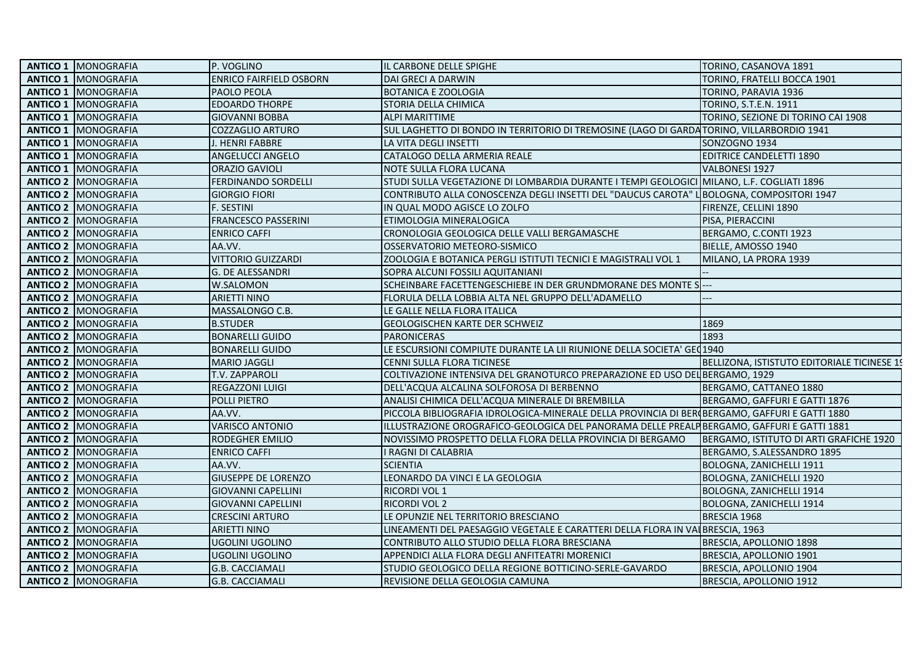| <b>ANTICO 1   MONOGRAFIA</b>  | P. VOGLINO                     | IL CARBONE DELLE SPIGHE                                                                       | TORINO, CASANOVA 1891                       |
|-------------------------------|--------------------------------|-----------------------------------------------------------------------------------------------|---------------------------------------------|
| <b>ANTICO 1   MONOGRAFIA</b>  | <b>ENRICO FAIRFIELD OSBORN</b> | <b>DAI GRECI A DARWIN</b>                                                                     | TORINO, FRATELLI BOCCA 1901                 |
| <b>ANTICO 1 MONOGRAFIA</b>    | PAOLO PEOLA                    | <b>BOTANICA E ZOOLOGIA</b>                                                                    | TORINO, PARAVIA 1936                        |
| <b>ANTICO 1   MONOGRAFIA</b>  | <b>EDOARDO THORPE</b>          | STORIA DELLA CHIMICA                                                                          | TORINO, S.T.E.N. 1911                       |
| <b>ANTICO 1   MONOGRAFIA</b>  | <b>GIOVANNI BOBBA</b>          | <b>ALPI MARITTIME</b>                                                                         | TORINO, SEZIONE DI TORINO CAI 1908          |
| <b>ANTICO 1   MONOGRAFIA</b>  | <b>COZZAGLIO ARTURO</b>        | SUL LAGHETTO DI BONDO IN TERRITORIO DI TREMOSINE (LAGO DI GARDA TORINO, VILLARBORDIO 1941     |                                             |
| <b>ANTICO 1   MONOGRAFIA</b>  | J. HENRI FABBRE                | LA VITA DEGLI INSETTI                                                                         | SONZOGNO 1934                               |
| <b>ANTICO 1</b><br>MONOGRAFIA | ANGELUCCI ANGELO               | CATALOGO DELLA ARMERIA REALE                                                                  | <b>EDITRICE CANDELETTI 1890</b>             |
| <b>ANTICO 1 MONOGRAFIA</b>    | ORAZIO GAVIOLI                 | NOTE SULLA FLORA LUCANA                                                                       | VALBONESI 1927                              |
| <b>ANTICO 2   MONOGRAFIA</b>  | <b>FERDINANDO SORDELLI</b>     | STUDI SULLA VEGETAZIONE DI LOMBARDIA DURANTE I TEMPI GEOLOGICI MILANO, L.F. COGLIATI 1896     |                                             |
| <b>ANTICO 2 IMONOGRAFIA</b>   | <b>GIORGIO FIORI</b>           | CONTRIBUTO ALLA CONOSCENZA DEGLI INSETTI DEL "DAUCUS CAROTA" LIBOLOGNA, COMPOSITORI 1947      |                                             |
| <b>ANTICO 2   MONOGRAFIA</b>  | F. SESTINI                     | IN QUAL MODO AGISCE LO ZOLFO                                                                  | FIRENZE, CELLINI 1890                       |
| <b>ANTICO 2 MONOGRAFIA</b>    | <b>FRANCESCO PASSERINI</b>     | ETIMOLOGIA MINERALOGICA                                                                       | PISA, PIERACCINI                            |
| <b>ANTICO 2   MONOGRAFIA</b>  | <b>ENRICO CAFFI</b>            | CRONOLOGIA GEOLOGICA DELLE VALLI BERGAMASCHE                                                  | BERGAMO, C.CONTI 1923                       |
| <b>ANTICO 2 IMONOGRAFIA</b>   | AA.VV.                         | OSSERVATORIO METEORO-SISMICO                                                                  | BIELLE, AMOSSO 1940                         |
| <b>ANTICO 2   MONOGRAFIA</b>  | <b>VITTORIO GUIZZARDI</b>      | ZOOLOGIA E BOTANICA PERGLI ISTITUTI TECNICI E MAGISTRALI VOL 1                                | MILANO, LA PRORA 1939                       |
| <b>ANTICO 2   MONOGRAFIA</b>  | G. DE ALESSANDRI               | SOPRA ALCUNI FOSSILI AQUITANIANI                                                              |                                             |
| <b>ANTICO 2   MONOGRAFIA</b>  | W.SALOMON                      | SCHEINBARE FACETTENGESCHIEBE IN DER GRUNDMORANE DES MONTE S                                   |                                             |
| <b>ANTICO 2   MONOGRAFIA</b>  | <b>ARIETTI NINO</b>            | FLORULA DELLA LOBBIA ALTA NEL GRUPPO DELL'ADAMELLO                                            |                                             |
| <b>ANTICO 2   MONOGRAFIA</b>  | MASSALONGO C.B.                | LE GALLE NELLA FLORA ITALICA                                                                  |                                             |
| <b>ANTICO 2   MONOGRAFIA</b>  | <b>B.STUDER</b>                | <b>GEOLOGISCHEN KARTE DER SCHWEIZ</b>                                                         | 1869                                        |
| <b>ANTICO 2   MONOGRAFIA</b>  | <b>BONARELLI GUIDO</b>         | <b>PARONICERAS</b>                                                                            | 1893                                        |
| <b>ANTICO 2 MONOGRAFIA</b>    | <b>BONARELLI GUIDO</b>         | LE ESCURSIONI COMPIUTE DURANTE LA LII RIUNIONE DELLA SOCIETA' GEO1940                         |                                             |
| <b>ANTICO 2   MONOGRAFIA</b>  | <b>MARIO JAGGLI</b>            | CENNI SULLA FLORA TICINESE                                                                    | BELLIZONA, ISTISTUTO EDITORIALE TICINESE 19 |
| <b>ANTICO 2   MONOGRAFIA</b>  | <b>T.V. ZAPPAROLI</b>          | COLTIVAZIONE INTENSIVA DEL GRANOTURCO PREPARAZIONE ED USO DEL BERGAMO, 1929                   |                                             |
| <b>ANTICO 2   MONOGRAFIA</b>  | REGAZZONI LUIGI                | DELL'ACQUA ALCALINA SOLFOROSA DI BERBENNO                                                     | BERGAMO, CATTANEO 1880                      |
| <b>ANTICO 2   MONOGRAFIA</b>  | POLLI PIETRO                   | ANALISI CHIMICA DELL'ACQUA MINERALE DI BREMBILLA                                              | BERGAMO, GAFFURI E GATTI 1876               |
| <b>ANTICO 2   MONOGRAFIA</b>  | AA.VV.                         | PICCOLA BIBLIOGRAFIA IDROLOGICA-MINERALE DELLA PROVINCIA DI BER BERGAMO, GAFFURI E GATTI 1880 |                                             |
| <b>ANTICO 2   MONOGRAFIA</b>  | <b>VARISCO ANTONIO</b>         | ILLUSTRAZIONE OROGRAFICO-GEOLOGICA DEL PANORAMA DELLE PREALPIBERGAMO, GAFFURI E GATTI 1881    |                                             |
| <b>ANTICO 2   MONOGRAFIA</b>  | <b>RODEGHER EMILIO</b>         | NOVISSIMO PROSPETTO DELLA FLORA DELLA PROVINCIA DI BERGAMO                                    | BERGAMO, ISTITUTO DI ARTI GRAFICHE 1920     |
| <b>ANTICO 2   MONOGRAFIA</b>  | <b>ENRICO CAFFI</b>            | I RAGNI DI CALABRIA                                                                           | BERGAMO, S.ALESSANDRO 1895                  |
| <b>ANTICO 2   MONOGRAFIA</b>  | AA.VV.                         | <b>SCIENTIA</b>                                                                               | <b>BOLOGNA, ZANICHELLI 1911</b>             |
| <b>ANTICO 2   MONOGRAFIA</b>  | <b>GIUSEPPE DE LORENZO</b>     | LEONARDO DA VINCI E LA GEOLOGIA                                                               | BOLOGNA, ZANICHELLI 1920                    |
| <b>ANTICO 2   MONOGRAFIA</b>  | <b>GIOVANNI CAPELLINI</b>      | <b>RICORDI VOL 1</b>                                                                          | BOLOGNA, ZANICHELLI 1914                    |
| <b>ANTICO 2   MONOGRAFIA</b>  | <b>GIOVANNI CAPELLINI</b>      | <b>RICORDI VOL 2</b>                                                                          | BOLOGNA, ZANICHELLI 1914                    |
| <b>ANTICO 2   MONOGRAFIA</b>  | <b>CRESCINI ARTURO</b>         | LE OPUNZIE NEL TERRITORIO BRESCIANO                                                           | BRESCIA 1968                                |
| <b>ANTICO 2 MONOGRAFIA</b>    | <b>ARIETTI NINO</b>            | LINEAMENTI DEL PAESAGGIO VEGETALE E CARATTERI DELLA FLORA IN VALBRESCIA, 1963                 |                                             |
| <b>ANTICO 2   MONOGRAFIA</b>  | UGOLINI UGOLINO                | CONTRIBUTO ALLO STUDIO DELLA FLORA BRESCIANA                                                  | BRESCIA, APOLLONIO 1898                     |
| <b>ANTICO 2   MONOGRAFIA</b>  | <b>UGOLINI UGOLINO</b>         | APPENDICI ALLA FLORA DEGLI ANFITEATRI MORENICI                                                | BRESCIA, APOLLONIO 1901                     |
| <b>ANTICO 2   MONOGRAFIA</b>  | <b>G.B. CACCIAMALI</b>         | STUDIO GEOLOGICO DELLA REGIONE BOTTICINO-SERLE-GAVARDO                                        | BRESCIA, APOLLONIO 1904                     |
| <b>ANTICO 2 MONOGRAFIA</b>    | <b>G.B. CACCIAMALI</b>         | REVISIONE DELLA GEOLOGIA CAMUNA                                                               | BRESCIA, APOLLONIO 1912                     |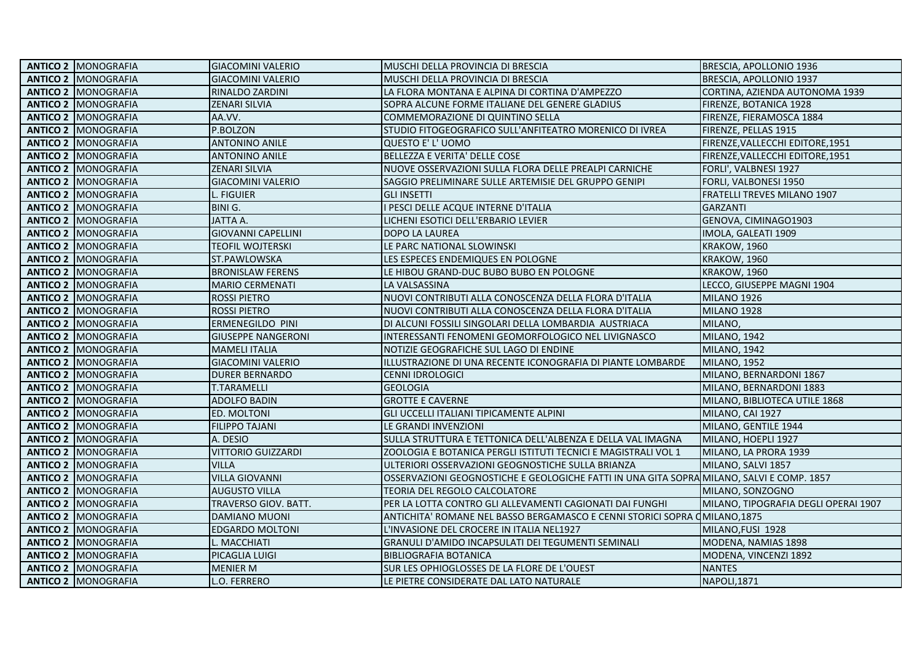| <b>ANTICO 2   MONOGRAFIA</b> | <b>GIACOMINI VALERIO</b>  | <b>MUSCHI DELLA PROVINCIA DI BRESCIA</b>                                                  | BRESCIA, APOLLONIO 1936              |
|------------------------------|---------------------------|-------------------------------------------------------------------------------------------|--------------------------------------|
| <b>ANTICO 2 MONOGRAFIA</b>   | <b>GIACOMINI VALERIO</b>  | MUSCHI DELLA PROVINCIA DI BRESCIA                                                         | BRESCIA, APOLLONIO 1937              |
| <b>ANTICO 2 MONOGRAFIA</b>   | <b>RINALDO ZARDINI</b>    | LA FLORA MONTANA E ALPINA DI CORTINA D'AMPEZZO                                            | CORTINA, AZIENDA AUTONOMA 1939       |
| <b>ANTICO 2   MONOGRAFIA</b> | <b>ZENARI SILVIA</b>      | SOPRA ALCUNE FORME ITALIANE DEL GENERE GLADIUS                                            | FIRENZE, BOTANICA 1928               |
| <b>ANTICO 2 MONOGRAFIA</b>   | AA.VV.                    | COMMEMORAZIONE DI QUINTINO SELLA                                                          | FIRENZE, FIERAMOSCA 1884             |
| <b>ANTICO 2 MONOGRAFIA</b>   | P.BOLZON                  | STUDIO FITOGEOGRAFICO SULL'ANFITEATRO MORENICO DI IVREA                                   | FIRENZE, PELLAS 1915                 |
| <b>ANTICO 2   MONOGRAFIA</b> | <b>ANTONINO ANILE</b>     | QUESTO E' L' UOMO                                                                         | FIRENZE, VALLECCHI EDITORE, 1951     |
| <b>ANTICO 2   MONOGRAFIA</b> | <b>ANTONINO ANILE</b>     | BELLEZZA E VERITA' DELLE COSE                                                             | FIRENZE, VALLECCHI EDITORE, 1951     |
| <b>ANTICO 2 MONOGRAFIA</b>   | <b>ZENARI SILVIA</b>      | NUOVE OSSERVAZIONI SULLA FLORA DELLE PREALPI CARNICHE                                     | FORLI', VALBNESI 1927                |
| <b>ANTICO 2   MONOGRAFIA</b> | <b>GIACOMINI VALERIO</b>  | SAGGIO PRELIMINARE SULLE ARTEMISIE DEL GRUPPO GENIPI                                      | FORLI, VALBONESI 1950                |
| <b>ANTICO 2   MONOGRAFIA</b> | L. FIGUIER                | <b>GLI INSETTI</b>                                                                        | FRATELLI TREVES MILANO 1907          |
| <b>ANTICO 2   MONOGRAFIA</b> | BINI G.                   | I PESCI DELLE ACQUE INTERNE D'ITALIA                                                      | <b>GARZANTI</b>                      |
| <b>ANTICO 2 MONOGRAFIA</b>   | <b>JATTA A.</b>           | LICHENI ESOTICI DELL'ERBARIO LEVIER                                                       | GENOVA, CIMINAGO1903                 |
| <b>ANTICO 2   MONOGRAFIA</b> | <b>GIOVANNI CAPELLINI</b> | <b>DOPO LA LAUREA</b>                                                                     | IMOLA, GALEATI 1909                  |
| <b>ANTICO 2   MONOGRAFIA</b> | <b>TEOFIL WOJTERSKI</b>   | LE PARC NATIONAL SLOWINSKI                                                                | KRAKOW, 1960                         |
| <b>ANTICO 2 MONOGRAFIA</b>   | ST.PAWLOWSKA              | LES ESPECES ENDEMIQUES EN POLOGNE                                                         | <b>KRAKOW, 1960</b>                  |
| <b>ANTICO 2 MONOGRAFIA</b>   | <b>BRONISLAW FERENS</b>   | LE HIBOU GRAND-DUC BUBO BUBO EN POLOGNE                                                   | KRAKOW, 1960                         |
| <b>ANTICO 2   MONOGRAFIA</b> | <b>MARIO CERMENATI</b>    | LA VALSASSINA                                                                             | LECCO, GIUSEPPE MAGNI 1904           |
| <b>ANTICO 2   MONOGRAFIA</b> | <b>ROSSI PIETRO</b>       | NUOVI CONTRIBUTI ALLA CONOSCENZA DELLA FLORA D'ITALIA                                     | <b>MILANO 1926</b>                   |
| <b>ANTICO 2 MONOGRAFIA</b>   | <b>ROSSI PIETRO</b>       | NUOVI CONTRIBUTI ALLA CONOSCENZA DELLA FLORA D'ITALIA                                     | <b>MILANO 1928</b>                   |
| <b>ANTICO 2   MONOGRAFIA</b> | <b>ERMENEGILDO PINI</b>   | DI ALCUNI FOSSILI SINGOLARI DELLA LOMBARDIA AUSTRIACA                                     | MILANO,                              |
| <b>ANTICO 2   MONOGRAFIA</b> | <b>GIUSEPPE NANGERONI</b> | INTERESSANTI FENOMENI GEOMORFOLOGICO NEL LIVIGNASCO                                       | <b>MILANO, 1942</b>                  |
| <b>ANTICO 2 MONOGRAFIA</b>   | <b>MAMELI ITALIA</b>      | NOTIZIE GEOGRAFICHE SUL LAGO DI ENDINE                                                    | MILANO, 1942                         |
| <b>ANTICO 2 MONOGRAFIA</b>   | <b>GIACOMINI VALERIO</b>  | ILLUSTRAZIONE DI UNA RECENTE ICONOGRAFIA DI PIANTE LOMBARDE                               | <b>MILANO, 1952</b>                  |
| <b>ANTICO 2   MONOGRAFIA</b> | <b>DURER BERNARDO</b>     | <b>CENNI IDROLOGICI</b>                                                                   | MILANO, BERNARDONI 1867              |
| <b>ANTICO 2   MONOGRAFIA</b> | <b>T.TARAMELLI</b>        | <b>GEOLOGIA</b>                                                                           | MILANO. BERNARDONI 1883              |
| <b>ANTICO 2 MONOGRAFIA</b>   | <b>ADOLFO BADIN</b>       | <b>GROTTE E CAVERNE</b>                                                                   | MILANO, BIBLIOTECA UTILE 1868        |
| <b>ANTICO 2 MONOGRAFIA</b>   | ED. MOLTONI               | GLI UCCELLI ITALIANI TIPICAMENTE ALPINI                                                   | MILANO, CAI 1927                     |
| <b>ANTICO 2   MONOGRAFIA</b> | <b>FILIPPO TAJANI</b>     | LE GRANDI INVENZIONI                                                                      | MILANO, GENTILE 1944                 |
| <b>ANTICO 2   MONOGRAFIA</b> | A. DESIO                  | SULLA STRUTTURA E TETTONICA DELL'ALBENZA E DELLA VAL IMAGNA                               | MILANO, HOEPLI 1927                  |
| <b>ANTICO 2 MONOGRAFIA</b>   | <b>VITTORIO GUIZZARDI</b> | ZOOLOGIA E BOTANICA PERGLI ISTITUTI TECNICI E MAGISTRALI VOL 1                            | MILANO, LA PRORA 1939                |
| <b>ANTICO 2   MONOGRAFIA</b> | <b>VILLA</b>              | ULTERIORI OSSERVAZIONI GEOGNOSTICHE SULLA BRIANZA                                         | MILANO, SALVI 1857                   |
| <b>ANTICO 2   MONOGRAFIA</b> | <b>VILLA GIOVANNI</b>     | OSSERVAZIONI GEOGNOSTICHE E GEOLOGICHE FATTI IN UNA GITA SOPRA MILANO, SALVI E COMP. 1857 |                                      |
| <b>ANTICO 2 MONOGRAFIA</b>   | <b>AUGUSTO VILLA</b>      | TEORIA DEL REGOLO CALCOLATORE                                                             | MILANO, SONZOGNO                     |
| <b>ANTICO 2 MONOGRAFIA</b>   | TRAVERSO GIOV. BATT.      | PER LA LOTTA CONTRO GLI ALLEVAMENTI CAGIONATI DAI FUNGHI                                  | MILANO, TIPOGRAFIA DEGLI OPERAI 1907 |
| <b>ANTICO 2   MONOGRAFIA</b> | <b>DAMIANO MUONI</b>      | ANTICHITA' ROMANE NEL BASSO BERGAMASCO E CENNI STORICI SOPRA (MILANO, 1875                |                                      |
| <b>ANTICO 2 IMONOGRAFIA</b>  | <b>EDGARDO MOLTONI</b>    | L'INVASIONE DEL CROCERE IN ITALIA NEL1927                                                 | MILANO, FUSI 1928                    |
| <b>ANTICO 2 MONOGRAFIA</b>   | L. MACCHIATI              | GRANULI D'AMIDO INCAPSULATI DEI TEGUMENTI SEMINALI                                        | MODENA, NAMIAS 1898                  |
| <b>ANTICO 2 MONOGRAFIA</b>   | PICAGLIA LUIGI            | <b>BIBLIOGRAFIA BOTANICA</b>                                                              | MODENA, VINCENZI 1892                |
| <b>ANTICO 2   MONOGRAFIA</b> | <b>MENIER M</b>           | SUR LES OPHIOGLOSSES DE LA FLORE DE L'OUEST                                               | <b>NANTES</b>                        |
| <b>ANTICO 2 MONOGRAFIA</b>   | L.O. FERRERO              | LE PIETRE CONSIDERATE DAL LATO NATURALE                                                   | NAPOLI,1871                          |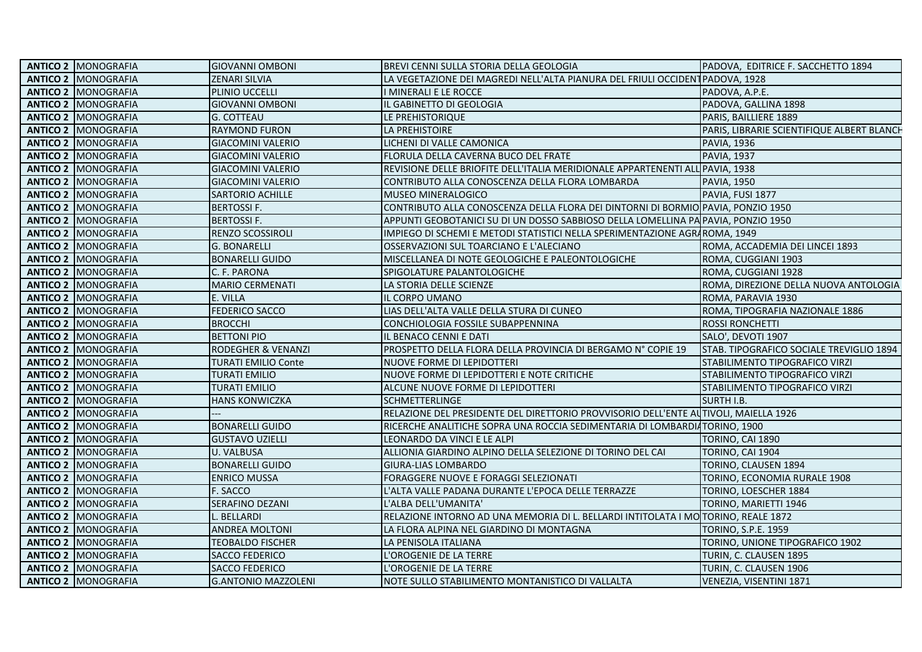| <b>ZENARI SILVIA</b><br>LA VEGETAZIONE DEI MAGREDI NELL'ALTA PIANURA DEL FRIULI OCCIDENT PADOVA, 1928<br><b>ANTICO 2 MONOGRAFIA</b><br>PADOVA, A.P.E.<br><b>ANTICO 2 MONOGRAFIA</b><br>PLINIO UCCELLI<br>I MINERALI E LE ROCCE<br><b>ANTICO 2 MONOGRAFIA</b><br><b>GIOVANNI OMBONI</b><br>PADOVA, GALLINA 1898<br>IL GABINETTO DI GEOLOGIA<br><b>ANTICO 2 MONOGRAFIA</b><br><b>G. COTTEAU</b><br>LE PREHISTORIQUE<br>PARIS, BAILLIERE 1889<br><b>ANTICO 2   MONOGRAFIA</b><br><b>RAYMOND FURON</b><br>LA PREHISTOIRE<br>PARIS, LIBRARIE SCIENTIFIQUE ALBERT BLANCH<br><b>ANTICO 2 MONOGRAFIA</b><br><b>GIACOMINI VALERIO</b><br>LICHENI DI VALLE CAMONICA<br><b>PAVIA, 1936</b><br><b>ANTICO 2 MONOGRAFIA</b><br><b>GIACOMINI VALERIO</b><br>FLORULA DELLA CAVERNA BUCO DEL FRATE<br><b>PAVIA, 1937</b><br><b>ANTICO 2 MONOGRAFIA</b><br>REVISIONE DELLE BRIOFITE DELL'ITALIA MERIDIONALE APPARTENENTI ALL PAVIA, 1938<br><b>GIACOMINI VALERIO</b><br><b>ANTICO 2 MONOGRAFIA</b><br><b>GIACOMINI VALERIO</b><br>CONTRIBUTO ALLA CONOSCENZA DELLA FLORA LOMBARDA<br><b>PAVIA, 1950</b><br><b>ANTICO 2 MONOGRAFIA</b><br><b>SARTORIO ACHILLE</b><br><b>MUSEO MINERALOGICO</b><br>PAVIA, FUSI 1877<br><b>ANTICO 2 MONOGRAFIA</b><br><b>BERTOSSIF.</b><br>CONTRIBUTO ALLA CONOSCENZA DELLA FLORA DEI DINTORNI DI BORMIO PAVIA, PONZIO 1950<br><b>BERTOSSIF.</b><br>APPUNTI GEOBOTANICI SU DI UN DOSSO SABBIOSO DELLA LOMELLINA PA PAVIA, PONZIO 1950<br><b>ANTICO 2 MONOGRAFIA</b><br><b>ANTICO 2 MONOGRAFIA</b><br><b>RENZO SCOSSIROLI</b><br>IMPIEGO DI SCHEMI E METODI STATISTICI NELLA SPERIMENTAZIONE AGRAROMA, 1949<br><b>ANTICO 2 MONOGRAFIA</b><br><b>G. BONARELLI</b><br>OSSERVAZIONI SUL TOARCIANO E L'ALECIANO<br>ROMA, ACCADEMIA DEI LINCEI 1893<br><b>ANTICO 2 MONOGRAFIA</b><br><b>BONARELLI GUIDO</b><br>MISCELLANEA DI NOTE GEOLOGICHE E PALEONTOLOGICHE<br>ROMA, CUGGIANI 1903<br><b>ANTICO 2 MONOGRAFIA</b><br>C. F. PARONA<br>SPIGOLATURE PALANTOLOGICHE<br>ROMA, CUGGIANI 1928<br><b>ANTICO 2 MONOGRAFIA</b><br>MARIO CERMENATI<br>LA STORIA DELLE SCIENZE<br>ROMA, DIREZIONE DELLA NUOVA ANTOLOGIA<br><b>ANTICO 2 MONOGRAFIA</b><br>E. VILLA<br>IL CORPO UMANO<br>ROMA, PARAVIA 1930<br><b>ANTICO 2 MONOGRAFIA</b><br><b>FEDERICO SACCO</b><br>LIAS DELL'ALTA VALLE DELLA STURA DI CUNEO<br>ROMA, TIPOGRAFIA NAZIONALE 1886<br><b>ANTICO 2   MONOGRAFIA</b><br><b>BROCCHI</b><br>CONCHIOLOGIA FOSSILE SUBAPPENNINA<br><b>ROSSI RONCHETTI</b><br><b>ANTICO 2 MONOGRAFIA</b><br><b>BETTONI PIO</b><br>SALO', DEVOTI 1907<br>IL BENACO CENNI E DATI<br><b>ANTICO 2 MONOGRAFIA</b><br><b>RODEGHER &amp; VENANZI</b><br>PROSPETTO DELLA FLORA DELLA PROVINCIA DI BERGAMO Nº COPIE 19<br>STAB. TIPOGRAFICO SOCIALE TREVIGLIO 1894<br><b>ANTICO 2 MONOGRAFIA</b><br><b>TURATI EMILIO Conte</b><br>NUOVE FORME DI LEPIDOTTERI<br>STABILIMENTO TIPOGRAFICO VIRZI<br><b>ANTICO 2 MONOGRAFIA</b><br><b>TURATI EMILIO</b><br>NUOVE FORME DI LEPIDOTTERI E NOTE CRITICHE<br>STABILIMENTO TIPOGRAFICO VIRZI<br><b>ANTICO 2 MONOGRAFIA</b><br><b>TURATI EMILIO</b><br>ALCUNE NUOVE FORME DI LEPIDOTTERI<br>STABILIMENTO TIPOGRAFICO VIRZI<br><b>ANTICO 2 MONOGRAFIA</b><br><b>HANS KONWICZKA</b><br><b>SCHMETTERLINGE</b><br><b>SURTH I.B.</b><br><b>ANTICO 2 MONOGRAFIA</b><br>RELAZIONE DEL PRESIDENTE DEL DIRETTORIO PROVVISORIO DELL'ENTE AUTIVOLI, MAIELLA 1926<br><b>ANTICO 2 MONOGRAFIA</b><br><b>BONARELLI GUIDO</b><br>RICERCHE ANALITICHE SOPRA UNA ROCCIA SEDIMENTARIA DI LOMBARDIATORINO, 1900<br><b>ANTICO 2 MONOGRAFIA</b><br><b>GUSTAVO UZIELLI</b><br>TORINO, CAI 1890<br>LEONARDO DA VINCI E LE ALPI<br><b>ANTICO 2 MONOGRAFIA</b><br><b>U. VALBUSA</b><br>ALLIONIA GIARDINO ALPINO DELLA SELEZIONE DI TORINO DEL CAI<br>TORINO, CAI 1904<br><b>ANTICO 2 MONOGRAFIA</b><br><b>BONARELLI GUIDO</b><br><b>GIURA-LIAS LOMBARDO</b><br>TORINO, CLAUSEN 1894<br>FORAGGERE NUOVE E FORAGGI SELEZIONATI<br>TORINO, ECONOMIA RURALE 1908<br><b>ANTICO 2 MONOGRAFIA</b><br><b>ENRICO MUSSA</b><br>F. SACCO<br><b>ANTICO 2 MONOGRAFIA</b><br>L'ALTA VALLE PADANA DURANTE L'EPOCA DELLE TERRAZZE<br>TORINO, LOESCHER 1884<br><b>SERAFINO DEZANI</b><br><b>ANTICO 2   MONOGRAFIA</b><br>L'ALBA DELL'UMANITA'<br>TORINO, MARIETTI 1946<br><b>ANTICO 2 MONOGRAFIA</b><br>L. BELLARDI<br>RELAZIONE INTORNO AD UNA MEMORIA DI L. BELLARDI INTITOLATA I MO<br>TORINO, REALE 1872<br><b>ANTICO 2 MONOGRAFIA</b><br><b>ANDREA MOLTONI</b><br>TORINO, S.P.E. 1959<br>LA FLORA ALPINA NEL GIARDINO DI MONTAGNA<br><b>ANTICO 2 MONOGRAFIA</b><br>TORINO, UNIONE TIPOGRAFICO 1902<br><b>TEOBALDO FISCHER</b><br>LA PENISOLA ITALIANA<br><b>ANTICO 2 MONOGRAFIA</b><br><b>SACCO FEDERICO</b><br>L'OROGENIE DE LA TERRE<br>TURIN, C. CLAUSEN 1895<br><b>ANTICO 2 MONOGRAFIA</b><br><b>SACCO FEDERICO</b><br>L'OROGENIE DE LA TERRE<br>TURIN, C. CLAUSEN 1906<br><b>ANTICO 2 MONOGRAFIA</b><br><b>G.ANTONIO MAZZOLENI</b><br>NOTE SULLO STABILIMENTO MONTANISTICO DI VALLALTA<br>VENEZIA, VISENTINI 1871 | <b>ANTICO 2 MONOGRAFIA</b> | <b>GIOVANNI OMBONI</b> | BREVI CENNI SULLA STORIA DELLA GEOLOGIA | PADOVA. EDITRICE F. SACCHETTO 1894 |
|---------------------------------------------------------------------------------------------------------------------------------------------------------------------------------------------------------------------------------------------------------------------------------------------------------------------------------------------------------------------------------------------------------------------------------------------------------------------------------------------------------------------------------------------------------------------------------------------------------------------------------------------------------------------------------------------------------------------------------------------------------------------------------------------------------------------------------------------------------------------------------------------------------------------------------------------------------------------------------------------------------------------------------------------------------------------------------------------------------------------------------------------------------------------------------------------------------------------------------------------------------------------------------------------------------------------------------------------------------------------------------------------------------------------------------------------------------------------------------------------------------------------------------------------------------------------------------------------------------------------------------------------------------------------------------------------------------------------------------------------------------------------------------------------------------------------------------------------------------------------------------------------------------------------------------------------------------------------------------------------------------------------------------------------------------------------------------------------------------------------------------------------------------------------------------------------------------------------------------------------------------------------------------------------------------------------------------------------------------------------------------------------------------------------------------------------------------------------------------------------------------------------------------------------------------------------------------------------------------------------------------------------------------------------------------------------------------------------------------------------------------------------------------------------------------------------------------------------------------------------------------------------------------------------------------------------------------------------------------------------------------------------------------------------------------------------------------------------------------------------------------------------------------------------------------------------------------------------------------------------------------------------------------------------------------------------------------------------------------------------------------------------------------------------------------------------------------------------------------------------------------------------------------------------------------------------------------------------------------------------------------------------------------------------------------------------------------------------------------------------------------------------------------------------------------------------------------------------------------------------------------------------------------------------------------------------------------------------------------------------------------------------------------------------------------------------------------------------------------------------------------------------------------------------------------------------------------------------------------------------------------------------------------------------------------------------------------------------------------------------------------------------------------------------------------------------------------------------------------------------------------------------------------------------------------------------------------------------------------------------------------------------------------------------------------------------------------------------------------------------------------------------------------------------------------------------------------------------------------------------------------------------------------------------------------------------------------------------------------------------------|----------------------------|------------------------|-----------------------------------------|------------------------------------|
|                                                                                                                                                                                                                                                                                                                                                                                                                                                                                                                                                                                                                                                                                                                                                                                                                                                                                                                                                                                                                                                                                                                                                                                                                                                                                                                                                                                                                                                                                                                                                                                                                                                                                                                                                                                                                                                                                                                                                                                                                                                                                                                                                                                                                                                                                                                                                                                                                                                                                                                                                                                                                                                                                                                                                                                                                                                                                                                                                                                                                                                                                                                                                                                                                                                                                                                                                                                                                                                                                                                                                                                                                                                                                                                                                                                                                                                                                                                                                                                                                                                                                                                                                                                                                                                                                                                                                                                                                                                                                                                                                                                                                                                                                                                                                                                                                                                                                                                                                                                                   |                            |                        |                                         |                                    |
|                                                                                                                                                                                                                                                                                                                                                                                                                                                                                                                                                                                                                                                                                                                                                                                                                                                                                                                                                                                                                                                                                                                                                                                                                                                                                                                                                                                                                                                                                                                                                                                                                                                                                                                                                                                                                                                                                                                                                                                                                                                                                                                                                                                                                                                                                                                                                                                                                                                                                                                                                                                                                                                                                                                                                                                                                                                                                                                                                                                                                                                                                                                                                                                                                                                                                                                                                                                                                                                                                                                                                                                                                                                                                                                                                                                                                                                                                                                                                                                                                                                                                                                                                                                                                                                                                                                                                                                                                                                                                                                                                                                                                                                                                                                                                                                                                                                                                                                                                                                                   |                            |                        |                                         |                                    |
|                                                                                                                                                                                                                                                                                                                                                                                                                                                                                                                                                                                                                                                                                                                                                                                                                                                                                                                                                                                                                                                                                                                                                                                                                                                                                                                                                                                                                                                                                                                                                                                                                                                                                                                                                                                                                                                                                                                                                                                                                                                                                                                                                                                                                                                                                                                                                                                                                                                                                                                                                                                                                                                                                                                                                                                                                                                                                                                                                                                                                                                                                                                                                                                                                                                                                                                                                                                                                                                                                                                                                                                                                                                                                                                                                                                                                                                                                                                                                                                                                                                                                                                                                                                                                                                                                                                                                                                                                                                                                                                                                                                                                                                                                                                                                                                                                                                                                                                                                                                                   |                            |                        |                                         |                                    |
|                                                                                                                                                                                                                                                                                                                                                                                                                                                                                                                                                                                                                                                                                                                                                                                                                                                                                                                                                                                                                                                                                                                                                                                                                                                                                                                                                                                                                                                                                                                                                                                                                                                                                                                                                                                                                                                                                                                                                                                                                                                                                                                                                                                                                                                                                                                                                                                                                                                                                                                                                                                                                                                                                                                                                                                                                                                                                                                                                                                                                                                                                                                                                                                                                                                                                                                                                                                                                                                                                                                                                                                                                                                                                                                                                                                                                                                                                                                                                                                                                                                                                                                                                                                                                                                                                                                                                                                                                                                                                                                                                                                                                                                                                                                                                                                                                                                                                                                                                                                                   |                            |                        |                                         |                                    |
|                                                                                                                                                                                                                                                                                                                                                                                                                                                                                                                                                                                                                                                                                                                                                                                                                                                                                                                                                                                                                                                                                                                                                                                                                                                                                                                                                                                                                                                                                                                                                                                                                                                                                                                                                                                                                                                                                                                                                                                                                                                                                                                                                                                                                                                                                                                                                                                                                                                                                                                                                                                                                                                                                                                                                                                                                                                                                                                                                                                                                                                                                                                                                                                                                                                                                                                                                                                                                                                                                                                                                                                                                                                                                                                                                                                                                                                                                                                                                                                                                                                                                                                                                                                                                                                                                                                                                                                                                                                                                                                                                                                                                                                                                                                                                                                                                                                                                                                                                                                                   |                            |                        |                                         |                                    |
|                                                                                                                                                                                                                                                                                                                                                                                                                                                                                                                                                                                                                                                                                                                                                                                                                                                                                                                                                                                                                                                                                                                                                                                                                                                                                                                                                                                                                                                                                                                                                                                                                                                                                                                                                                                                                                                                                                                                                                                                                                                                                                                                                                                                                                                                                                                                                                                                                                                                                                                                                                                                                                                                                                                                                                                                                                                                                                                                                                                                                                                                                                                                                                                                                                                                                                                                                                                                                                                                                                                                                                                                                                                                                                                                                                                                                                                                                                                                                                                                                                                                                                                                                                                                                                                                                                                                                                                                                                                                                                                                                                                                                                                                                                                                                                                                                                                                                                                                                                                                   |                            |                        |                                         |                                    |
|                                                                                                                                                                                                                                                                                                                                                                                                                                                                                                                                                                                                                                                                                                                                                                                                                                                                                                                                                                                                                                                                                                                                                                                                                                                                                                                                                                                                                                                                                                                                                                                                                                                                                                                                                                                                                                                                                                                                                                                                                                                                                                                                                                                                                                                                                                                                                                                                                                                                                                                                                                                                                                                                                                                                                                                                                                                                                                                                                                                                                                                                                                                                                                                                                                                                                                                                                                                                                                                                                                                                                                                                                                                                                                                                                                                                                                                                                                                                                                                                                                                                                                                                                                                                                                                                                                                                                                                                                                                                                                                                                                                                                                                                                                                                                                                                                                                                                                                                                                                                   |                            |                        |                                         |                                    |
|                                                                                                                                                                                                                                                                                                                                                                                                                                                                                                                                                                                                                                                                                                                                                                                                                                                                                                                                                                                                                                                                                                                                                                                                                                                                                                                                                                                                                                                                                                                                                                                                                                                                                                                                                                                                                                                                                                                                                                                                                                                                                                                                                                                                                                                                                                                                                                                                                                                                                                                                                                                                                                                                                                                                                                                                                                                                                                                                                                                                                                                                                                                                                                                                                                                                                                                                                                                                                                                                                                                                                                                                                                                                                                                                                                                                                                                                                                                                                                                                                                                                                                                                                                                                                                                                                                                                                                                                                                                                                                                                                                                                                                                                                                                                                                                                                                                                                                                                                                                                   |                            |                        |                                         |                                    |
|                                                                                                                                                                                                                                                                                                                                                                                                                                                                                                                                                                                                                                                                                                                                                                                                                                                                                                                                                                                                                                                                                                                                                                                                                                                                                                                                                                                                                                                                                                                                                                                                                                                                                                                                                                                                                                                                                                                                                                                                                                                                                                                                                                                                                                                                                                                                                                                                                                                                                                                                                                                                                                                                                                                                                                                                                                                                                                                                                                                                                                                                                                                                                                                                                                                                                                                                                                                                                                                                                                                                                                                                                                                                                                                                                                                                                                                                                                                                                                                                                                                                                                                                                                                                                                                                                                                                                                                                                                                                                                                                                                                                                                                                                                                                                                                                                                                                                                                                                                                                   |                            |                        |                                         |                                    |
|                                                                                                                                                                                                                                                                                                                                                                                                                                                                                                                                                                                                                                                                                                                                                                                                                                                                                                                                                                                                                                                                                                                                                                                                                                                                                                                                                                                                                                                                                                                                                                                                                                                                                                                                                                                                                                                                                                                                                                                                                                                                                                                                                                                                                                                                                                                                                                                                                                                                                                                                                                                                                                                                                                                                                                                                                                                                                                                                                                                                                                                                                                                                                                                                                                                                                                                                                                                                                                                                                                                                                                                                                                                                                                                                                                                                                                                                                                                                                                                                                                                                                                                                                                                                                                                                                                                                                                                                                                                                                                                                                                                                                                                                                                                                                                                                                                                                                                                                                                                                   |                            |                        |                                         |                                    |
|                                                                                                                                                                                                                                                                                                                                                                                                                                                                                                                                                                                                                                                                                                                                                                                                                                                                                                                                                                                                                                                                                                                                                                                                                                                                                                                                                                                                                                                                                                                                                                                                                                                                                                                                                                                                                                                                                                                                                                                                                                                                                                                                                                                                                                                                                                                                                                                                                                                                                                                                                                                                                                                                                                                                                                                                                                                                                                                                                                                                                                                                                                                                                                                                                                                                                                                                                                                                                                                                                                                                                                                                                                                                                                                                                                                                                                                                                                                                                                                                                                                                                                                                                                                                                                                                                                                                                                                                                                                                                                                                                                                                                                                                                                                                                                                                                                                                                                                                                                                                   |                            |                        |                                         |                                    |
|                                                                                                                                                                                                                                                                                                                                                                                                                                                                                                                                                                                                                                                                                                                                                                                                                                                                                                                                                                                                                                                                                                                                                                                                                                                                                                                                                                                                                                                                                                                                                                                                                                                                                                                                                                                                                                                                                                                                                                                                                                                                                                                                                                                                                                                                                                                                                                                                                                                                                                                                                                                                                                                                                                                                                                                                                                                                                                                                                                                                                                                                                                                                                                                                                                                                                                                                                                                                                                                                                                                                                                                                                                                                                                                                                                                                                                                                                                                                                                                                                                                                                                                                                                                                                                                                                                                                                                                                                                                                                                                                                                                                                                                                                                                                                                                                                                                                                                                                                                                                   |                            |                        |                                         |                                    |
|                                                                                                                                                                                                                                                                                                                                                                                                                                                                                                                                                                                                                                                                                                                                                                                                                                                                                                                                                                                                                                                                                                                                                                                                                                                                                                                                                                                                                                                                                                                                                                                                                                                                                                                                                                                                                                                                                                                                                                                                                                                                                                                                                                                                                                                                                                                                                                                                                                                                                                                                                                                                                                                                                                                                                                                                                                                                                                                                                                                                                                                                                                                                                                                                                                                                                                                                                                                                                                                                                                                                                                                                                                                                                                                                                                                                                                                                                                                                                                                                                                                                                                                                                                                                                                                                                                                                                                                                                                                                                                                                                                                                                                                                                                                                                                                                                                                                                                                                                                                                   |                            |                        |                                         |                                    |
|                                                                                                                                                                                                                                                                                                                                                                                                                                                                                                                                                                                                                                                                                                                                                                                                                                                                                                                                                                                                                                                                                                                                                                                                                                                                                                                                                                                                                                                                                                                                                                                                                                                                                                                                                                                                                                                                                                                                                                                                                                                                                                                                                                                                                                                                                                                                                                                                                                                                                                                                                                                                                                                                                                                                                                                                                                                                                                                                                                                                                                                                                                                                                                                                                                                                                                                                                                                                                                                                                                                                                                                                                                                                                                                                                                                                                                                                                                                                                                                                                                                                                                                                                                                                                                                                                                                                                                                                                                                                                                                                                                                                                                                                                                                                                                                                                                                                                                                                                                                                   |                            |                        |                                         |                                    |
|                                                                                                                                                                                                                                                                                                                                                                                                                                                                                                                                                                                                                                                                                                                                                                                                                                                                                                                                                                                                                                                                                                                                                                                                                                                                                                                                                                                                                                                                                                                                                                                                                                                                                                                                                                                                                                                                                                                                                                                                                                                                                                                                                                                                                                                                                                                                                                                                                                                                                                                                                                                                                                                                                                                                                                                                                                                                                                                                                                                                                                                                                                                                                                                                                                                                                                                                                                                                                                                                                                                                                                                                                                                                                                                                                                                                                                                                                                                                                                                                                                                                                                                                                                                                                                                                                                                                                                                                                                                                                                                                                                                                                                                                                                                                                                                                                                                                                                                                                                                                   |                            |                        |                                         |                                    |
|                                                                                                                                                                                                                                                                                                                                                                                                                                                                                                                                                                                                                                                                                                                                                                                                                                                                                                                                                                                                                                                                                                                                                                                                                                                                                                                                                                                                                                                                                                                                                                                                                                                                                                                                                                                                                                                                                                                                                                                                                                                                                                                                                                                                                                                                                                                                                                                                                                                                                                                                                                                                                                                                                                                                                                                                                                                                                                                                                                                                                                                                                                                                                                                                                                                                                                                                                                                                                                                                                                                                                                                                                                                                                                                                                                                                                                                                                                                                                                                                                                                                                                                                                                                                                                                                                                                                                                                                                                                                                                                                                                                                                                                                                                                                                                                                                                                                                                                                                                                                   |                            |                        |                                         |                                    |
|                                                                                                                                                                                                                                                                                                                                                                                                                                                                                                                                                                                                                                                                                                                                                                                                                                                                                                                                                                                                                                                                                                                                                                                                                                                                                                                                                                                                                                                                                                                                                                                                                                                                                                                                                                                                                                                                                                                                                                                                                                                                                                                                                                                                                                                                                                                                                                                                                                                                                                                                                                                                                                                                                                                                                                                                                                                                                                                                                                                                                                                                                                                                                                                                                                                                                                                                                                                                                                                                                                                                                                                                                                                                                                                                                                                                                                                                                                                                                                                                                                                                                                                                                                                                                                                                                                                                                                                                                                                                                                                                                                                                                                                                                                                                                                                                                                                                                                                                                                                                   |                            |                        |                                         |                                    |
|                                                                                                                                                                                                                                                                                                                                                                                                                                                                                                                                                                                                                                                                                                                                                                                                                                                                                                                                                                                                                                                                                                                                                                                                                                                                                                                                                                                                                                                                                                                                                                                                                                                                                                                                                                                                                                                                                                                                                                                                                                                                                                                                                                                                                                                                                                                                                                                                                                                                                                                                                                                                                                                                                                                                                                                                                                                                                                                                                                                                                                                                                                                                                                                                                                                                                                                                                                                                                                                                                                                                                                                                                                                                                                                                                                                                                                                                                                                                                                                                                                                                                                                                                                                                                                                                                                                                                                                                                                                                                                                                                                                                                                                                                                                                                                                                                                                                                                                                                                                                   |                            |                        |                                         |                                    |
|                                                                                                                                                                                                                                                                                                                                                                                                                                                                                                                                                                                                                                                                                                                                                                                                                                                                                                                                                                                                                                                                                                                                                                                                                                                                                                                                                                                                                                                                                                                                                                                                                                                                                                                                                                                                                                                                                                                                                                                                                                                                                                                                                                                                                                                                                                                                                                                                                                                                                                                                                                                                                                                                                                                                                                                                                                                                                                                                                                                                                                                                                                                                                                                                                                                                                                                                                                                                                                                                                                                                                                                                                                                                                                                                                                                                                                                                                                                                                                                                                                                                                                                                                                                                                                                                                                                                                                                                                                                                                                                                                                                                                                                                                                                                                                                                                                                                                                                                                                                                   |                            |                        |                                         |                                    |
|                                                                                                                                                                                                                                                                                                                                                                                                                                                                                                                                                                                                                                                                                                                                                                                                                                                                                                                                                                                                                                                                                                                                                                                                                                                                                                                                                                                                                                                                                                                                                                                                                                                                                                                                                                                                                                                                                                                                                                                                                                                                                                                                                                                                                                                                                                                                                                                                                                                                                                                                                                                                                                                                                                                                                                                                                                                                                                                                                                                                                                                                                                                                                                                                                                                                                                                                                                                                                                                                                                                                                                                                                                                                                                                                                                                                                                                                                                                                                                                                                                                                                                                                                                                                                                                                                                                                                                                                                                                                                                                                                                                                                                                                                                                                                                                                                                                                                                                                                                                                   |                            |                        |                                         |                                    |
|                                                                                                                                                                                                                                                                                                                                                                                                                                                                                                                                                                                                                                                                                                                                                                                                                                                                                                                                                                                                                                                                                                                                                                                                                                                                                                                                                                                                                                                                                                                                                                                                                                                                                                                                                                                                                                                                                                                                                                                                                                                                                                                                                                                                                                                                                                                                                                                                                                                                                                                                                                                                                                                                                                                                                                                                                                                                                                                                                                                                                                                                                                                                                                                                                                                                                                                                                                                                                                                                                                                                                                                                                                                                                                                                                                                                                                                                                                                                                                                                                                                                                                                                                                                                                                                                                                                                                                                                                                                                                                                                                                                                                                                                                                                                                                                                                                                                                                                                                                                                   |                            |                        |                                         |                                    |
|                                                                                                                                                                                                                                                                                                                                                                                                                                                                                                                                                                                                                                                                                                                                                                                                                                                                                                                                                                                                                                                                                                                                                                                                                                                                                                                                                                                                                                                                                                                                                                                                                                                                                                                                                                                                                                                                                                                                                                                                                                                                                                                                                                                                                                                                                                                                                                                                                                                                                                                                                                                                                                                                                                                                                                                                                                                                                                                                                                                                                                                                                                                                                                                                                                                                                                                                                                                                                                                                                                                                                                                                                                                                                                                                                                                                                                                                                                                                                                                                                                                                                                                                                                                                                                                                                                                                                                                                                                                                                                                                                                                                                                                                                                                                                                                                                                                                                                                                                                                                   |                            |                        |                                         |                                    |
|                                                                                                                                                                                                                                                                                                                                                                                                                                                                                                                                                                                                                                                                                                                                                                                                                                                                                                                                                                                                                                                                                                                                                                                                                                                                                                                                                                                                                                                                                                                                                                                                                                                                                                                                                                                                                                                                                                                                                                                                                                                                                                                                                                                                                                                                                                                                                                                                                                                                                                                                                                                                                                                                                                                                                                                                                                                                                                                                                                                                                                                                                                                                                                                                                                                                                                                                                                                                                                                                                                                                                                                                                                                                                                                                                                                                                                                                                                                                                                                                                                                                                                                                                                                                                                                                                                                                                                                                                                                                                                                                                                                                                                                                                                                                                                                                                                                                                                                                                                                                   |                            |                        |                                         |                                    |
|                                                                                                                                                                                                                                                                                                                                                                                                                                                                                                                                                                                                                                                                                                                                                                                                                                                                                                                                                                                                                                                                                                                                                                                                                                                                                                                                                                                                                                                                                                                                                                                                                                                                                                                                                                                                                                                                                                                                                                                                                                                                                                                                                                                                                                                                                                                                                                                                                                                                                                                                                                                                                                                                                                                                                                                                                                                                                                                                                                                                                                                                                                                                                                                                                                                                                                                                                                                                                                                                                                                                                                                                                                                                                                                                                                                                                                                                                                                                                                                                                                                                                                                                                                                                                                                                                                                                                                                                                                                                                                                                                                                                                                                                                                                                                                                                                                                                                                                                                                                                   |                            |                        |                                         |                                    |
|                                                                                                                                                                                                                                                                                                                                                                                                                                                                                                                                                                                                                                                                                                                                                                                                                                                                                                                                                                                                                                                                                                                                                                                                                                                                                                                                                                                                                                                                                                                                                                                                                                                                                                                                                                                                                                                                                                                                                                                                                                                                                                                                                                                                                                                                                                                                                                                                                                                                                                                                                                                                                                                                                                                                                                                                                                                                                                                                                                                                                                                                                                                                                                                                                                                                                                                                                                                                                                                                                                                                                                                                                                                                                                                                                                                                                                                                                                                                                                                                                                                                                                                                                                                                                                                                                                                                                                                                                                                                                                                                                                                                                                                                                                                                                                                                                                                                                                                                                                                                   |                            |                        |                                         |                                    |
|                                                                                                                                                                                                                                                                                                                                                                                                                                                                                                                                                                                                                                                                                                                                                                                                                                                                                                                                                                                                                                                                                                                                                                                                                                                                                                                                                                                                                                                                                                                                                                                                                                                                                                                                                                                                                                                                                                                                                                                                                                                                                                                                                                                                                                                                                                                                                                                                                                                                                                                                                                                                                                                                                                                                                                                                                                                                                                                                                                                                                                                                                                                                                                                                                                                                                                                                                                                                                                                                                                                                                                                                                                                                                                                                                                                                                                                                                                                                                                                                                                                                                                                                                                                                                                                                                                                                                                                                                                                                                                                                                                                                                                                                                                                                                                                                                                                                                                                                                                                                   |                            |                        |                                         |                                    |
|                                                                                                                                                                                                                                                                                                                                                                                                                                                                                                                                                                                                                                                                                                                                                                                                                                                                                                                                                                                                                                                                                                                                                                                                                                                                                                                                                                                                                                                                                                                                                                                                                                                                                                                                                                                                                                                                                                                                                                                                                                                                                                                                                                                                                                                                                                                                                                                                                                                                                                                                                                                                                                                                                                                                                                                                                                                                                                                                                                                                                                                                                                                                                                                                                                                                                                                                                                                                                                                                                                                                                                                                                                                                                                                                                                                                                                                                                                                                                                                                                                                                                                                                                                                                                                                                                                                                                                                                                                                                                                                                                                                                                                                                                                                                                                                                                                                                                                                                                                                                   |                            |                        |                                         |                                    |
|                                                                                                                                                                                                                                                                                                                                                                                                                                                                                                                                                                                                                                                                                                                                                                                                                                                                                                                                                                                                                                                                                                                                                                                                                                                                                                                                                                                                                                                                                                                                                                                                                                                                                                                                                                                                                                                                                                                                                                                                                                                                                                                                                                                                                                                                                                                                                                                                                                                                                                                                                                                                                                                                                                                                                                                                                                                                                                                                                                                                                                                                                                                                                                                                                                                                                                                                                                                                                                                                                                                                                                                                                                                                                                                                                                                                                                                                                                                                                                                                                                                                                                                                                                                                                                                                                                                                                                                                                                                                                                                                                                                                                                                                                                                                                                                                                                                                                                                                                                                                   |                            |                        |                                         |                                    |
|                                                                                                                                                                                                                                                                                                                                                                                                                                                                                                                                                                                                                                                                                                                                                                                                                                                                                                                                                                                                                                                                                                                                                                                                                                                                                                                                                                                                                                                                                                                                                                                                                                                                                                                                                                                                                                                                                                                                                                                                                                                                                                                                                                                                                                                                                                                                                                                                                                                                                                                                                                                                                                                                                                                                                                                                                                                                                                                                                                                                                                                                                                                                                                                                                                                                                                                                                                                                                                                                                                                                                                                                                                                                                                                                                                                                                                                                                                                                                                                                                                                                                                                                                                                                                                                                                                                                                                                                                                                                                                                                                                                                                                                                                                                                                                                                                                                                                                                                                                                                   |                            |                        |                                         |                                    |
|                                                                                                                                                                                                                                                                                                                                                                                                                                                                                                                                                                                                                                                                                                                                                                                                                                                                                                                                                                                                                                                                                                                                                                                                                                                                                                                                                                                                                                                                                                                                                                                                                                                                                                                                                                                                                                                                                                                                                                                                                                                                                                                                                                                                                                                                                                                                                                                                                                                                                                                                                                                                                                                                                                                                                                                                                                                                                                                                                                                                                                                                                                                                                                                                                                                                                                                                                                                                                                                                                                                                                                                                                                                                                                                                                                                                                                                                                                                                                                                                                                                                                                                                                                                                                                                                                                                                                                                                                                                                                                                                                                                                                                                                                                                                                                                                                                                                                                                                                                                                   |                            |                        |                                         |                                    |
|                                                                                                                                                                                                                                                                                                                                                                                                                                                                                                                                                                                                                                                                                                                                                                                                                                                                                                                                                                                                                                                                                                                                                                                                                                                                                                                                                                                                                                                                                                                                                                                                                                                                                                                                                                                                                                                                                                                                                                                                                                                                                                                                                                                                                                                                                                                                                                                                                                                                                                                                                                                                                                                                                                                                                                                                                                                                                                                                                                                                                                                                                                                                                                                                                                                                                                                                                                                                                                                                                                                                                                                                                                                                                                                                                                                                                                                                                                                                                                                                                                                                                                                                                                                                                                                                                                                                                                                                                                                                                                                                                                                                                                                                                                                                                                                                                                                                                                                                                                                                   |                            |                        |                                         |                                    |
|                                                                                                                                                                                                                                                                                                                                                                                                                                                                                                                                                                                                                                                                                                                                                                                                                                                                                                                                                                                                                                                                                                                                                                                                                                                                                                                                                                                                                                                                                                                                                                                                                                                                                                                                                                                                                                                                                                                                                                                                                                                                                                                                                                                                                                                                                                                                                                                                                                                                                                                                                                                                                                                                                                                                                                                                                                                                                                                                                                                                                                                                                                                                                                                                                                                                                                                                                                                                                                                                                                                                                                                                                                                                                                                                                                                                                                                                                                                                                                                                                                                                                                                                                                                                                                                                                                                                                                                                                                                                                                                                                                                                                                                                                                                                                                                                                                                                                                                                                                                                   |                            |                        |                                         |                                    |
|                                                                                                                                                                                                                                                                                                                                                                                                                                                                                                                                                                                                                                                                                                                                                                                                                                                                                                                                                                                                                                                                                                                                                                                                                                                                                                                                                                                                                                                                                                                                                                                                                                                                                                                                                                                                                                                                                                                                                                                                                                                                                                                                                                                                                                                                                                                                                                                                                                                                                                                                                                                                                                                                                                                                                                                                                                                                                                                                                                                                                                                                                                                                                                                                                                                                                                                                                                                                                                                                                                                                                                                                                                                                                                                                                                                                                                                                                                                                                                                                                                                                                                                                                                                                                                                                                                                                                                                                                                                                                                                                                                                                                                                                                                                                                                                                                                                                                                                                                                                                   |                            |                        |                                         |                                    |
|                                                                                                                                                                                                                                                                                                                                                                                                                                                                                                                                                                                                                                                                                                                                                                                                                                                                                                                                                                                                                                                                                                                                                                                                                                                                                                                                                                                                                                                                                                                                                                                                                                                                                                                                                                                                                                                                                                                                                                                                                                                                                                                                                                                                                                                                                                                                                                                                                                                                                                                                                                                                                                                                                                                                                                                                                                                                                                                                                                                                                                                                                                                                                                                                                                                                                                                                                                                                                                                                                                                                                                                                                                                                                                                                                                                                                                                                                                                                                                                                                                                                                                                                                                                                                                                                                                                                                                                                                                                                                                                                                                                                                                                                                                                                                                                                                                                                                                                                                                                                   |                            |                        |                                         |                                    |
|                                                                                                                                                                                                                                                                                                                                                                                                                                                                                                                                                                                                                                                                                                                                                                                                                                                                                                                                                                                                                                                                                                                                                                                                                                                                                                                                                                                                                                                                                                                                                                                                                                                                                                                                                                                                                                                                                                                                                                                                                                                                                                                                                                                                                                                                                                                                                                                                                                                                                                                                                                                                                                                                                                                                                                                                                                                                                                                                                                                                                                                                                                                                                                                                                                                                                                                                                                                                                                                                                                                                                                                                                                                                                                                                                                                                                                                                                                                                                                                                                                                                                                                                                                                                                                                                                                                                                                                                                                                                                                                                                                                                                                                                                                                                                                                                                                                                                                                                                                                                   |                            |                        |                                         |                                    |
|                                                                                                                                                                                                                                                                                                                                                                                                                                                                                                                                                                                                                                                                                                                                                                                                                                                                                                                                                                                                                                                                                                                                                                                                                                                                                                                                                                                                                                                                                                                                                                                                                                                                                                                                                                                                                                                                                                                                                                                                                                                                                                                                                                                                                                                                                                                                                                                                                                                                                                                                                                                                                                                                                                                                                                                                                                                                                                                                                                                                                                                                                                                                                                                                                                                                                                                                                                                                                                                                                                                                                                                                                                                                                                                                                                                                                                                                                                                                                                                                                                                                                                                                                                                                                                                                                                                                                                                                                                                                                                                                                                                                                                                                                                                                                                                                                                                                                                                                                                                                   |                            |                        |                                         |                                    |
|                                                                                                                                                                                                                                                                                                                                                                                                                                                                                                                                                                                                                                                                                                                                                                                                                                                                                                                                                                                                                                                                                                                                                                                                                                                                                                                                                                                                                                                                                                                                                                                                                                                                                                                                                                                                                                                                                                                                                                                                                                                                                                                                                                                                                                                                                                                                                                                                                                                                                                                                                                                                                                                                                                                                                                                                                                                                                                                                                                                                                                                                                                                                                                                                                                                                                                                                                                                                                                                                                                                                                                                                                                                                                                                                                                                                                                                                                                                                                                                                                                                                                                                                                                                                                                                                                                                                                                                                                                                                                                                                                                                                                                                                                                                                                                                                                                                                                                                                                                                                   |                            |                        |                                         |                                    |
|                                                                                                                                                                                                                                                                                                                                                                                                                                                                                                                                                                                                                                                                                                                                                                                                                                                                                                                                                                                                                                                                                                                                                                                                                                                                                                                                                                                                                                                                                                                                                                                                                                                                                                                                                                                                                                                                                                                                                                                                                                                                                                                                                                                                                                                                                                                                                                                                                                                                                                                                                                                                                                                                                                                                                                                                                                                                                                                                                                                                                                                                                                                                                                                                                                                                                                                                                                                                                                                                                                                                                                                                                                                                                                                                                                                                                                                                                                                                                                                                                                                                                                                                                                                                                                                                                                                                                                                                                                                                                                                                                                                                                                                                                                                                                                                                                                                                                                                                                                                                   |                            |                        |                                         |                                    |
|                                                                                                                                                                                                                                                                                                                                                                                                                                                                                                                                                                                                                                                                                                                                                                                                                                                                                                                                                                                                                                                                                                                                                                                                                                                                                                                                                                                                                                                                                                                                                                                                                                                                                                                                                                                                                                                                                                                                                                                                                                                                                                                                                                                                                                                                                                                                                                                                                                                                                                                                                                                                                                                                                                                                                                                                                                                                                                                                                                                                                                                                                                                                                                                                                                                                                                                                                                                                                                                                                                                                                                                                                                                                                                                                                                                                                                                                                                                                                                                                                                                                                                                                                                                                                                                                                                                                                                                                                                                                                                                                                                                                                                                                                                                                                                                                                                                                                                                                                                                                   |                            |                        |                                         |                                    |
|                                                                                                                                                                                                                                                                                                                                                                                                                                                                                                                                                                                                                                                                                                                                                                                                                                                                                                                                                                                                                                                                                                                                                                                                                                                                                                                                                                                                                                                                                                                                                                                                                                                                                                                                                                                                                                                                                                                                                                                                                                                                                                                                                                                                                                                                                                                                                                                                                                                                                                                                                                                                                                                                                                                                                                                                                                                                                                                                                                                                                                                                                                                                                                                                                                                                                                                                                                                                                                                                                                                                                                                                                                                                                                                                                                                                                                                                                                                                                                                                                                                                                                                                                                                                                                                                                                                                                                                                                                                                                                                                                                                                                                                                                                                                                                                                                                                                                                                                                                                                   |                            |                        |                                         |                                    |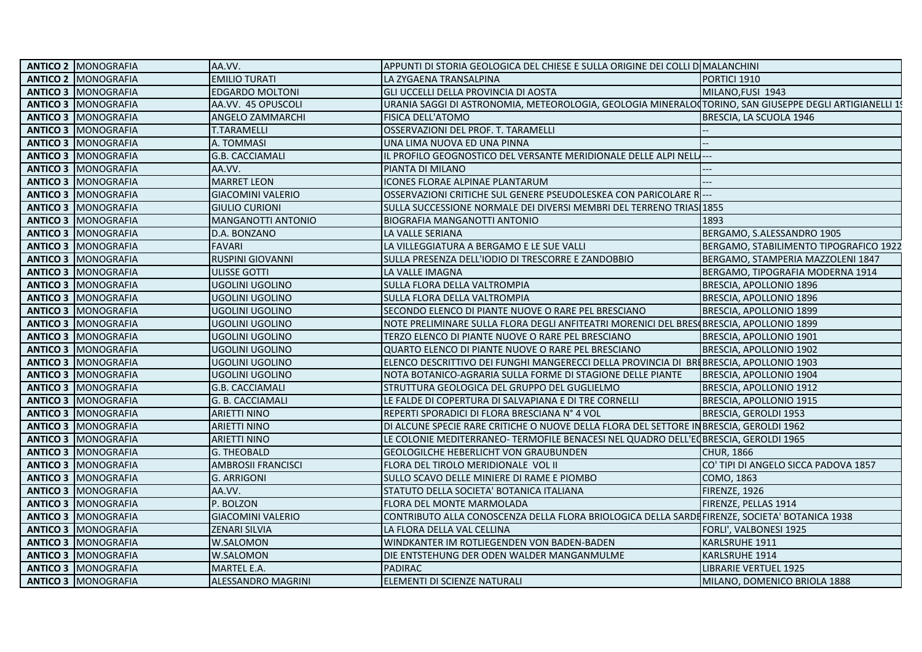| <b>ANTICO 2   MONOGRAFIA</b> | AA.VV.                    | APPUNTI DI STORIA GEOLOGICA DEL CHIESE E SULLA ORIGINE DEI COLLI DOMALANCHINI                          |                                        |
|------------------------------|---------------------------|--------------------------------------------------------------------------------------------------------|----------------------------------------|
| <b>ANTICO 2   MONOGRAFIA</b> | <b>EMILIO TURATI</b>      | LA ZYGAENA TRANSALPINA                                                                                 | PORTICI 1910                           |
| <b>ANTICO 3   MONOGRAFIA</b> | <b>EDGARDO MOLTONI</b>    | GLI UCCELLI DELLA PROVINCIA DI AOSTA                                                                   | MILANO, FUSI 1943                      |
| <b>ANTICO 3   MONOGRAFIA</b> | AA.VV. 45 OPUSCOLI        | URANIA SAGGI DI ASTRONOMIA, METEOROLOGIA, GEOLOGIA MINERALO(TORINO, SAN GIUSEPPE DEGLI ARTIGIANELLI 19 |                                        |
| <b>ANTICO 3   MONOGRAFIA</b> | ANGELO ZAMMARCHI          | FISICA DELL'ATOMO                                                                                      | BRESCIA, LA SCUOLA 1946                |
| <b>ANTICO 3   MONOGRAFIA</b> | T.TARAMELLI               | OSSERVAZIONI DEL PROF. T. TARAMELLI                                                                    |                                        |
| <b>ANTICO 3   MONOGRAFIA</b> | A. TOMMASI                | UNA LIMA NUOVA ED UNA PINNA                                                                            |                                        |
| <b>ANTICO 3   MONOGRAFIA</b> | <b>G.B. CACCIAMALI</b>    | IL PROFILO GEOGNOSTICO DEL VERSANTE MERIDIONALE DELLE ALPI NELLI---                                    |                                        |
| <b>ANTICO 3   MONOGRAFIA</b> | AA.VV.                    | PIANTA DI MILANO                                                                                       | ---                                    |
| <b>ANTICO 3   MONOGRAFIA</b> | <b>MARRET LEON</b>        | ICONES FLORAE ALPINAE PLANTARUM                                                                        | ——                                     |
| <b>ANTICO 3   MONOGRAFIA</b> | <b>GIACOMINI VALERIO</b>  | OSSERVAZIONI CRITICHE SUL GENERE PSEUDOLESKEA CON PARICOLARE R.                                        |                                        |
| <b>ANTICO 3   MONOGRAFIA</b> | <b>GIULIO CURIONI</b>     | SULLA SUCCESSIONE NORMALE DEI DIVERSI MEMBRI DEL TERRENO TRIAS 1855                                    |                                        |
| <b>ANTICO 3   MONOGRAFIA</b> | MANGANOTTI ANTONIO        | <b>BIOGRAFIA MANGANOTTI ANTONIO</b>                                                                    | 1893                                   |
| <b>ANTICO 3   MONOGRAFIA</b> | D.A. BONZANO              | LA VALLE SERIANA                                                                                       | BERGAMO, S.ALESSANDRO 1905             |
| <b>ANTICO 3   MONOGRAFIA</b> | <b>FAVARI</b>             | LA VILLEGGIATURA A BERGAMO E LE SUE VALLI                                                              | BERGAMO, STABILIMENTO TIPOGRAFICO 1922 |
| <b>ANTICO 3   MONOGRAFIA</b> | RUSPINI GIOVANNI          | SULLA PRESENZA DELL'IODIO DI TRESCORRE E ZANDOBBIO                                                     | BERGAMO, STAMPERIA MAZZOLENI 1847      |
| <b>ANTICO 3   MONOGRAFIA</b> | ULISSE GOTTI              | LA VALLE IMAGNA                                                                                        | BERGAMO, TIPOGRAFIA MODERNA 1914       |
| <b>ANTICO 3   MONOGRAFIA</b> | <b>UGOLINI UGOLINO</b>    | SULLA FLORA DELLA VALTROMPIA                                                                           | BRESCIA, APOLLONIO 1896                |
| <b>ANTICO 3   MONOGRAFIA</b> | UGOLINI UGOLINO           | SULLA FLORA DELLA VALTROMPIA                                                                           | BRESCIA, APOLLONIO 1896                |
| <b>ANTICO 3   MONOGRAFIA</b> | UGOLINI UGOLINO           | SECONDO ELENCO DI PIANTE NUOVE O RARE PEL BRESCIANO                                                    | BRESCIA, APOLLONIO 1899                |
| <b>ANTICO 3   MONOGRAFIA</b> | UGOLINI UGOLINO           | NOTE PRELIMINARE SULLA FLORA DEGLI ANFITEATRI MORENICI DEL BRES BRESCIA, APOLLONIO 1899                |                                        |
| <b>ANTICO 3   MONOGRAFIA</b> | UGOLINI UGOLINO           | TERZO ELENCO DI PIANTE NUOVE O RARE PEL BRESCIANO                                                      | BRESCIA, APOLLONIO 1901                |
| <b>ANTICO 3   MONOGRAFIA</b> | UGOLINI UGOLINO           | QUARTO ELENCO DI PIANTE NUOVE O RARE PEL BRESCIANO                                                     | BRESCIA, APOLLONIO 1902                |
| <b>ANTICO 3   MONOGRAFIA</b> | UGOLINI UGOLINO           | ELENCO DESCRITTIVO DEI FUNGHI MANGERECCI DELLA PROVINCIA DI BRIBRESCIA, APOLLONIO 1903                 |                                        |
| <b>ANTICO 3   MONOGRAFIA</b> | <b>UGOLINI UGOLINO</b>    | NOTA BOTANICO-AGRARIA SULLA FORME DI STAGIONE DELLE PIANTE                                             | BRESCIA, APOLLONIO 1904                |
| <b>ANTICO 3   MONOGRAFIA</b> | <b>G.B. CACCIAMALI</b>    | STRUTTURA GEOLOGICA DEL GRUPPO DEL GUGLIELMO                                                           | BRESCIA, APOLLONIO 1912                |
| <b>ANTICO 3   MONOGRAFIA</b> | G. B. CACCIAMALI          | LE FALDE DI COPERTURA DI SALVAPIANA E DI TRE CORNELLI                                                  | BRESCIA, APOLLONIO 1915                |
| <b>ANTICO 3   MONOGRAFIA</b> | <b>ARIETTI NINO</b>       | REPERTI SPORADICI DI FLORA BRESCIANA Nº 4 VOL                                                          | BRESCIA, GEROLDI 1953                  |
| <b>ANTICO 3   MONOGRAFIA</b> | <b>ARIETTI NINO</b>       | DI ALCUNE SPECIE RARE CRITICHE O NUOVE DELLA FLORA DEL SETTORE IN BRESCIA, GEROLDI 1962                |                                        |
| <b>ANTICO 3   MONOGRAFIA</b> | <b>ARIETTI NINO</b>       | LE COLONIE MEDITERRANEO- TERMOFILE BENACESI NEL QUADRO DELL'E                                          | <b>GBRESCIA, GEROLDI 1965</b>          |
| <b>ANTICO 3   MONOGRAFIA</b> | <b>G. THEOBALD</b>        | GEOLOGILCHE HEBERLICHT VON GRAUBUNDEN                                                                  | <b>CHUR, 1866</b>                      |
| <b>ANTICO 3   MONOGRAFIA</b> | <b>AMBROSII FRANCISCI</b> | FLORA DEL TIROLO MERIDIONALE VOL II                                                                    | CO' TIPI DI ANGELO SICCA PADOVA 1857   |
| <b>ANTICO 3   MONOGRAFIA</b> | <b>G. ARRIGONI</b>        | SULLO SCAVO DELLE MINIERE DI RAME E PIOMBO                                                             | COMO, 1863                             |
| <b>ANTICO 3   MONOGRAFIA</b> | AA.VV.                    | STATUTO DELLA SOCIETA' BOTANICA ITALIANA                                                               | FIRENZE, 1926                          |
| <b>ANTICO 3   MONOGRAFIA</b> | P. BOLZON                 | <b>FLORA DEL MONTE MARMOLADA</b>                                                                       | FIRENZE, PELLAS 1914                   |
| <b>ANTICO 3   MONOGRAFIA</b> | <b>GIACOMINI VALERIO</b>  | CONTRIBUTO ALLA CONOSCENZA DELLA FLORA BRIOLOGICA DELLA SARDEFIRENZE, SOCIETA' BOTANICA 1938           |                                        |
| <b>ANTICO 3   MONOGRAFIA</b> | <b>ZENARI SILVIA</b>      | LA FLORA DELLA VAL CELLINA                                                                             | FORLI', VALBONESI 1925                 |
| <b>ANTICO 3   MONOGRAFIA</b> | W.SALOMON                 | WINDKANTER IM ROTLIEGENDEN VON BADEN-BADEN                                                             | KARLSRUHE 1911                         |
| <b>ANTICO 3   MONOGRAFIA</b> | W.SALOMON                 | DIE ENTSTEHUNG DER ODEN WALDER MANGANMULME                                                             | KARLSRUHE 1914                         |
| <b>ANTICO 3   MONOGRAFIA</b> | MARTEL E.A.               | <b>PADIRAC</b>                                                                                         | LIBRARIE VERTUEL 1925                  |
| <b>ANTICO 3   MONOGRAFIA</b> | ALESSANDRO MAGRINI        | ELEMENTI DI SCIENZE NATURALI                                                                           | MILANO, DOMENICO BRIOLA 1888           |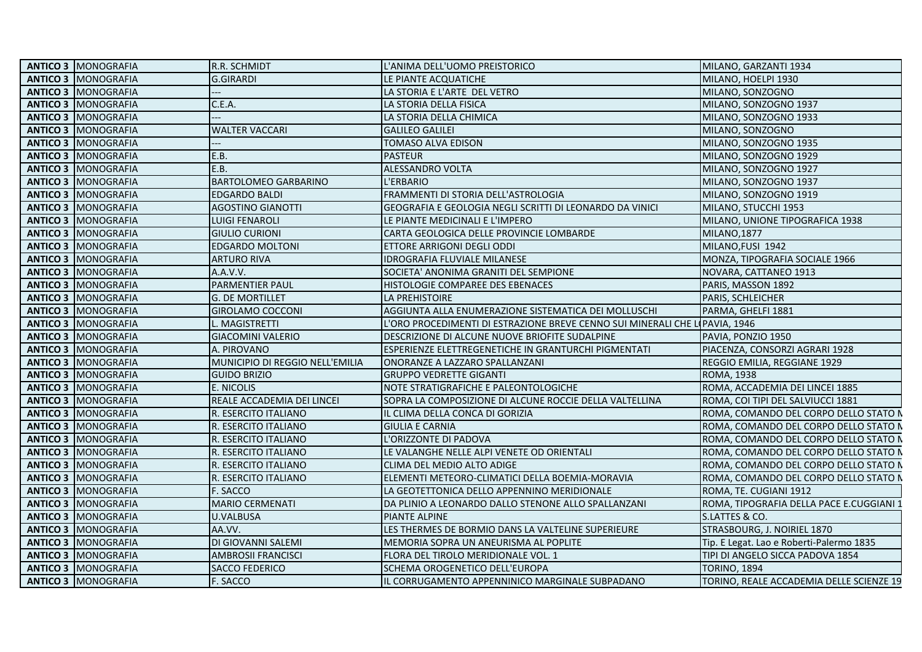|  | <b>ANTICO 3   MONOGRAFIA</b> | R.R. SCHMIDT                    | L'ANIMA DELL'UOMO PREISTORICO                                                | MILANO, GARZANTI 1934                    |
|--|------------------------------|---------------------------------|------------------------------------------------------------------------------|------------------------------------------|
|  | <b>ANTICO 3   MONOGRAFIA</b> | <b>G.GIRARDI</b>                | LE PIANTE ACQUATICHE                                                         | MILANO, HOELPI 1930                      |
|  | <b>ANTICO 3   MONOGRAFIA</b> |                                 | LA STORIA E L'ARTE DEL VETRO                                                 | MILANO, SONZOGNO                         |
|  | <b>ANTICO 3   MONOGRAFIA</b> | C.E.A.                          | LA STORIA DELLA FISICA                                                       | MILANO, SONZOGNO 1937                    |
|  | <b>ANTICO 3   MONOGRAFIA</b> | ---                             | LA STORIA DELLA CHIMICA                                                      | MILANO, SONZOGNO 1933                    |
|  | <b>ANTICO 3   MONOGRAFIA</b> | <b>WALTER VACCARI</b>           | <b>GALILEO GALILEI</b>                                                       | MILANO, SONZOGNO                         |
|  | <b>ANTICO 3   MONOGRAFIA</b> |                                 | <b>TOMASO ALVA EDISON</b>                                                    | MILANO, SONZOGNO 1935                    |
|  | <b>ANTICO 3   MONOGRAFIA</b> | E.B.                            | <b>PASTEUR</b>                                                               | MILANO, SONZOGNO 1929                    |
|  | <b>ANTICO 3   MONOGRAFIA</b> | E.B.                            | ALESSANDRO VOLTA                                                             | MILANO, SONZOGNO 1927                    |
|  | <b>ANTICO 3   MONOGRAFIA</b> | <b>BARTOLOMEO GARBARINO</b>     | L'ERBARIO                                                                    | MILANO, SONZOGNO 1937                    |
|  | <b>ANTICO 3   MONOGRAFIA</b> | <b>EDGARDO BALDI</b>            | FRAMMENTI DI STORIA DELL'ASTROLOGIA                                          | MILANO, SONZOGNO 1919                    |
|  | <b>ANTICO 3   MONOGRAFIA</b> | <b>AGOSTINO GIANOTTI</b>        | GEOGRAFIA E GEOLOGIA NEGLI SCRITTI DI LEONARDO DA VINICI                     | MILANO, STUCCHI 1953                     |
|  | <b>ANTICO 3   MONOGRAFIA</b> | <b>LUIGI FENAROLI</b>           | LE PIANTE MEDICINALI E L'IMPERO                                              | MILANO, UNIONE TIPOGRAFICA 1938          |
|  | <b>ANTICO 3   MONOGRAFIA</b> | <b>GIULIO CURIONI</b>           | CARTA GEOLOGICA DELLE PROVINCIE LOMBARDE                                     | <b>MILANO, 1877</b>                      |
|  | <b>ANTICO 3   MONOGRAFIA</b> | <b>EDGARDO MOLTONI</b>          | ETTORE ARRIGONI DEGLI ODDI                                                   | MILANO, FUSI 1942                        |
|  | <b>ANTICO 3   MONOGRAFIA</b> | <b>ARTURO RIVA</b>              | <b>IDROGRAFIA FLUVIALE MILANESE</b>                                          | MONZA, TIPOGRAFIA SOCIALE 1966           |
|  | <b>ANTICO 3   MONOGRAFIA</b> | A.A.V.V.                        | SOCIETA' ANONIMA GRANITI DEL SEMPIONE                                        | NOVARA, CATTANEO 1913                    |
|  | <b>ANTICO 3   MONOGRAFIA</b> | <b>PARMENTIER PAUL</b>          | HISTOLOGIE COMPAREE DES EBENACES                                             | PARIS, MASSON 1892                       |
|  | <b>ANTICO 3   MONOGRAFIA</b> | lg. De mortillet                | LA PREHISTOIRE                                                               | PARIS, SCHLEICHER                        |
|  | <b>ANTICO 3   MONOGRAFIA</b> | <b>GIROLAMO COCCONI</b>         | AGGIUNTA ALLA ENUMERAZIONE SISTEMATICA DEI MOLLUSCHI                         | PARMA, GHELFI 1881                       |
|  | <b>ANTICO 3   MONOGRAFIA</b> | L. MAGISTRETTI                  | L'ORO PROCEDIMENTI DI ESTRAZIONE BREVE CENNO SUI MINERALI CHE LI PAVIA, 1946 |                                          |
|  | <b>ANTICO 3   MONOGRAFIA</b> | <b>GIACOMINI VALERIO</b>        | DESCRIZIONE DI ALCUNE NUOVE BRIOFITE SUDALPINE                               | PAVIA, PONZIO 1950                       |
|  | <b>ANTICO 3   MONOGRAFIA</b> | A. PIROVANO                     | ESPERIENZE ELETTREGENETICHE IN GRANTURCHI PIGMENTATI                         | PIACENZA, CONSORZI AGRARI 1928           |
|  | <b>ANTICO 3   MONOGRAFIA</b> | MUNICIPIO DI REGGIO NELL'EMILIA | ONORANZE A LAZZARO SPALLANZANI                                               | REGGIO EMILIA, REGGIANE 1929             |
|  | <b>ANTICO 3   MONOGRAFIA</b> | <b>GUIDO BRIZIO</b>             | <b>GRUPPO VEDRETTE GIGANTI</b>                                               | <b>ROMA, 1938</b>                        |
|  | <b>ANTICO 3 IMONOGRAFIA</b>  | E. NICOLIS                      | NOTE STRATIGRAFICHE E PALEONTOLOGICHE                                        | ROMA, ACCADEMIA DEI LINCEI 1885          |
|  | <b>ANTICO 3   MONOGRAFIA</b> | REALE ACCADEMIA DEI LINCEI      | SOPRA LA COMPOSIZIONE DI ALCUNE ROCCIE DELLA VALTELLINA                      | ROMA, COI TIPI DEL SALVIUCCI 1881        |
|  | <b>ANTICO 3   MONOGRAFIA</b> | R. ESERCITO ITALIANO            | IL CLIMA DELLA CONCA DI GORIZIA                                              | ROMA, COMANDO DEL CORPO DELLO STATO N    |
|  | <b>ANTICO 3   MONOGRAFIA</b> | R. ESERCITO ITALIANO            | <b>GIULIA E CARNIA</b>                                                       | ROMA, COMANDO DEL CORPO DELLO STATO N    |
|  | <b>ANTICO 3   MONOGRAFIA</b> | R. ESERCITO ITALIANO            | L'ORIZZONTE DI PADOVA                                                        | ROMA, COMANDO DEL CORPO DELLO STATO N    |
|  | <b>ANTICO 3   MONOGRAFIA</b> | R. ESERCITO ITALIANO            | LE VALANGHE NELLE ALPI VENETE OD ORIENTALI                                   | ROMA, COMANDO DEL CORPO DELLO STATO N    |
|  | <b>ANTICO 3   MONOGRAFIA</b> | R. ESERCITO ITALIANO            | CLIMA DEL MEDIO ALTO ADIGE                                                   | ROMA, COMANDO DEL CORPO DELLO STATO N    |
|  | <b>ANTICO 3   MONOGRAFIA</b> | R. ESERCITO ITALIANO            | ELEMENTI METEORO-CLIMATICI DELLA BOEMIA-MORAVIA                              | ROMA, COMANDO DEL CORPO DELLO STATO N    |
|  | <b>ANTICO 3   MONOGRAFIA</b> | F. SACCO                        | LA GEOTETTONICA DELLO APPENNINO MERIDIONALE                                  | ROMA, TE. CUGIANI 1912                   |
|  | <b>ANTICO 3   MONOGRAFIA</b> | <b>MARIO CERMENATI</b>          | DA PLINIO A LEONARDO DALLO STENONE ALLO SPALLANZANI                          | ROMA, TIPOGRAFIA DELLA PACE E.CUGGIANI 1 |
|  | <b>ANTICO 3   MONOGRAFIA</b> | <b>U.VALBUSA</b>                | <b>PIANTE ALPINE</b>                                                         | S.LATTES & CO.                           |
|  | <b>ANTICO 3   MONOGRAFIA</b> | AA.VV.                          | LES THERMES DE BORMIO DANS LA VALTELINE SUPERIEURE                           | STRASBOURG, J. NOIRIEL 1870              |
|  | <b>ANTICO 3   MONOGRAFIA</b> | DI GIOVANNI SALEMI              | MEMORIA SOPRA UN ANEURISMA AL POPLITE                                        | Tip. E Legat. Lao e Roberti-Palermo 1835 |
|  | <b>ANTICO 3   MONOGRAFIA</b> | <b>AMBROSII FRANCISCI</b>       | FLORA DEL TIROLO MERIDIONALE VOL. 1                                          | TIPI DI ANGELO SICCA PADOVA 1854         |
|  | <b>ANTICO 3   MONOGRAFIA</b> | <b>SACCO FEDERICO</b>           | SCHEMA OROGENETICO DELL'EUROPA                                               | <b>TORINO, 1894</b>                      |
|  | <b>ANTICO 3   MONOGRAFIA</b> | F. SACCO                        | IL CORRUGAMENTO APPENNINICO MARGINALE SUBPADANO                              | TORINO. REALE ACCADEMIA DELLE SCIENZE 19 |
|  |                              |                                 |                                                                              |                                          |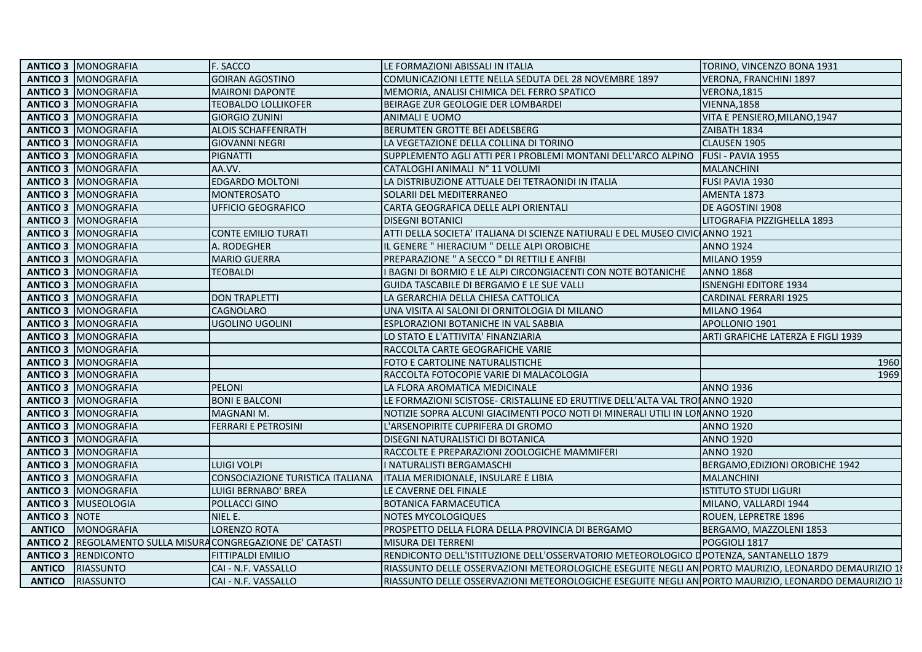|                      | <b>ANTICO 3   MONOGRAFIA</b>                                       | F. SACCO                         | LE FORMAZIONI ABISSALI IN ITALIA                                                                     | TORINO, VINCENZO BONA 1931         |
|----------------------|--------------------------------------------------------------------|----------------------------------|------------------------------------------------------------------------------------------------------|------------------------------------|
|                      | <b>ANTICO 3   MONOGRAFIA</b>                                       | <b>GOIRAN AGOSTINO</b>           | COMUNICAZIONI LETTE NELLA SEDUTA DEL 28 NOVEMBRE 1897                                                | VERONA, FRANCHINI 1897             |
|                      | <b>ANTICO 3   MONOGRAFIA</b>                                       | <b>MAIRONI DAPONTE</b>           | MEMORIA, ANALISI CHIMICA DEL FERRO SPATICO                                                           | VERONA, 1815                       |
|                      | <b>ANTICO 3   MONOGRAFIA</b>                                       | <b>TEOBALDO LOLLIKOFER</b>       | BEIRAGE ZUR GEOLOGIE DER LOMBARDEI                                                                   | <b>VIENNA, 1858</b>                |
|                      | <b>ANTICO 3   MONOGRAFIA</b>                                       | <b>GIORGIO ZUNINI</b>            | ANIMALI E UOMO                                                                                       | VITA E PENSIERO,MILANO,1947        |
|                      | <b>ANTICO 3   MONOGRAFIA</b>                                       | <b>ALOIS SCHAFFENRATH</b>        | BERUMTEN GROTTE BEI ADELSBERG                                                                        | ZAIBATH 1834                       |
|                      | <b>ANTICO 3   MONOGRAFIA</b>                                       | <b>GIOVANNI NEGRI</b>            | LA VEGETAZIONE DELLA COLLINA DI TORINO                                                               | CLAUSEN 1905                       |
|                      | <b>ANTICO 3   MONOGRAFIA</b>                                       | <b>PIGNATTI</b>                  | SUPPLEMENTO AGLI ATTI PER I PROBLEMI MONTANI DELL'ARCO ALPINO                                        | FUSI - PAVIA 1955                  |
|                      | <b>ANTICO 3   MONOGRAFIA</b>                                       | AA.VV.                           | CATALOGHI ANIMALI Nº 11 VOLUMI                                                                       | <b>MALANCHINI</b>                  |
|                      | <b>ANTICO 3   MONOGRAFIA</b>                                       | <b>EDGARDO MOLTONI</b>           | LA DISTRIBUZIONE ATTUALE DEI TETRAONIDI IN ITALIA                                                    | FUSI PAVIA 1930                    |
|                      | <b>ANTICO 3   MONOGRAFIA</b>                                       | <b>MONTEROSATO</b>               | SOLARII DEL MEDITERRANEO                                                                             | AMENTA 1873                        |
|                      | <b>ANTICO 3   MONOGRAFIA</b>                                       | <b>UFFICIO GEOGRAFICO</b>        | CARTA GEOGRAFICA DELLE ALPI ORIENTALI                                                                | DE AGOSTINI 1908                   |
|                      | <b>ANTICO 3   MONOGRAFIA</b>                                       |                                  | <b>DISEGNI BOTANICI</b>                                                                              | LITOGRAFIA PIZZIGHELLA 1893        |
|                      | <b>ANTICO 3   MONOGRAFIA</b>                                       | <b>CONTE EMILIO TURATI</b>       | ATTI DELLA SOCIETA' ITALIANA DI SCIENZE NATIURALI E DEL MUSEO CIVIC ANNO 1921                        |                                    |
|                      | <b>ANTICO 3   MONOGRAFIA</b>                                       | A. RODEGHER                      | IL GENERE "HIERACIUM " DELLE ALPI OROBICHE                                                           | <b>ANNO 1924</b>                   |
|                      | <b>ANTICO 3   MONOGRAFIA</b>                                       | <b>MARIO GUERRA</b>              | PREPARAZIONE " A SECCO " DI RETTILI E ANFIBI                                                         | <b>MILANO 1959</b>                 |
|                      | <b>ANTICO 3   MONOGRAFIA</b>                                       | <b>TEOBALDI</b>                  | <b>BAGNI DI BORMIO E LE ALPI CIRCONGIACENTI CON NOTE BOTANICHE</b>                                   | <b>ANNO 1868</b>                   |
|                      | <b>ANTICO 3 IMONOGRAFIA</b>                                        |                                  | <b>GUIDA TASCABILE DI BERGAMO E LE SUE VALLI</b>                                                     | <b>ISNENGHI EDITORE 1934</b>       |
|                      | <b>ANTICO 3   MONOGRAFIA</b>                                       | <b>DON TRAPLETTI</b>             | LA GERARCHIA DELLA CHIESA CATTOLICA                                                                  | <b>CARDINAL FERRARI 1925</b>       |
|                      | <b>ANTICO 3   MONOGRAFIA</b>                                       | CAGNOLARO                        | UNA VISITA AI SALONI DI ORNITOLOGIA DI MILANO                                                        | <b>MILANO 1964</b>                 |
|                      | <b>ANTICO 3 IMONOGRAFIA</b>                                        | UGOLINO UGOLINI                  | ESPLORAZIONI BOTANICHE IN VAL SABBIA                                                                 | APOLLONIO 1901                     |
|                      | <b>ANTICO 3   MONOGRAFIA</b>                                       |                                  | LO STATO E L'ATTIVITA' FINANZIARIA                                                                   | ARTI GRAFICHE LATERZA E FIGLI 1939 |
|                      | <b>ANTICO 3   MONOGRAFIA</b>                                       |                                  | RACCOLTA CARTE GEOGRAFICHE VARIE                                                                     |                                    |
|                      | <b>ANTICO 3   MONOGRAFIA</b>                                       |                                  | FOTO E CARTOLINE NATURALISTICHE                                                                      | 1960                               |
|                      | <b>ANTICO 3   MONOGRAFIA</b>                                       |                                  | RACCOLTA FOTOCOPIE VARIE DI MALACOLOGIA                                                              | 1969                               |
|                      | <b>ANTICO 3 IMONOGRAFIA</b>                                        | <b>PELONI</b>                    | LA FLORA AROMATICA MEDICINALE                                                                        | <b>ANNO 1936</b>                   |
|                      | <b>ANTICO 3   MONOGRAFIA</b>                                       | <b>BONI E BALCONI</b>            | LE FORMAZIONI SCISTOSE- CRISTALLINE ED ERUTTIVE DELL'ALTA VAL TROIANNO 1920                          |                                    |
|                      | <b>ANTICO 3   MONOGRAFIA</b>                                       | MAGNANI M.                       | NOTIZIE SOPRA ALCUNI GIACIMENTI POCO NOTI DI MINERALI UTILI IN LONANNO 1920                          |                                    |
|                      | <b>ANTICO 3   MONOGRAFIA</b>                                       | FERRARI E PETROSINI              | L'ARSENOPIRITE CUPRIFERA DI GROMO                                                                    | <b>ANNO 1920</b>                   |
|                      | <b>ANTICO 3   MONOGRAFIA</b>                                       |                                  | DISEGNI NATURALISTICI DI BOTANICA                                                                    | <b>ANNO 1920</b>                   |
|                      | <b>ANTICO 3   MONOGRAFIA</b>                                       |                                  | RACCOLTE E PREPARAZIONI ZOOLOGICHE MAMMIFERI                                                         | <b>ANNO 1920</b>                   |
|                      | <b>ANTICO 3   MONOGRAFIA</b>                                       | LUIGI VOLPI                      | I NATURALISTI BERGAMASCHI                                                                            | BERGAMO, EDIZIONI OROBICHE 1942    |
|                      | <b>ANTICO 3   MONOGRAFIA</b>                                       | CONSOCIAZIONE TURISTICA ITALIANA | ITALIA MERIDIONALE, INSULARE E LIBIA                                                                 | <b>MALANCHINI</b>                  |
|                      | <b>ANTICO 3   MONOGRAFIA</b>                                       | LUIGI BERNABO' BREA              | LE CAVERNE DEL FINALE                                                                                | <b>ISTITUTO STUDI LIGURI</b>       |
|                      | <b>ANTICO 3 MUSEOLOGIA</b>                                         | POLLACCI GINO                    | <b>BOTANICA FARMACEUTICA</b>                                                                         | MILANO, VALLARDI 1944              |
| <b>ANTICO 3 NOTE</b> |                                                                    | NIEL E.                          | NOTES MYCOLOGIQUES                                                                                   | ROUEN, LEPRETRE 1896               |
| <b>ANTICO</b>        | <b>MONOGRAFIA</b>                                                  | LORENZO ROTA                     | PROSPETTO DELLA FLORA DELLA PROVINCIA DI BERGAMO                                                     | BERGAMO, MAZZOLENI 1853            |
|                      | <b>ANTICO 2 REGOLAMENTO SULLA MISURA CONGREGAZIONE DE' CATASTI</b> |                                  | <b>MISURA DEI TERRENI</b>                                                                            | POGGIOLI 1817                      |
|                      | <b>ANTICO 3 RENDICONTO</b>                                         | <b>FITTIPALDI EMILIO</b>         | RENDICONTO DELL'ISTITUZIONE DELL'OSSERVATORIO METEOROLOGICO DPOTENZA, SANTANELLO 1879                |                                    |
| <b>ANTICO</b>        | <b>RIASSUNTO</b>                                                   | CAI - N.F. VASSALLO              | RIASSUNTO DELLE OSSERVAZIONI METEOROLOGICHE ESEGUITE NEGLI AN PORTO MAURIZIO, LEONARDO DEMAURIZIO 18 |                                    |
| <b>ANTICO</b>        | <b>RIASSUNTO</b>                                                   | CAI - N.F. VASSALLO              | RIASSUNTO DELLE OSSERVAZIONI METEOROLOGICHE ESEGUITE NEGLI AN PORTO MAURIZIO, LEONARDO DEMAURIZIO 18 |                                    |